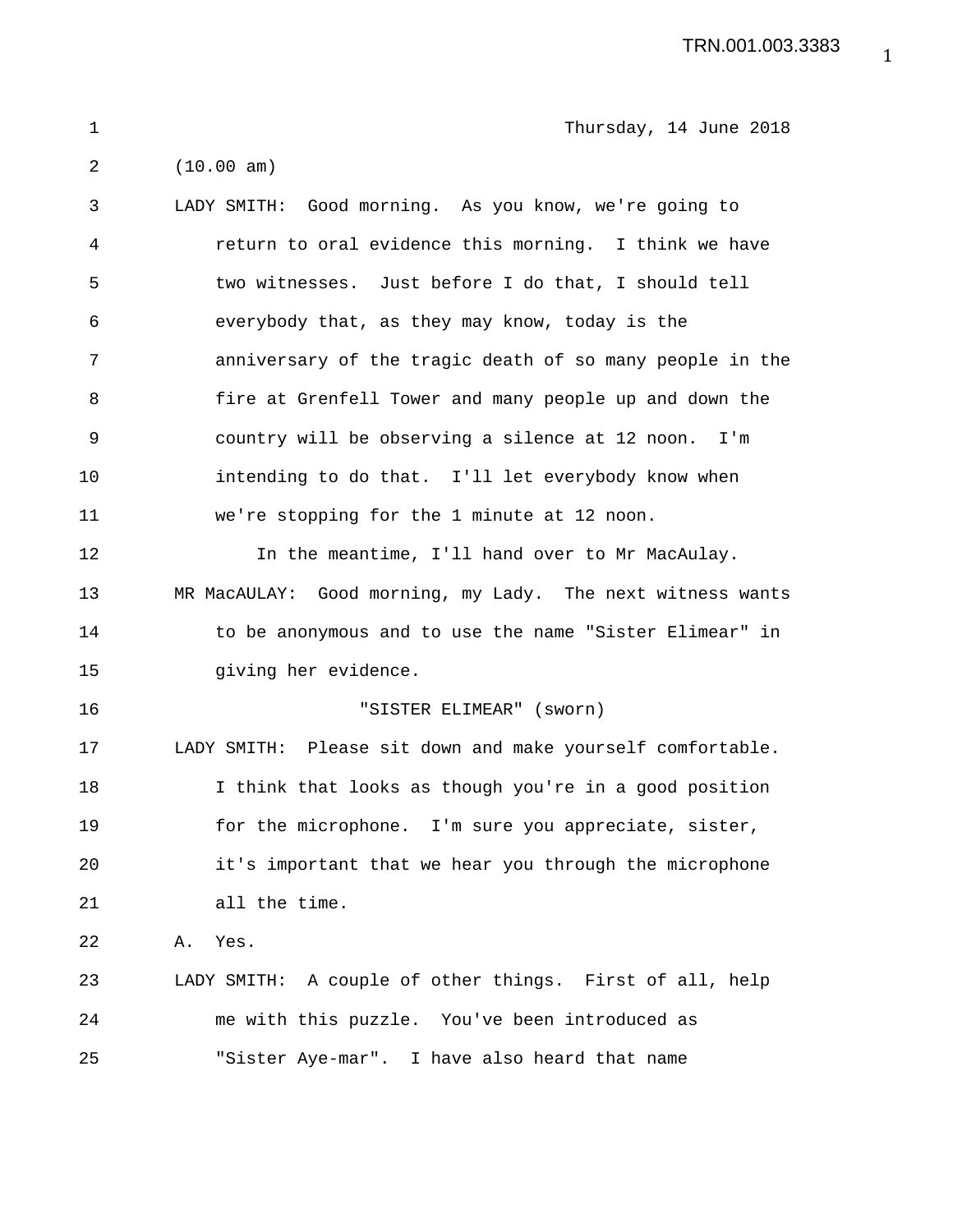TRN.001.003.3383

1 Thursday, 14 June 2018 2 (10.00 am) 3 LADY SMITH: Good morning. As you know, we're going to 4 return to oral evidence this morning. I think we have 5 two witnesses. Just before I do that, I should tell 6 everybody that, as they may know, today is the 7 anniversary of the tragic death of so many people in the 8 fire at Grenfell Tower and many people up and down the 9 country will be observing a silence at 12 noon. I'm 10 intending to do that. I'll let everybody know when 11 we're stopping for the 1 minute at 12 noon. 12 In the meantime, I'll hand over to Mr MacAulay. 13 MR MacAULAY: Good morning, my Lady. The next witness wants 14 to be anonymous and to use the name "Sister Elimear" in 15 giving her evidence. 16 "SISTER ELIMEAR" (sworn) 17 LADY SMITH: Please sit down and make yourself comfortable. 18 I think that looks as though you're in a good position 19 for the microphone. I'm sure you appreciate, sister, 20 it's important that we hear you through the microphone 21 all the time. 22 A. Yes. 23 LADY SMITH: A couple of other things. First of all, help 24 me with this puzzle. You've been introduced as 25 "Sister Aye-mar". I have also heard that name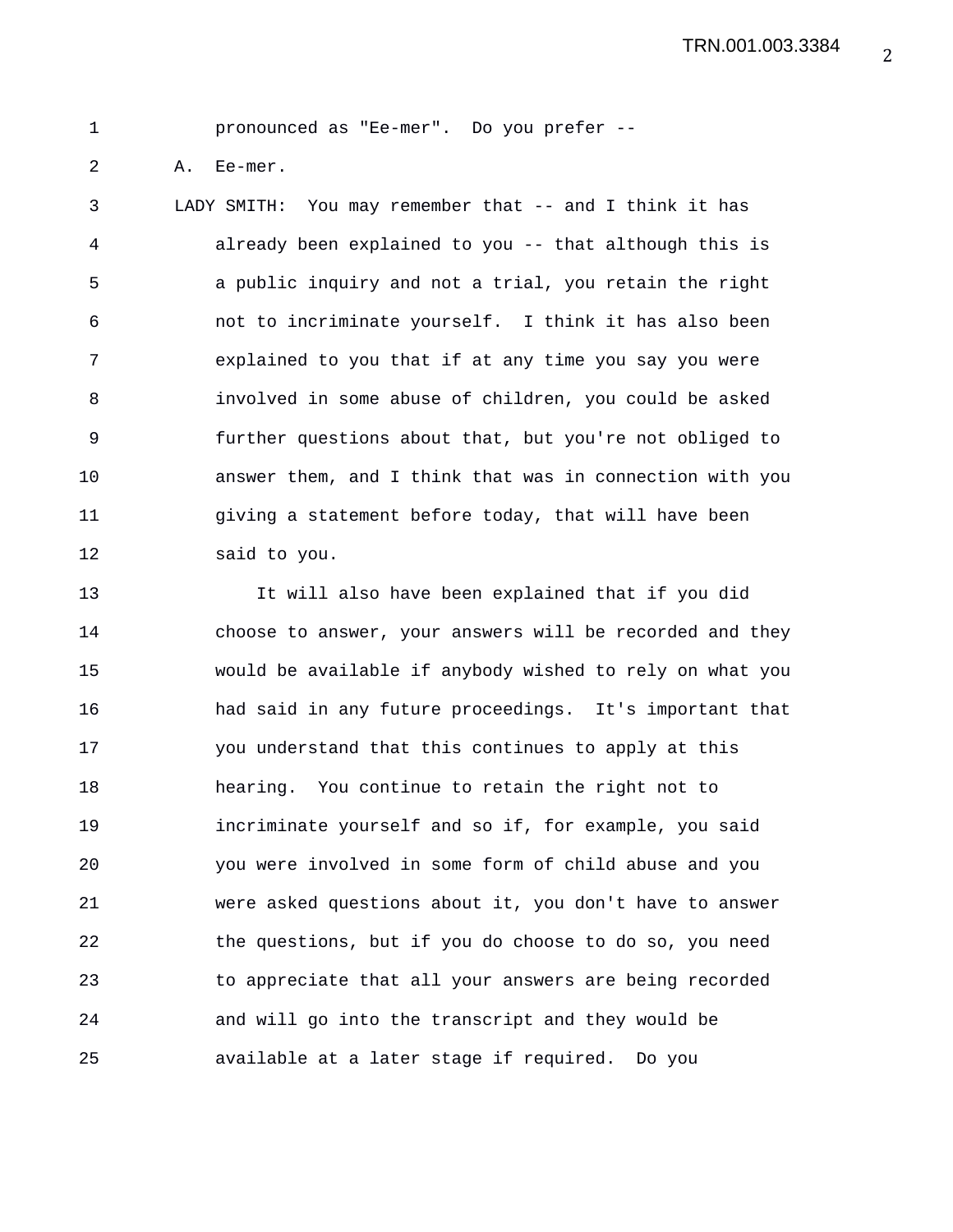1 pronounced as "Ee-mer". Do you prefer --

2 A. Ee-mer.

3 LADY SMITH: You may remember that -- and I think it has 4 already been explained to you -- that although this is 5 a public inquiry and not a trial, you retain the right 6 not to incriminate yourself. I think it has also been 7 explained to you that if at any time you say you were 8 involved in some abuse of children, you could be asked 9 further questions about that, but you're not obliged to 10 answer them, and I think that was in connection with you 11 giving a statement before today, that will have been 12 said to you.

13 It will also have been explained that if you did 14 choose to answer, your answers will be recorded and they 15 would be available if anybody wished to rely on what you 16 had said in any future proceedings. It's important that 17 you understand that this continues to apply at this 18 hearing. You continue to retain the right not to 19 incriminate yourself and so if, for example, you said 20 you were involved in some form of child abuse and you 21 were asked questions about it, you don't have to answer 22 the questions, but if you do choose to do so, you need 23 to appreciate that all your answers are being recorded 24 and will go into the transcript and they would be 25 available at a later stage if required. Do you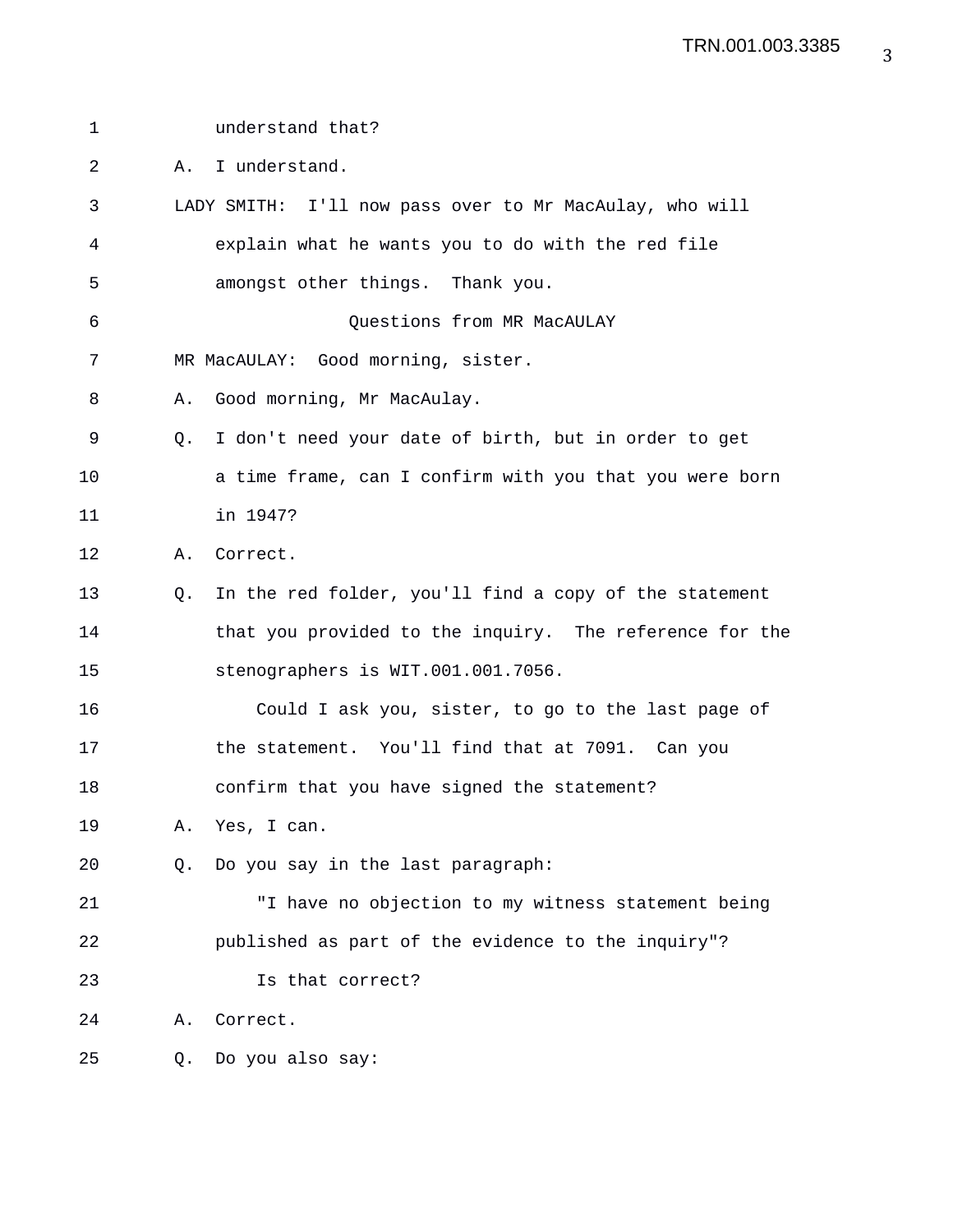| $\mathbf 1$ |    | understand that?                                        |
|-------------|----|---------------------------------------------------------|
| 2           | Α. | I understand.                                           |
| 3           |    | LADY SMITH: I'll now pass over to Mr MacAulay, who will |
| 4           |    | explain what he wants you to do with the red file       |
| 5           |    | amongst other things. Thank you.                        |
| 6           |    | Questions from MR MacAULAY                              |
| 7           |    | MR MacAULAY: Good morning, sister.                      |
| 8           | Α. | Good morning, Mr MacAulay.                              |
| 9           | Q. | I don't need your date of birth, but in order to get    |
| 10          |    | a time frame, can I confirm with you that you were born |
| 11          |    | in 1947?                                                |
| 12          | Α. | Correct.                                                |
| 13          | O. | In the red folder, you'll find a copy of the statement  |
| 14          |    | that you provided to the inquiry. The reference for the |
| 15          |    | stenographers is WIT.001.001.7056.                      |
| 16          |    | Could I ask you, sister, to go to the last page of      |
| 17          |    | the statement. You'll find that at 7091. Can you        |
| 18          |    | confirm that you have signed the statement?             |
| 19          |    | A. Yes, I can.                                          |
| 20          | Q. | Do you say in the last paragraph:                       |
| 21          |    | "I have no objection to my witness statement being      |
| 22          |    | published as part of the evidence to the inquiry"?      |
| 23          |    | Is that correct?                                        |
| 24          | Α. | Correct.                                                |
| 25          | О. | Do you also say:                                        |
|             |    |                                                         |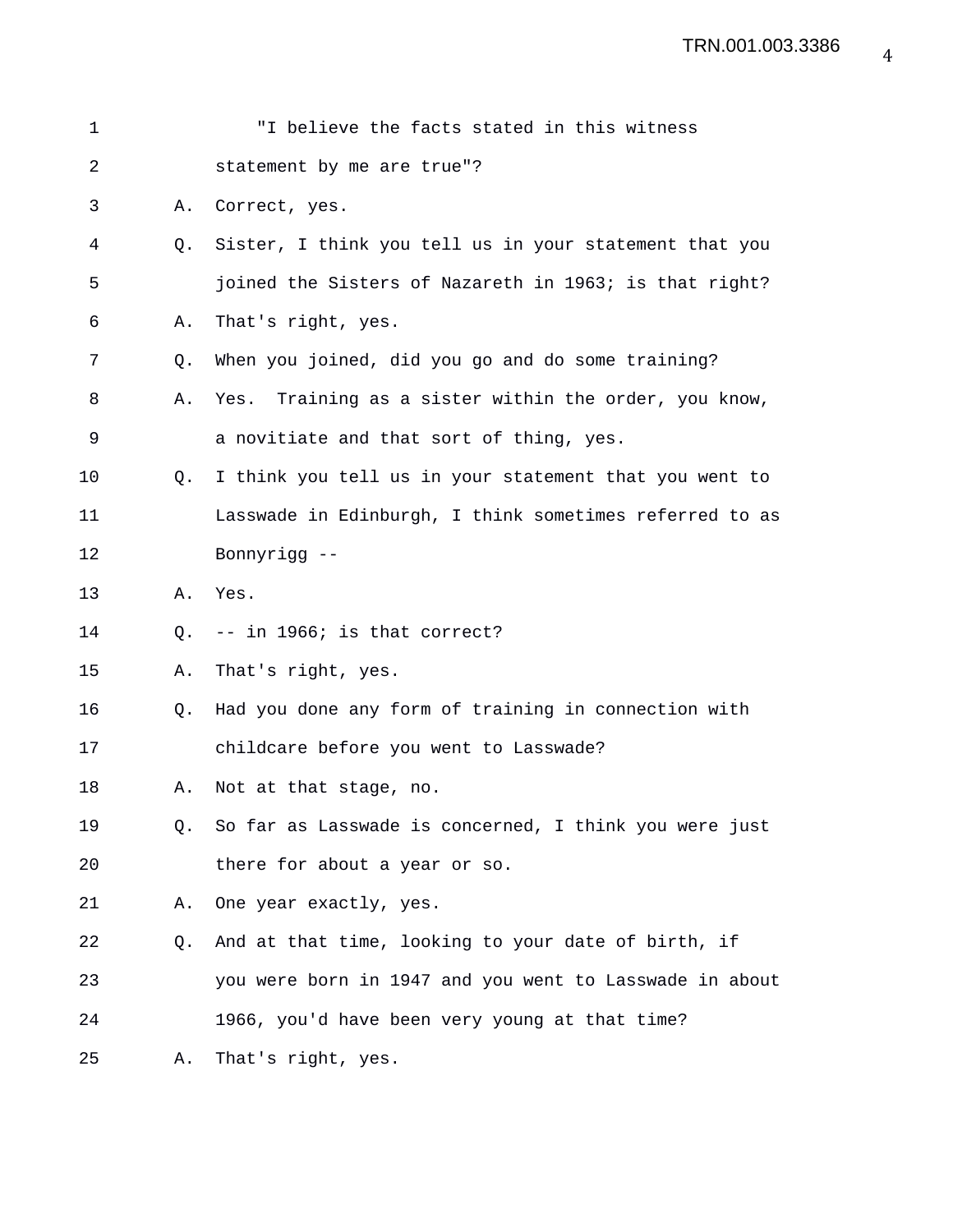| $\mathbf 1$ |    | "I believe the facts stated in this witness             |
|-------------|----|---------------------------------------------------------|
| 2           |    | statement by me are true"?                              |
| 3           | Α. | Correct, yes.                                           |
| 4           | Q. | Sister, I think you tell us in your statement that you  |
| 5           |    | joined the Sisters of Nazareth in 1963; is that right?  |
| 6           | Α. | That's right, yes.                                      |
| 7           | Q. | When you joined, did you go and do some training?       |
| 8           | Α. | Yes. Training as a sister within the order, you know,   |
| 9           |    | a novitiate and that sort of thing, yes.                |
| 10          | O. | I think you tell us in your statement that you went to  |
| 11          |    | Lasswade in Edinburgh, I think sometimes referred to as |
| 12          |    | Bonnyrigg --                                            |
| 13          | Α. | Yes.                                                    |
| 14          | 0. | -- in 1966; is that correct?                            |
| 15          | Α. | That's right, yes.                                      |
| 16          | O. | Had you done any form of training in connection with    |
| 17          |    | childcare before you went to Lasswade?                  |
| 18          | Α. | Not at that stage, no.                                  |
| 19          | Q. | So far as Lasswade is concerned, I think you were just  |
| 20          |    | there for about a year or so.                           |
| 21          | Α. | One year exactly, yes.                                  |
| 22          | Q. | And at that time, looking to your date of birth, if     |
| 23          |    | you were born in 1947 and you went to Lasswade in about |
| 24          |    | 1966, you'd have been very young at that time?          |
| 25          | Α. | That's right, yes.                                      |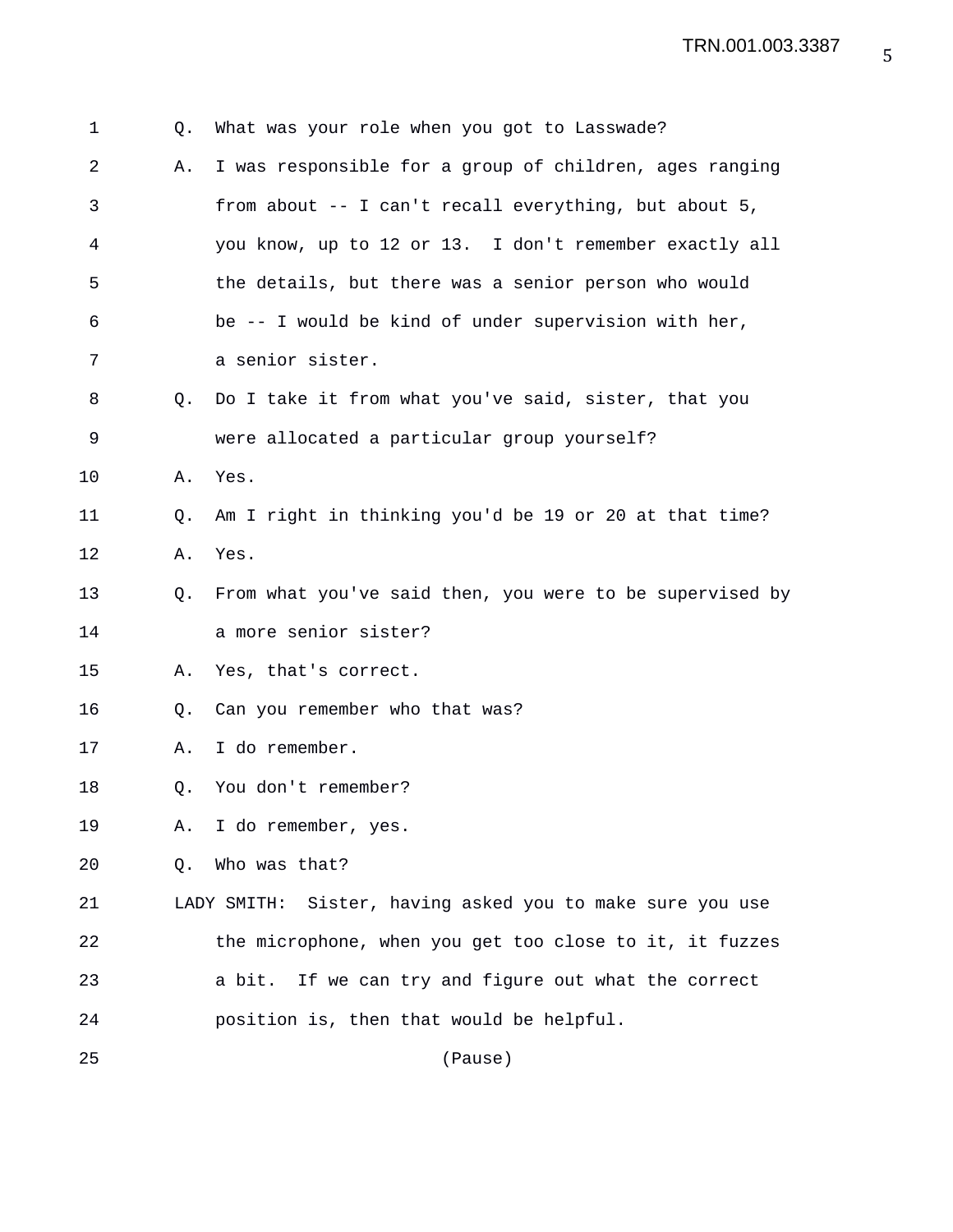| 1  | Q. | What was your role when you got to Lasswade?                 |
|----|----|--------------------------------------------------------------|
| 2  | Α. | I was responsible for a group of children, ages ranging      |
| 3  |    | from about $--$ I can't recall everything, but about 5,      |
| 4  |    | you know, up to 12 or 13. I don't remember exactly all       |
| 5  |    | the details, but there was a senior person who would         |
| 6  |    | be -- I would be kind of under supervision with her,         |
| 7  |    | a senior sister.                                             |
| 8  | 0. | Do I take it from what you've said, sister, that you         |
| 9  |    | were allocated a particular group yourself?                  |
| 10 | Α. | Yes.                                                         |
| 11 | О. | Am I right in thinking you'd be 19 or 20 at that time?       |
| 12 | Α. | Yes.                                                         |
| 13 | Q. | From what you've said then, you were to be supervised by     |
| 14 |    | a more senior sister?                                        |
| 15 | Α. | Yes, that's correct.                                         |
| 16 | Q. | Can you remember who that was?                               |
| 17 | Α. | I do remember.                                               |
| 18 | Q. | You don't remember?                                          |
| 19 | Α. | I do remember, yes.                                          |
| 20 | Q. | Who was that?                                                |
| 21 |    | Sister, having asked you to make sure you use<br>LADY SMITH: |
| 22 |    | the microphone, when you get too close to it, it fuzzes      |
| 23 |    | If we can try and figure out what the correct<br>a bit.      |
| 24 |    | position is, then that would be helpful.                     |
| 25 |    | (Pause)                                                      |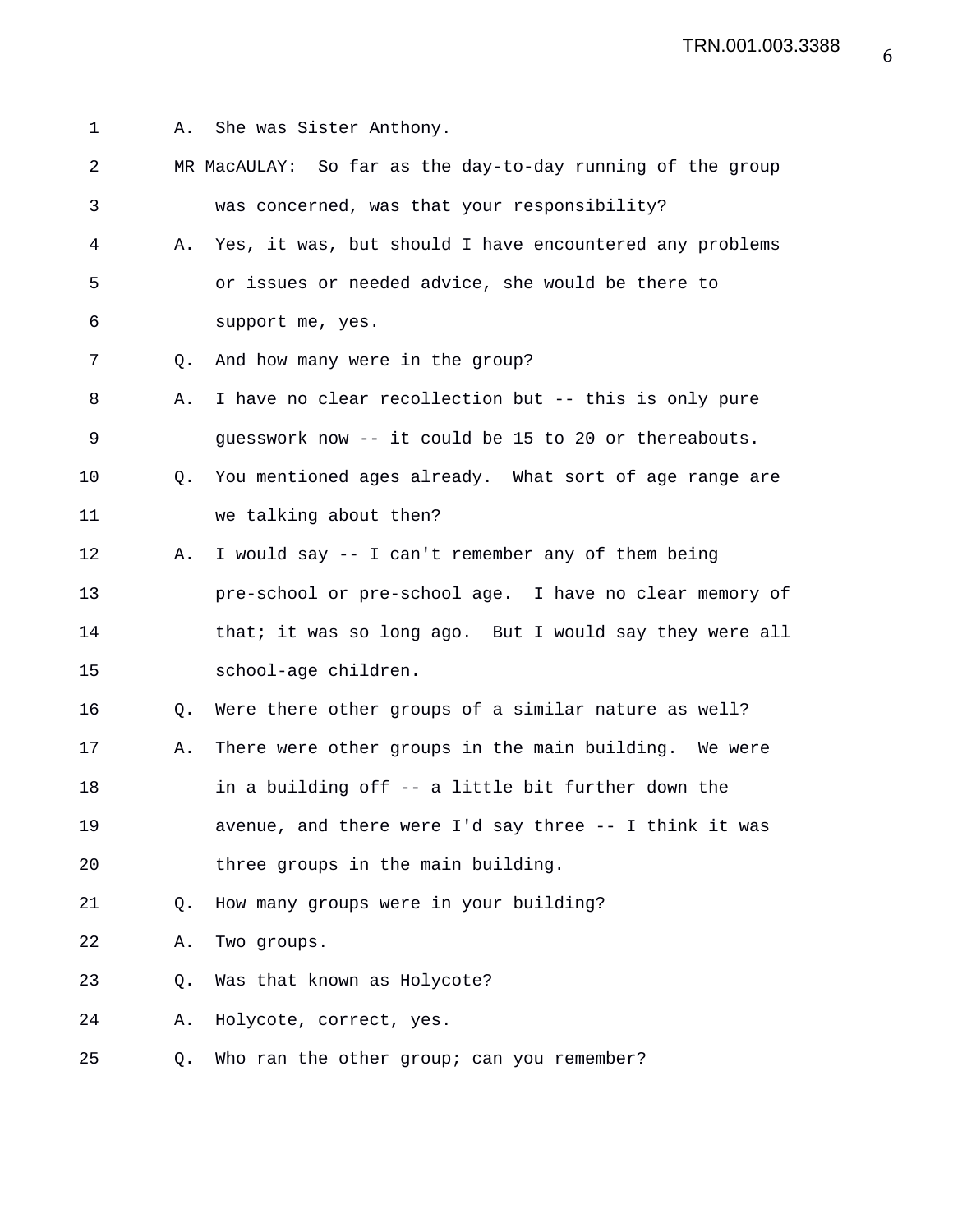1 A. She was Sister Anthony.

| $\overline{a}$ |    | MR MacAULAY: So far as the day-to-day running of the group |
|----------------|----|------------------------------------------------------------|
| 3              |    | was concerned, was that your responsibility?               |
| 4              | Α. | Yes, it was, but should I have encountered any problems    |
| 5              |    | or issues or needed advice, she would be there to          |
| 6              |    | support me, yes.                                           |
| 7              | Q. | And how many were in the group?                            |
| 8              | Α. | I have no clear recollection but -- this is only pure      |
| 9              |    | guesswork now -- it could be 15 to 20 or thereabouts.      |
| 10             | Q. | You mentioned ages already. What sort of age range are     |
| 11             |    | we talking about then?                                     |
| 12             | Α. | I would say -- I can't remember any of them being          |
| 13             |    | pre-school or pre-school age. I have no clear memory of    |
| 14             |    | that; it was so long ago. But I would say they were all    |
| 15             |    | school-age children.                                       |
| 16             | Q. | Were there other groups of a similar nature as well?       |
| 17             | Α. | There were other groups in the main building. We were      |
| 18             |    | in a building off -- a little bit further down the         |
| 19             |    | avenue, and there were I'd say three -- I think it was     |
| 20             |    | three groups in the main building.                         |
| 21             | Q. | How many groups were in your building?                     |
| 22             | Α. | Two groups.                                                |
| 23             | Q. | Was that known as Holycote?                                |
| 24             | Α. | Holycote, correct, yes.                                    |
| 25             | Q. | Who ran the other group; can you remember?                 |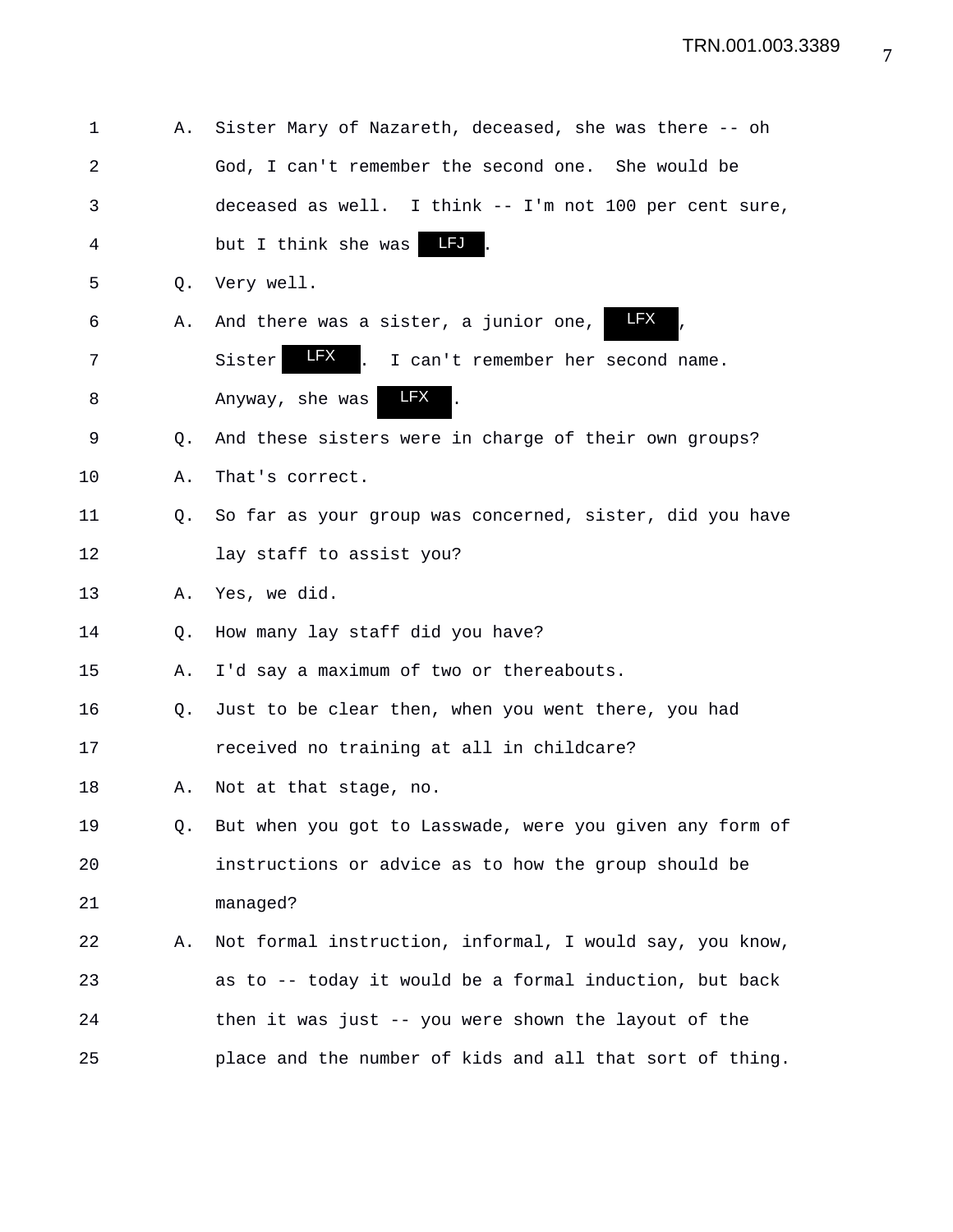| 1  | Α. | Sister Mary of Nazareth, deceased, she was there -- oh          |
|----|----|-----------------------------------------------------------------|
| 2  |    | God, I can't remember the second one. She would be              |
| 3  |    | deceased as well. I think -- I'm not 100 per cent sure,         |
| 4  |    | LFJ<br>but I think she was                                      |
| 5  | Q. | Very well.                                                      |
| 6  | Α. | <b>LFX</b><br>And there was a sister, a junior one,             |
| 7  |    | <b>LFX</b><br>l.<br>Sister<br>I can't remember her second name. |
| 8  |    | LFX<br>Anyway, she was                                          |
| 9  | Q. | And these sisters were in charge of their own groups?           |
| 10 | Α. | That's correct.                                                 |
| 11 | Q. | So far as your group was concerned, sister, did you have        |
| 12 |    | lay staff to assist you?                                        |
| 13 | Α. | Yes, we did.                                                    |
| 14 | Q. | How many lay staff did you have?                                |
| 15 | Α. | I'd say a maximum of two or thereabouts.                        |
| 16 | Q. | Just to be clear then, when you went there, you had             |
| 17 |    | received no training at all in childcare?                       |
| 18 | Α. | Not at that stage, no.                                          |
| 19 | Q. | But when you got to Lasswade, were you given any form of        |
| 20 |    | instructions or advice as to how the group should be            |
| 21 |    | managed?                                                        |
| 22 | Α. | Not formal instruction, informal, I would say, you know,        |
| 23 |    | as to -- today it would be a formal induction, but back         |
| 24 |    | then it was just -- you were shown the layout of the            |
| 25 |    | place and the number of kids and all that sort of thing.        |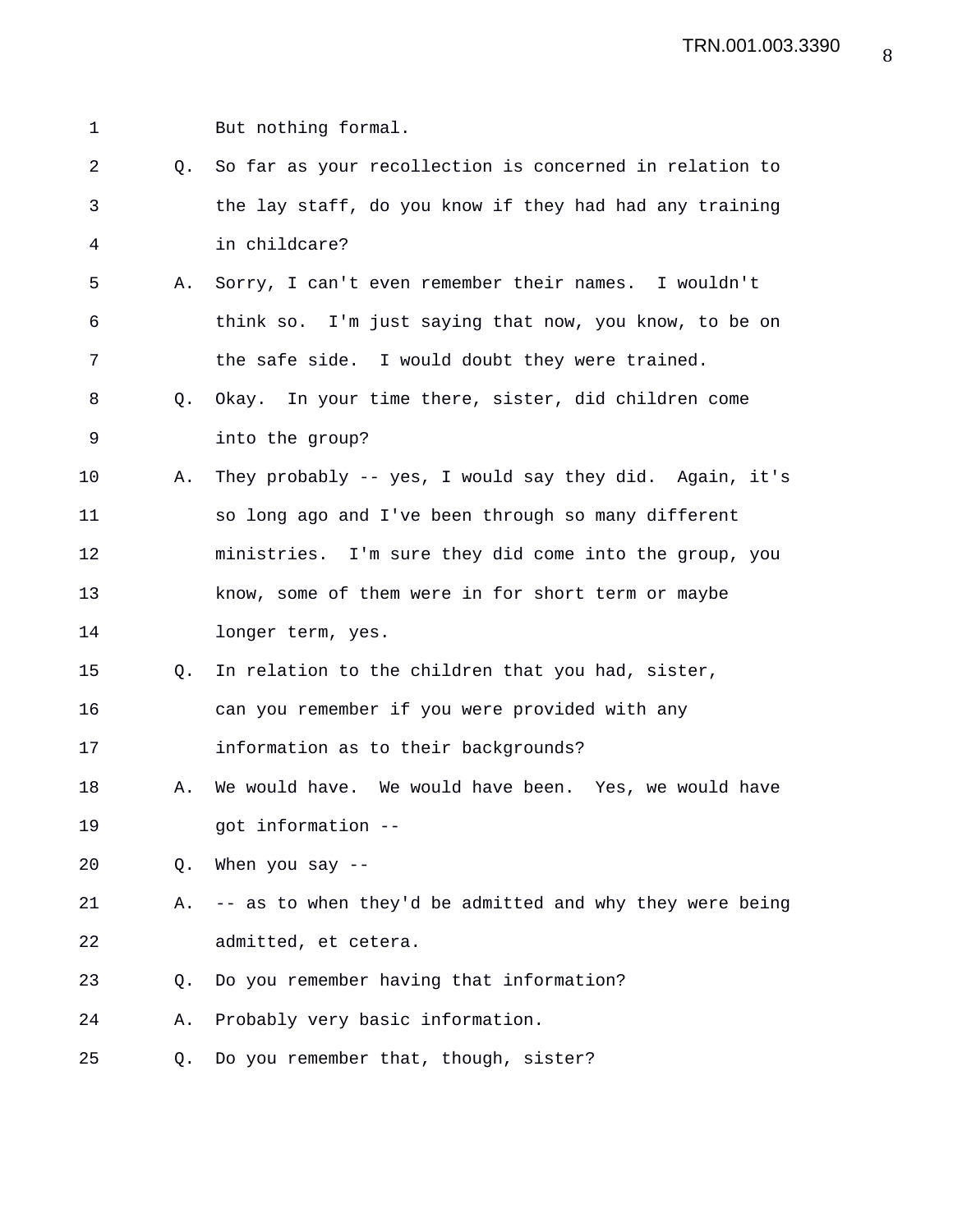| $\mathbf 1$ |    | But nothing formal.                                      |
|-------------|----|----------------------------------------------------------|
| 2           | 0. | So far as your recollection is concerned in relation to  |
| 3           |    | the lay staff, do you know if they had had any training  |
| 4           |    | in childcare?                                            |
| 5           | Α. | Sorry, I can't even remember their names. I wouldn't     |
| 6           |    | think so. I'm just saying that now, you know, to be on   |
| 7           |    | the safe side. I would doubt they were trained.          |
| 8           | Q. | Okay. In your time there, sister, did children come      |
| 9           |    | into the group?                                          |
| $10 \,$     | Α. | They probably -- yes, I would say they did. Again, it's  |
| 11          |    | so long ago and I've been through so many different      |
| 12          |    | ministries. I'm sure they did come into the group, you   |
| 13          |    | know, some of them were in for short term or maybe       |
| 14          |    | longer term, yes.                                        |
| 15          | Q. | In relation to the children that you had, sister,        |
| 16          |    | can you remember if you were provided with any           |
| 17          |    | information as to their backgrounds?                     |
| 18          | Α. | We would have. We would have been. Yes, we would have    |
| 19          |    | got information --                                       |
| 20          | Q. | When you say $-$                                         |
| 21          | Α. | -- as to when they'd be admitted and why they were being |
| 22          |    | admitted, et cetera.                                     |
| 23          | Q. | Do you remember having that information?                 |
| 24          | Α. | Probably very basic information.                         |
| 25          | Q. | Do you remember that, though, sister?                    |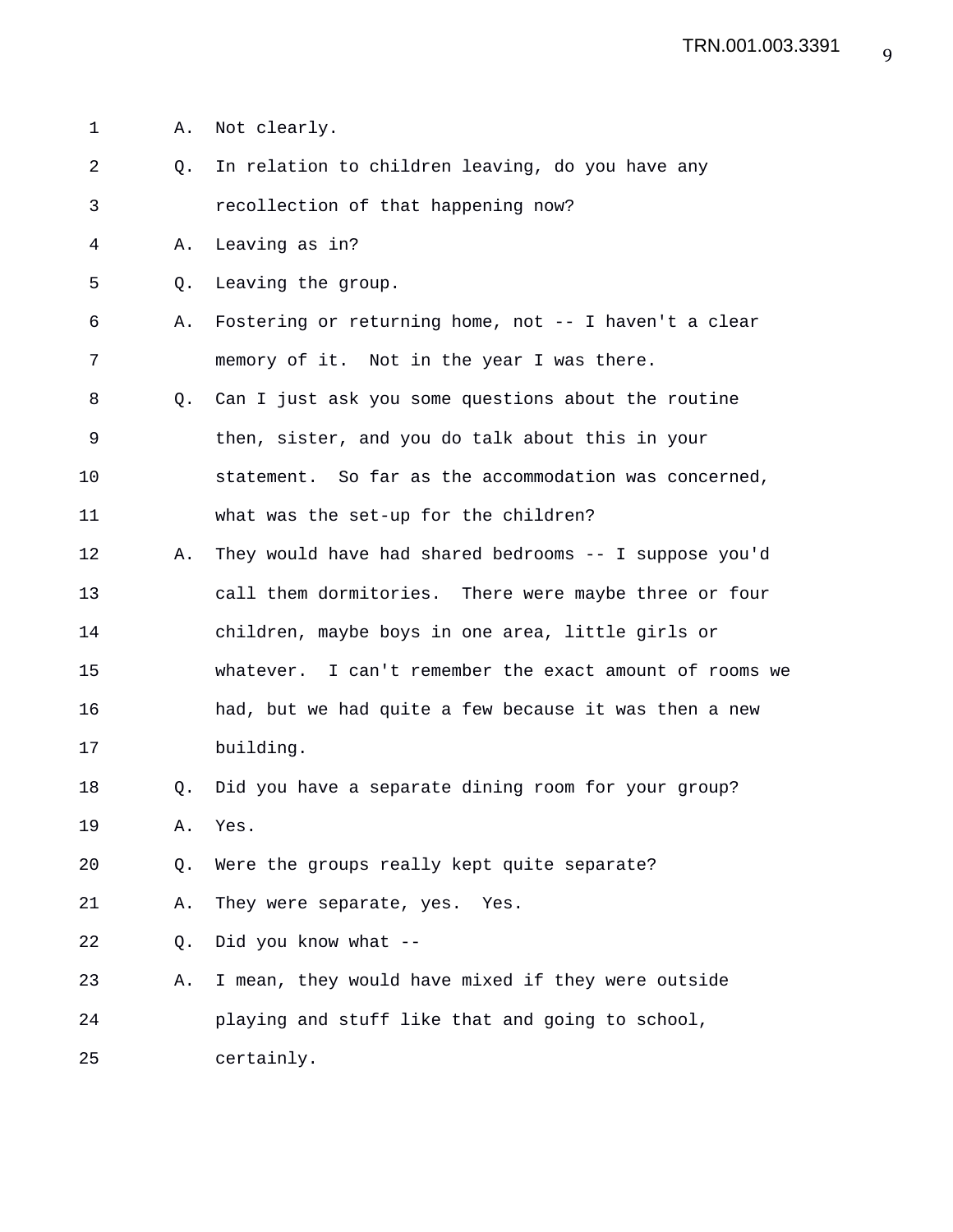1 A. Not clearly. 2 Q. In relation to children leaving, do you have any 3 recollection of that happening now? 4 A. Leaving as in? 5 Q. Leaving the group. 6 A. Fostering or returning home, not -- I haven't a clear 7 memory of it. Not in the year I was there. 8 Q. Can I just ask you some questions about the routine 9 then, sister, and you do talk about this in your 10 statement. So far as the accommodation was concerned, 11 what was the set-up for the children? 12 A. They would have had shared bedrooms -- I suppose you'd 13 call them dormitories. There were maybe three or four 14 children, maybe boys in one area, little girls or 15 whatever. I can't remember the exact amount of rooms we 16 had, but we had quite a few because it was then a new 17 building. 18 Q. Did you have a separate dining room for your group? 19 A. Yes. 20 Q. Were the groups really kept quite separate? 21 A. They were separate, yes. Yes. 22 Q. Did you know what -- 23 A. I mean, they would have mixed if they were outside 24 playing and stuff like that and going to school, 25 certainly.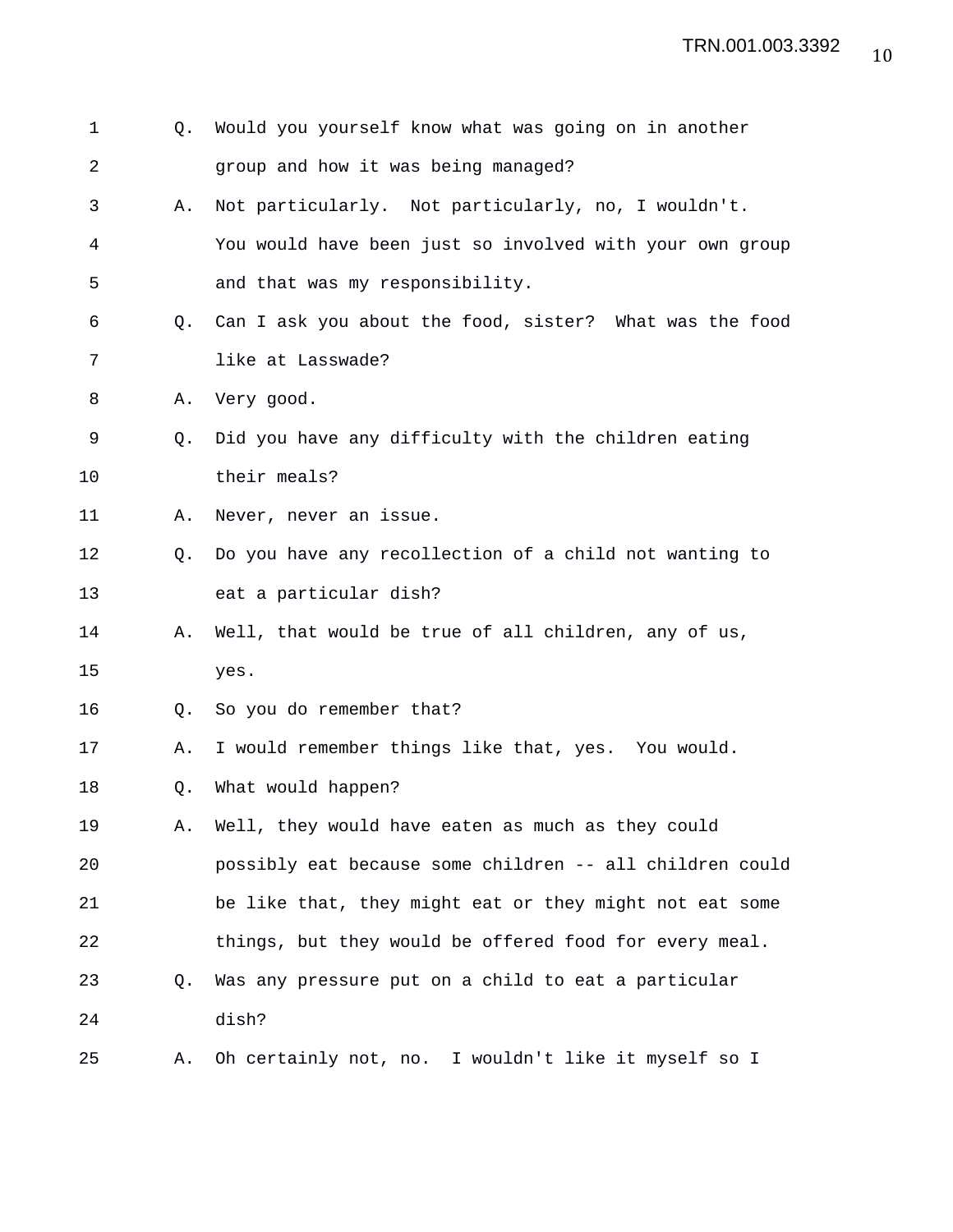| 1  | Q. | Would you yourself know what was going on in another     |
|----|----|----------------------------------------------------------|
| 2  |    | group and how it was being managed?                      |
| 3  | Α. | Not particularly. Not particularly, no, I wouldn't.      |
| 4  |    | You would have been just so involved with your own group |
| 5  |    | and that was my responsibility.                          |
| 6  | 0. | Can I ask you about the food, sister? What was the food  |
| 7  |    | like at Lasswade?                                        |
| 8  | Α. | Very good.                                               |
| 9  | O. | Did you have any difficulty with the children eating     |
| 10 |    | their meals?                                             |
| 11 | Α. | Never, never an issue.                                   |
| 12 | 0. | Do you have any recollection of a child not wanting to   |
| 13 |    | eat a particular dish?                                   |
| 14 | А. | Well, that would be true of all children, any of us,     |
| 15 |    | yes.                                                     |
| 16 | Q. | So you do remember that?                                 |
| 17 | Α. | I would remember things like that, yes. You would.       |
| 18 | Q. | What would happen?                                       |
| 19 | Α. | Well, they would have eaten as much as they could        |
| 20 |    | possibly eat because some children -- all children could |
| 21 |    | be like that, they might eat or they might not eat some  |
| 22 |    | things, but they would be offered food for every meal.   |
| 23 | Q. | Was any pressure put on a child to eat a particular      |
| 24 |    | dish?                                                    |
| 25 | Α. | Oh certainly not, no. I wouldn't like it myself so I     |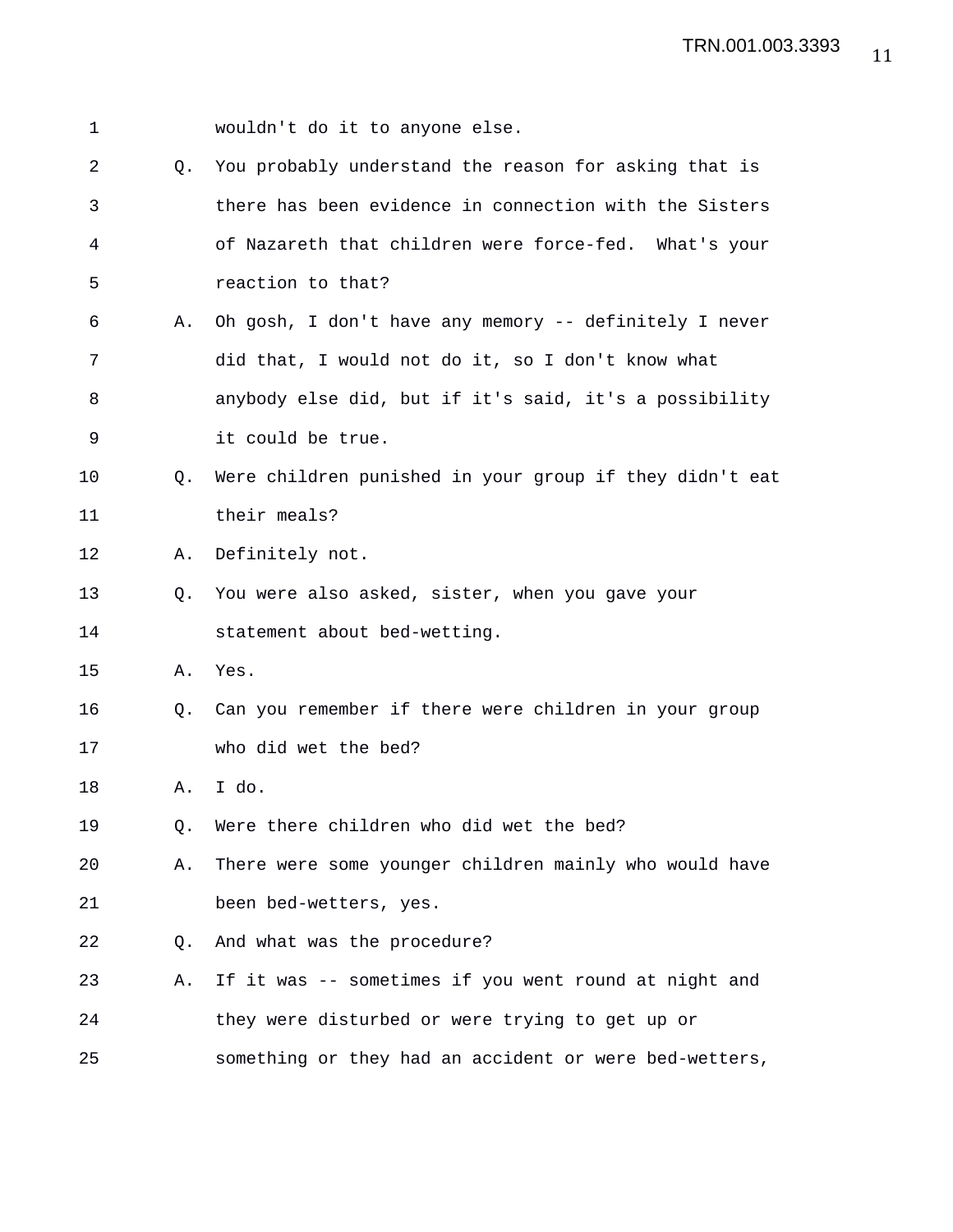| 1  |             | wouldn't do it to anyone else.                          |
|----|-------------|---------------------------------------------------------|
| 2  | Q.          | You probably understand the reason for asking that is   |
| 3  |             | there has been evidence in connection with the Sisters  |
| 4  |             | of Nazareth that children were force-fed. What's your   |
| 5  |             | reaction to that?                                       |
| 6  | Α.          | Oh gosh, I don't have any memory -- definitely I never  |
| 7  |             | did that, I would not do it, so I don't know what       |
| 8  |             | anybody else did, but if it's said, it's a possibility  |
| 9  |             | it could be true.                                       |
| 10 | $Q_{\star}$ | Were children punished in your group if they didn't eat |
| 11 |             | their meals?                                            |
| 12 | Α.          | Definitely not.                                         |
| 13 | Q.          | You were also asked, sister, when you gave your         |
| 14 |             | statement about bed-wetting.                            |
| 15 | Α.          | Yes.                                                    |
| 16 | O.          | Can you remember if there were children in your group   |
| 17 |             | who did wet the bed?                                    |
| 18 | Α.          | I do.                                                   |
| 19 | Q.          | Were there children who did wet the bed?                |
| 20 | Α.          | There were some younger children mainly who would have  |
| 21 |             | been bed-wetters, yes.                                  |
| 22 | O.          | And what was the procedure?                             |
| 23 | Α.          | If it was -- sometimes if you went round at night and   |
| 24 |             | they were disturbed or were trying to get up or         |
| 25 |             | something or they had an accident or were bed-wetters,  |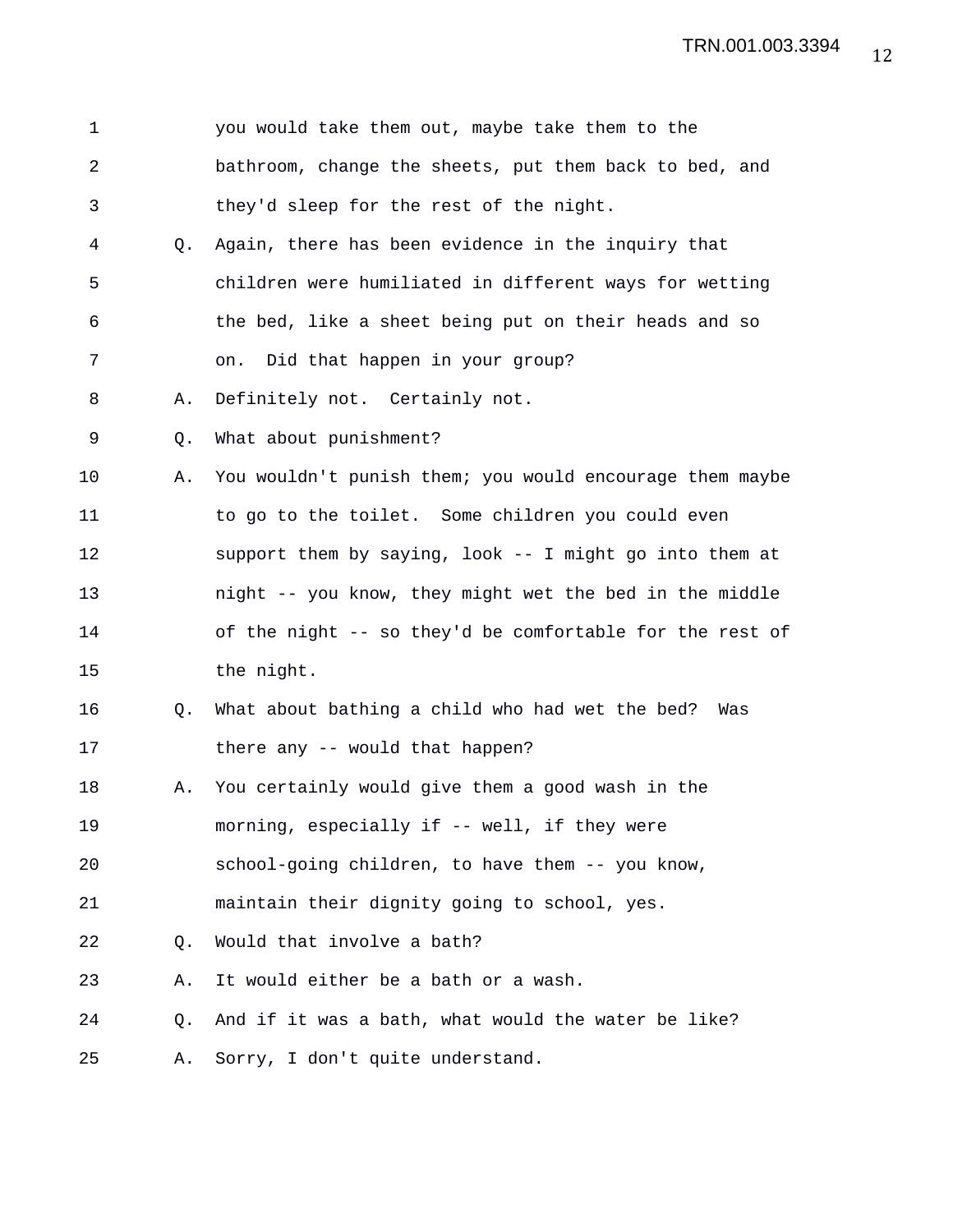| $\mathbf 1$    |                | you would take them out, maybe take them to the          |
|----------------|----------------|----------------------------------------------------------|
| $\overline{a}$ |                | bathroom, change the sheets, put them back to bed, and   |
| 3              |                | they'd sleep for the rest of the night.                  |
| 4              | O.             | Again, there has been evidence in the inquiry that       |
| 5              |                | children were humiliated in different ways for wetting   |
| 6              |                | the bed, like a sheet being put on their heads and so    |
| 7              |                | Did that happen in your group?<br>on.                    |
| 8              | Α.             | Definitely not. Certainly not.                           |
| 9              | Q.             | What about punishment?                                   |
| 10             | Α.             | You wouldn't punish them; you would encourage them maybe |
| 11             |                | to go to the toilet. Some children you could even        |
| 12             |                | support them by saying, look -- I might go into them at  |
| 13             |                | night -- you know, they might wet the bed in the middle  |
| 14             |                | of the night -- so they'd be comfortable for the rest of |
| 15             |                | the night.                                               |
| 16             | Q <sub>z</sub> | What about bathing a child who had wet the bed?<br>Was   |
| 17             |                | there any -- would that happen?                          |
| 18             | Α.             | You certainly would give them a good wash in the         |
| 19             |                | morning, especially if -- well, if they were             |
| 20             |                | school-going children, to have them -- you know,         |
| 21             |                | maintain their dignity going to school, yes.             |
| 22             | Q.             | Would that involve a bath?                               |
| 23             | Α.             | It would either be a bath or a wash.                     |
| 24             | Q.             | And if it was a bath, what would the water be like?      |
| 25             | Α.             | Sorry, I don't quite understand.                         |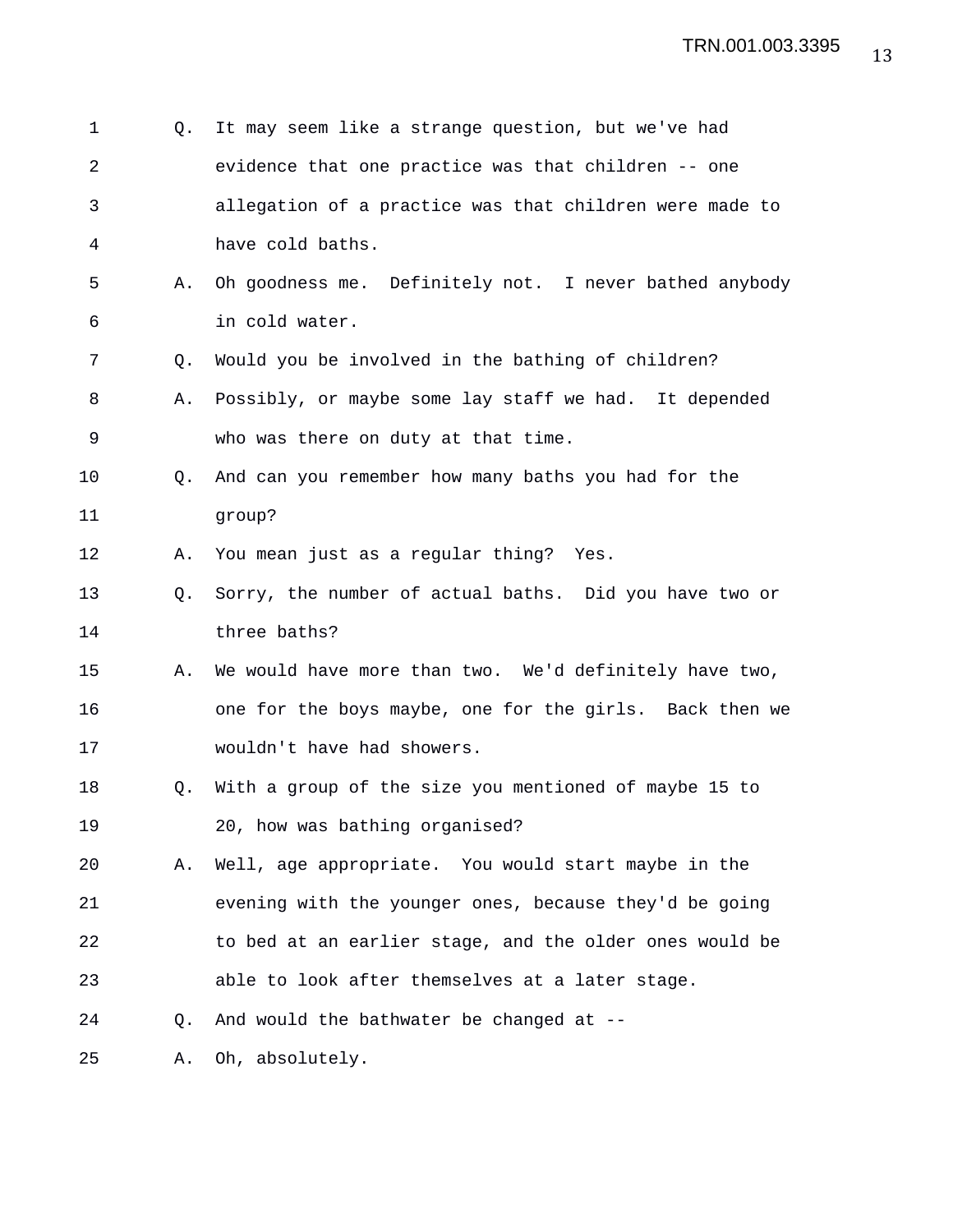| 1              | O. | It may seem like a strange question, but we've had      |
|----------------|----|---------------------------------------------------------|
| $\overline{2}$ |    | evidence that one practice was that children -- one     |
| 3              |    | allegation of a practice was that children were made to |
| 4              |    | have cold baths.                                        |
| 5              | Α. | Oh goodness me. Definitely not. I never bathed anybody  |
| 6              |    | in cold water.                                          |
| 7              | Q. | Would you be involved in the bathing of children?       |
| 8              | Α. | Possibly, or maybe some lay staff we had. It depended   |
| 9              |    | who was there on duty at that time.                     |
| 10             | O. | And can you remember how many baths you had for the     |
| 11             |    | group?                                                  |
| 12             | Α. | You mean just as a regular thing? Yes.                  |
| 13             | O. | Sorry, the number of actual baths. Did you have two or  |
| 14             |    | three baths?                                            |
| 15             | Α. | We would have more than two. We'd definitely have two,  |
| 16             |    | one for the boys maybe, one for the girls. Back then we |
| 17             |    | wouldn't have had showers.                              |
| 18             | Q. | With a group of the size you mentioned of maybe 15 to   |
| 19             |    | 20, how was bathing organised?                          |
| 20             | Α. | Well, age appropriate. You would start maybe in the     |
| 21             |    | evening with the younger ones, because they'd be going  |
| 22             |    | to bed at an earlier stage, and the older ones would be |
| 23             |    | able to look after themselves at a later stage.         |
| 24             | O. | And would the bathwater be changed at --                |
| 25             | Α. | Oh, absolutely.                                         |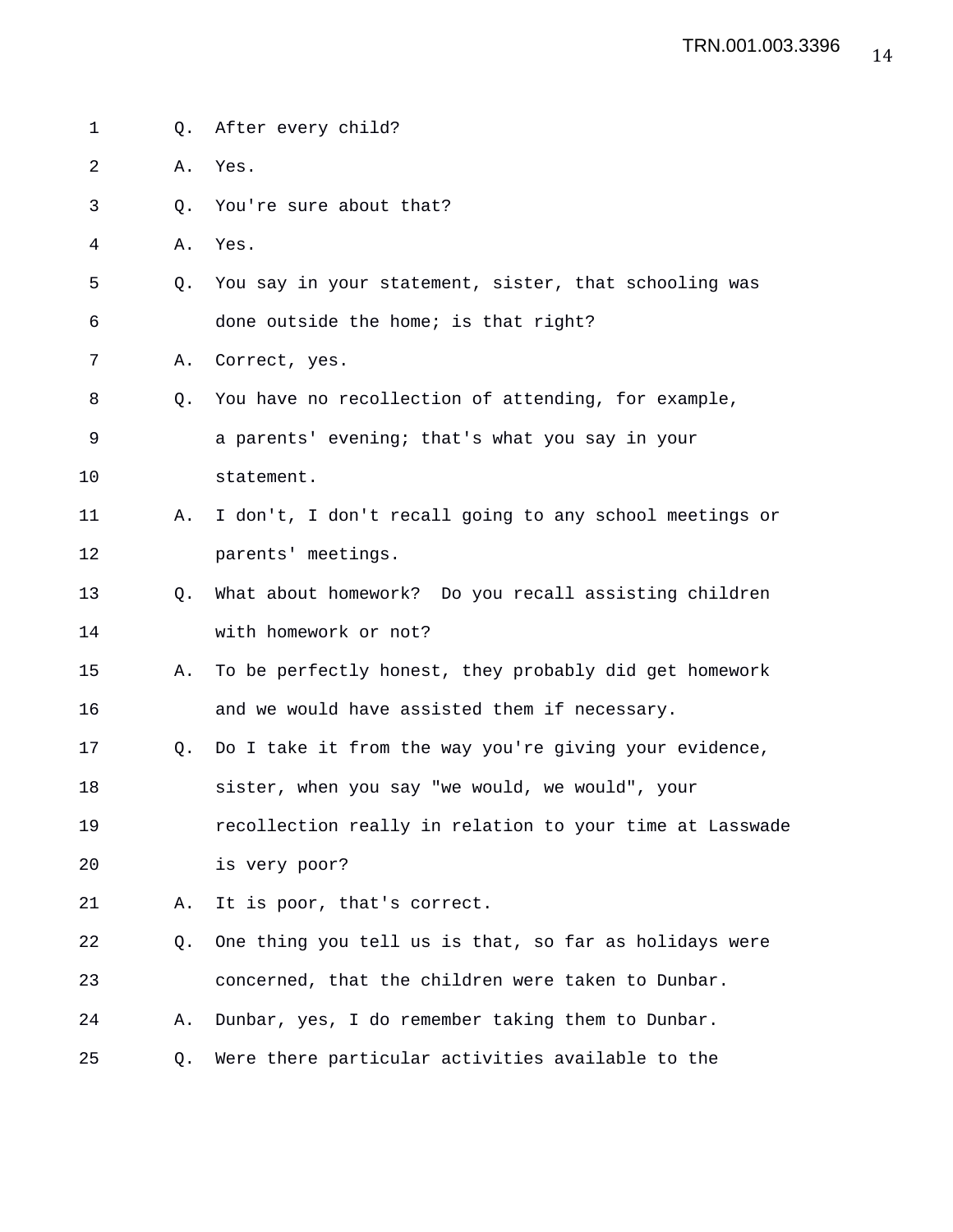| 1  | Q. | After every child?                                       |
|----|----|----------------------------------------------------------|
| 2  | Α. | Yes.                                                     |
| 3  | Q. | You're sure about that?                                  |
| 4  | Α. | Yes.                                                     |
| 5  | Q. | You say in your statement, sister, that schooling was    |
| 6  |    | done outside the home; is that right?                    |
| 7  | Α. | Correct, yes.                                            |
| 8  | O. | You have no recollection of attending, for example,      |
| 9  |    | a parents' evening; that's what you say in your          |
| 10 |    | statement.                                               |
| 11 | Α. | I don't, I don't recall going to any school meetings or  |
| 12 |    | parents' meetings.                                       |
| 13 | O. | What about homework? Do you recall assisting children    |
| 14 |    | with homework or not?                                    |
| 15 | Α. | To be perfectly honest, they probably did get homework   |
| 16 |    | and we would have assisted them if necessary.            |
| 17 | Q. | Do I take it from the way you're giving your evidence,   |
| 18 |    | sister, when you say "we would, we would", your          |
| 19 |    | recollection really in relation to your time at Lasswade |
| 20 |    | is very poor?                                            |
| 21 | Α. | It is poor, that's correct.                              |
| 22 | Q. | One thing you tell us is that, so far as holidays were   |
| 23 |    | concerned, that the children were taken to Dunbar.       |
| 24 | Α. | Dunbar, yes, I do remember taking them to Dunbar.        |
| 25 | Q. | Were there particular activities available to the        |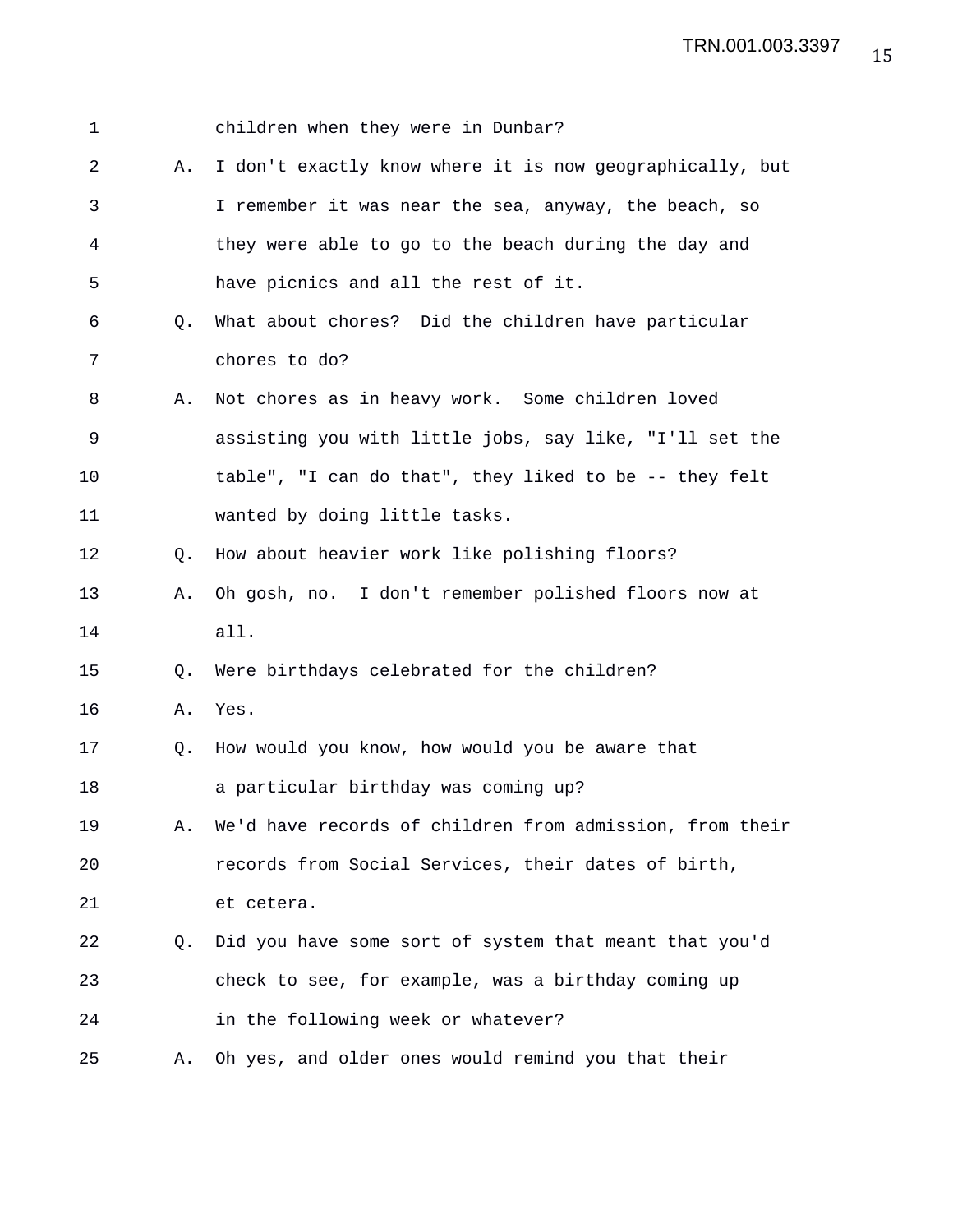| 1  |    | children when they were in Dunbar?                       |
|----|----|----------------------------------------------------------|
| 2  | Α. | I don't exactly know where it is now geographically, but |
| 3  |    | I remember it was near the sea, anyway, the beach, so    |
| 4  |    | they were able to go to the beach during the day and     |
| 5  |    | have picnics and all the rest of it.                     |
| 6  | Q. | What about chores? Did the children have particular      |
| 7  |    | chores to do?                                            |
| 8  | Α. | Not chores as in heavy work. Some children loved         |
| 9  |    | assisting you with little jobs, say like, "I'll set the  |
| 10 |    | table", "I can do that", they liked to be -- they felt   |
| 11 |    | wanted by doing little tasks.                            |
| 12 | Q. | How about heavier work like polishing floors?            |
| 13 | Α. | Oh gosh, no. I don't remember polished floors now at     |
| 14 |    | all.                                                     |
| 15 | Q. | Were birthdays celebrated for the children?              |
| 16 | Α. | Yes.                                                     |
| 17 | Q. | How would you know, how would you be aware that          |
| 18 |    | a particular birthday was coming up?                     |
| 19 | Α. | We'd have records of children from admission, from their |
| 20 |    | records from Social Services, their dates of birth,      |
| 21 |    | et cetera.                                               |
| 22 | O. | Did you have some sort of system that meant that you'd   |
| 23 |    | check to see, for example, was a birthday coming up      |
| 24 |    | in the following week or whatever?                       |
| 25 | Α. | Oh yes, and older ones would remind you that their       |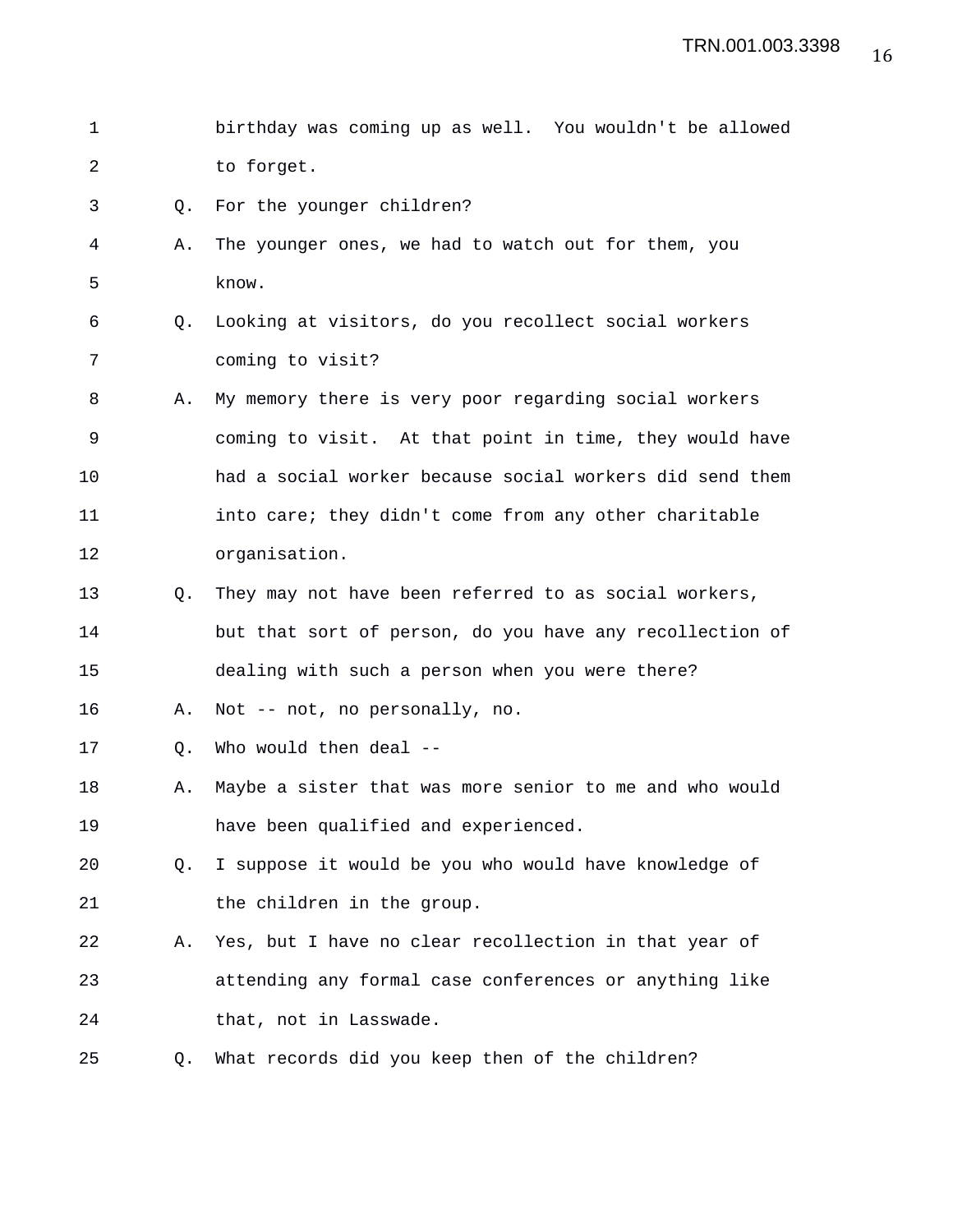1 birthday was coming up as well. You wouldn't be allowed 2 to forget. 3 Q. For the younger children? 4 A. The younger ones, we had to watch out for them, you 5 know. 6 Q. Looking at visitors, do you recollect social workers 7 coming to visit? 8 A. My memory there is very poor regarding social workers 9 coming to visit. At that point in time, they would have 10 had a social worker because social workers did send them 11 into care; they didn't come from any other charitable 12 organisation. 13 Q. They may not have been referred to as social workers, 14 but that sort of person, do you have any recollection of 15 dealing with such a person when you were there? 16 A. Not -- not, no personally, no. 17 Q. Who would then deal -- 18 A. Maybe a sister that was more senior to me and who would 19 have been qualified and experienced. 20 Q. I suppose it would be you who would have knowledge of 21 the children in the group. 22 A. Yes, but I have no clear recollection in that year of 23 attending any formal case conferences or anything like 24 that, not in Lasswade. 25 Q. What records did you keep then of the children?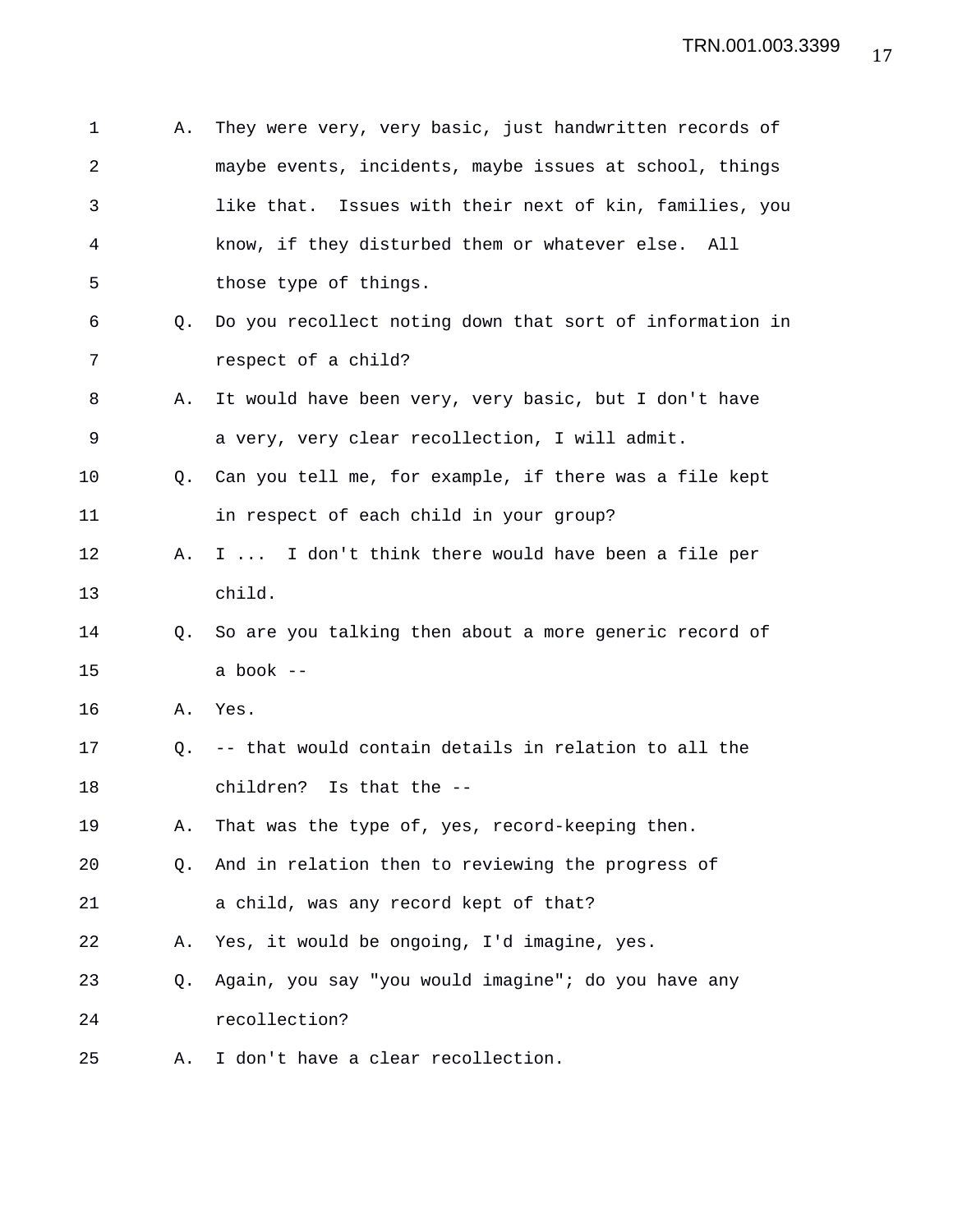| 1              | Α. | They were very, very basic, just handwritten records of    |
|----------------|----|------------------------------------------------------------|
| $\overline{a}$ |    | maybe events, incidents, maybe issues at school, things    |
| 3              |    | Issues with their next of kin, families, you<br>like that. |
| 4              |    | know, if they disturbed them or whatever else. All         |
| 5              |    | those type of things.                                      |
| 6              | Q. | Do you recollect noting down that sort of information in   |
| 7              |    | respect of a child?                                        |
| 8              | Α. | It would have been very, very basic, but I don't have      |
| 9              |    | a very, very clear recollection, I will admit.             |
| 10             | Q. | Can you tell me, for example, if there was a file kept     |
| 11             |    | in respect of each child in your group?                    |
| 12             | Α. | I  I don't think there would have been a file per          |
| 13             |    | child.                                                     |
| 14             | Q. | So are you talking then about a more generic record of     |
| 15             |    | a book --                                                  |
| 16             | Α. | Yes.                                                       |
| 17             | Q. | -- that would contain details in relation to all the       |
| 18             |    | children? Is that the --                                   |
| 19             | Α. | That was the type of, yes, record-keeping then.            |
| 20             | Q. | And in relation then to reviewing the progress of          |
| 21             |    | a child, was any record kept of that?                      |
| 22             | Α. | Yes, it would be ongoing, I'd imagine, yes.                |
| 23             | Q. | Again, you say "you would imagine"; do you have any        |
| 24             |    | recollection?                                              |
| 25             | Α. | I don't have a clear recollection.                         |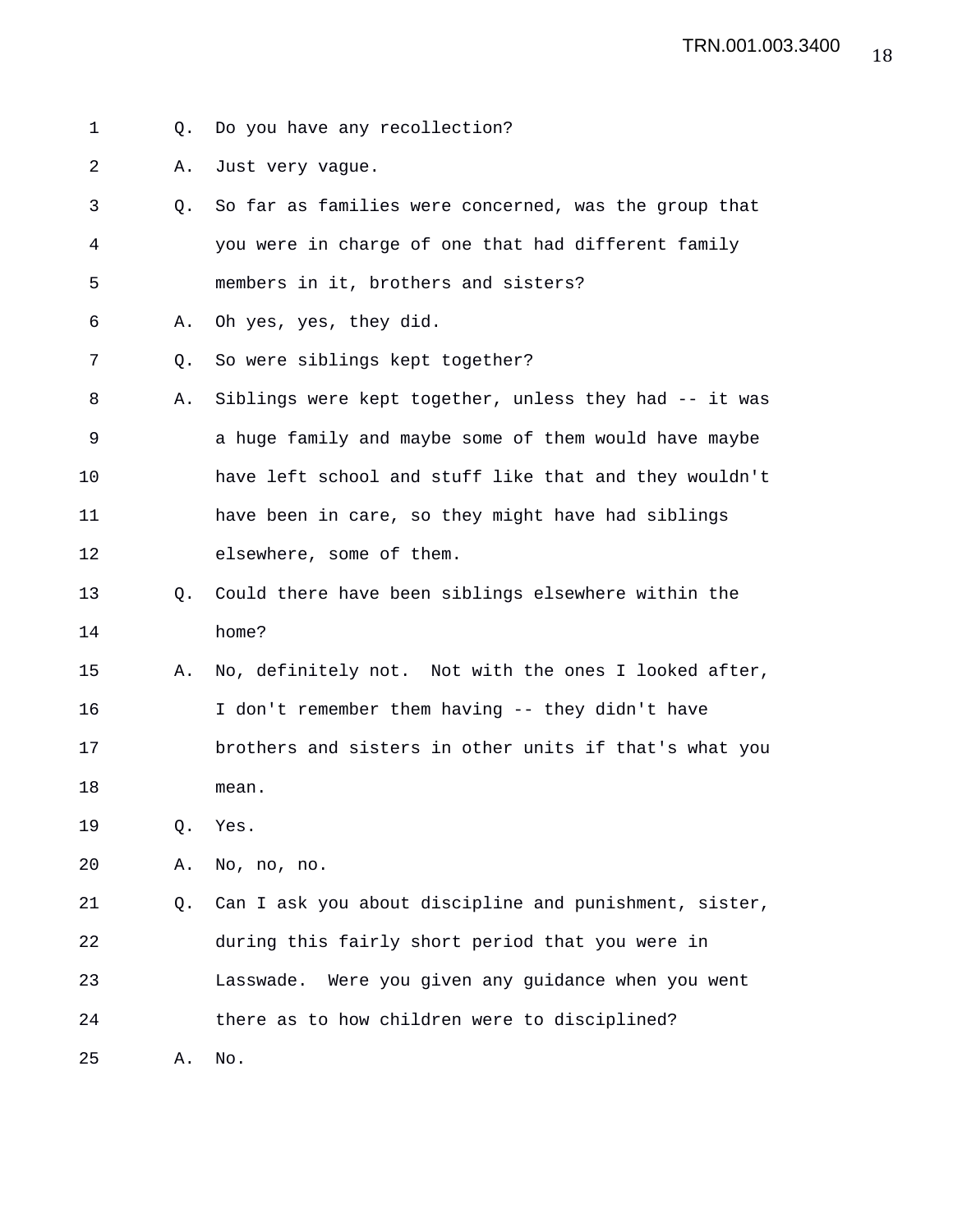- 1 Q. Do you have any recollection?
- 2 A. Just very vague.
- 3 Q. So far as families were concerned, was the group that 4 you were in charge of one that had different family 5 members in it, brothers and sisters?
- 6 A. Oh yes, yes, they did.
- 7 Q. So were siblings kept together?
- 8 A. Siblings were kept together, unless they had -- it was 9 a huge family and maybe some of them would have maybe 10 have left school and stuff like that and they wouldn't 11 have been in care, so they might have had siblings 12 elsewhere, some of them.
- 13 Q. Could there have been siblings elsewhere within the 14 home?
- 15 A. No, definitely not. Not with the ones I looked after, 16 I don't remember them having -- they didn't have 17 brothers and sisters in other units if that's what you 18 mean.
- 19 Q. Yes.
- 20 A. No, no, no.

21 Q. Can I ask you about discipline and punishment, sister, 22 during this fairly short period that you were in 23 Lasswade. Were you given any guidance when you went 24 there as to how children were to disciplined?

25 A. No.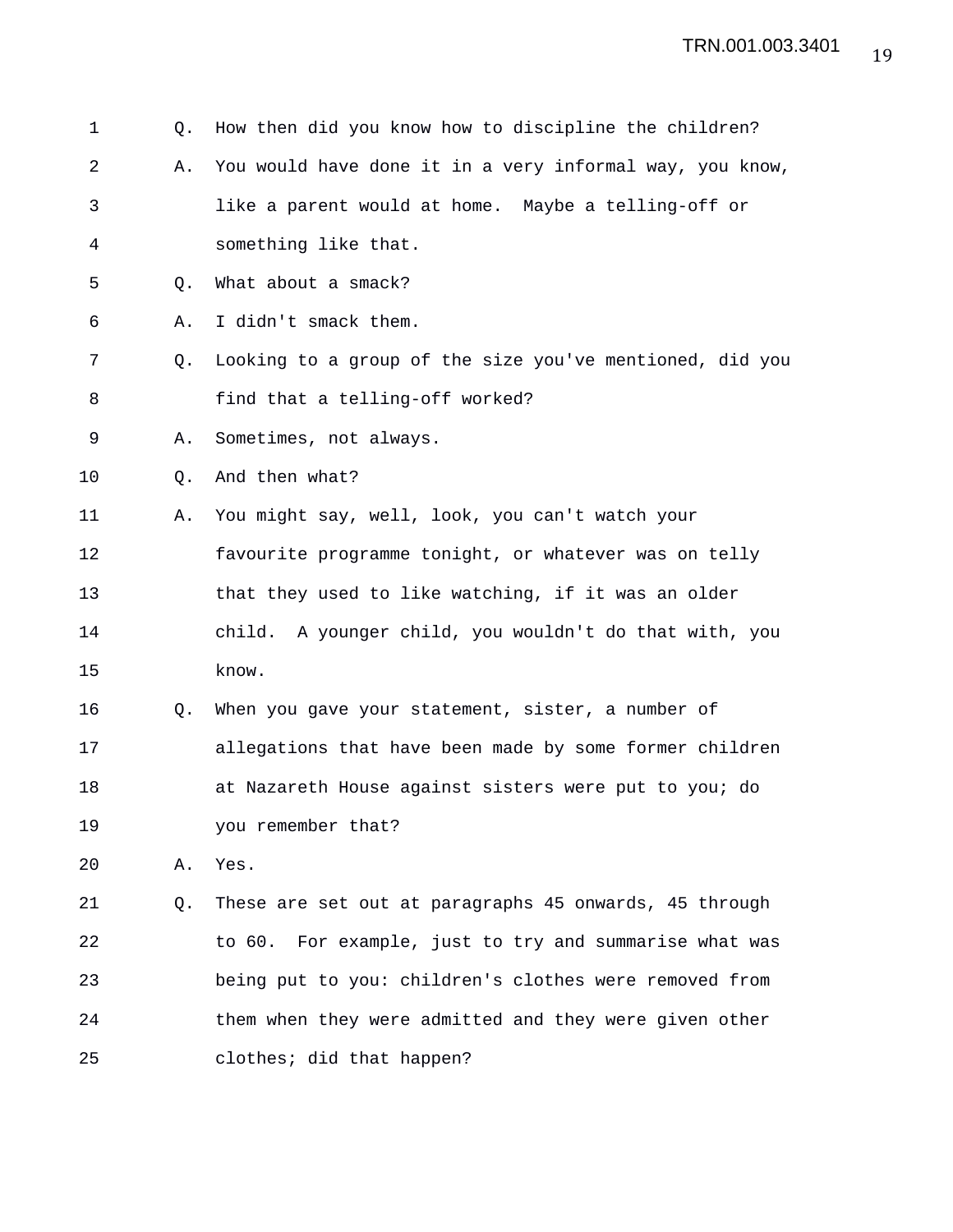| 1  | Q.             | How then did you know how to discipline the children?     |
|----|----------------|-----------------------------------------------------------|
| 2  | Α.             | You would have done it in a very informal way, you know,  |
| 3  |                | like a parent would at home. Maybe a telling-off or       |
| 4  |                | something like that.                                      |
| 5  | Q <sub>z</sub> | What about a smack?                                       |
| 6  | Α.             | I didn't smack them.                                      |
| 7  | Q.             | Looking to a group of the size you've mentioned, did you  |
| 8  |                | find that a telling-off worked?                           |
| 9  | Α.             | Sometimes, not always.                                    |
| 10 | Q.             | And then what?                                            |
| 11 | Α.             | You might say, well, look, you can't watch your           |
| 12 |                | favourite programme tonight, or whatever was on telly     |
| 13 |                | that they used to like watching, if it was an older       |
| 14 |                | A younger child, you wouldn't do that with, you<br>child. |
| 15 |                | know.                                                     |
| 16 | Q.             | When you gave your statement, sister, a number of         |
| 17 |                | allegations that have been made by some former children   |
| 18 |                | at Nazareth House against sisters were put to you; do     |
| 19 |                | you remember that?                                        |
| 20 | Α.             | Yes.                                                      |
| 21 | Q.             | These are set out at paragraphs 45 onwards, 45 through    |
| 22 |                | For example, just to try and summarise what was<br>to 60. |
| 23 |                | being put to you: children's clothes were removed from    |
| 24 |                | them when they were admitted and they were given other    |
| 25 |                | clothes; did that happen?                                 |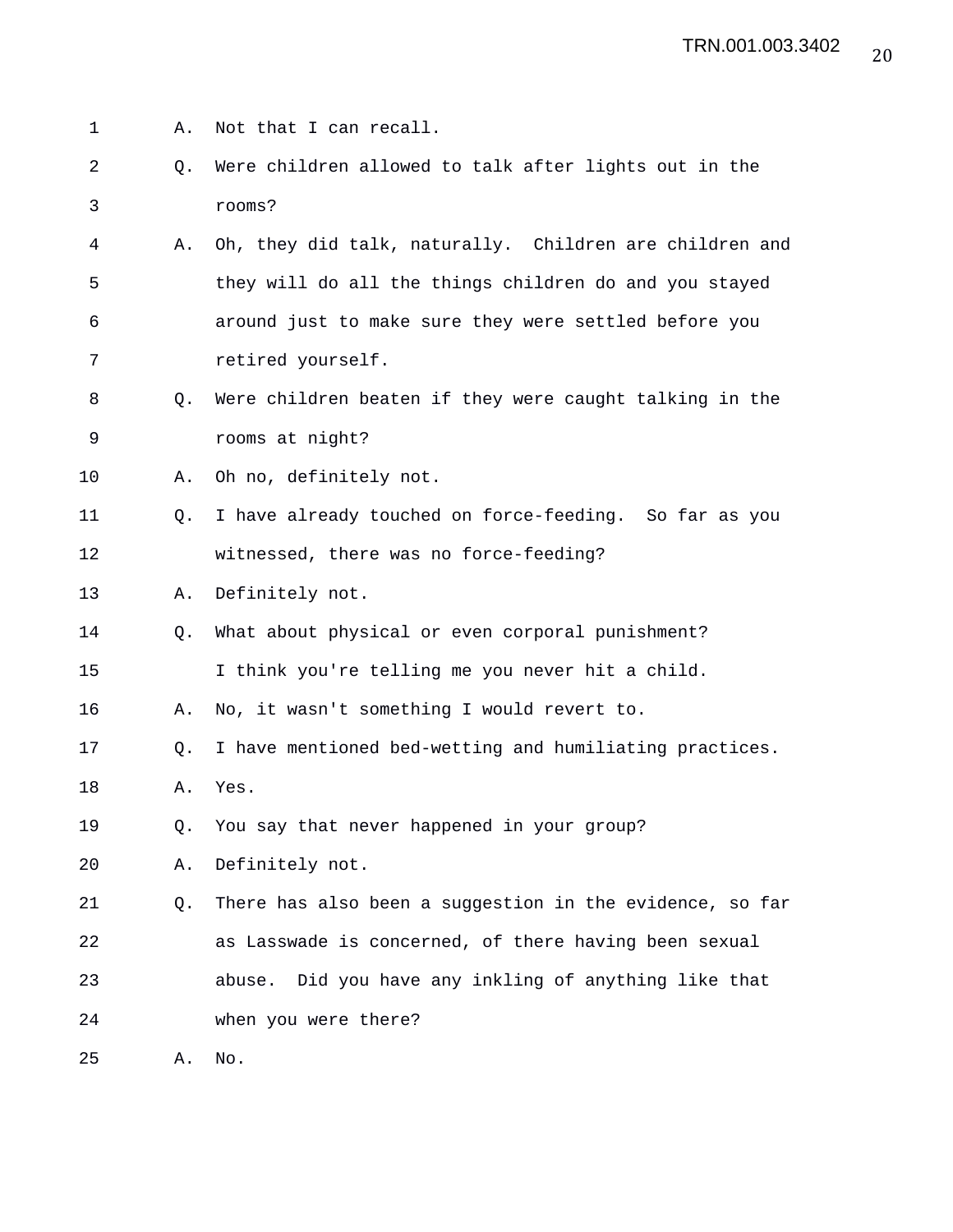1 A. Not that I can recall. 2 Q. Were children allowed to talk after lights out in the 3 rooms? 4 A. Oh, they did talk, naturally. Children are children and 5 they will do all the things children do and you stayed 6 around just to make sure they were settled before you 7 retired yourself. 8 Q. Were children beaten if they were caught talking in the 9 rooms at night? 10 A. Oh no, definitely not. 11 Q. I have already touched on force-feeding. So far as you 12 witnessed, there was no force-feeding? 13 A. Definitely not. 14 Q. What about physical or even corporal punishment? 15 I think you're telling me you never hit a child. 16 A. No, it wasn't something I would revert to. 17 Q. I have mentioned bed-wetting and humiliating practices. 18 A. Yes. 19 Q. You say that never happened in your group? 20 A. Definitely not. 21 Q. There has also been a suggestion in the evidence, so far 22 as Lasswade is concerned, of there having been sexual 23 abuse. Did you have any inkling of anything like that 24 when you were there? 25 A. No.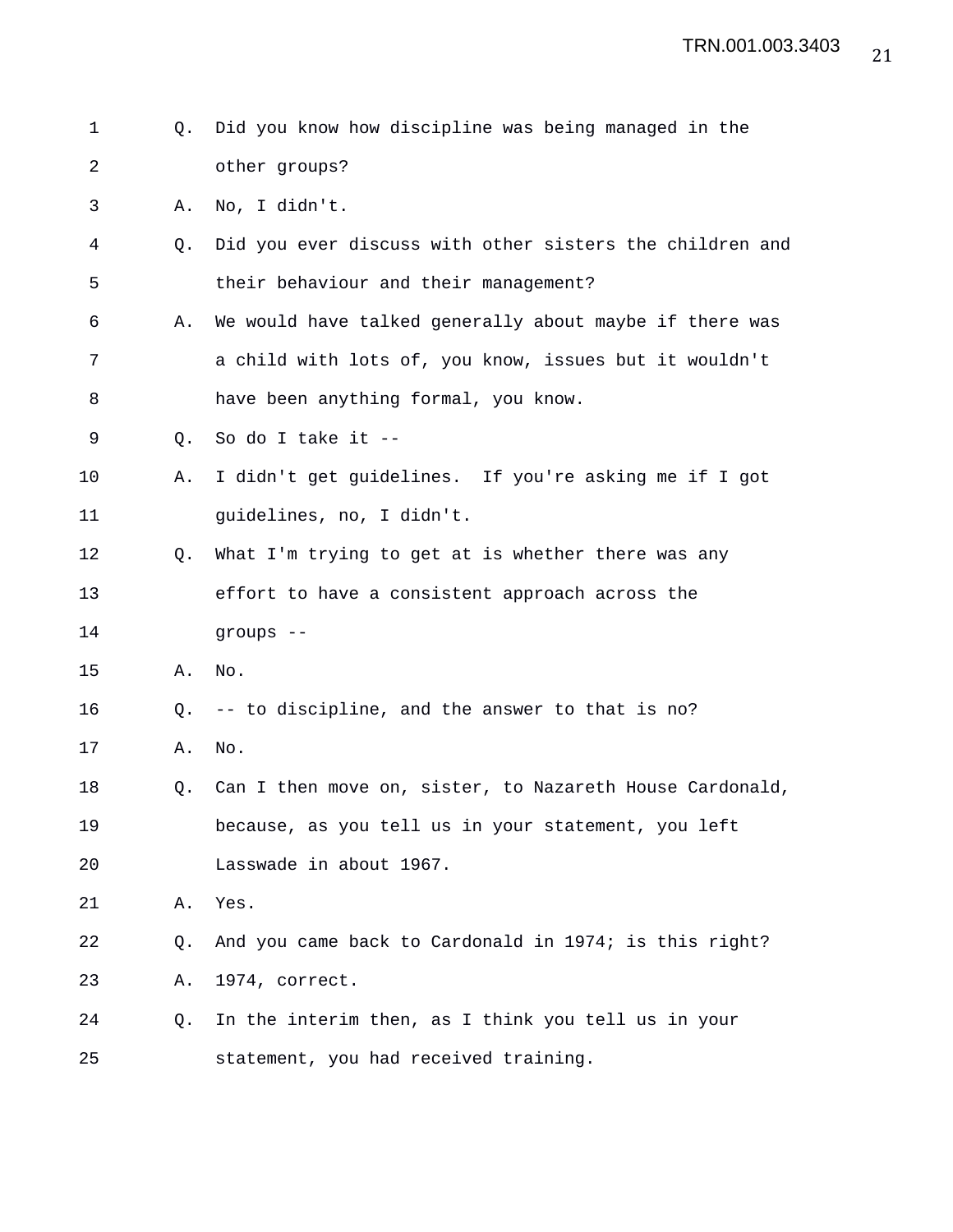| $\mathbf 1$ | Q.        | Did you know how discipline was being managed in the     |
|-------------|-----------|----------------------------------------------------------|
|             |           |                                                          |
| 2           |           | other groups?                                            |
| 3           | Α.        | No, I didn't.                                            |
| 4           | О.        | Did you ever discuss with other sisters the children and |
| 5           |           | their behaviour and their management?                    |
| 6           | Α.        | We would have talked generally about maybe if there was  |
| 7           |           | a child with lots of, you know, issues but it wouldn't   |
| 8           |           | have been anything formal, you know.                     |
| 9           | Q.        | So do I take it --                                       |
| 10          | Α.        | I didn't get guidelines. If you're asking me if I got    |
| 11          |           | guidelines, no, I didn't.                                |
| 12          | Q.        | What I'm trying to get at is whether there was any       |
| 13          |           | effort to have a consistent approach across the          |
| 14          |           | groups --                                                |
| 15          | Α.        | No.                                                      |
| 16          | $\circ$ . | -- to discipline, and the answer to that is no?          |
| 17          | Α.        | No.                                                      |
| 18          | Q.        | Can I then move on, sister, to Nazareth House Cardonald, |
| 19          |           | because, as you tell us in your statement, you left      |
| 20          |           | Lasswade in about 1967.                                  |
| 21          | Α.        | Yes.                                                     |
| 22          | Q.        | And you came back to Cardonald in 1974; is this right?   |
| 23          | Α.        | 1974, correct.                                           |
| 24          | Q.        | In the interim then, as I think you tell us in your      |
|             |           |                                                          |

25 statement, you had received training.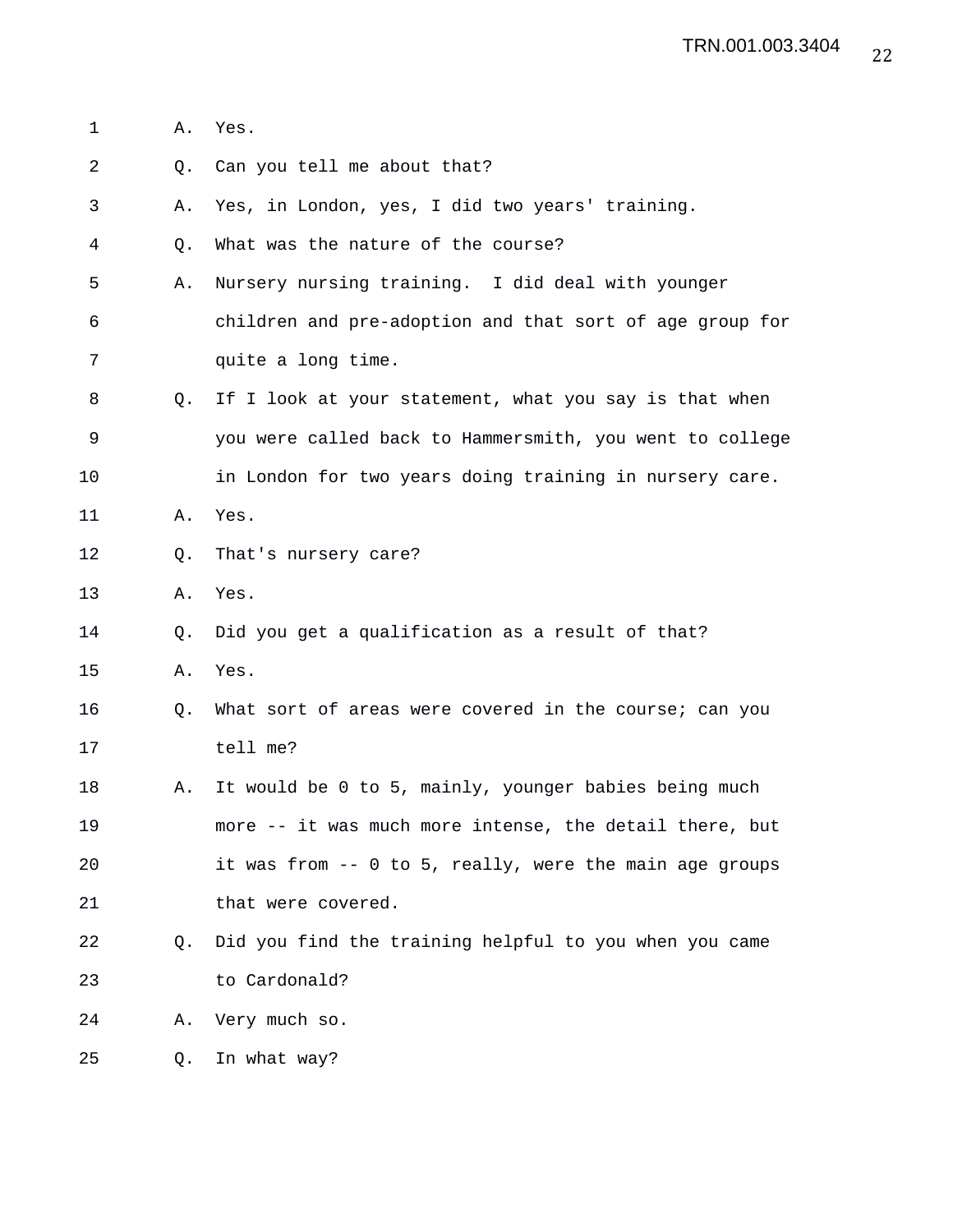1 A. Yes. 2 Q. Can you tell me about that? 3 A. Yes, in London, yes, I did two years' training. 4 Q. What was the nature of the course? 5 A. Nursery nursing training. I did deal with younger 6 children and pre-adoption and that sort of age group for 7 quite a long time. 8 Q. If I look at your statement, what you say is that when 9 you were called back to Hammersmith, you went to college 10 in London for two years doing training in nursery care. 11 A. Yes. 12 Q. That's nursery care? 13 A. Yes. 14 Q. Did you get a qualification as a result of that? 15 A. Yes. 16 Q. What sort of areas were covered in the course; can you 17 tell me? 18 A. It would be 0 to 5, mainly, younger babies being much 19 more -- it was much more intense, the detail there, but 20 it was from -- 0 to 5, really, were the main age groups 21 that were covered. 22 Q. Did you find the training helpful to you when you came 23 to Cardonald? 24 A. Very much so. 25 Q. In what way?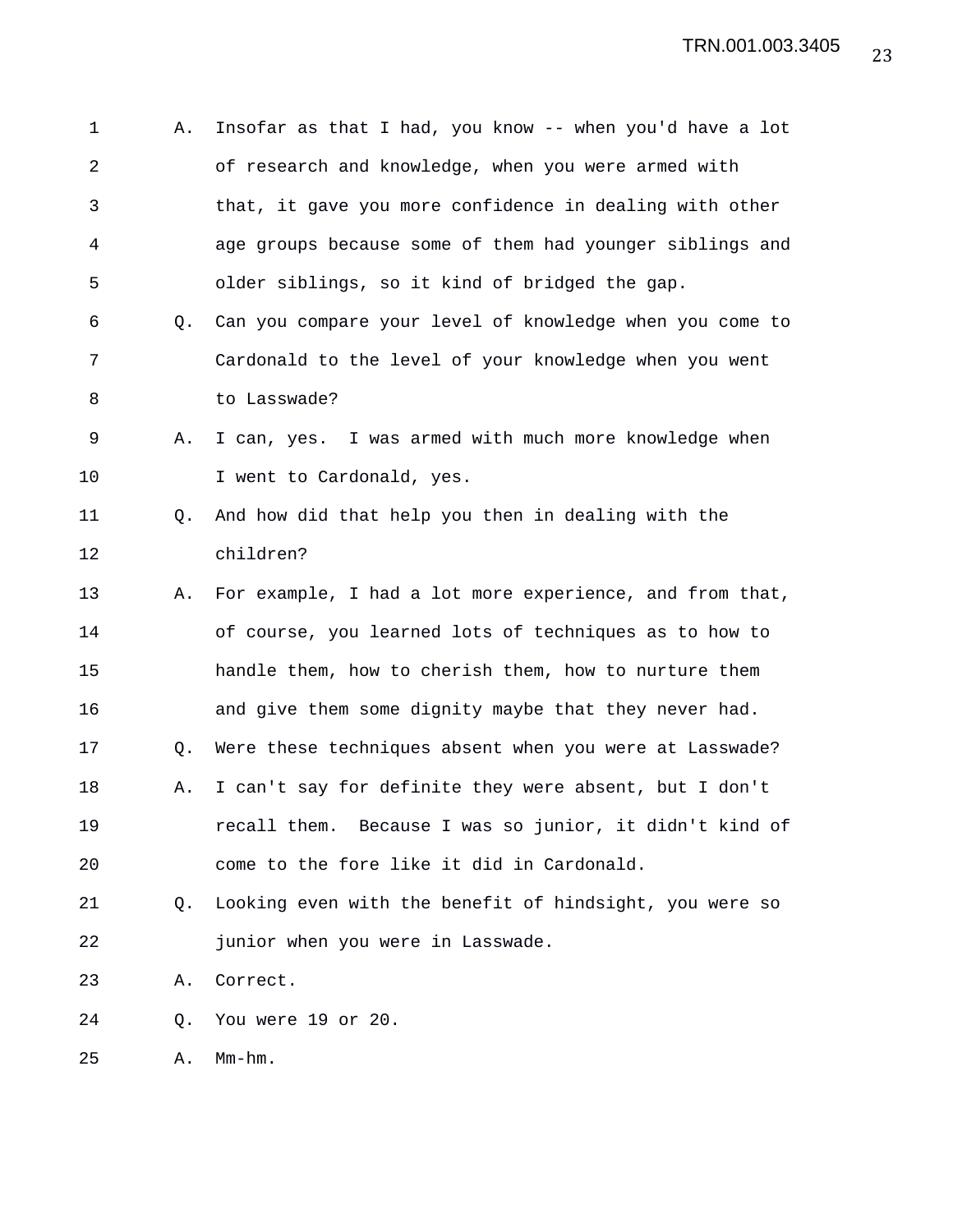| 1              | Α.        | Insofar as that I had, you know -- when you'd have a lot |
|----------------|-----------|----------------------------------------------------------|
| $\overline{a}$ |           | of research and knowledge, when you were armed with      |
| 3              |           | that, it gave you more confidence in dealing with other  |
| 4              |           | age groups because some of them had younger siblings and |
| 5              |           | older siblings, so it kind of bridged the gap.           |
| 6              | 0.        | Can you compare your level of knowledge when you come to |
| 7              |           | Cardonald to the level of your knowledge when you went   |
| 8              |           | to Lasswade?                                             |
| 9              | Α.        | I can, yes. I was armed with much more knowledge when    |
| 10             |           | I went to Cardonald, yes.                                |
| 11             | $\circ$ . | And how did that help you then in dealing with the       |
| 12             |           | children?                                                |
| 13             | Α.        | For example, I had a lot more experience, and from that, |
| 14             |           | of course, you learned lots of techniques as to how to   |
| 15             |           | handle them, how to cherish them, how to nurture them    |
| 16             |           | and give them some dignity maybe that they never had.    |
| 17             | Q.        | Were these techniques absent when you were at Lasswade?  |
| 18             | Α.        | I can't say for definite they were absent, but I don't   |
| 19             |           | recall them. Because I was so junior, it didn't kind of  |
| 20             |           | come to the fore like it did in Cardonald.               |
| 21             | Q.        | Looking even with the benefit of hindsight, you were so  |
| 22             |           | junior when you were in Lasswade.                        |
| 23             | Α.        | Correct.                                                 |
| 24             | Q.        | You were 19 or 20.                                       |
|                |           |                                                          |

25 A. Mm-hm.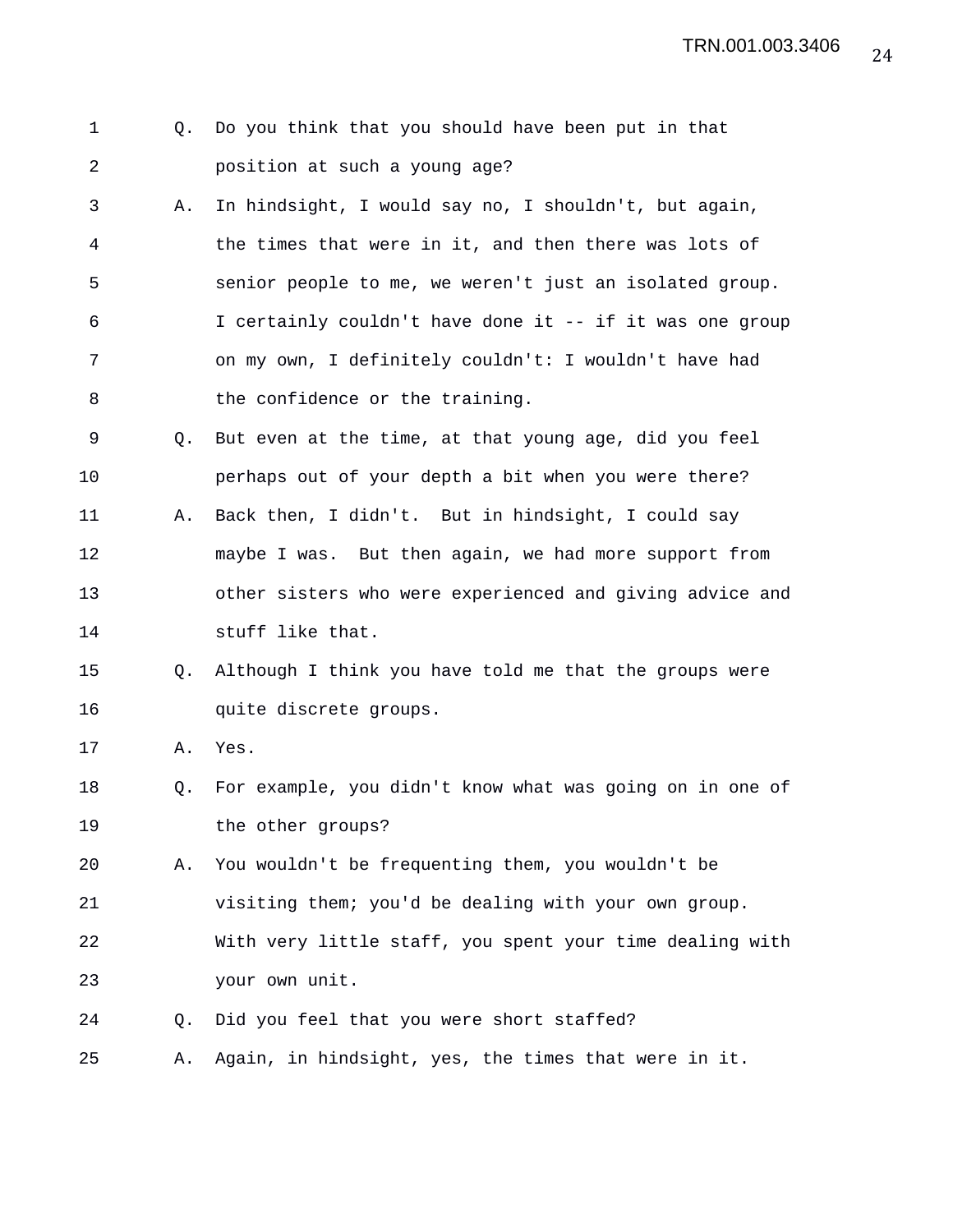24 TRN.001.003.3406

- 1 Q. Do you think that you should have been put in that 2 position at such a young age?
- 3 A. In hindsight, I would say no, I shouldn't, but again, 4 the times that were in it, and then there was lots of 5 senior people to me, we weren't just an isolated group. 6 I certainly couldn't have done it -- if it was one group 7 on my own, I definitely couldn't: I wouldn't have had 8 the confidence or the training.
- 9 Q. But even at the time, at that young age, did you feel 10 perhaps out of your depth a bit when you were there? 11 A. Back then, I didn't. But in hindsight, I could say 12 maybe I was. But then again, we had more support from 13 other sisters who were experienced and giving advice and 14 stuff like that.
- 15 Q. Although I think you have told me that the groups were 16 quite discrete groups.

17 A. Yes.

- 18 Q. For example, you didn't know what was going on in one of 19 the other groups?
- 20 A. You wouldn't be frequenting them, you wouldn't be 21 visiting them; you'd be dealing with your own group.
- 22 With very little staff, you spent your time dealing with 23 your own unit.
- 24 Q. Did you feel that you were short staffed?
- 25 A. Again, in hindsight, yes, the times that were in it.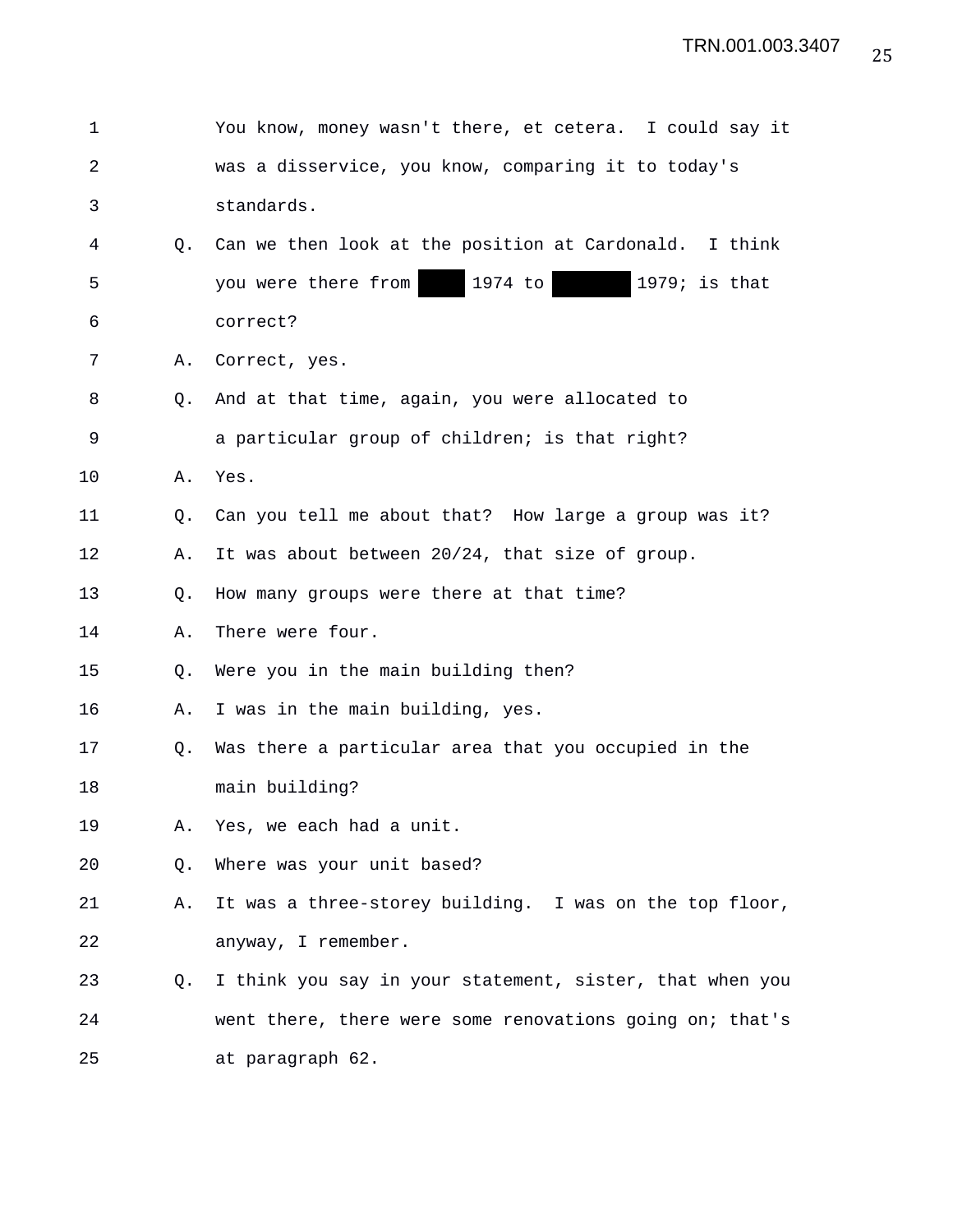| 1  |    | You know, money wasn't there, et cetera. I could say it  |
|----|----|----------------------------------------------------------|
| 2  |    | was a disservice, you know, comparing it to today's      |
| 3  |    | standards.                                               |
| 4  | 0. | Can we then look at the position at Cardonald. I think   |
| 5  |    | 1974 to<br>$1979$ ; is that<br>you were there from       |
| 6  |    | correct?                                                 |
| 7  | Α. | Correct, yes.                                            |
| 8  | O. | And at that time, again, you were allocated to           |
| 9  |    | a particular group of children; is that right?           |
| 10 | Α. | Yes.                                                     |
| 11 | О. | Can you tell me about that? How large a group was it?    |
| 12 | Α. | It was about between 20/24, that size of group.          |
| 13 | Q. | How many groups were there at that time?                 |
| 14 | Α. | There were four.                                         |
| 15 | Q. | Were you in the main building then?                      |
| 16 | Α. | I was in the main building, yes.                         |
| 17 | O. | Was there a particular area that you occupied in the     |
| 18 |    | main building?                                           |
| 19 | Α. | Yes, we each had a unit.                                 |
| 20 | Q. | Where was your unit based?                               |
| 21 | Α. | It was a three-storey building. I was on the top floor,  |
| 22 |    | anyway, I remember.                                      |
| 23 | Q. | I think you say in your statement, sister, that when you |
| 24 |    | went there, there were some renovations going on; that's |
| 25 |    | at paragraph 62.                                         |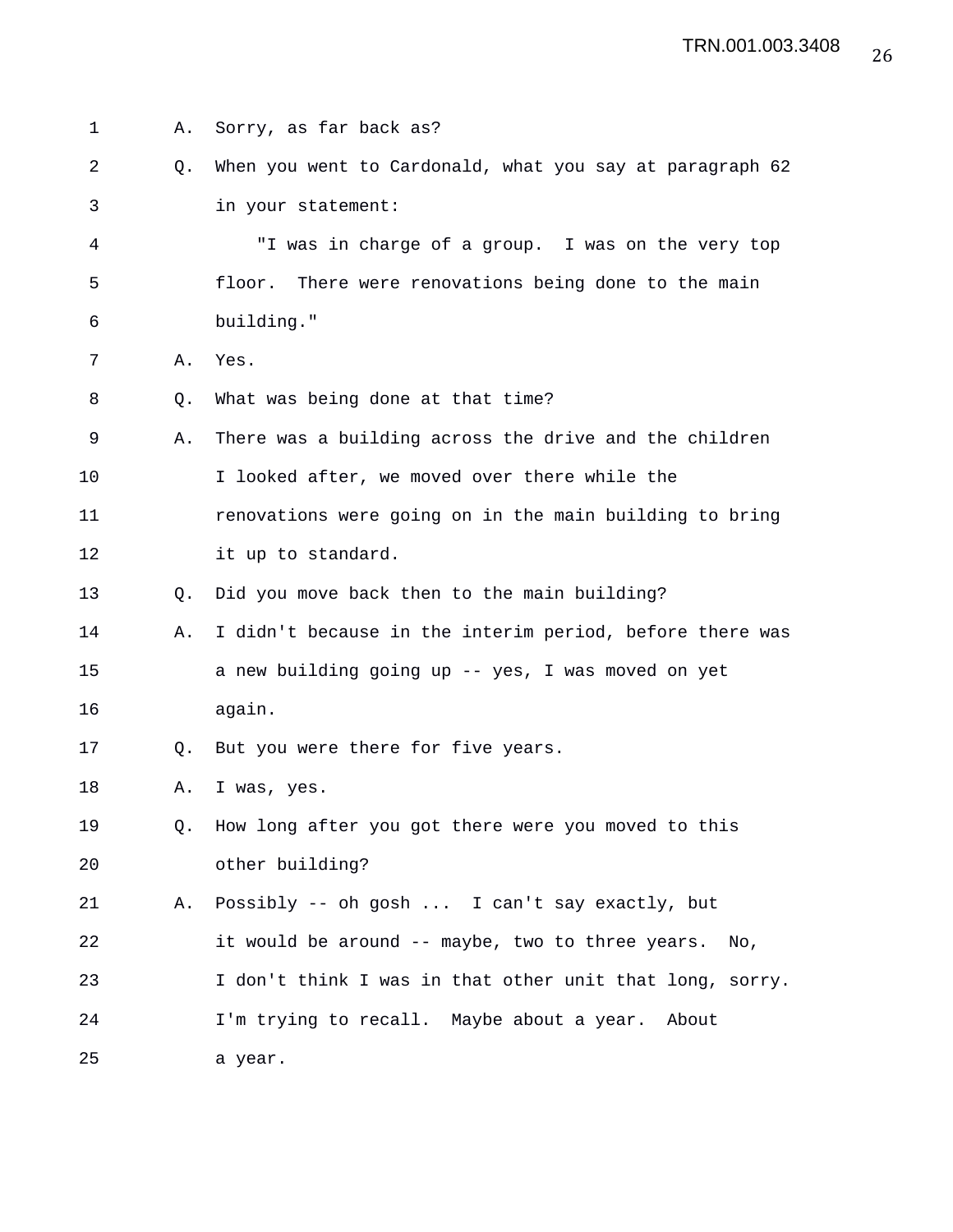| 1  | Α. | Sorry, as far back as?                                   |
|----|----|----------------------------------------------------------|
| 2  | Q. | When you went to Cardonald, what you say at paragraph 62 |
| 3  |    | in your statement:                                       |
| 4  |    | "I was in charge of a group. I was on the very top       |
| 5  |    | There were renovations being done to the main<br>floor.  |
| 6  |    | building."                                               |
| 7  | Α. | Yes.                                                     |
| 8  | Q. | What was being done at that time?                        |
| 9  | Α. | There was a building across the drive and the children   |
| 10 |    | I looked after, we moved over there while the            |
| 11 |    | renovations were going on in the main building to bring  |
| 12 |    | it up to standard.                                       |
| 13 | 0. | Did you move back then to the main building?             |
| 14 | Α. | I didn't because in the interim period, before there was |
| 15 |    | a new building going up -- yes, I was moved on yet       |
| 16 |    | again.                                                   |
| 17 | O. | But you were there for five years.                       |
| 18 | Α. | I was, yes.                                              |
| 19 | 0. | How long after you got there were you moved to this      |
| 20 |    | other building?                                          |
| 21 | Α. | Possibly -- oh gosh  I can't say exactly, but            |
| 22 |    | it would be around -- maybe, two to three years.<br>No.  |
| 23 |    | I don't think I was in that other unit that long, sorry. |
| 24 |    | I'm trying to recall. Maybe about a year. About          |
| 25 |    | a year.                                                  |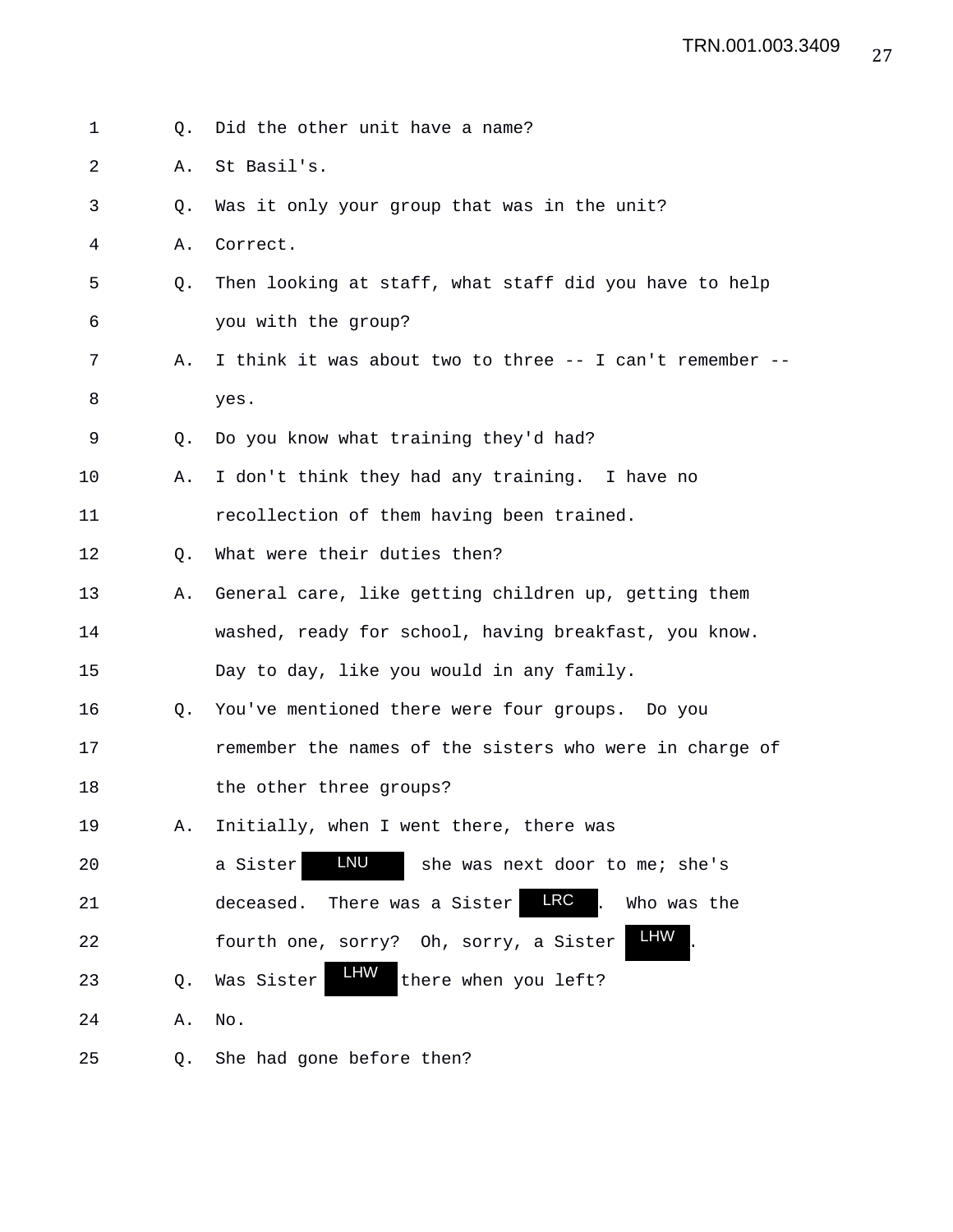1 0. Did the other unit have a name? 2 A. St Basil's. 3 Q. Was it only your group that was in the unit? 4 A. Correct. 5 Q. Then looking at staff, what staff did you have to help 6 you with the group? 7 A. I think it was about two to three -- I can't remember -- 8 yes. 9 Q. Do you know what training they'd had? 10 A. I don't think they had any training. I have no 11 recollection of them having been trained. 12 Q. What were their duties then? 13 A. General care, like getting children up, getting them 14 washed, ready for school, having breakfast, you know. 15 Day to day, like you would in any family. 16 Q. You've mentioned there were four groups. Do you 17 **remember the names of the sisters who were in charge of** 18 the other three groups? 19 A. Initially, when I went there, there was 20 a Sister **LNU** she was next door to me; she's 21 deceased. There was a Sister **LRC** . Who was the 22 fourth one, sorry? Oh, sorry, a Sister 23  $Q.$  Was Sister  $H_1$  there when you left? 24 A. No. 25 Q. She had gone before then? LNU LRC LHW LHW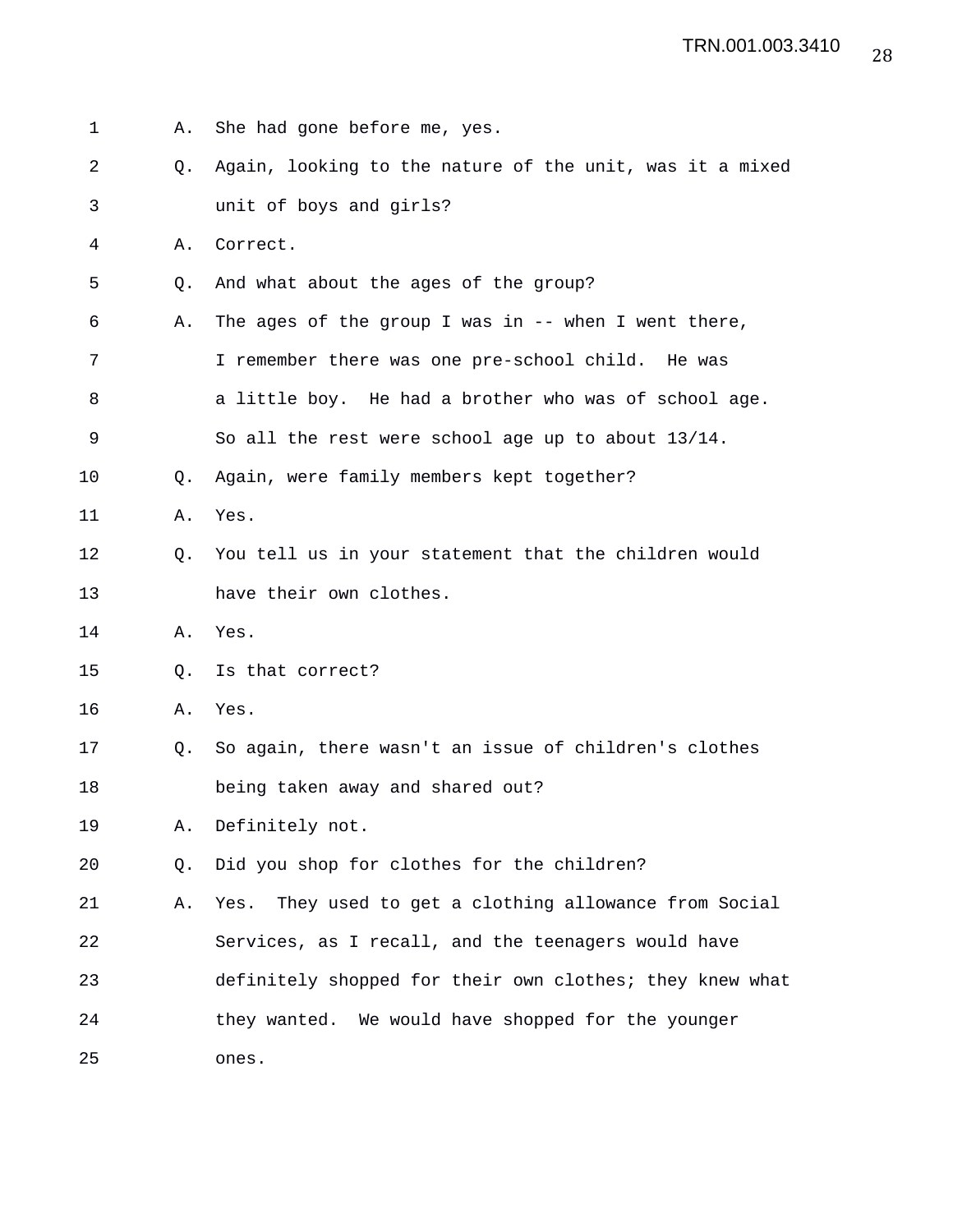| 1  | Α. | She had gone before me, yes.                             |
|----|----|----------------------------------------------------------|
| 2  | Q. | Again, looking to the nature of the unit, was it a mixed |
| 3  |    | unit of boys and girls?                                  |
| 4  | Α. | Correct.                                                 |
| 5  | Q. | And what about the ages of the group?                    |
| 6  | Α. | The ages of the group I was in $-$ - when I went there,  |
| 7  |    | I remember there was one pre-school child. He was        |
| 8  |    | a little boy. He had a brother who was of school age.    |
| 9  |    | So all the rest were school age up to about 13/14.       |
| 10 | Q. | Again, were family members kept together?                |
| 11 | Α. | Yes.                                                     |
| 12 | O. | You tell us in your statement that the children would    |
| 13 |    | have their own clothes.                                  |
| 14 | Α. | Yes.                                                     |
| 15 | Q. | Is that correct?                                         |
| 16 | Α. | Yes.                                                     |
| 17 | O. | So again, there wasn't an issue of children's clothes    |
| 18 |    | being taken away and shared out?                         |
| 19 | Α. | Definitely not.                                          |
| 20 | O. | Did you shop for clothes for the children?               |
| 21 | Α. | Yes. They used to get a clothing allowance from Social   |
| 22 |    | Services, as I recall, and the teenagers would have      |
| 23 |    | definitely shopped for their own clothes; they knew what |
| 24 |    | they wanted. We would have shopped for the younger       |
| 25 |    | ones.                                                    |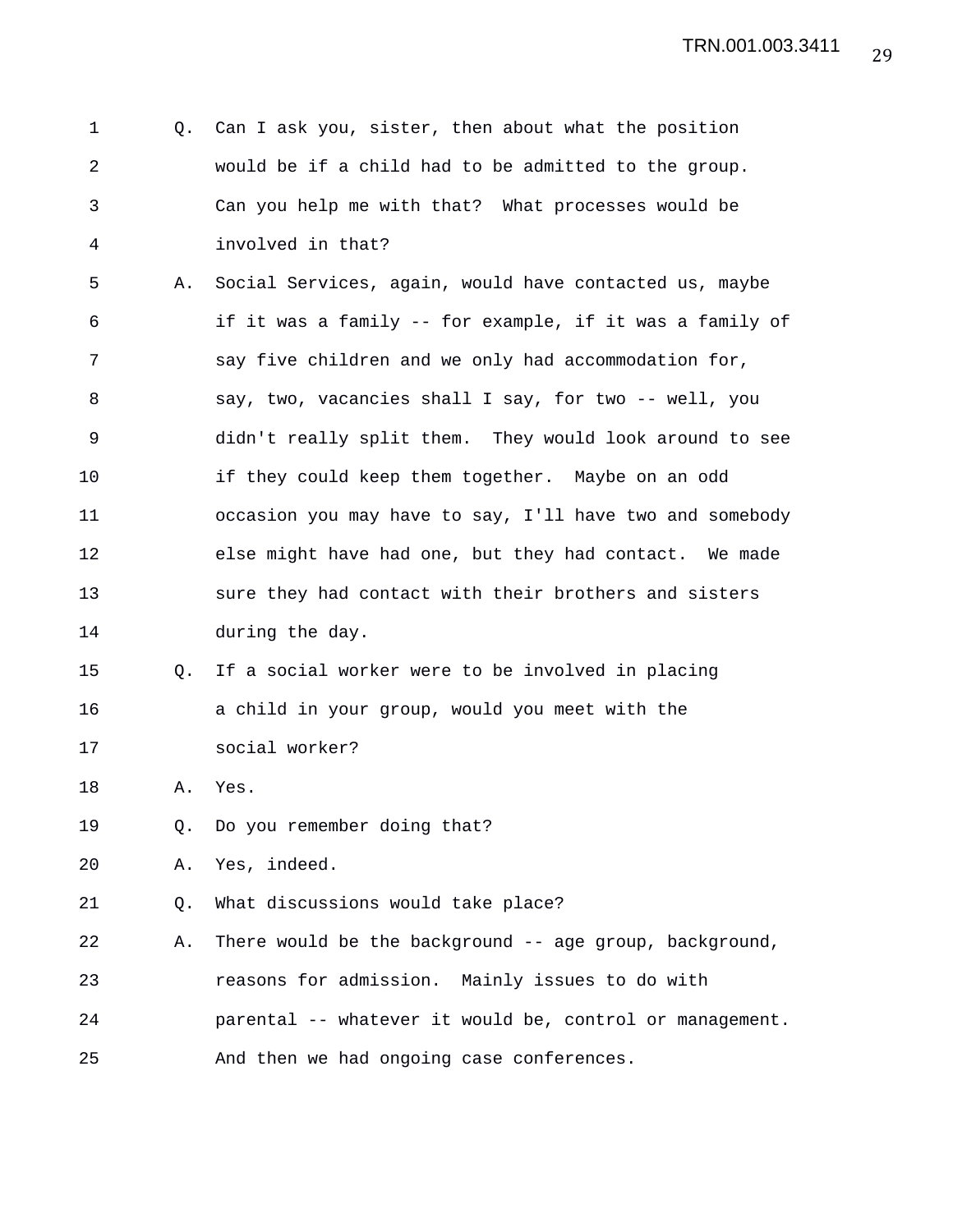| 1           | Q. | Can I ask you, sister, then about what the position      |
|-------------|----|----------------------------------------------------------|
| 2           |    | would be if a child had to be admitted to the group.     |
| 3           |    | Can you help me with that? What processes would be       |
| 4           |    | involved in that?                                        |
| 5           | Α. | Social Services, again, would have contacted us, maybe   |
| 6           |    | if it was a family -- for example, if it was a family of |
| 7           |    | say five children and we only had accommodation for,     |
| 8           |    | say, two, vacancies shall I say, for two -- well, you    |
| $\mathsf 9$ |    | didn't really split them. They would look around to see  |
| 10          |    | if they could keep them together. Maybe on an odd        |
| 11          |    | occasion you may have to say, I'll have two and somebody |
| 12          |    | else might have had one, but they had contact. We made   |
| 13          |    | sure they had contact with their brothers and sisters    |
| 14          |    | during the day.                                          |
| 15          | Q. | If a social worker were to be involved in placing        |
| 16          |    | a child in your group, would you meet with the           |
| 17          |    | social worker?                                           |
| 18          | Α. | Yes.                                                     |
| 19          | О. | Do you remember doing that?                              |
| 20          | Α. | Yes, indeed.                                             |
| 21          | Q. | What discussions would take place?                       |
| 22          | Α. | There would be the background -- age group, background,  |
| 23          |    | reasons for admission. Mainly issues to do with          |
| 24          |    | parental -- whatever it would be, control or management. |
| 25          |    | And then we had ongoing case conferences.                |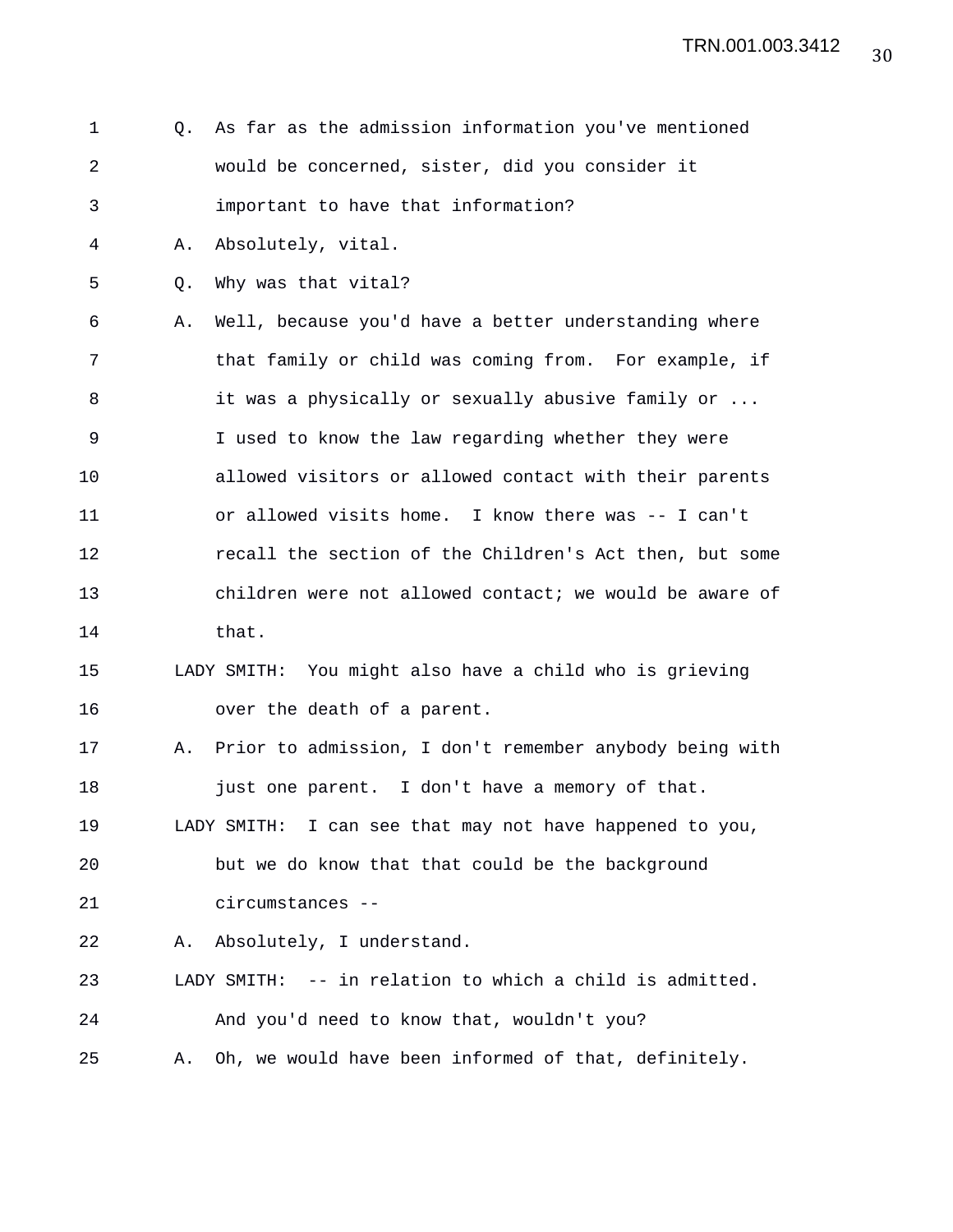| $\mathbf 1$ | 0. | As far as the admission information you've mentioned     |
|-------------|----|----------------------------------------------------------|
| 2           |    | would be concerned, sister, did you consider it          |
| 3           |    | important to have that information?                      |
| 4           | Α. | Absolutely, vital.                                       |
| 5           | Q. | Why was that vital?                                      |
| 6           | Α. | Well, because you'd have a better understanding where    |
| 7           |    | that family or child was coming from. For example, if    |
| 8           |    | it was a physically or sexually abusive family or        |
| $\mathsf 9$ |    | I used to know the law regarding whether they were       |
| 10          |    | allowed visitors or allowed contact with their parents   |
| 11          |    | or allowed visits home. I know there was -- I can't      |
| 12          |    | recall the section of the Children's Act then, but some  |
| 13          |    | children were not allowed contact; we would be aware of  |
| 14          |    | that.                                                    |
| 15          |    | LADY SMITH: You might also have a child who is grieving  |
| 16          |    | over the death of a parent.                              |
| 17          | Α. | Prior to admission, I don't remember anybody being with  |
| 18          |    | just one parent. I don't have a memory of that.          |
| 19          |    | LADY SMITH: I can see that may not have happened to you, |
| 20          |    | but we do know that that could be the background         |
| 21          |    | circumstances --                                         |
| 22          | Α. | Absolutely, I understand.                                |
| 23          |    | LADY SMITH: -- in relation to which a child is admitted. |
| 24          |    | And you'd need to know that, wouldn't you?               |
| 25          | Α. | Oh, we would have been informed of that, definitely.     |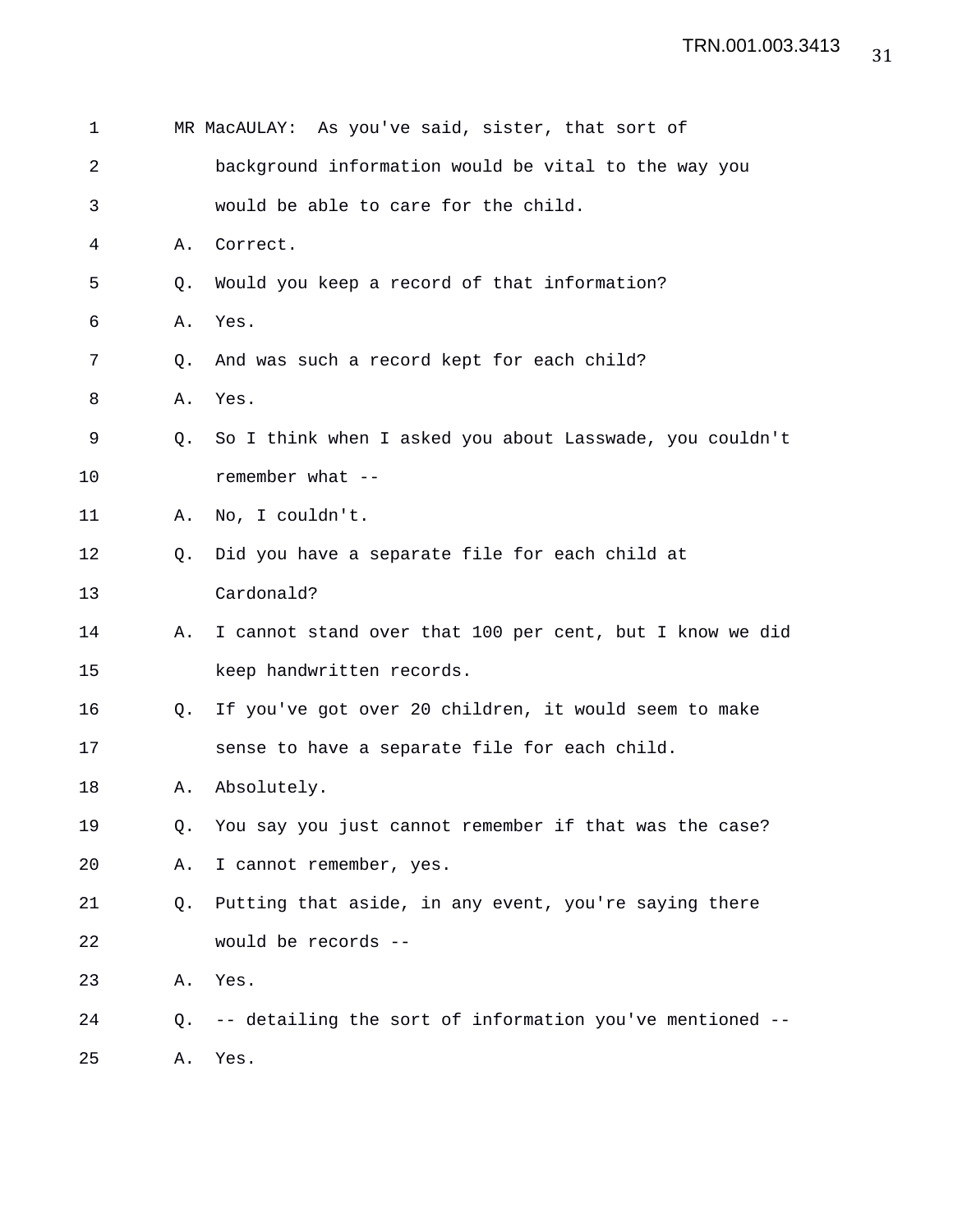| 1  |    | MR MacAULAY: As you've said, sister, that sort of        |
|----|----|----------------------------------------------------------|
| 2  |    | background information would be vital to the way you     |
| 3  |    | would be able to care for the child.                     |
| 4  | Α. | Correct.                                                 |
| 5  | Q. | Would you keep a record of that information?             |
| 6  | Α. | Yes.                                                     |
| 7  | O. | And was such a record kept for each child?               |
| 8  | Α. | Yes.                                                     |
| 9  | Q. | So I think when I asked you about Lasswade, you couldn't |
| 10 |    | remember what --                                         |
| 11 | Α. | No, I couldn't.                                          |
| 12 | Q. | Did you have a separate file for each child at           |
| 13 |    | Cardonald?                                               |
| 14 | Α. | I cannot stand over that 100 per cent, but I know we did |
| 15 |    | keep handwritten records.                                |
| 16 | Q. | If you've got over 20 children, it would seem to make    |
| 17 |    | sense to have a separate file for each child.            |
| 18 | Α. | Absolutely.                                              |
| 19 | Q. | You say you just cannot remember if that was the case?   |
| 20 | Α. | I cannot remember, yes.                                  |
| 21 | O. | Putting that aside, in any event, you're saying there    |
| 22 |    | would be records --                                      |
| 23 | Α. | Yes.                                                     |
| 24 | O. | -- detailing the sort of information you've mentioned -- |
| 25 | Α. | Yes.                                                     |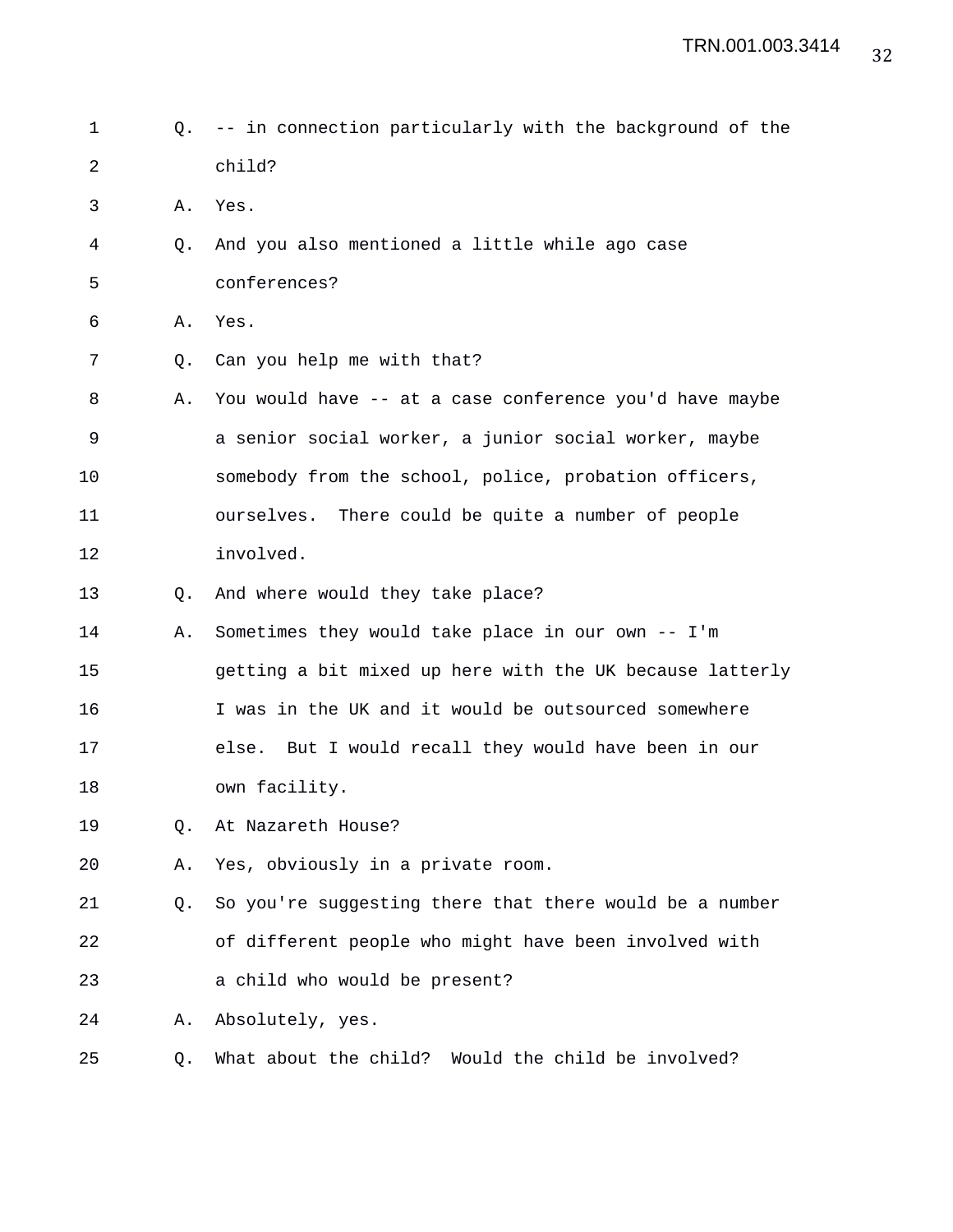- 1 Q. -- in connection particularly with the background of the 2 child?
- 3 A. Yes.
- 4 Q. And you also mentioned a little while ago case
- 5 conferences?
- 6 A. Yes.
- 7 Q. Can you help me with that?
- 8 A. You would have -- at a case conference you'd have maybe 9 a senior social worker, a junior social worker, maybe 10 somebody from the school, police, probation officers, 11 ourselves. There could be quite a number of people 12 involved.
- 13 Q. And where would they take place?
- 14 A. Sometimes they would take place in our own -- I'm 15 getting a bit mixed up here with the UK because latterly 16 I was in the UK and it would be outsourced somewhere 17 else. But I would recall they would have been in our 18 own facility.
- 19 Q. At Nazareth House?
- 20 A. Yes, obviously in a private room.

21 Q. So you're suggesting there that there would be a number 22 of different people who might have been involved with 23 a child who would be present?

24 A. Absolutely, yes.

25 Q. What about the child? Would the child be involved?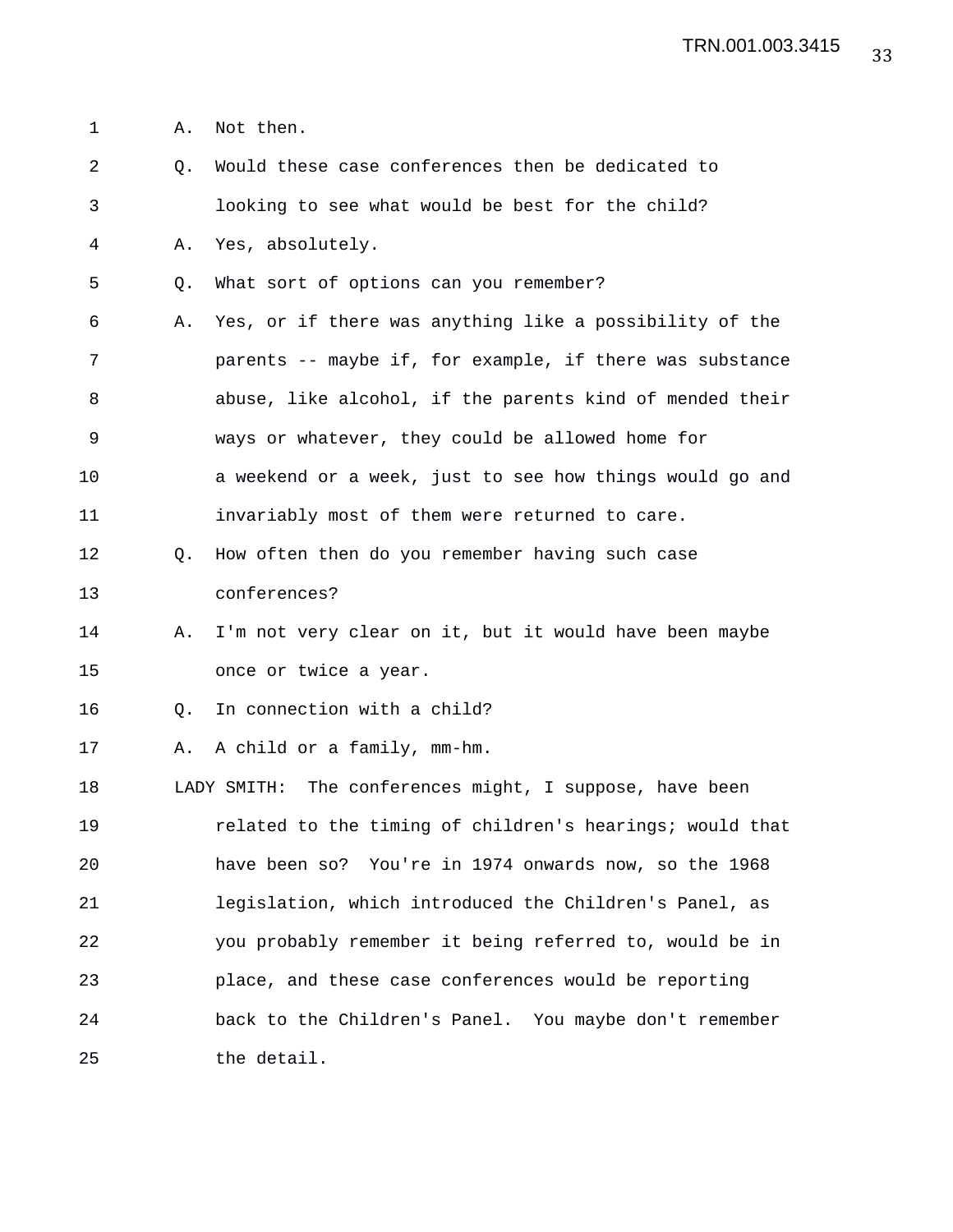1 A. Not then.

2 Q. Would these case conferences then be dedicated to 3 looking to see what would be best for the child? 4 A. Yes, absolutely. 5 Q. What sort of options can you remember? 6 A. Yes, or if there was anything like a possibility of the 7 parents -- maybe if, for example, if there was substance 8 abuse, like alcohol, if the parents kind of mended their 9 ways or whatever, they could be allowed home for 10 a weekend or a week, just to see how things would go and 11 invariably most of them were returned to care. 12 Q. How often then do you remember having such case 13 conferences? 14 A. I'm not very clear on it, but it would have been maybe 15 once or twice a year. 16 Q. In connection with a child? 17 A. A child or a family, mm-hm. 18 LADY SMITH: The conferences might, I suppose, have been 19 related to the timing of children's hearings; would that 20 have been so? You're in 1974 onwards now, so the 1968 21 legislation, which introduced the Children's Panel, as 22 you probably remember it being referred to, would be in 23 place, and these case conferences would be reporting 24 back to the Children's Panel. You maybe don't remember 25 the detail.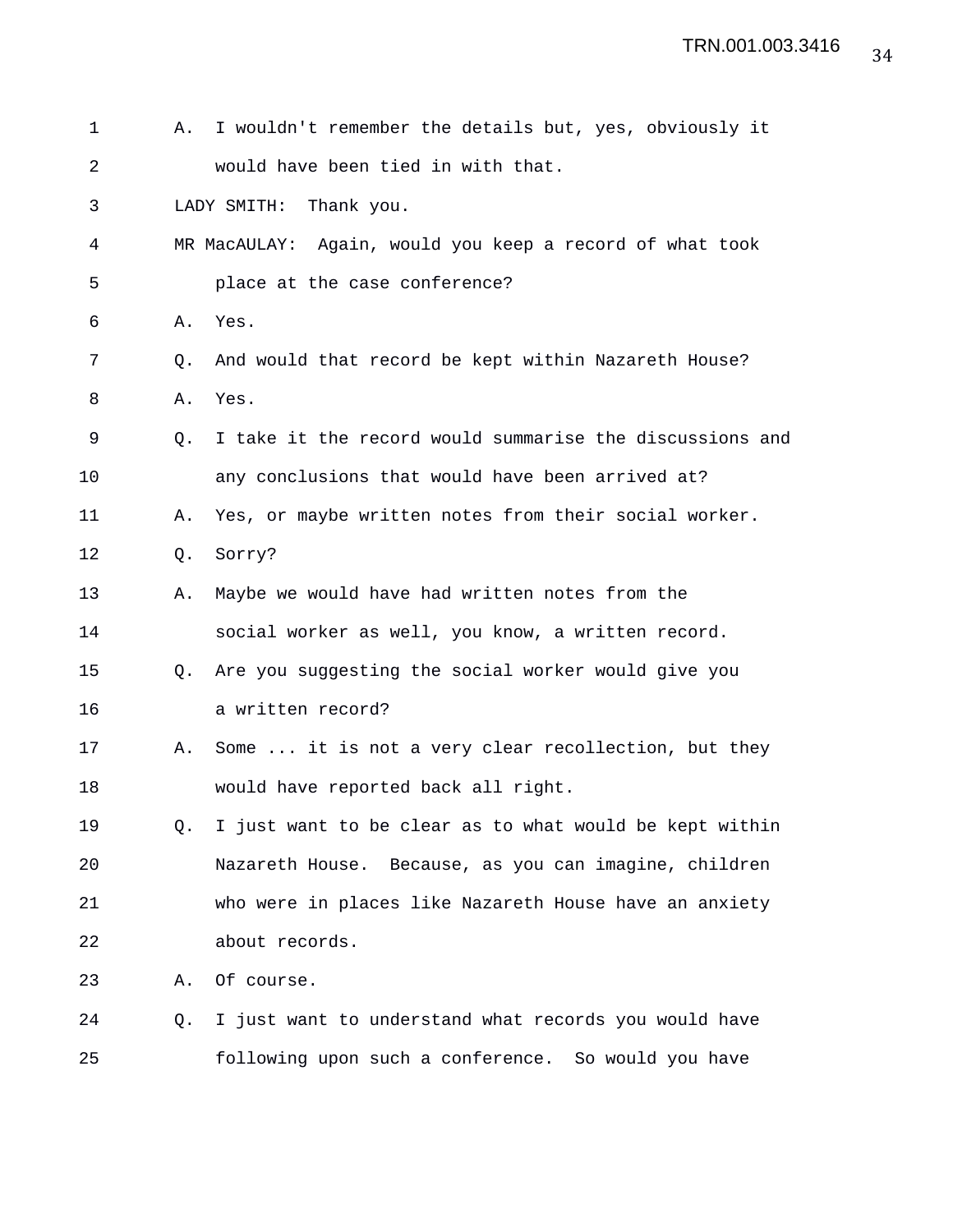| 1  | Α.        | I wouldn't remember the details but, yes, obviously it   |
|----|-----------|----------------------------------------------------------|
| 2  |           | would have been tied in with that.                       |
| 3  |           | LADY SMITH:<br>Thank you.                                |
| 4  |           | MR MacAULAY: Again, would you keep a record of what took |
| 5  |           | place at the case conference?                            |
| 6  | Α.        | Yes.                                                     |
| 7  | Q.        | And would that record be kept within Nazareth House?     |
| 8  | Α.        | Yes.                                                     |
| 9  | $\circ$ . | I take it the record would summarise the discussions and |
| 10 |           | any conclusions that would have been arrived at?         |
| 11 | Α.        | Yes, or maybe written notes from their social worker.    |
| 12 | Q.        | Sorry?                                                   |
| 13 | Α.        | Maybe we would have had written notes from the           |
| 14 |           | social worker as well, you know, a written record.       |
| 15 | O.        | Are you suggesting the social worker would give you      |
| 16 |           | a written record?                                        |
| 17 | Α.        | Some  it is not a very clear recollection, but they      |
| 18 |           | would have reported back all right.                      |
| 19 | 0.        | I just want to be clear as to what would be kept within  |
| 20 |           | Nazareth House. Because, as you can imagine, children    |
| 21 |           | who were in places like Nazareth House have an anxiety   |
| 22 |           | about records.                                           |
| 23 | Α.        | Of course.                                               |
| 24 | Q.        | I just want to understand what records you would have    |
| 25 |           | following upon such a conference. So would you have      |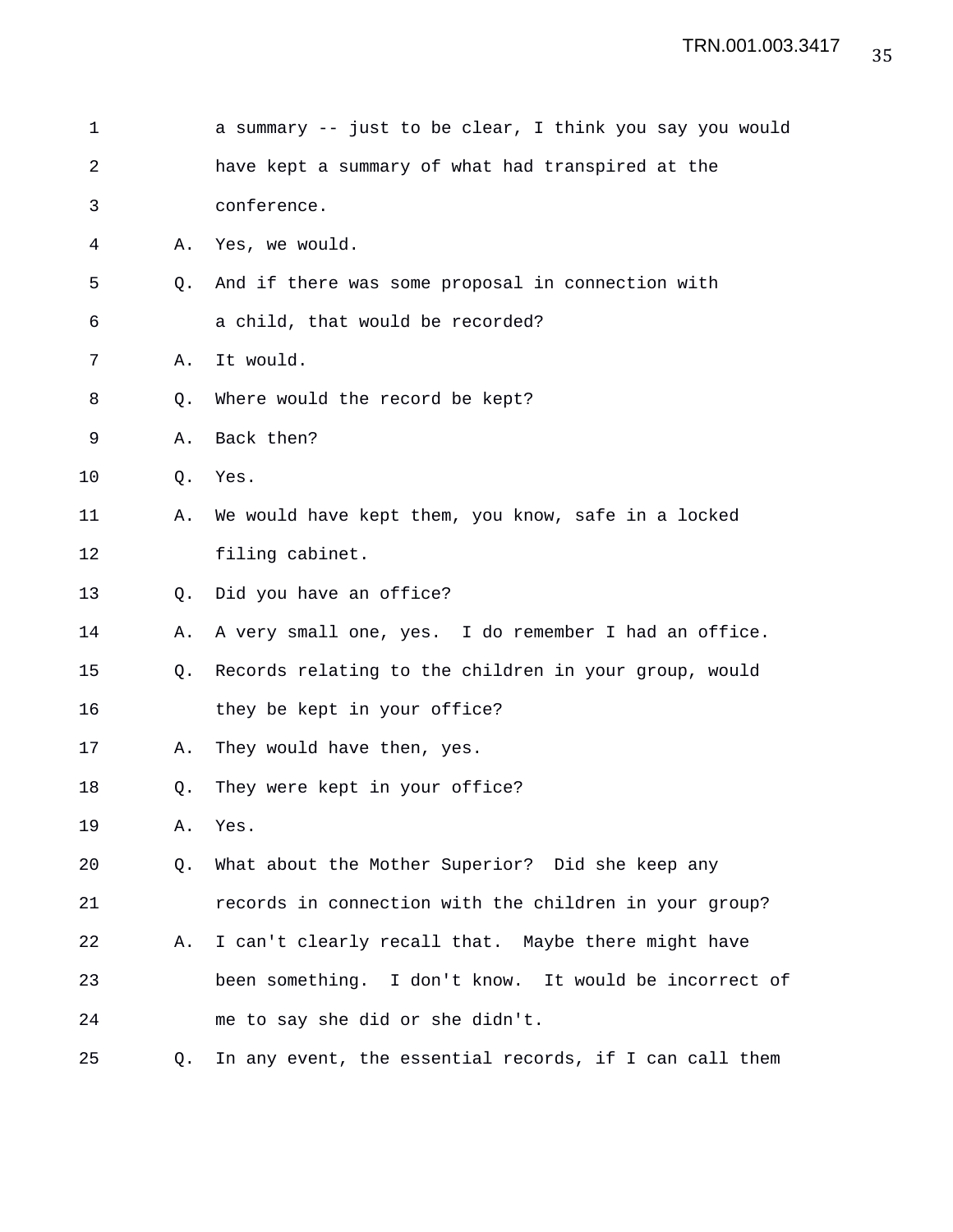| 1  |    | a summary -- just to be clear, I think you say you would |
|----|----|----------------------------------------------------------|
| 2  |    | have kept a summary of what had transpired at the        |
| 3  |    | conference.                                              |
| 4  | Α. | Yes, we would.                                           |
| 5  | Q. | And if there was some proposal in connection with        |
| 6  |    | a child, that would be recorded?                         |
| 7  | Α. | It would.                                                |
| 8  | Q. | Where would the record be kept?                          |
| 9  | Α. | Back then?                                               |
| 10 | Q. | Yes.                                                     |
| 11 | Α. | We would have kept them, you know, safe in a locked      |
| 12 |    | filing cabinet.                                          |
| 13 | Q. | Did you have an office?                                  |
| 14 | Α. | A very small one, yes. I do remember I had an office.    |
| 15 | Q. | Records relating to the children in your group, would    |
| 16 |    | they be kept in your office?                             |
| 17 | Α. | They would have then, yes.                               |
| 18 | Q. | They were kept in your office?                           |
| 19 | Α. | Yes.                                                     |
| 20 | Q. | What about the Mother Superior? Did she keep any         |
| 21 |    | records in connection with the children in your group?   |
| 22 | Α. | I can't clearly recall that. Maybe there might have      |
| 23 |    | been something. I don't know. It would be incorrect of   |
| 24 |    | me to say she did or she didn't.                         |
| 25 | Q. | In any event, the essential records, if I can call them  |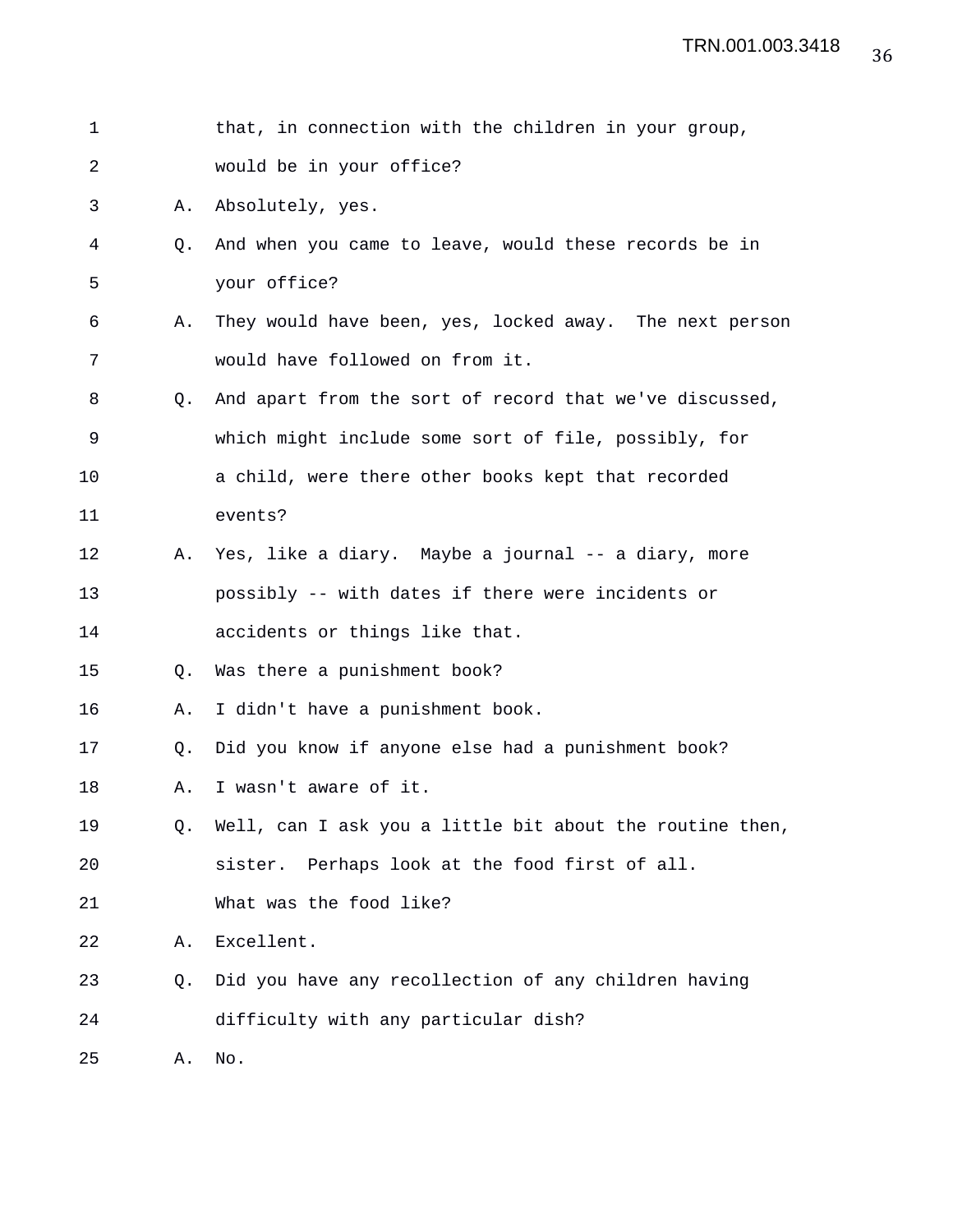| 1  |                | that, in connection with the children in your group,     |
|----|----------------|----------------------------------------------------------|
| 2  |                | would be in your office?                                 |
| 3  | Α.             | Absolutely, yes.                                         |
| 4  | Q.             | And when you came to leave, would these records be in    |
| 5  |                | your office?                                             |
| 6  | Α.             | They would have been, yes, locked away. The next person  |
| 7  |                | would have followed on from it.                          |
| 8  | O.             | And apart from the sort of record that we've discussed,  |
| 9  |                | which might include some sort of file, possibly, for     |
| 10 |                | a child, were there other books kept that recorded       |
| 11 |                | events?                                                  |
| 12 | Α.             | Yes, like a diary. Maybe a journal -- a diary, more      |
| 13 |                | possibly -- with dates if there were incidents or        |
| 14 |                | accidents or things like that.                           |
| 15 | Q.             | Was there a punishment book?                             |
| 16 | Α.             | I didn't have a punishment book.                         |
| 17 | Q <sub>z</sub> | Did you know if anyone else had a punishment book?       |
| 18 | Α.             | I wasn't aware of it.                                    |
| 19 | Q.             | Well, can I ask you a little bit about the routine then, |
| 20 |                | Perhaps look at the food first of all.<br>sister.        |
| 21 |                | What was the food like?                                  |
| 22 | Α.             | Excellent.                                               |
| 23 | Q.             | Did you have any recollection of any children having     |
| 24 |                | difficulty with any particular dish?                     |
| 25 | Α.             | No.                                                      |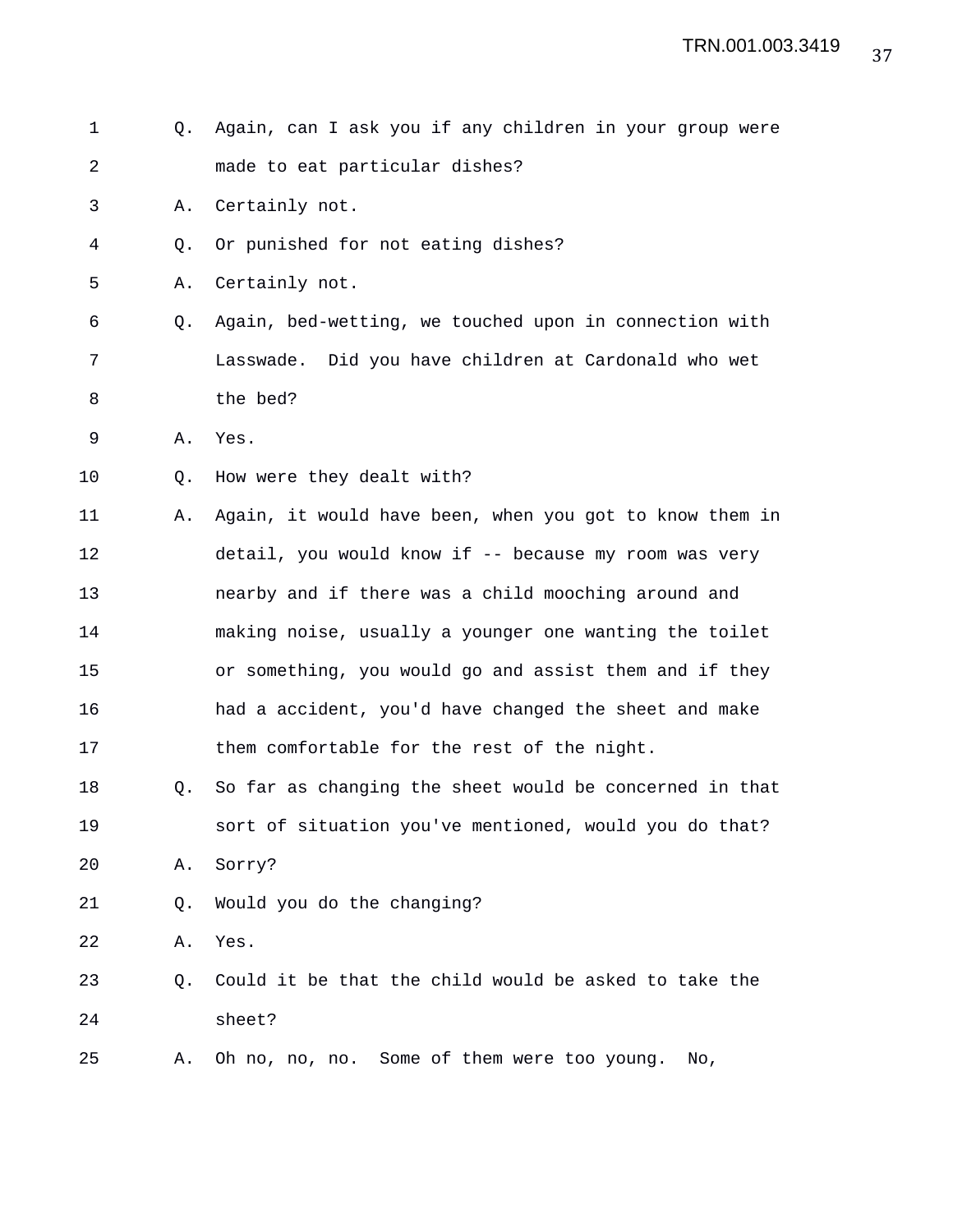| $\mathbf 1$ | 0. | Again, can I ask you if any children in your group were |
|-------------|----|---------------------------------------------------------|
| 2           |    | made to eat particular dishes?                          |
| 3           | Α. | Certainly not.                                          |
| 4           | Q. | Or punished for not eating dishes?                      |
| 5           | Α. | Certainly not.                                          |
| 6           | Q. | Again, bed-wetting, we touched upon in connection with  |
| 7           |    | Lasswade. Did you have children at Cardonald who wet    |
| 8           |    | the bed?                                                |
| 9           | Α. | Yes.                                                    |
| 10          | Q. | How were they dealt with?                               |
| 11          | Α. | Again, it would have been, when you got to know them in |
| 12          |    | detail, you would know if -- because my room was very   |
| 13          |    | nearby and if there was a child mooching around and     |
| 14          |    | making noise, usually a younger one wanting the toilet  |
| 15          |    | or something, you would go and assist them and if they  |
| 16          |    | had a accident, you'd have changed the sheet and make   |
| 17          |    | them comfortable for the rest of the night.             |
| 18          | Q. | So far as changing the sheet would be concerned in that |
| 19          |    | sort of situation you've mentioned, would you do that?  |
| 20          | Α. | Sorry?                                                  |
| 21          | Q. | Would you do the changing?                              |
| 22          | Α. | Yes.                                                    |
| 23          | Q. | Could it be that the child would be asked to take the   |
| 24          |    | sheet?                                                  |
| 25          | Α. | Some of them were too young.<br>Oh no, no, no.<br>No,   |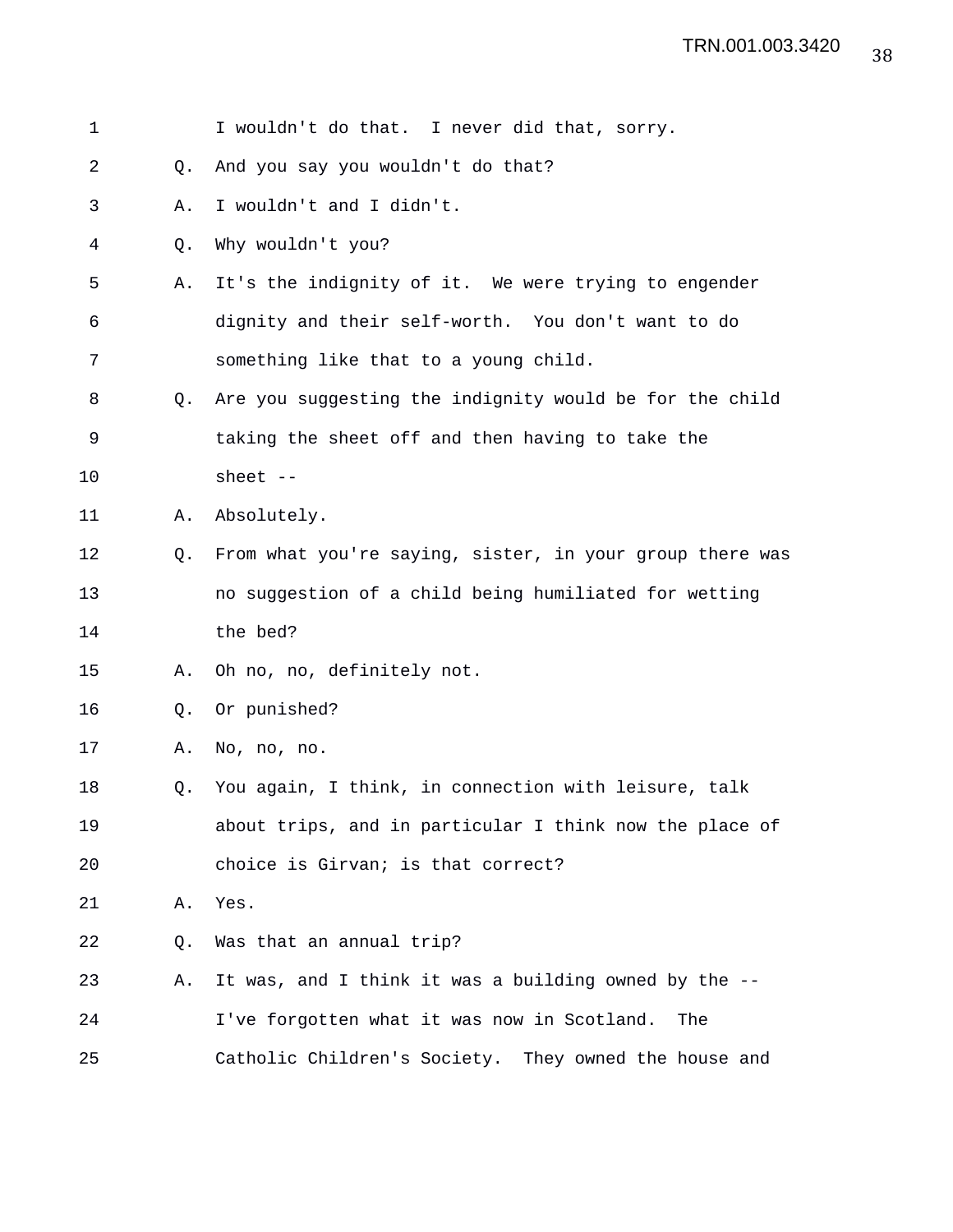| 1  |    | I wouldn't do that. I never did that, sorry.             |
|----|----|----------------------------------------------------------|
| 2  | Q. | And you say you wouldn't do that?                        |
| 3  | Α. | I wouldn't and I didn't.                                 |
| 4  | Q. | Why wouldn't you?                                        |
| 5  | Α. | It's the indignity of it. We were trying to engender     |
| 6  |    | dignity and their self-worth. You don't want to do       |
| 7  |    | something like that to a young child.                    |
| 8  | O. | Are you suggesting the indignity would be for the child  |
| 9  |    | taking the sheet off and then having to take the         |
| 10 |    | sheet $--$                                               |
| 11 | Α. | Absolutely.                                              |
| 12 | Q. | From what you're saying, sister, in your group there was |
| 13 |    | no suggestion of a child being humiliated for wetting    |
| 14 |    | the bed?                                                 |
| 15 | Α. | Oh no, no, definitely not.                               |
| 16 | Q. | Or punished?                                             |
| 17 | Α. | No, no, no.                                              |
| 18 | Q. | You again, I think, in connection with leisure, talk     |
| 19 |    | about trips, and in particular I think now the place of  |
| 20 |    | choice is Girvan; is that correct?                       |
| 21 | Α. | Yes.                                                     |
| 22 | Q. | Was that an annual trip?                                 |
| 23 | Α. | It was, and I think it was a building owned by the --    |
| 24 |    | I've forgotten what it was now in Scotland.<br>The       |
| 25 |    | Catholic Children's Society. They owned the house and    |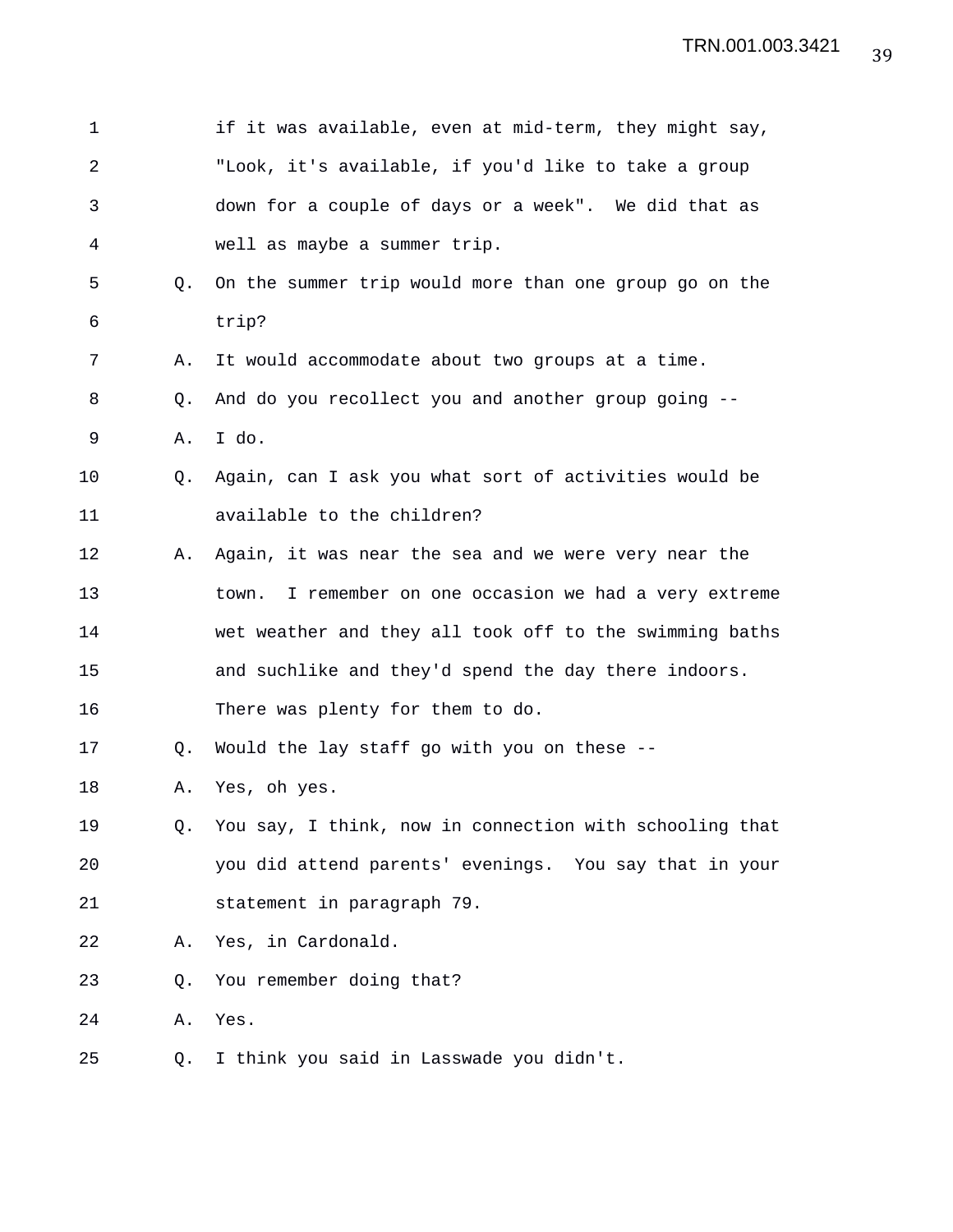| 1              |    | if it was available, even at mid-term, they might say,    |
|----------------|----|-----------------------------------------------------------|
| $\overline{a}$ |    | "Look, it's available, if you'd like to take a group      |
| 3              |    | down for a couple of days or a week". We did that as      |
| 4              |    | well as maybe a summer trip.                              |
| 5              | Q. | On the summer trip would more than one group go on the    |
| 6              |    | trip?                                                     |
| 7              | Α. | It would accommodate about two groups at a time.          |
| 8              | Q. | And do you recollect you and another group going --       |
| 9              | Α. | I do.                                                     |
| 10             | O. | Again, can I ask you what sort of activities would be     |
| 11             |    | available to the children?                                |
| 12             | Α. | Again, it was near the sea and we were very near the      |
| 13             |    | I remember on one occasion we had a very extreme<br>town. |
| 14             |    | wet weather and they all took off to the swimming baths   |
| 15             |    | and suchlike and they'd spend the day there indoors.      |
| 16             |    | There was plenty for them to do.                          |
| 17             | Q. | Would the lay staff go with you on these --               |
| 18             | Α. | Yes, oh yes.                                              |
| 19             | Q. | You say, I think, now in connection with schooling that   |
| 20             |    | you did attend parents' evenings. You say that in your    |
| 21             |    | statement in paragraph 79.                                |
| 22             | Α. | Yes, in Cardonald.                                        |
| 23             | Q. | You remember doing that?                                  |
| 24             | Α. | Yes.                                                      |
| 25             | Q. | I think you said in Lasswade you didn't.                  |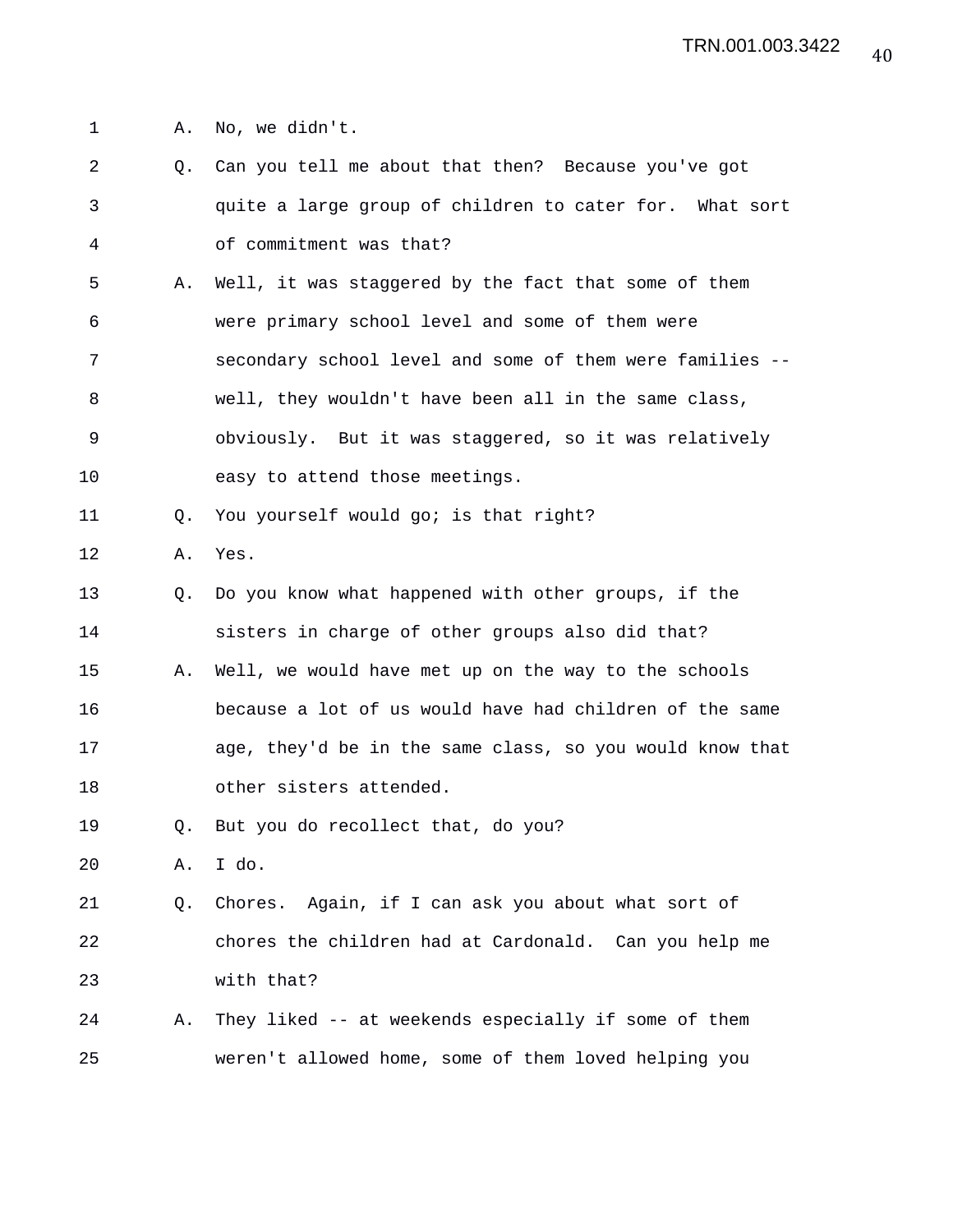1 A. No, we didn't.

2 Q. Can you tell me about that then? Because you've got 3 quite a large group of children to cater for. What sort 4 of commitment was that? 5 A. Well, it was staggered by the fact that some of them 6 were primary school level and some of them were 7 secondary school level and some of them were families -- 8 well, they wouldn't have been all in the same class, 9 obviously. But it was staggered, so it was relatively 10 easy to attend those meetings. 11 Q. You yourself would go; is that right? 12 A. Yes. 13 Q. Do you know what happened with other groups, if the 14 sisters in charge of other groups also did that? 15 A. Well, we would have met up on the way to the schools 16 because a lot of us would have had children of the same 17 age, they'd be in the same class, so you would know that 18 other sisters attended. 19 Q. But you do recollect that, do you? 20 A. I do. 21 Q. Chores. Again, if I can ask you about what sort of 22 chores the children had at Cardonald. Can you help me 23 with that? 24 A. They liked -- at weekends especially if some of them 25 weren't allowed home, some of them loved helping you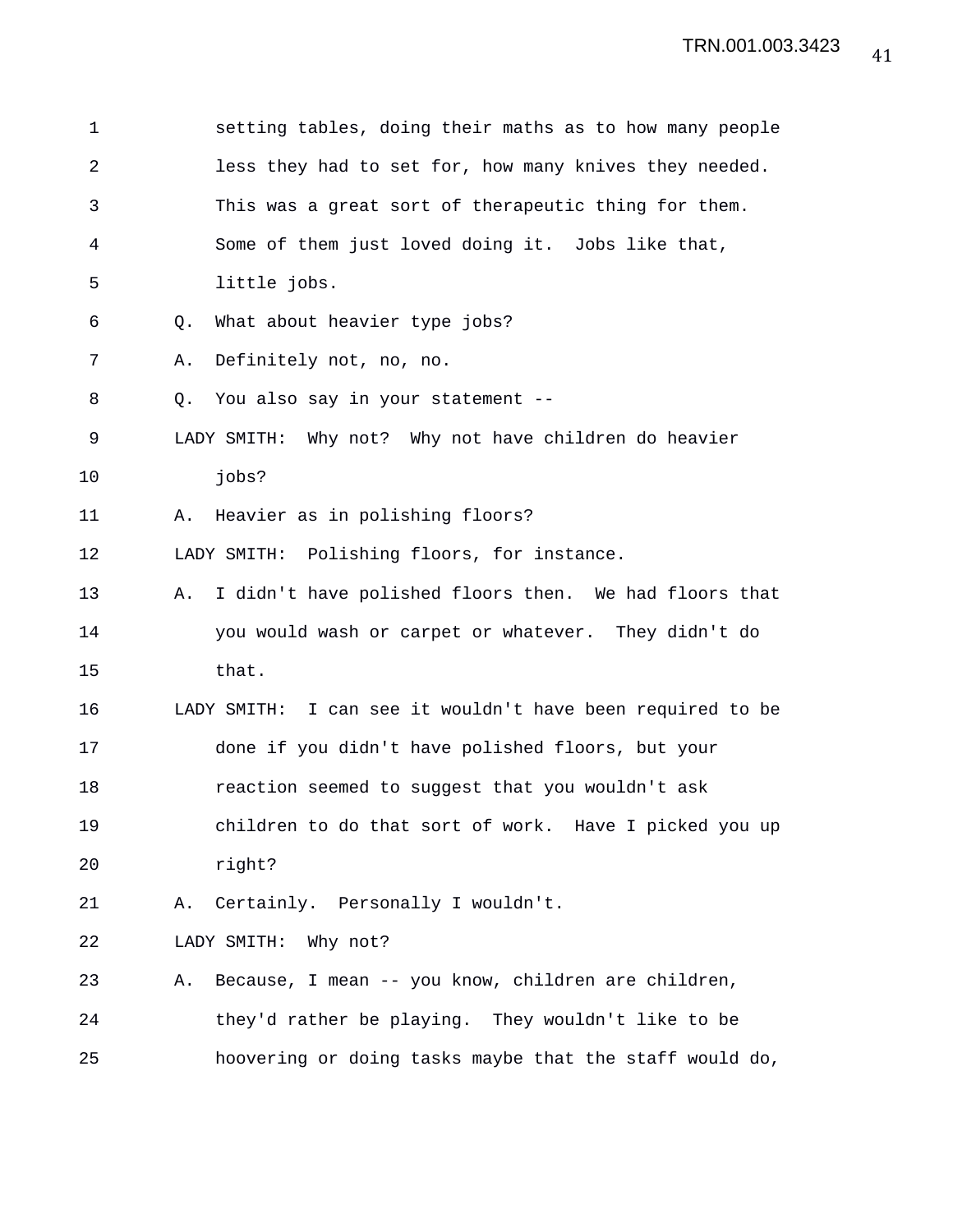| 1              |    | setting tables, doing their maths as to how many people    |
|----------------|----|------------------------------------------------------------|
| $\overline{2}$ |    | less they had to set for, how many knives they needed.     |
| 3              |    | This was a great sort of therapeutic thing for them.       |
| 4              |    | Some of them just loved doing it. Jobs like that,          |
| 5              |    | little jobs.                                               |
| 6              | Q. | What about heavier type jobs?                              |
| 7              | Α. | Definitely not, no, no.                                    |
| 8              | Q. | You also say in your statement --                          |
| 9              |    | LADY SMITH: Why not? Why not have children do heavier      |
| 10             |    | jobs?                                                      |
| 11             | Α. | Heavier as in polishing floors?                            |
| 12             |    | LADY SMITH: Polishing floors, for instance.                |
| 13             | Α. | I didn't have polished floors then. We had floors that     |
| 14             |    | you would wash or carpet or whatever. They didn't do       |
| 15             |    | that.                                                      |
| 16             |    | LADY SMITH: I can see it wouldn't have been required to be |
| 17             |    | done if you didn't have polished floors, but your          |
| 18             |    | reaction seemed to suggest that you wouldn't ask           |
| 19             |    | children to do that sort of work. Have I picked you up     |
| 20             |    | right?                                                     |
| 21             | Α. | Certainly. Personally I wouldn't.                          |
| 22             |    | Why not?<br>LADY SMITH:                                    |
| 23             | Α. | Because, I mean -- you know, children are children,        |
| 24             |    | they'd rather be playing. They wouldn't like to be         |
| 25             |    | hoovering or doing tasks maybe that the staff would do,    |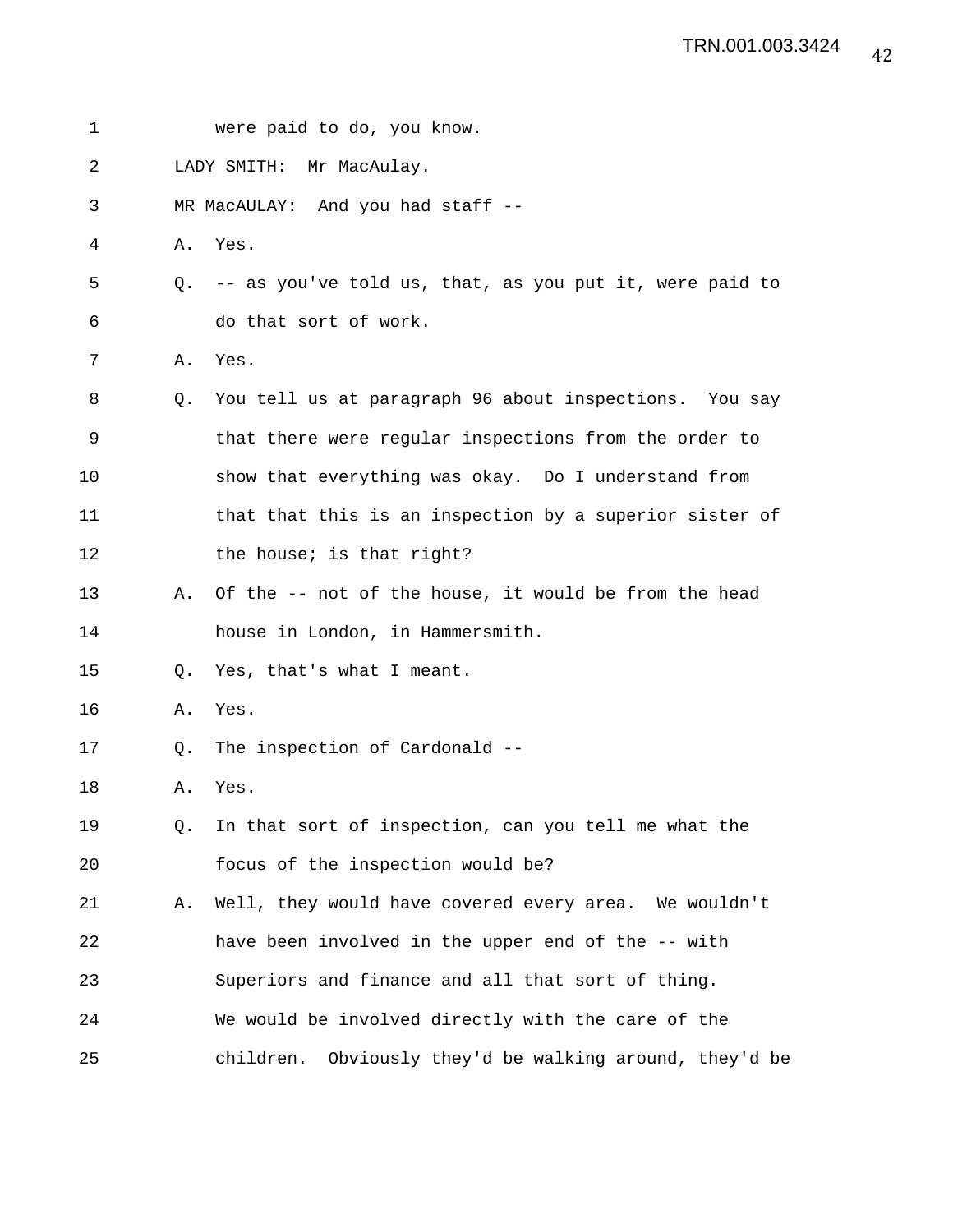| 1  |    | were paid to do, you know.                                 |
|----|----|------------------------------------------------------------|
| 2  |    | LADY SMITH: Mr MacAulay.                                   |
| 3  |    | MR MacAULAY: And you had staff --                          |
| 4  | Α. | Yes.                                                       |
| 5  |    | Q. -- as you've told us, that, as you put it, were paid to |
| 6  |    | do that sort of work.                                      |
| 7  | Α. | Yes.                                                       |
| 8  | Q. | You tell us at paragraph 96 about inspections. You say     |
| 9  |    | that there were regular inspections from the order to      |
| 10 |    | show that everything was okay. Do I understand from        |
| 11 |    | that that this is an inspection by a superior sister of    |
| 12 |    | the house; is that right?                                  |
| 13 | Α. | Of the -- not of the house, it would be from the head      |
| 14 |    | house in London, in Hammersmith.                           |
| 15 | Q. | Yes, that's what I meant.                                  |
| 16 | Α. | Yes.                                                       |
| 17 | Q. | The inspection of Cardonald --                             |
| 18 | Α. | Yes.                                                       |
| 19 | Q. | In that sort of inspection, can you tell me what the       |
| 20 |    | focus of the inspection would be?                          |
| 21 | Α. | Well, they would have covered every area. We wouldn't      |
| 22 |    | have been involved in the upper end of the -- with         |
| 23 |    | Superiors and finance and all that sort of thing.          |
| 24 |    | We would be involved directly with the care of the         |
| 25 |    | children.<br>Obviously they'd be walking around, they'd be |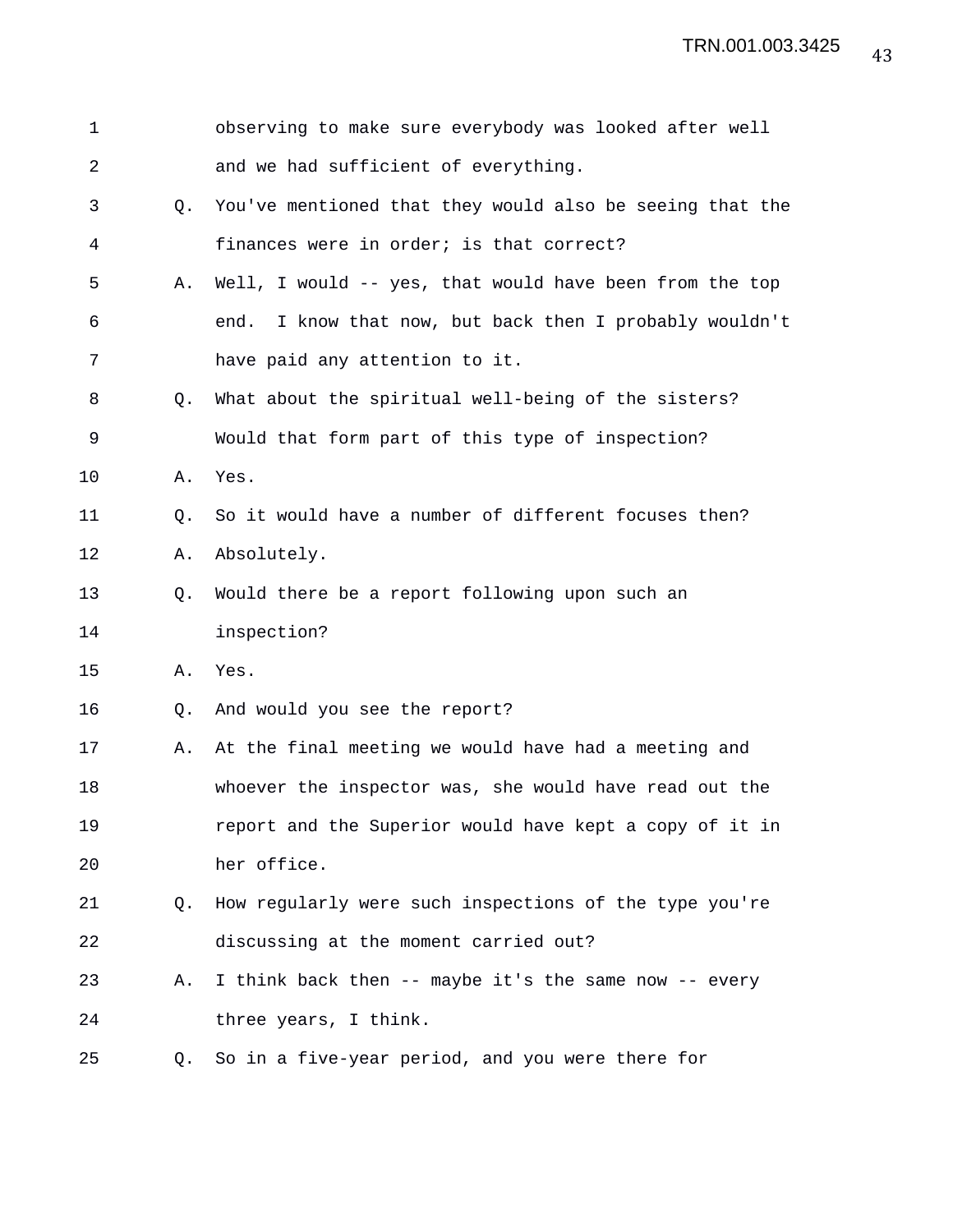| $\mathbf 1$ |    | observing to make sure everybody was looked after well     |
|-------------|----|------------------------------------------------------------|
| 2           |    | and we had sufficient of everything.                       |
| 3           | О. | You've mentioned that they would also be seeing that the   |
| 4           |    | finances were in order; is that correct?                   |
| 5           | Α. | Well, I would -- yes, that would have been from the top    |
| 6           |    | I know that now, but back then I probably wouldn't<br>end. |
| 7           |    | have paid any attention to it.                             |
| 8           | Q. | What about the spiritual well-being of the sisters?        |
| 9           |    | Would that form part of this type of inspection?           |
| 10          | Α. | Yes.                                                       |
| 11          | Q. | So it would have a number of different focuses then?       |
| 12          | Α. | Absolutely.                                                |
| 13          | Q. | Would there be a report following upon such an             |
| 14          |    | inspection?                                                |
| 15          | Α. | Yes.                                                       |
| 16          | Q. | And would you see the report?                              |
| 17          | Α. | At the final meeting we would have had a meeting and       |
| 18          |    | whoever the inspector was, she would have read out the     |
| 19          |    | report and the Superior would have kept a copy of it in    |
| 20          |    | her office.                                                |
| 21          | Q. | How regularly were such inspections of the type you're     |
| 22          |    | discussing at the moment carried out?                      |
| 23          | Α. | I think back then -- maybe it's the same now -- every      |
| 24          |    | three years, I think.                                      |
| 25          | Q. | So in a five-year period, and you were there for           |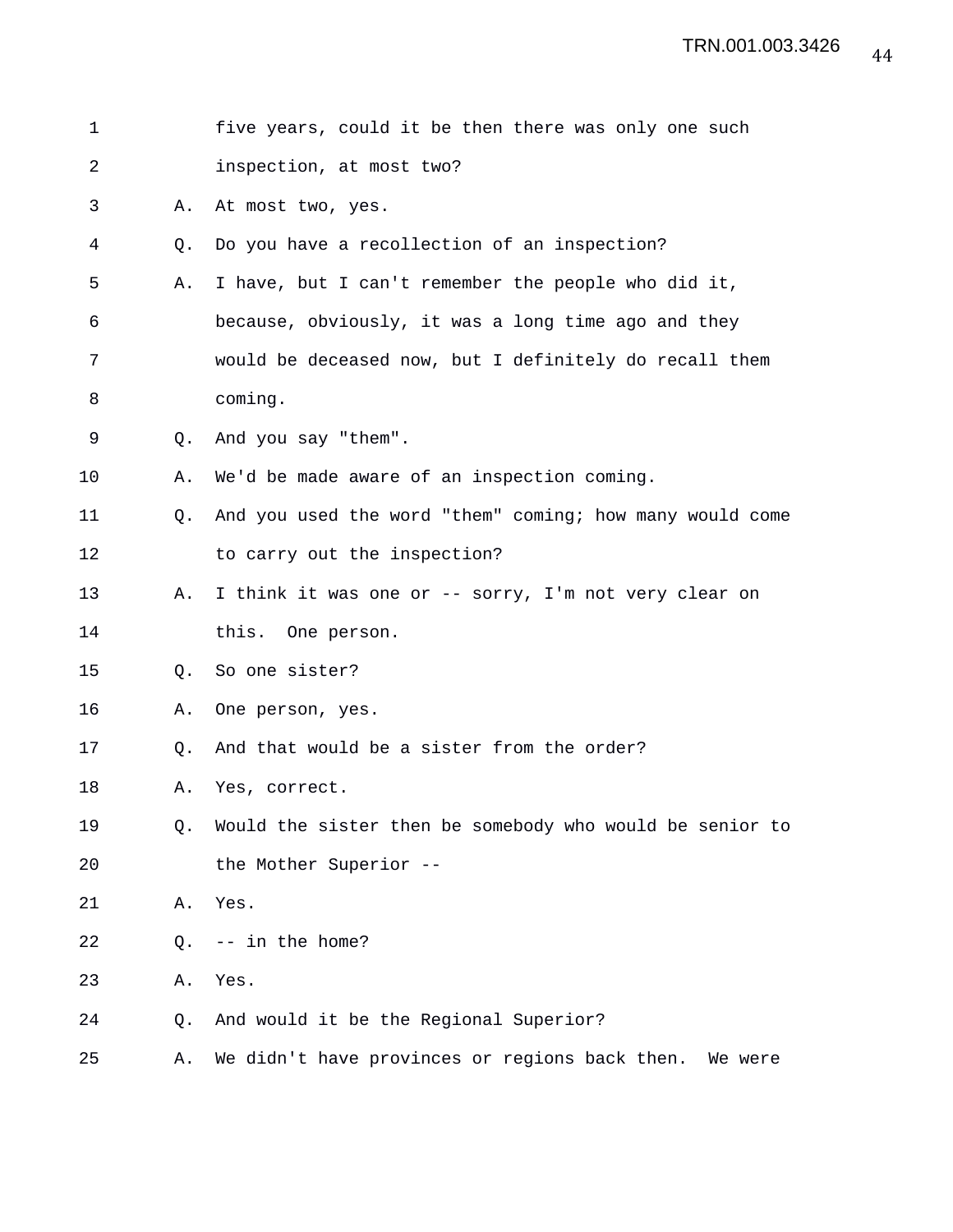| 1  |    | five years, could it be then there was only one such     |
|----|----|----------------------------------------------------------|
| 2  |    | inspection, at most two?                                 |
| 3  | Α. | At most two, yes.                                        |
| 4  | Q. | Do you have a recollection of an inspection?             |
| 5  | Α. | I have, but I can't remember the people who did it,      |
| 6  |    | because, obviously, it was a long time ago and they      |
| 7  |    | would be deceased now, but I definitely do recall them   |
| 8  |    | coming.                                                  |
| 9  | 0. | And you say "them".                                      |
| 10 | Α. | We'd be made aware of an inspection coming.              |
| 11 | O. | And you used the word "them" coming; how many would come |
| 12 |    | to carry out the inspection?                             |
| 13 | Α. | I think it was one or -- sorry, I'm not very clear on    |
| 14 |    | this. One person.                                        |
| 15 | Q. | So one sister?                                           |
| 16 | Α. | One person, yes.                                         |
| 17 | Q. | And that would be a sister from the order?               |
| 18 | Α. | Yes, correct.                                            |
| 19 | Q. | Would the sister then be somebody who would be senior to |
| 20 |    | the Mother Superior --                                   |
| 21 | Α. | Yes.                                                     |
| 22 | Q. | -- in the home?                                          |
| 23 | Α. | Yes.                                                     |
| 24 | Q. | And would it be the Regional Superior?                   |
| 25 | Α. | We didn't have provinces or regions back then. We were   |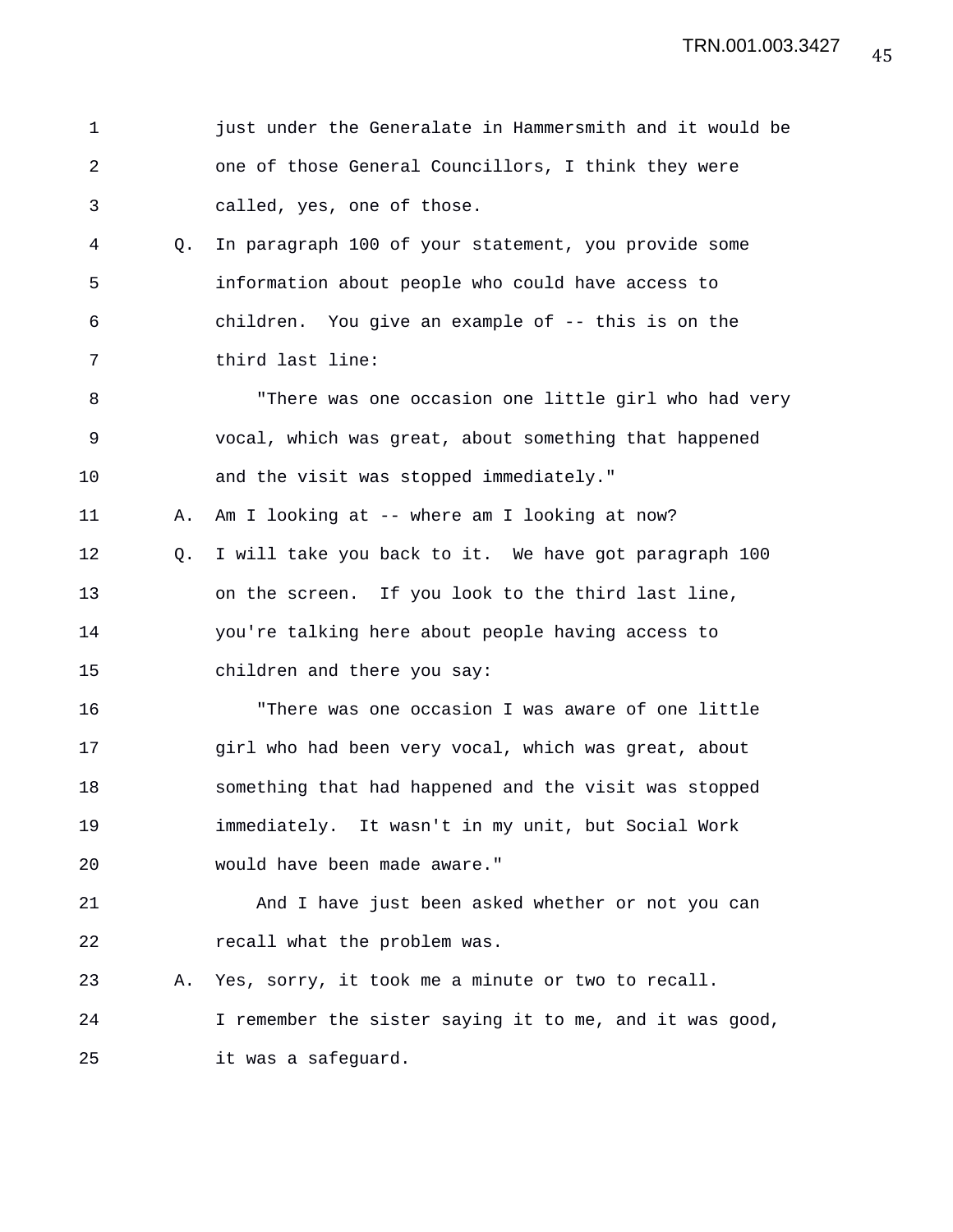| 1              |    | just under the Generalate in Hammersmith and it would be |
|----------------|----|----------------------------------------------------------|
| $\overline{a}$ |    | one of those General Councillors, I think they were      |
| 3              |    | called, yes, one of those.                               |
| 4              | Q. | In paragraph 100 of your statement, you provide some     |
| 5              |    | information about people who could have access to        |
| 6              |    | children. You give an example of -- this is on the       |
| 7              |    | third last line:                                         |
| 8              |    | "There was one occasion one little girl who had very     |
| 9              |    | vocal, which was great, about something that happened    |
| 10             |    | and the visit was stopped immediately."                  |
| 11             | Α. | Am I looking at -- where am I looking at now?            |
| 12             | O. | I will take you back to it. We have got paragraph 100    |
| 13             |    | on the screen. If you look to the third last line,       |
| 14             |    | you're talking here about people having access to        |
| 15             |    | children and there you say:                              |
| 16             |    | "There was one occasion I was aware of one little        |
| 17             |    | girl who had been very vocal, which was great, about     |
| 18             |    | something that had happened and the visit was stopped    |
| 19             |    | immediately. It wasn't in my unit, but Social Work       |
| 20             |    | would have been made aware."                             |
| 21             |    | And I have just been asked whether or not you can        |
| 22             |    | recall what the problem was.                             |
| 23             | Α. | Yes, sorry, it took me a minute or two to recall.        |
| 24             |    | I remember the sister saying it to me, and it was good,  |
| 25             |    | it was a safeguard.                                      |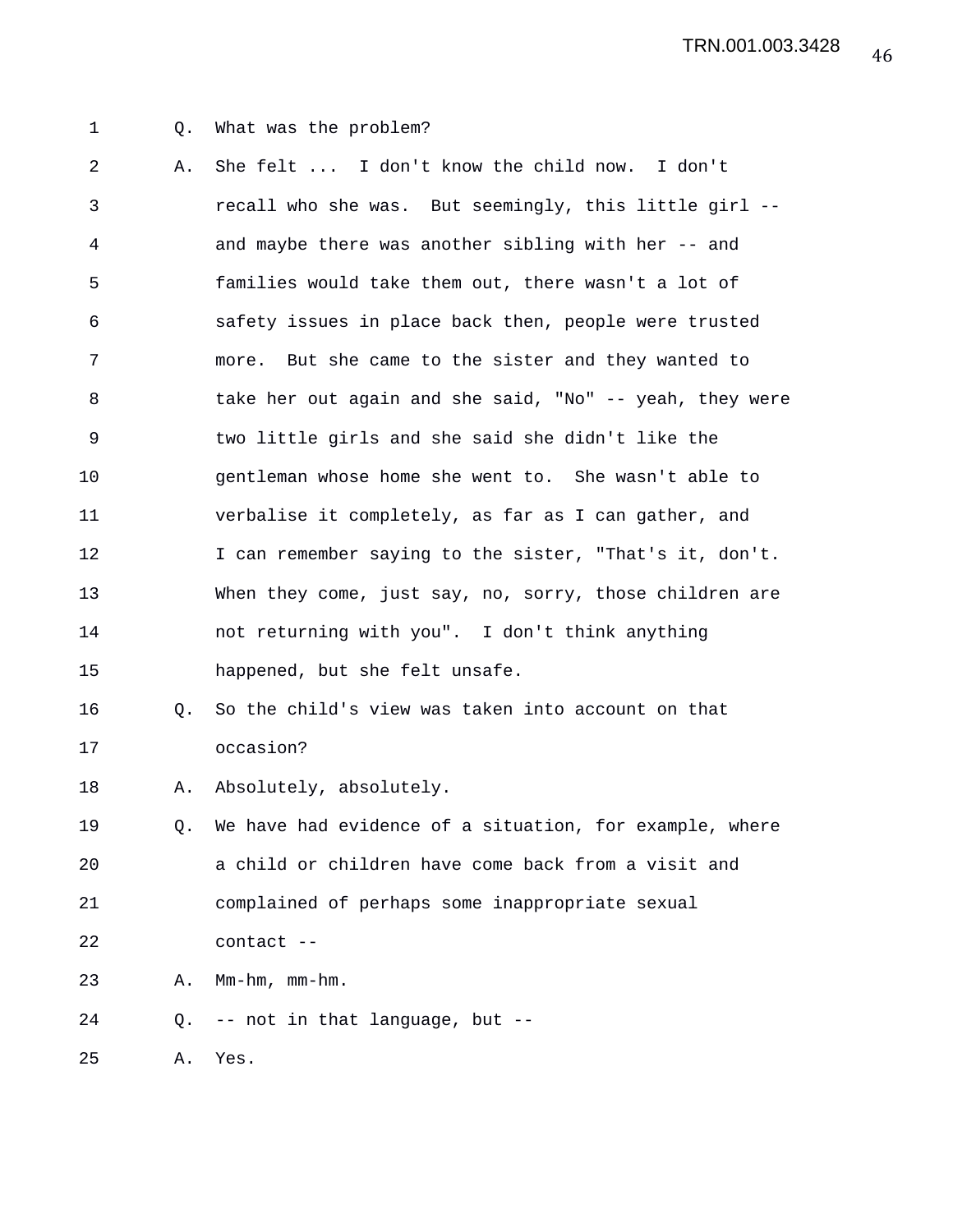## 1 Q. What was the problem?

2 A. She felt ... I don't know the child now. I don't 3 recall who she was. But seemingly, this little girl -- 4 and maybe there was another sibling with her -- and 5 families would take them out, there wasn't a lot of 6 safety issues in place back then, people were trusted 7 more. But she came to the sister and they wanted to 8 take her out again and she said, "No" -- yeah, they were 9 two little girls and she said she didn't like the 10 gentleman whose home she went to. She wasn't able to 11 verbalise it completely, as far as I can gather, and 12 I can remember saying to the sister, "That's it, don't. 13 When they come, just say, no, sorry, those children are 14 not returning with you". I don't think anything 15 happened, but she felt unsafe. 16 Q. So the child's view was taken into account on that

## 17 occasion?

18 A. Absolutely, absolutely.

19 Q. We have had evidence of a situation, for example, where 20 a child or children have come back from a visit and 21 complained of perhaps some inappropriate sexual 22 contact --

23 A. Mm-hm, mm-hm.

24 Q. -- not in that language, but --

25 A. Yes.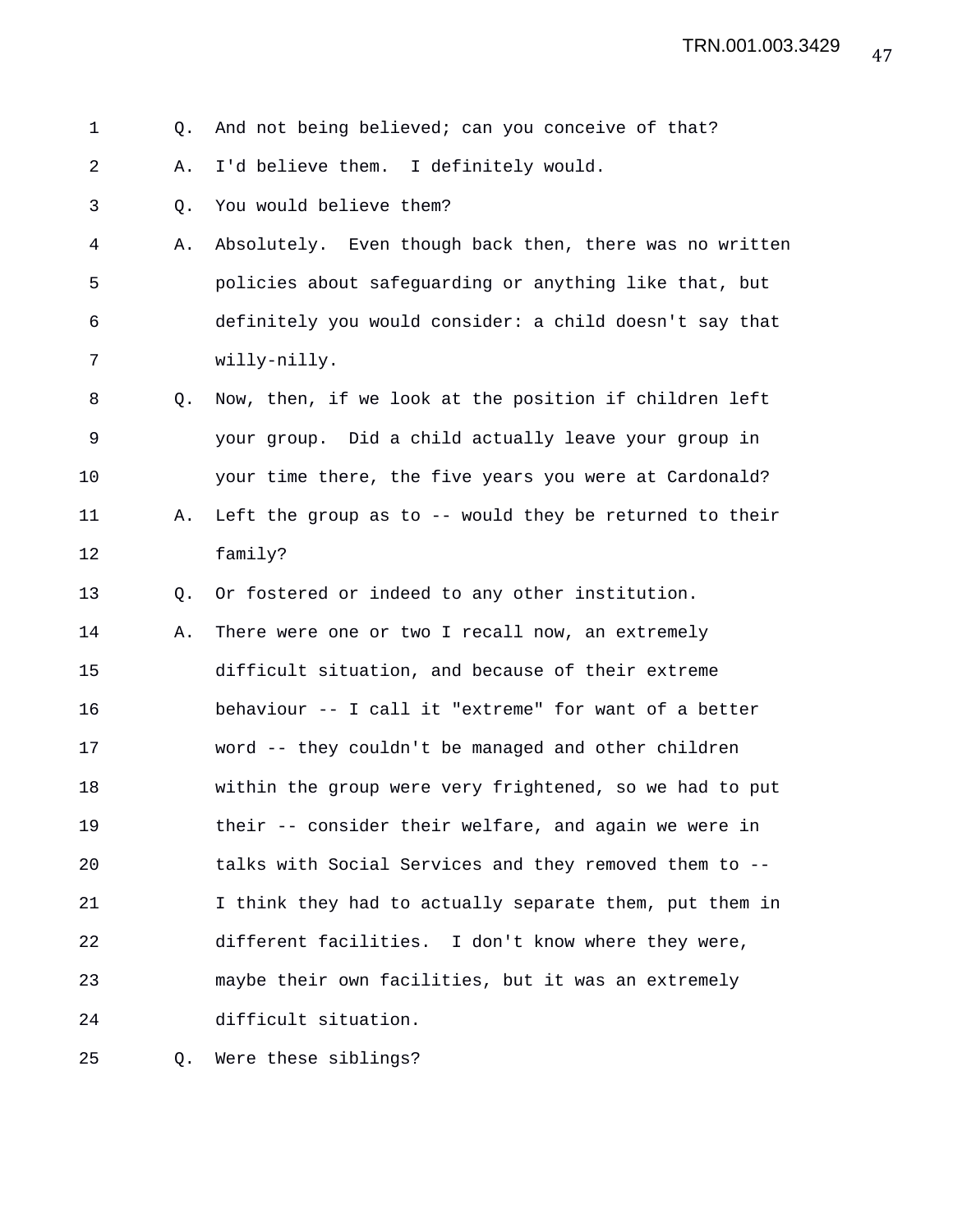## 1 Q. And not being believed; can you conceive of that?

2 A. I'd believe them. I definitely would.

- 3 Q. You would believe them?
- 4 A. Absolutely. Even though back then, there was no written 5 policies about safeguarding or anything like that, but 6 definitely you would consider: a child doesn't say that 7 willy-nilly.
- 8 Q. Now, then, if we look at the position if children left 9 your group. Did a child actually leave your group in 10 your time there, the five years you were at Cardonald? 11 A. Left the group as to -- would they be returned to their 12 family?
- 13 O. Or fostered or indeed to any other institution.
- 14 A. There were one or two I recall now, an extremely 15 difficult situation, and because of their extreme 16 behaviour -- I call it "extreme" for want of a better 17 word -- they couldn't be managed and other children 18 within the group were very frightened, so we had to put 19 their -- consider their welfare, and again we were in 20 talks with Social Services and they removed them to -- 21 I think they had to actually separate them, put them in 22 different facilities. I don't know where they were, 23 maybe their own facilities, but it was an extremely 24 difficult situation.

25 Q. Were these siblings?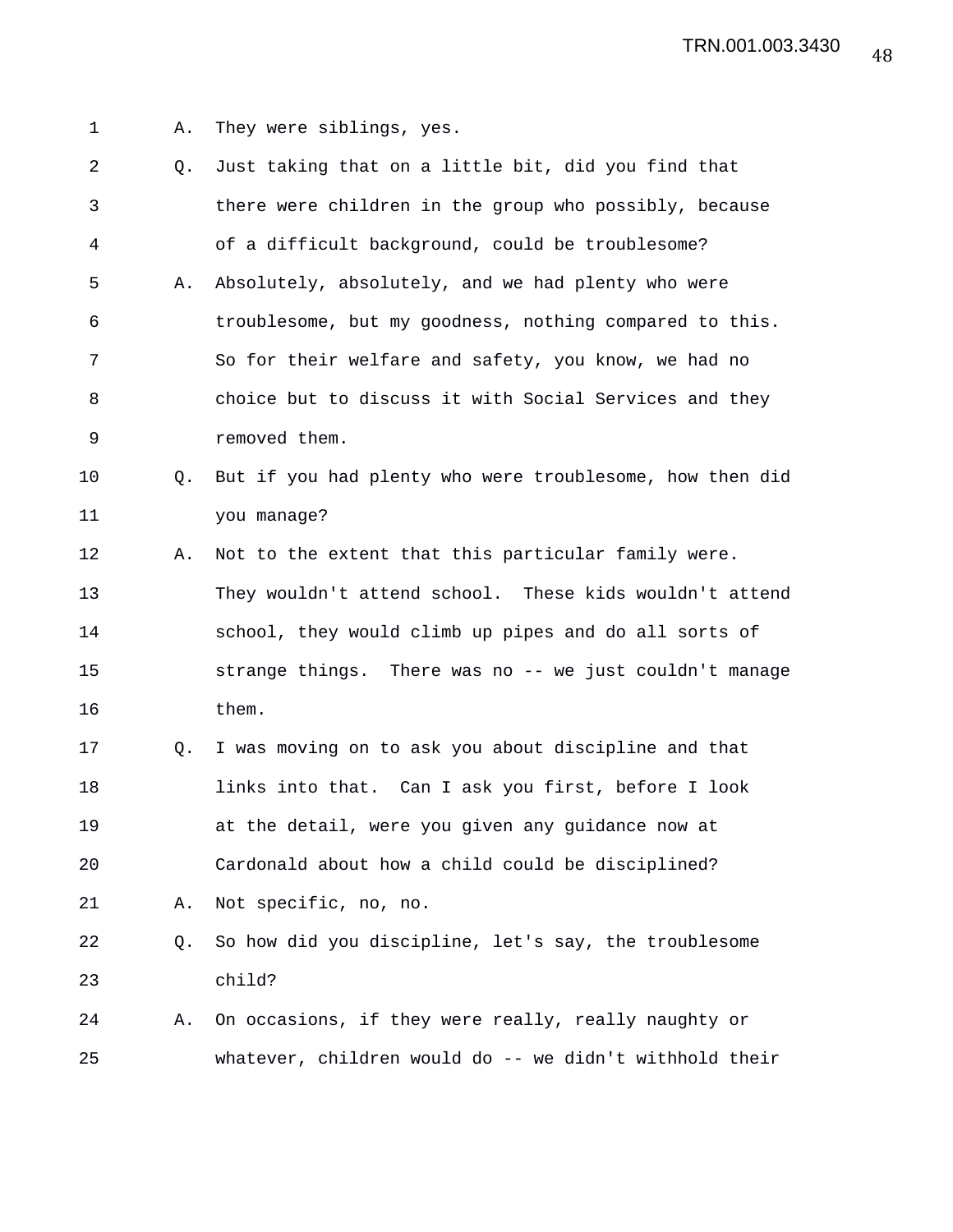- 1 A. They were siblings, yes.
- 2 Q. Just taking that on a little bit, did you find that 3 there were children in the group who possibly, because 4 of a difficult background, could be troublesome? 5 A. Absolutely, absolutely, and we had plenty who were 6 troublesome, but my goodness, nothing compared to this. 7 So for their welfare and safety, you know, we had no 8 choice but to discuss it with Social Services and they 9 removed them. 10 Q. But if you had plenty who were troublesome, how then did 11 you manage? 12 A. Not to the extent that this particular family were. 13 They wouldn't attend school. These kids wouldn't attend 14 school, they would climb up pipes and do all sorts of 15 strange things. There was no -- we just couldn't manage 16 them. 17 Q. I was moving on to ask you about discipline and that 18 links into that. Can I ask you first, before I look 19 at the detail, were you given any guidance now at 20 Cardonald about how a child could be disciplined? 21 A. Not specific, no, no.
- 22 Q. So how did you discipline, let's say, the troublesome 23 child?
- 24 A. On occasions, if they were really, really naughty or 25 whatever, children would do -- we didn't withhold their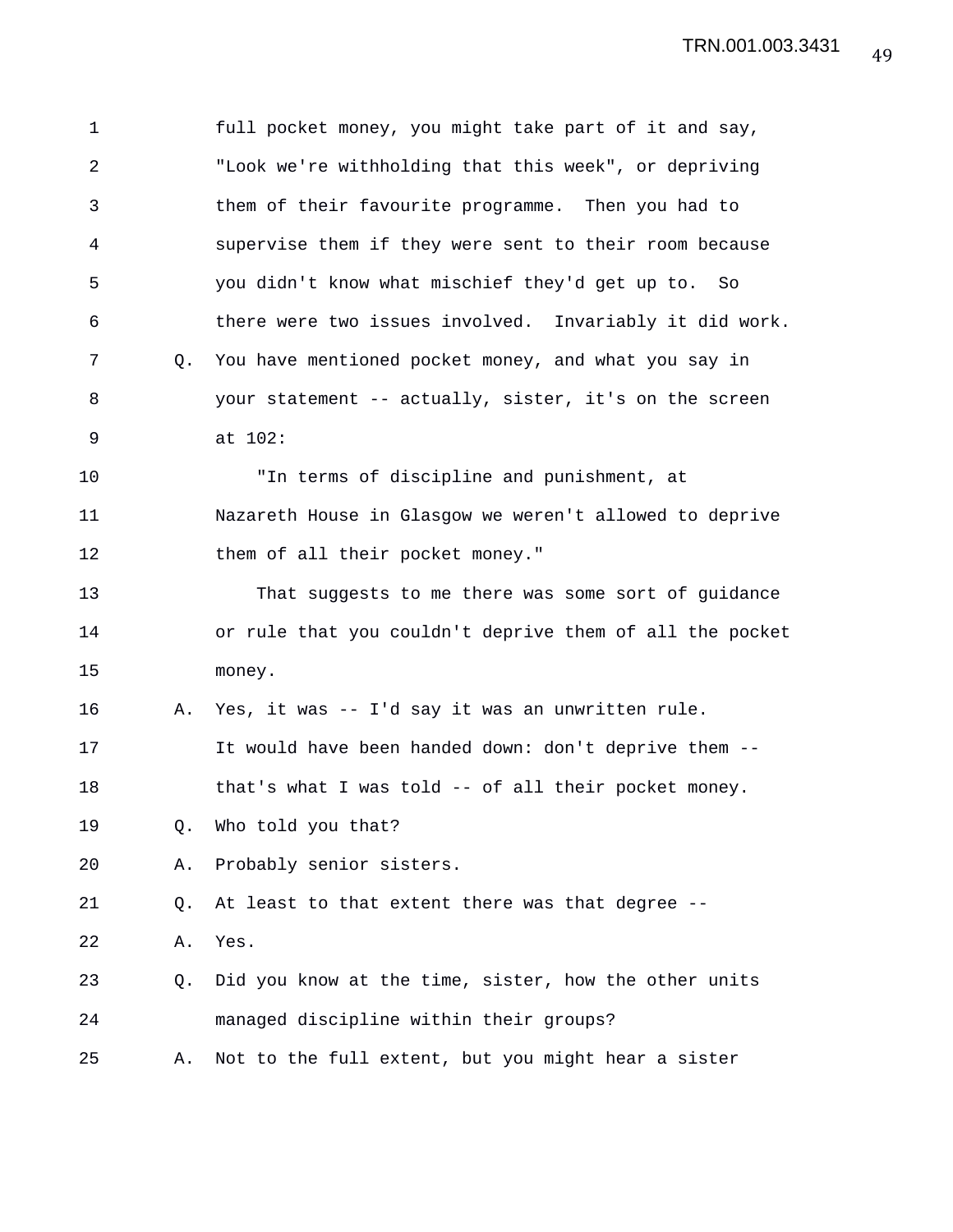| 1           |    | full pocket money, you might take part of it and say,    |
|-------------|----|----------------------------------------------------------|
| 2           |    | "Look we're withholding that this week", or depriving    |
| 3           |    | them of their favourite programme. Then you had to       |
| 4           |    | supervise them if they were sent to their room because   |
| 5           |    | you didn't know what mischief they'd get up to. So       |
| 6           |    | there were two issues involved. Invariably it did work.  |
| 7           | Q. | You have mentioned pocket money, and what you say in     |
| 8           |    | your statement -- actually, sister, it's on the screen   |
| $\mathsf 9$ |    | at 102:                                                  |
| 10          |    | "In terms of discipline and punishment, at               |
| 11          |    | Nazareth House in Glasgow we weren't allowed to deprive  |
| 12          |    | them of all their pocket money."                         |
| 13          |    | That suggests to me there was some sort of guidance      |
| 14          |    | or rule that you couldn't deprive them of all the pocket |
| 15          |    | money.                                                   |
| 16          | Α. | Yes, it was -- I'd say it was an unwritten rule.         |
| 17          |    | It would have been handed down: don't deprive them --    |
| 18          |    | that's what I was told -- of all their pocket money.     |
| 19          | Q. | Who told you that?                                       |
| 20          | Α. | Probably senior sisters.                                 |
| 21          | Q. | At least to that extent there was that degree --         |
| 22          | Α. | Yes.                                                     |
| 23          | Q. | Did you know at the time, sister, how the other units    |
| 24          |    | managed discipline within their groups?                  |
| 25          | Α. | Not to the full extent, but you might hear a sister      |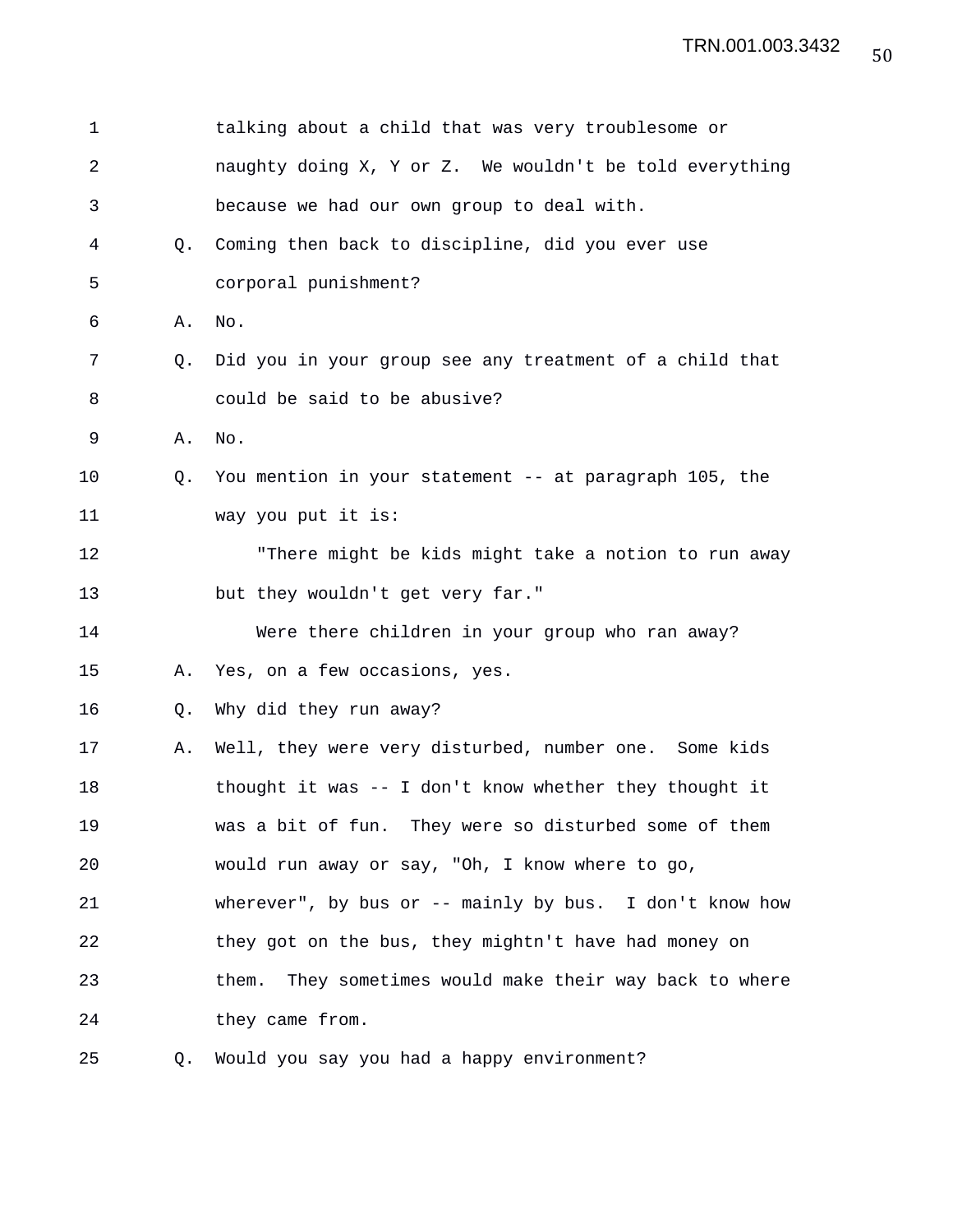| 1              |    | talking about a child that was very troublesome or         |
|----------------|----|------------------------------------------------------------|
| $\overline{2}$ |    | naughty doing X, Y or Z. We wouldn't be told everything    |
| 3              |    | because we had our own group to deal with.                 |
| 4              | О. | Coming then back to discipline, did you ever use           |
| 5              |    | corporal punishment?                                       |
| 6              | Α. | No.                                                        |
| 7              | 0. | Did you in your group see any treatment of a child that    |
| 8              |    | could be said to be abusive?                               |
| 9              | Α. | No.                                                        |
| 10             | Q. | You mention in your statement -- at paragraph 105, the     |
| 11             |    | way you put it is:                                         |
| 12             |    | "There might be kids might take a notion to run away       |
| 13             |    | but they wouldn't get very far."                           |
| 14             |    | Were there children in your group who ran away?            |
| 15             | Α. | Yes, on a few occasions, yes.                              |
| 16             | Q. | Why did they run away?                                     |
| 17             | Α. | Well, they were very disturbed, number one. Some kids      |
| 18             |    | thought it was -- I don't know whether they thought it     |
| 19             |    | was a bit of fun. They were so disturbed some of them      |
| 20             |    | would run away or say, "Oh, I know where to go,            |
| 21             |    | wherever", by bus or -- mainly by bus. I don't know how    |
| 22             |    | they got on the bus, they mightn't have had money on       |
| 23             |    | They sometimes would make their way back to where<br>them. |
| 24             |    | they came from.                                            |
| 25             | Q. | Would you say you had a happy environment?                 |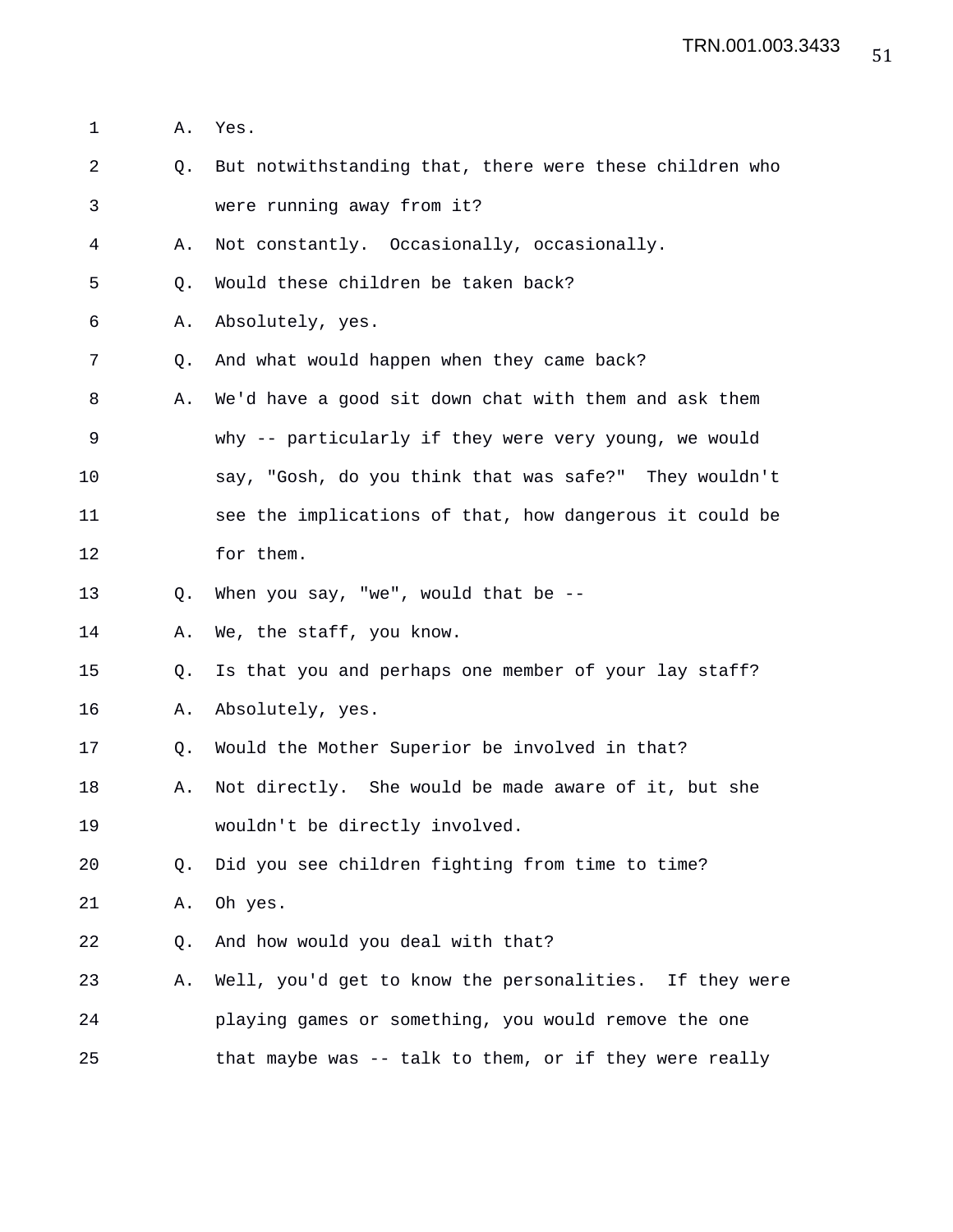- 1 A. Yes.
- 2 Q. But notwithstanding that, there were these children who 3 were running away from it?

4 A. Not constantly. Occasionally, occasionally.

5 0. Would these children be taken back?

- 6 A. Absolutely, yes.
- 7 Q. And what would happen when they came back?
- 8 A. We'd have a good sit down chat with them and ask them 9 why -- particularly if they were very young, we would 10 say, "Gosh, do you think that was safe?" They wouldn't 11 see the implications of that, how dangerous it could be 12 for them.
- 13 Q. When you say, "we", would that be --
- 14 A. We, the staff, you know.

15 Q. Is that you and perhaps one member of your lay staff?

- 16 A. Absolutely, yes.
- 17 Q. Would the Mother Superior be involved in that?
- 18 A. Not directly. She would be made aware of it, but she 19 wouldn't be directly involved.

20 Q. Did you see children fighting from time to time?

21 A. Oh yes.

22 Q. And how would you deal with that?

23 A. Well, you'd get to know the personalities. If they were 24 playing games or something, you would remove the one 25 that maybe was -- talk to them, or if they were really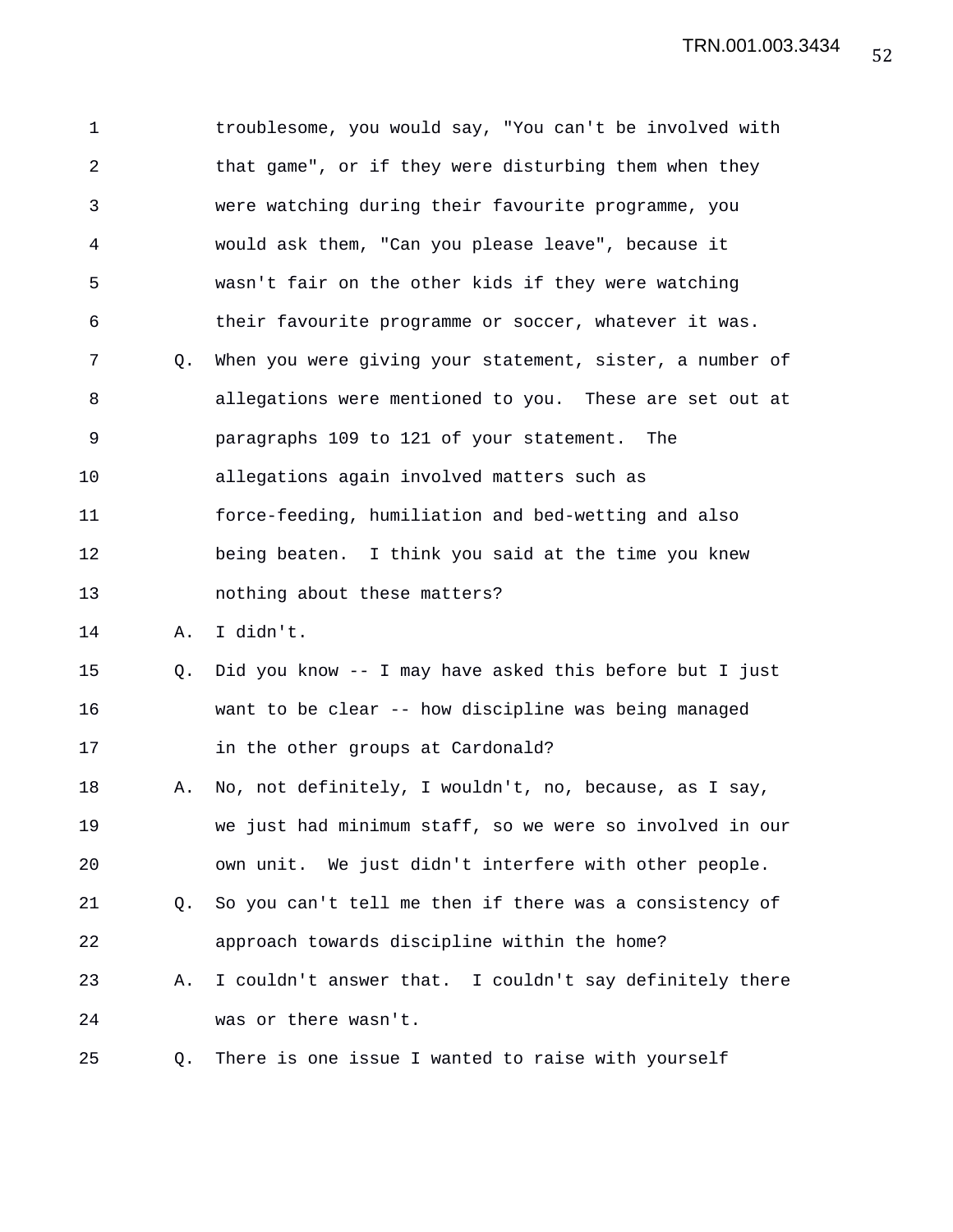1 troublesome, you would say, "You can't be involved with 2 that game", or if they were disturbing them when they 3 were watching during their favourite programme, you 4 would ask them, "Can you please leave", because it 5 wasn't fair on the other kids if they were watching 6 their favourite programme or soccer, whatever it was. 7 Q. When you were giving your statement, sister, a number of 8 allegations were mentioned to you. These are set out at 9 paragraphs 109 to 121 of your statement. The 10 allegations again involved matters such as 11 force-feeding, humiliation and bed-wetting and also 12 being beaten. I think you said at the time you knew 13 nothing about these matters? 14 A. I didn't. 15 Q. Did you know -- I may have asked this before but I just 16 want to be clear -- how discipline was being managed 17 in the other groups at Cardonald? 18 A. No, not definitely, I wouldn't, no, because, as I say, 19 we just had minimum staff, so we were so involved in our 20 own unit. We just didn't interfere with other people. 21 Q. So you can't tell me then if there was a consistency of 22 approach towards discipline within the home? 23 A. I couldn't answer that. I couldn't say definitely there 24 was or there wasn't. 25 Q. There is one issue I wanted to raise with yourself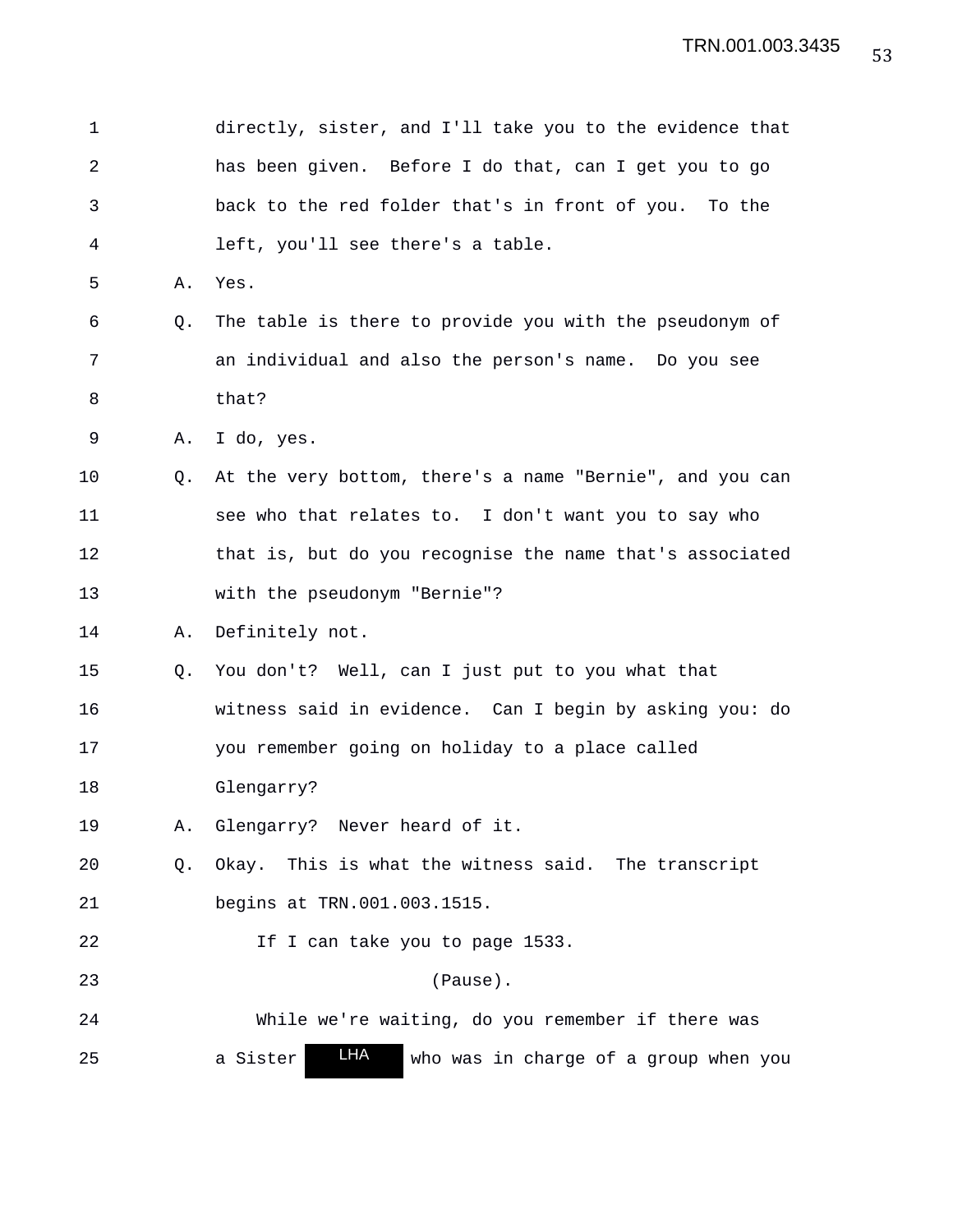| $\mathbf 1$    |    | directly, sister, and I'll take you to the evidence that |
|----------------|----|----------------------------------------------------------|
| $\overline{2}$ |    | has been given. Before I do that, can I get you to go    |
| 3              |    | back to the red folder that's in front of you. To the    |
| 4              |    | left, you'll see there's a table.                        |
| 5              | Α. | Yes.                                                     |
| 6              | Q. | The table is there to provide you with the pseudonym of  |
| 7              |    | an individual and also the person's name. Do you see     |
| 8              |    | that?                                                    |
| 9              | Α. | I do, yes.                                               |
| 10             | O. | At the very bottom, there's a name "Bernie", and you can |
| 11             |    | see who that relates to. I don't want you to say who     |
| 12             |    | that is, but do you recognise the name that's associated |
| 13             |    | with the pseudonym "Bernie"?                             |
| 14             | Α. | Definitely not.                                          |
| 15             | Q. | You don't? Well, can I just put to you what that         |
| 16             |    | witness said in evidence. Can I begin by asking you: do  |
| 17             |    | you remember going on holiday to a place called          |
| 18             |    | Glengarry?                                               |
| 19             | Α. | Glengarry? Never heard of it.                            |
| 20             | Q. | Okay. This is what the witness said. The transcript      |
| 21             |    | begins at TRN.001.003.1515.                              |
| 22             |    | If I can take you to page 1533.                          |
| 23             |    | (Pause).                                                 |
| 24             |    | While we're waiting, do you remember if there was        |
| 25             |    | LHA<br>a Sister<br>who was in charge of a group when you |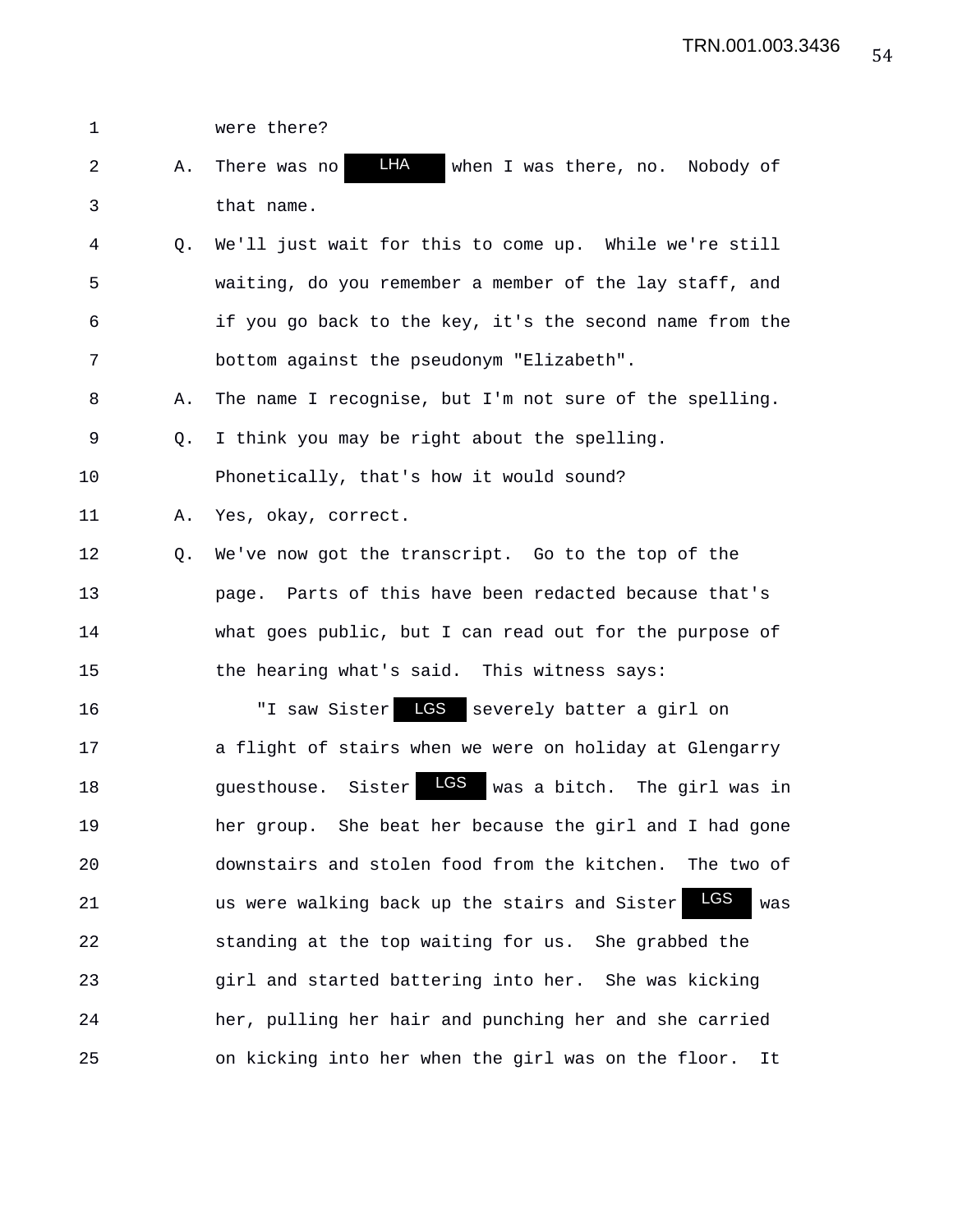1 were there? 2 A. There was no **LHA** when I was there, no. Nobody of 3 that name. 4 Q. We'll just wait for this to come up. While we're still 5 waiting, do you remember a member of the lay staff, and 6 if you go back to the key, it's the second name from the 7 bottom against the pseudonym "Elizabeth". 8 A. The name I recognise, but I'm not sure of the spelling. 9 Q. I think you may be right about the spelling. 10 Phonetically, that's how it would sound? 11 A. Yes, okay, correct. 12 Q. We've now got the transcript. Go to the top of the 13 page. Parts of this have been redacted because that's 14 what goes public, but I can read out for the purpose of 15 the hearing what's said. This witness says: 16 "I saw Sister LGS severely batter a girl on 17 a flight of stairs when we were on holiday at Glengarry 18 guesthouse. Sister was a bitch. The girl was in LGS19 her group. She beat her because the girl and I had gone 20 downstairs and stolen food from the kitchen. The two of 21 **us were walking back up the stairs and Sister LGS** was 22 standing at the top waiting for us. She grabbed the 23 girl and started battering into her. She was kicking 24 her, pulling her hair and punching her and she carried 25 on kicking into her when the girl was on the floor. It LHA LGS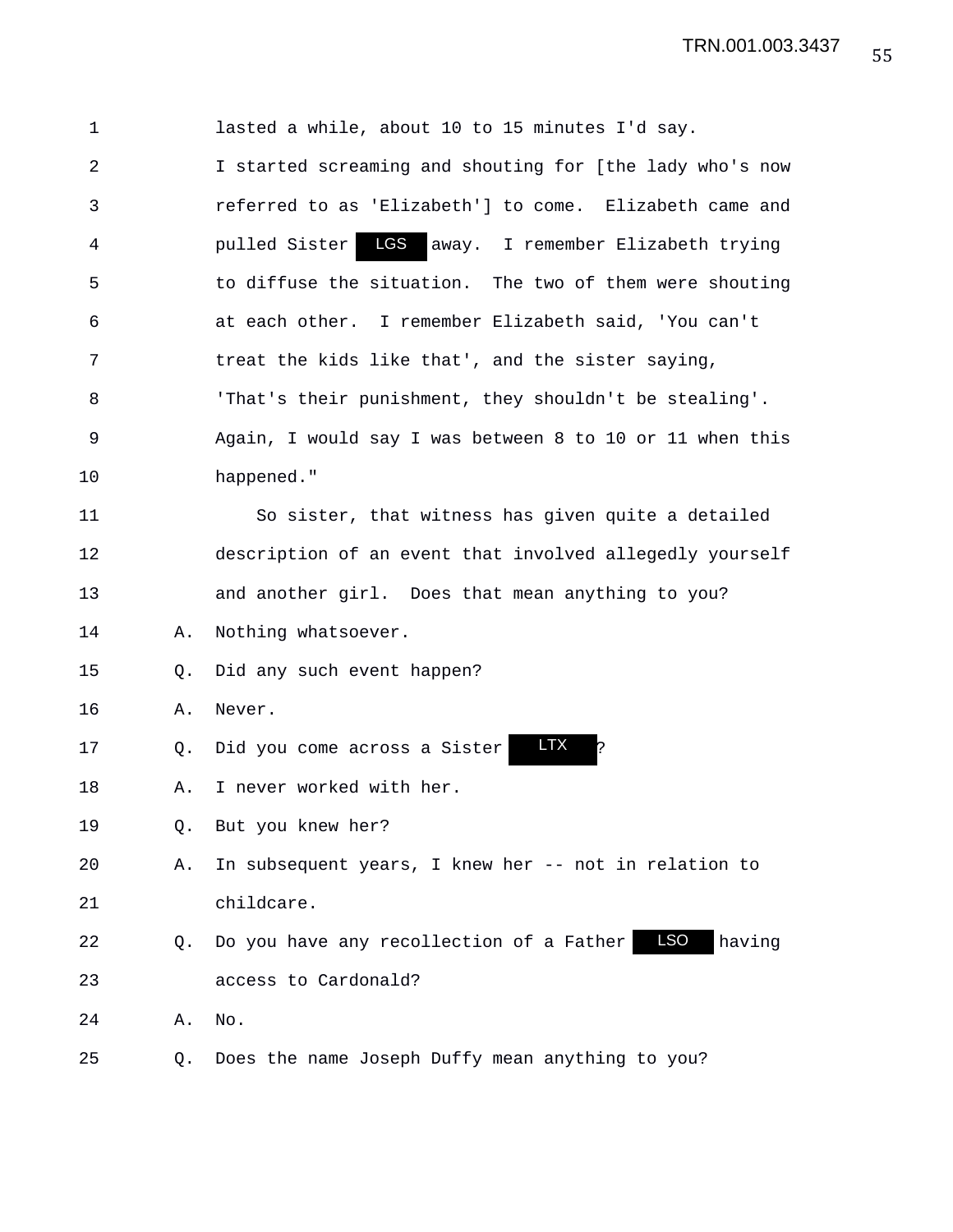| $\mathbf 1$ |    | lasted a while, about 10 to 15 minutes I'd say.                  |
|-------------|----|------------------------------------------------------------------|
| 2           |    | I started screaming and shouting for [the lady who's now         |
| 3           |    | referred to as 'Elizabeth'] to come. Elizabeth came and          |
| 4           |    | LGS<br>pulled Sister<br>away. I remember Elizabeth trying        |
| 5           |    | to diffuse the situation. The two of them were shouting          |
| 6           |    | at each other. I remember Elizabeth said, 'You can't             |
| 7           |    | treat the kids like that', and the sister saying,                |
| 8           |    | 'That's their punishment, they shouldn't be stealing'.           |
| 9           |    | Again, I would say I was between 8 to 10 or 11 when this         |
| 10          |    | happened."                                                       |
| 11          |    | So sister, that witness has given quite a detailed               |
| 12          |    | description of an event that involved allegedly yourself         |
| 13          |    | and another girl. Does that mean anything to you?                |
| 14          | Α. | Nothing whatsoever.                                              |
| 15          | Q. | Did any such event happen?                                       |
| 16          | Α. | Never.                                                           |
| 17          | Q. | <b>LTX</b><br>Did you come across a Sister                       |
| 18          | Α. | I never worked with her.                                         |
| 19          | О. | But you knew her?                                                |
| 20          | Α. | In subsequent years, I knew her -- not in relation to            |
| 21          |    | childcare.                                                       |
| 22          | Q. | <b>LSO</b><br>having<br>Do you have any recollection of a Father |
| 23          |    | access to Cardonald?                                             |
| 24          | Α. | No.                                                              |
| 25          | Q. | Does the name Joseph Duffy mean anything to you?                 |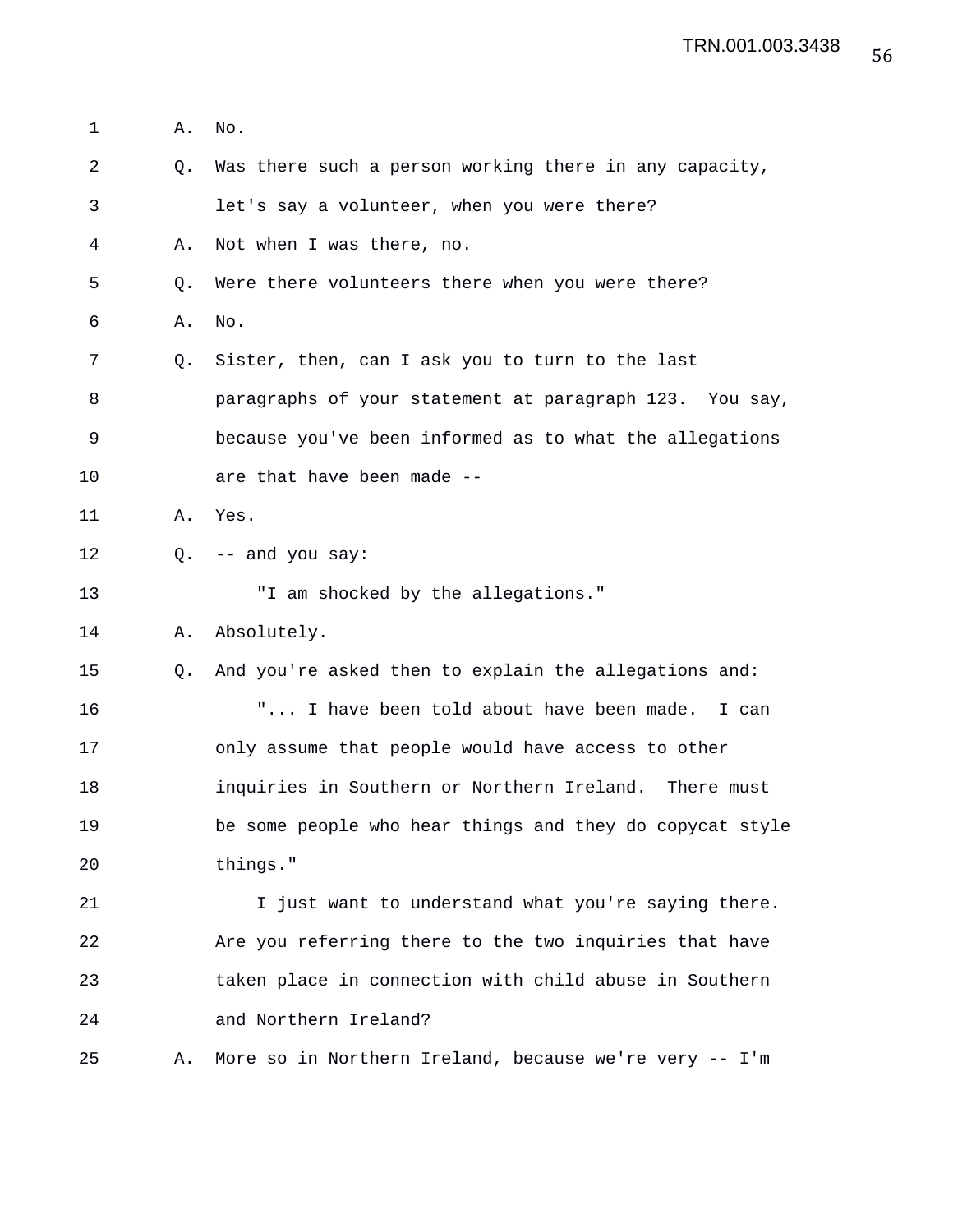1 A. No. 2 Q. Was there such a person working there in any capacity, 3 let's say a volunteer, when you were there? 4 A. Not when I was there, no. 5 Q. Were there volunteers there when you were there? 6 A. No. 7 Q. Sister, then, can I ask you to turn to the last 8 paragraphs of your statement at paragraph 123. You say, 9 because you've been informed as to what the allegations 10 are that have been made -- 11 A. Yes. 12 Q. -- and you say: 13 T am shocked by the allegations." 14 A. Absolutely. 15 Q. And you're asked then to explain the allegations and: 16 "... I have been told about have been made. I can 17 only assume that people would have access to other 18 inquiries in Southern or Northern Ireland. There must 19 be some people who hear things and they do copycat style 20 things." 21 I just want to understand what you're saying there. 22 Are you referring there to the two inquiries that have 23 taken place in connection with child abuse in Southern 24 and Northern Ireland? 25 A. More so in Northern Ireland, because we're very -- I'm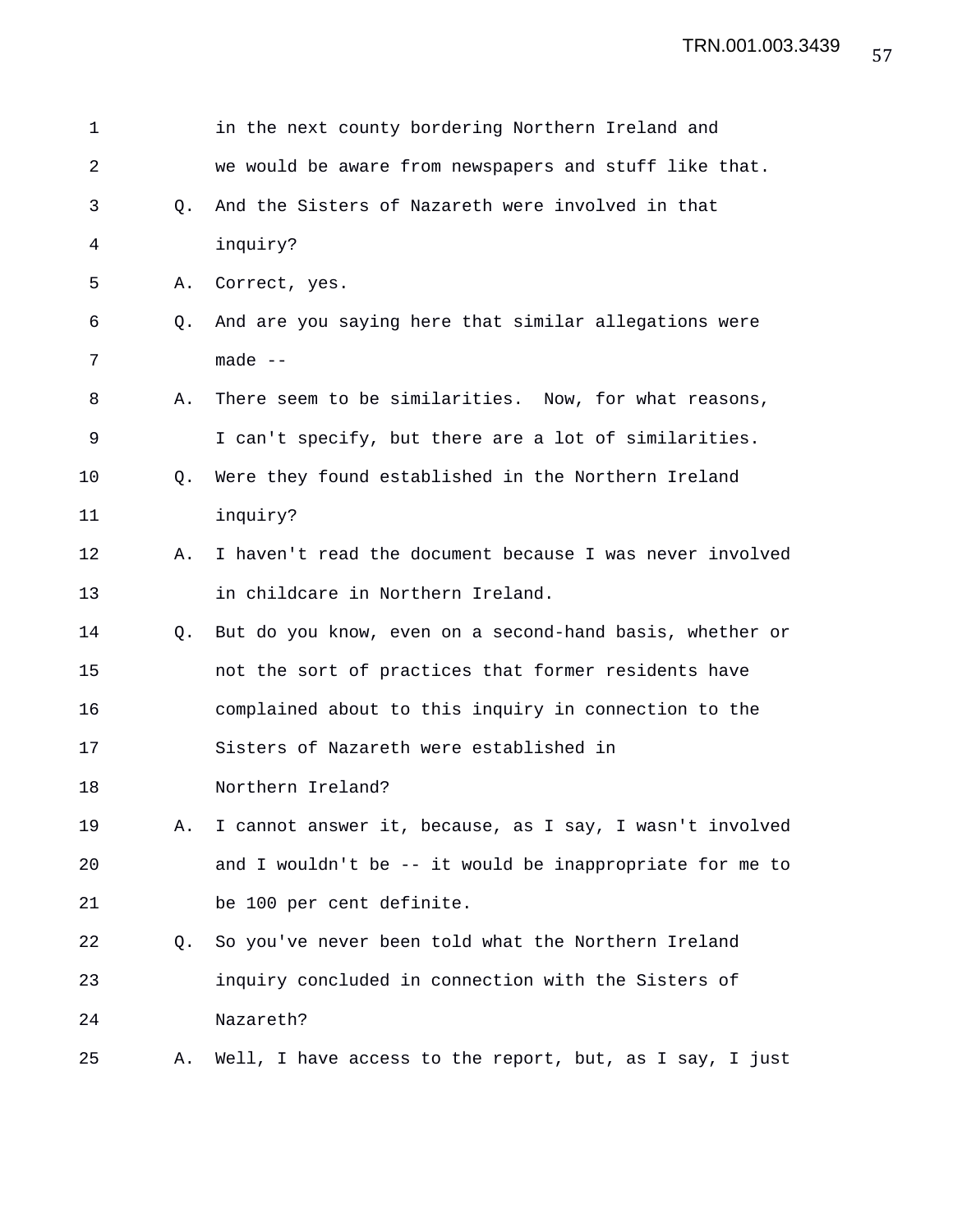| 1  |    | in the next county bordering Northern Ireland and        |
|----|----|----------------------------------------------------------|
| 2  |    | we would be aware from newspapers and stuff like that.   |
| 3  | Q. | And the Sisters of Nazareth were involved in that        |
| 4  |    | inquiry?                                                 |
| 5  | Α. | Correct, yes.                                            |
| 6  | Q. | And are you saying here that similar allegations were    |
| 7  |    | made $--$                                                |
| 8  | Α. | There seem to be similarities. Now, for what reasons,    |
| 9  |    | I can't specify, but there are a lot of similarities.    |
| 10 | O. | Were they found established in the Northern Ireland      |
| 11 |    | inquiry?                                                 |
| 12 | Α. | I haven't read the document because I was never involved |
| 13 |    | in childcare in Northern Ireland.                        |
| 14 | Q. | But do you know, even on a second-hand basis, whether or |
| 15 |    | not the sort of practices that former residents have     |
| 16 |    | complained about to this inquiry in connection to the    |
| 17 |    | Sisters of Nazareth were established in                  |
| 18 |    | Northern Ireland?                                        |
| 19 | Α. | I cannot answer it, because, as I say, I wasn't involved |
| 20 |    | and I wouldn't be -- it would be inappropriate for me to |
| 21 |    | be 100 per cent definite.                                |
| 22 | Q. | So you've never been told what the Northern Ireland      |
| 23 |    | inquiry concluded in connection with the Sisters of      |
| 24 |    | Nazareth?                                                |
| 25 | Α. | Well, I have access to the report, but, as I say, I just |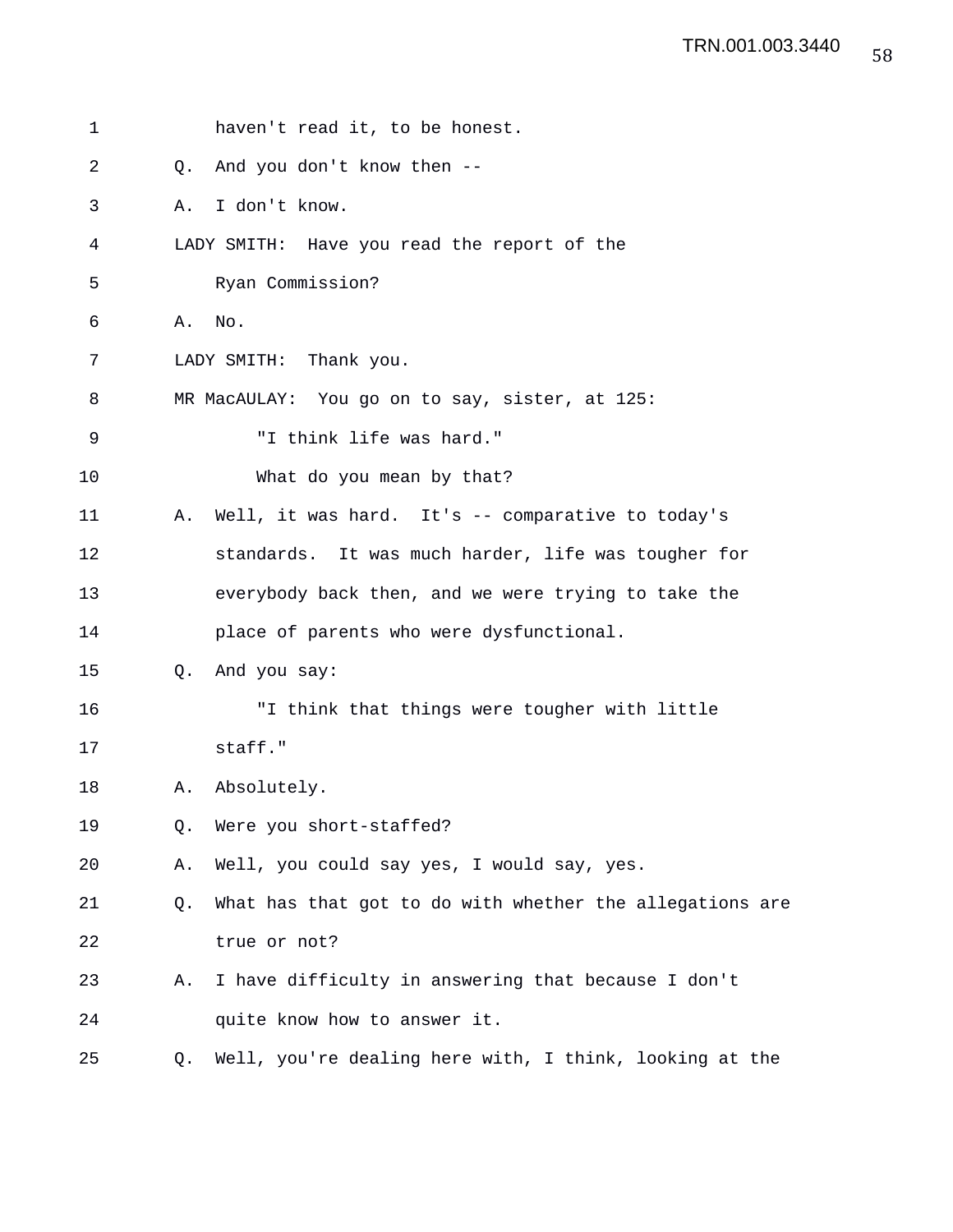| 1  | haven't read it, to be honest.                                 |
|----|----------------------------------------------------------------|
| 2  | And you don't know then --<br>Q <sub>z</sub>                   |
| 3  | I don't know.<br>Α.                                            |
| 4  | LADY SMITH: Have you read the report of the                    |
| 5  | Ryan Commission?                                               |
| 6  | No.<br>Α.                                                      |
| 7  | LADY SMITH: Thank you.                                         |
| 8  | MR MacAULAY: You go on to say, sister, at 125:                 |
| 9  | "I think life was hard."                                       |
| 10 | What do you mean by that?                                      |
| 11 | Well, it was hard. It's -- comparative to today's<br>Α.        |
| 12 | standards. It was much harder, life was tougher for            |
| 13 | everybody back then, and we were trying to take the            |
| 14 | place of parents who were dysfunctional.                       |
| 15 | And you say:<br>Q <sub>z</sub>                                 |
| 16 | "I think that things were tougher with little                  |
| 17 | staff."                                                        |
| 18 | Absolutely.<br>Α.                                              |
| 19 | Were you short-staffed?<br>Q.                                  |
| 20 | Well, you could say yes, I would say, yes.<br>Α.               |
| 21 | What has that got to do with whether the allegations are<br>Q. |
| 22 | true or not?                                                   |
| 23 | I have difficulty in answering that because I don't<br>Α.      |
| 24 | quite know how to answer it.                                   |
| 25 | Well, you're dealing here with, I think, looking at the<br>Q.  |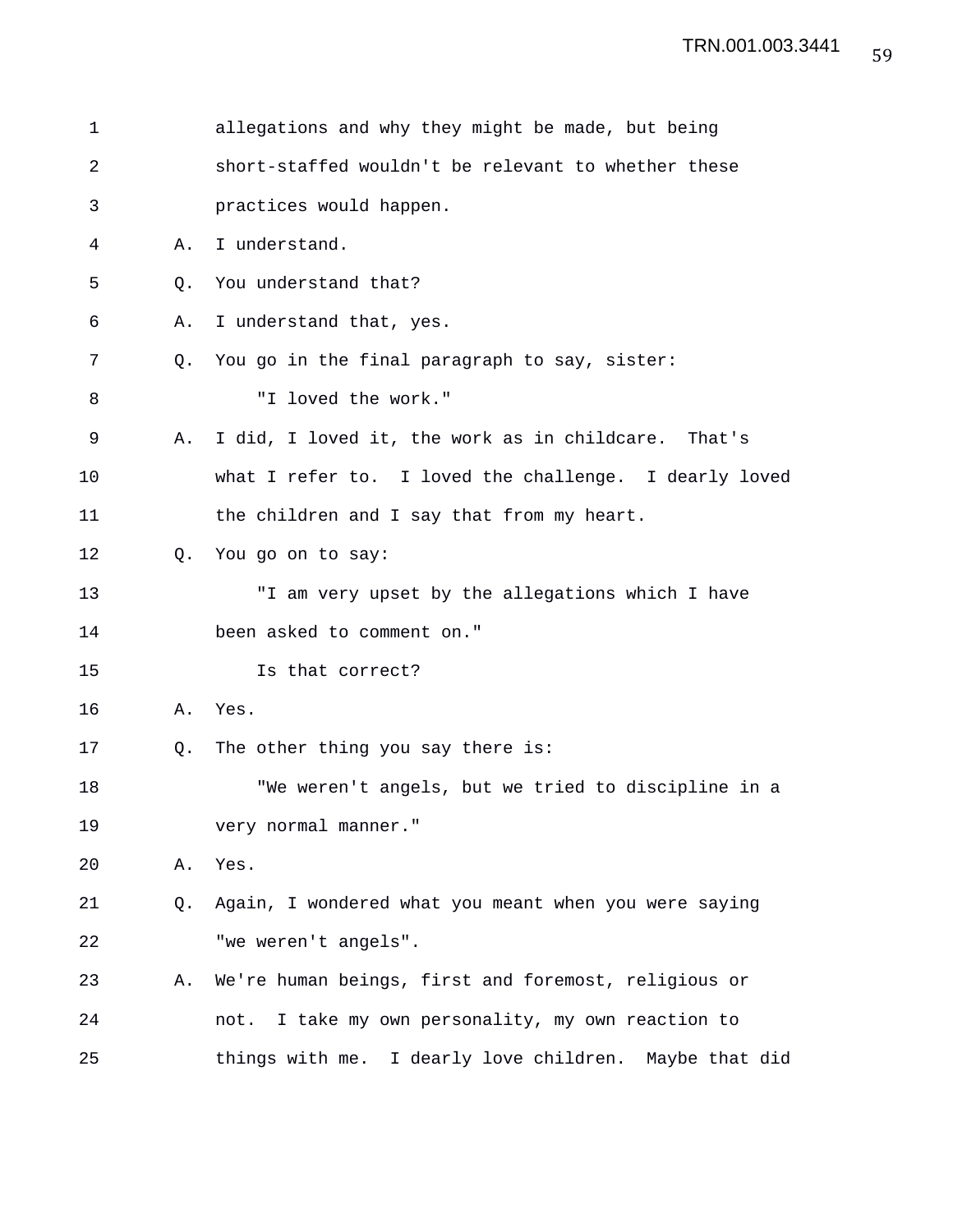| 1  |    | allegations and why they might be made, but being      |
|----|----|--------------------------------------------------------|
| 2  |    | short-staffed wouldn't be relevant to whether these    |
| 3  |    | practices would happen.                                |
| 4  | Α. | I understand.                                          |
| 5  | Q. | You understand that?                                   |
| 6  | Α. | I understand that, yes.                                |
| 7  | 0. | You go in the final paragraph to say, sister:          |
| 8  |    | "I loved the work."                                    |
| 9  | Α. | I did, I loved it, the work as in childcare. That's    |
| 10 |    | what I refer to. I loved the challenge. I dearly loved |
| 11 |    | the children and I say that from my heart.             |
| 12 | Q. | You go on to say:                                      |
| 13 |    | "I am very upset by the allegations which I have       |
| 14 |    | been asked to comment on."                             |
| 15 |    | Is that correct?                                       |
| 16 | Α. | Yes.                                                   |
| 17 | O. | The other thing you say there is:                      |
| 18 |    | "We weren't angels, but we tried to discipline in a    |
| 19 |    | very normal manner."                                   |
| 20 | Α. | Yes.                                                   |
| 21 | Q. | Again, I wondered what you meant when you were saying  |
| 22 |    | "we weren't angels".                                   |
| 23 | Α. | We're human beings, first and foremost, religious or   |
| 24 |    | not. I take my own personality, my own reaction to     |
| 25 |    | things with me. I dearly love children. Maybe that did |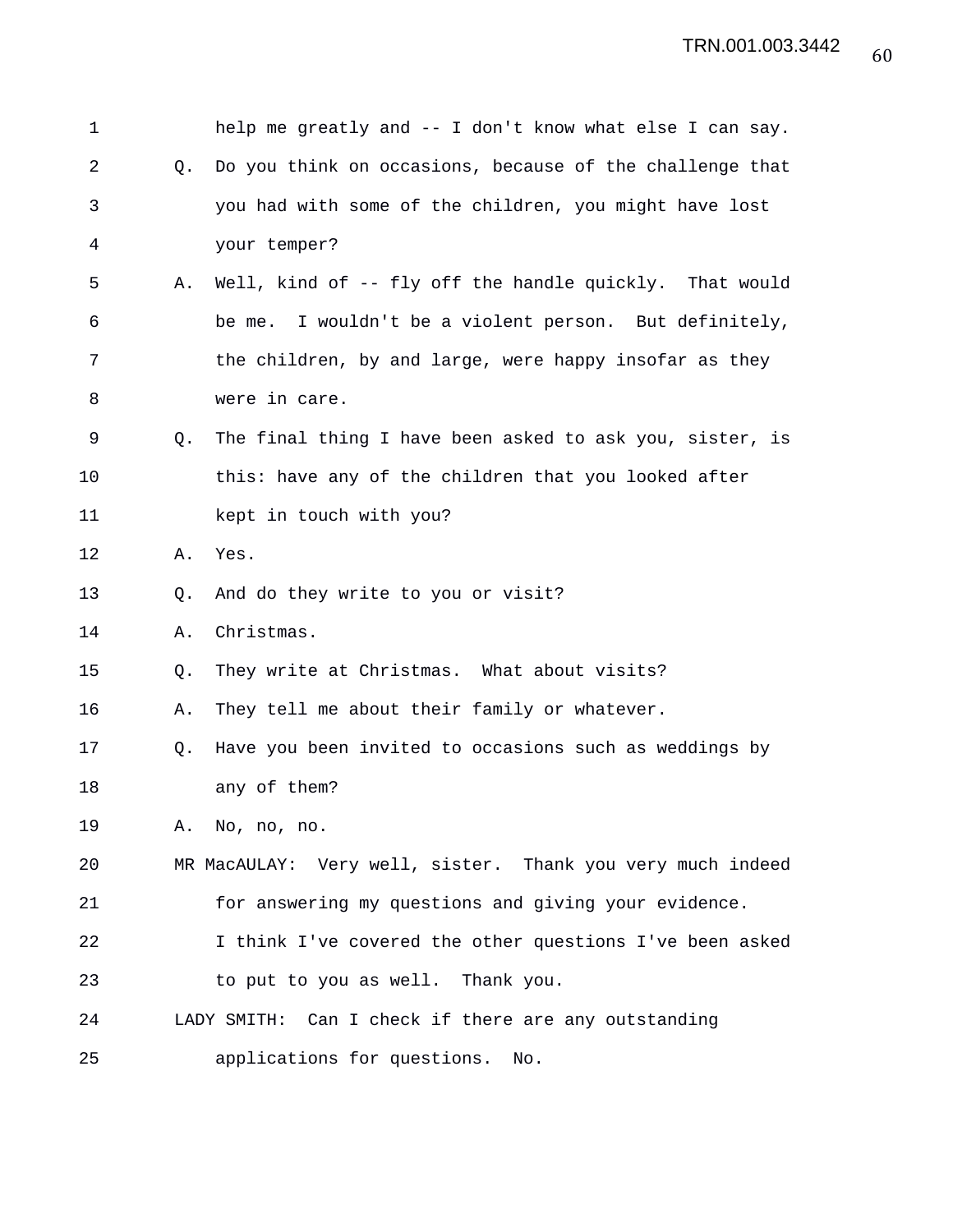| 1  |    | help me greatly and -- I don't know what else I can say.   |
|----|----|------------------------------------------------------------|
| 2  | Q. | Do you think on occasions, because of the challenge that   |
| 3  |    | you had with some of the children, you might have lost     |
| 4  |    | your temper?                                               |
| 5  | Α. | Well, kind of -- fly off the handle quickly. That would    |
| 6  |    | be me. I wouldn't be a violent person. But definitely,     |
| 7  |    | the children, by and large, were happy insofar as they     |
| 8  |    | were in care.                                              |
| 9  | Q. | The final thing I have been asked to ask you, sister, is   |
| 10 |    | this: have any of the children that you looked after       |
| 11 |    | kept in touch with you?                                    |
| 12 | Α. | Yes.                                                       |
| 13 | Q. | And do they write to you or visit?                         |
| 14 | Α. | Christmas.                                                 |
| 15 | Q. | They write at Christmas. What about visits?                |
| 16 | Α. | They tell me about their family or whatever.               |
| 17 | Q. | Have you been invited to occasions such as weddings by     |
| 18 |    | any of them?                                               |
| 19 |    | A. No, no, no.                                             |
| 20 |    | MR MacAULAY: Very well, sister. Thank you very much indeed |
| 21 |    | for answering my questions and giving your evidence.       |
| 22 |    | I think I've covered the other questions I've been asked   |
| 23 |    | to put to you as well. Thank you.                          |
| 24 |    | LADY SMITH: Can I check if there are any outstanding       |
| 25 |    | applications for questions.<br>No.                         |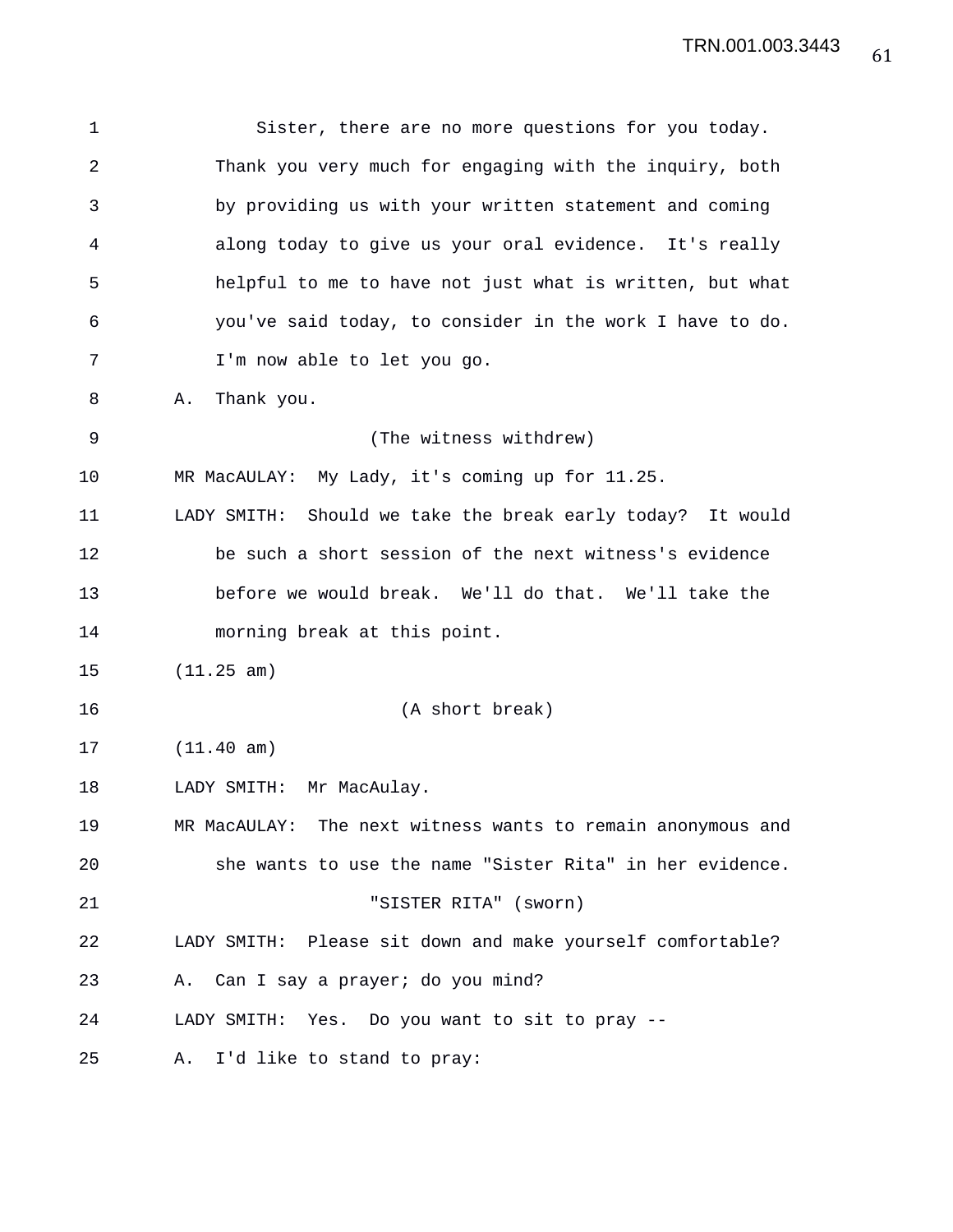1 Sister, there are no more questions for you today. 2 Thank you very much for engaging with the inquiry, both 3 by providing us with your written statement and coming 4 along today to give us your oral evidence. It's really 5 helpful to me to have not just what is written, but what 6 you've said today, to consider in the work I have to do. 7 I'm now able to let you go. 8 A. Thank you. 9 (The witness withdrew) 10 MR MacAULAY: My Lady, it's coming up for 11.25. 11 LADY SMITH: Should we take the break early today? It would 12 be such a short session of the next witness's evidence 13 before we would break. We'll do that. We'll take the 14 morning break at this point. 15 (11.25 am) 16 (A short break) 17 (11.40 am) 18 LADY SMITH: Mr MacAulay. 19 MR MacAULAY: The next witness wants to remain anonymous and 20 she wants to use the name "Sister Rita" in her evidence. 21 "SISTER RITA" (sworn) 22 LADY SMITH: Please sit down and make yourself comfortable? 23 A. Can I say a prayer; do you mind? 24 LADY SMITH: Yes. Do you want to sit to pray -- 25 A. I'd like to stand to pray: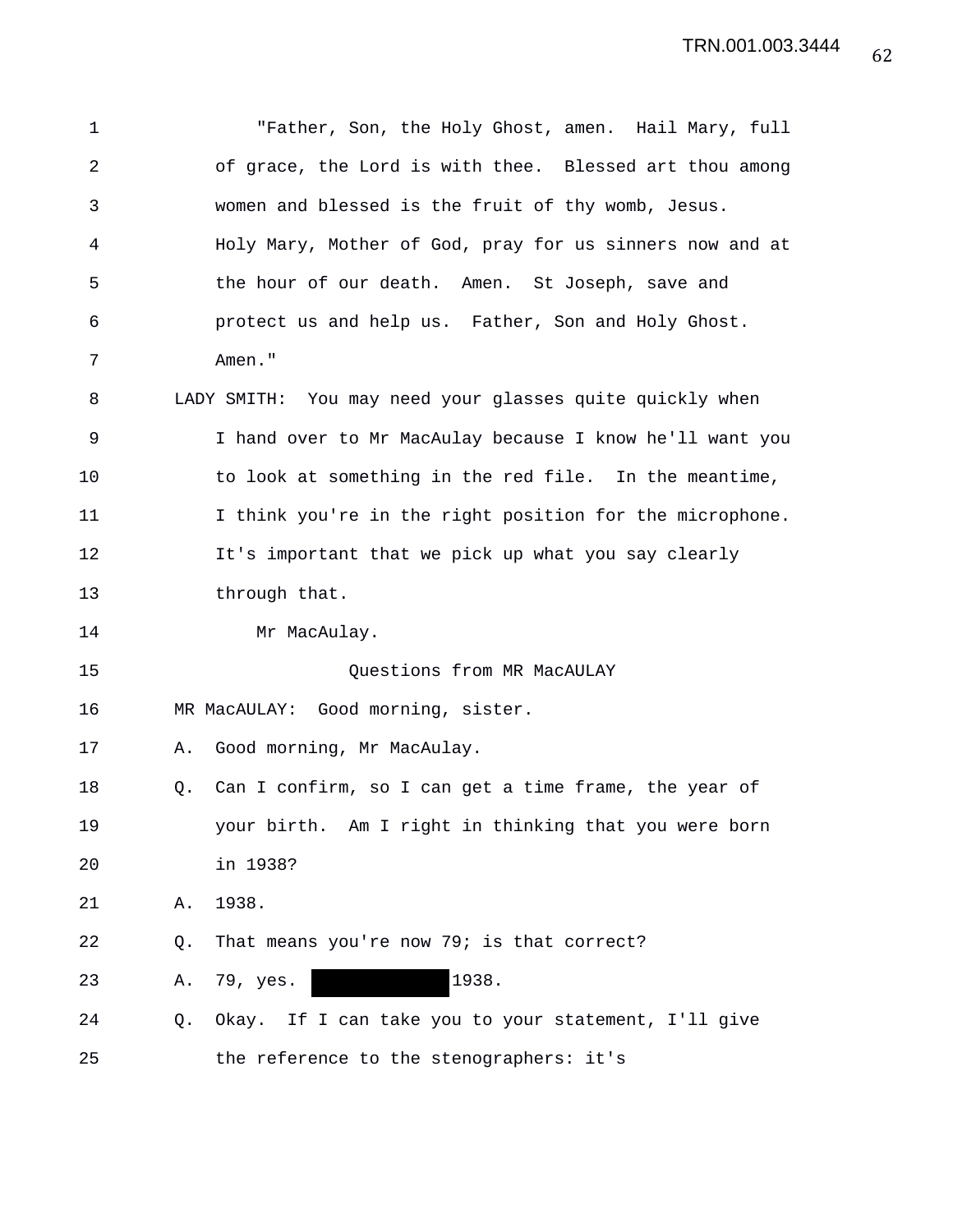| 1  |    | "Father, Son, the Holy Ghost, amen. Hail Mary, full      |
|----|----|----------------------------------------------------------|
| 2  |    | of grace, the Lord is with thee. Blessed art thou among  |
| 3  |    | women and blessed is the fruit of thy womb, Jesus.       |
| 4  |    | Holy Mary, Mother of God, pray for us sinners now and at |
| 5  |    | the hour of our death. Amen. St Joseph, save and         |
| 6  |    | protect us and help us. Father, Son and Holy Ghost.      |
| 7  |    | Amen."                                                   |
| 8  |    | LADY SMITH: You may need your glasses quite quickly when |
| 9  |    | I hand over to Mr MacAulay because I know he'll want you |
| 10 |    | to look at something in the red file. In the meantime,   |
| 11 |    | I think you're in the right position for the microphone. |
| 12 |    | It's important that we pick up what you say clearly      |
| 13 |    | through that.                                            |
| 14 |    | Mr MacAulay.                                             |
| 15 |    | Questions from MR MacAULAY                               |
| 16 |    | MR MacAULAY: Good morning, sister.                       |
| 17 | Α. | Good morning, Mr MacAulay.                               |
| 18 | Q. | Can I confirm, so I can get a time frame, the year of    |
| 19 |    | your birth. Am I right in thinking that you were born    |
| 20 |    | in 1938?                                                 |
| 21 | Α. | 1938.                                                    |
| 22 | Q. | That means you're now 79; is that correct?               |
| 23 | Α. | 1938.<br>79, yes.                                        |
| 24 | Q. | Okay. If I can take you to your statement, I'll give     |
| 25 |    | the reference to the stenographers: it's                 |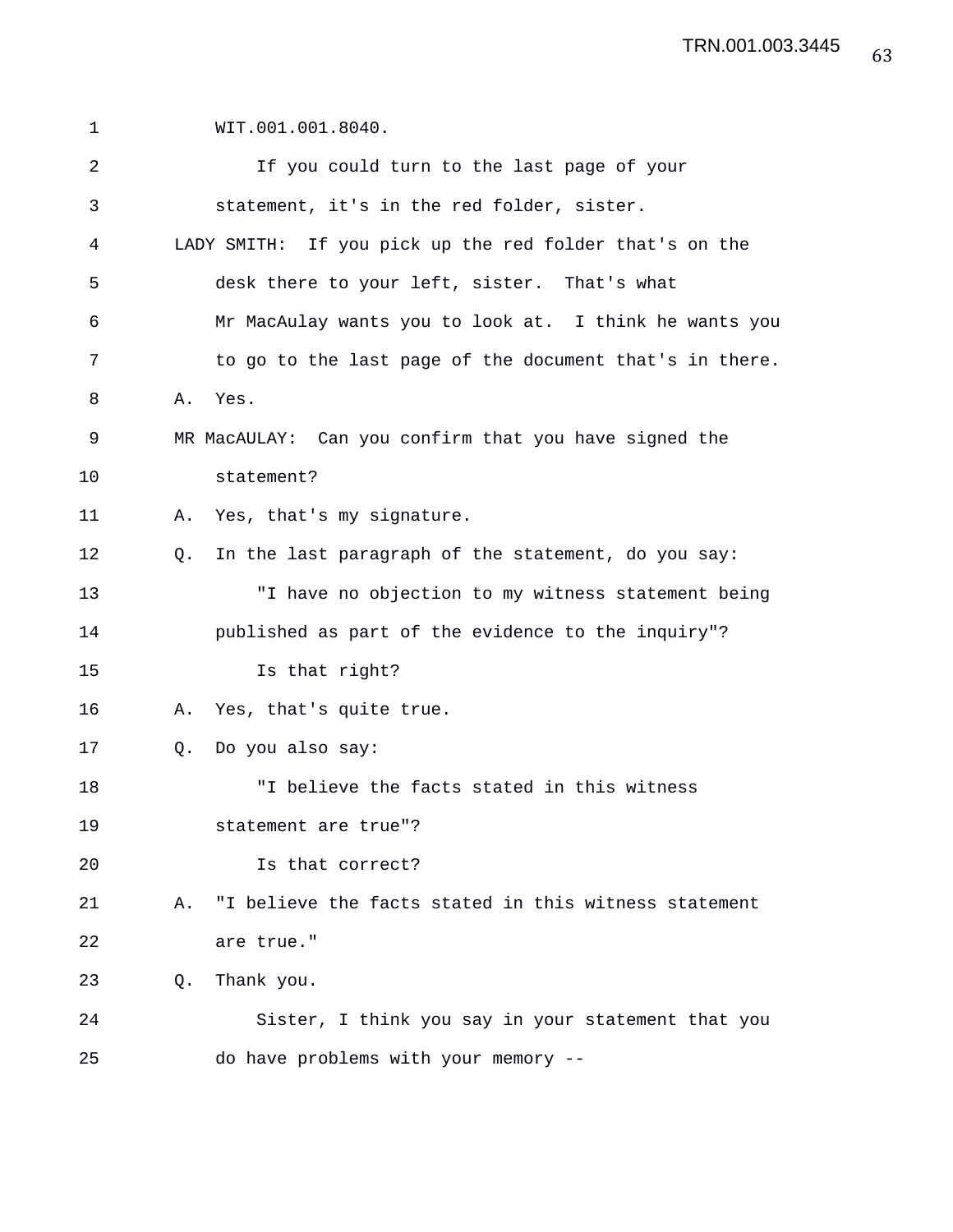| 1  |    | WIT.001.001.8040.                                       |
|----|----|---------------------------------------------------------|
| 2  |    | If you could turn to the last page of your              |
| 3  |    | statement, it's in the red folder, sister.              |
| 4  |    | LADY SMITH: If you pick up the red folder that's on the |
| 5  |    | desk there to your left, sister. That's what            |
| 6  |    | Mr MacAulay wants you to look at. I think he wants you  |
| 7  |    | to go to the last page of the document that's in there. |
| 8  |    | A. Yes.                                                 |
| 9  |    | MR MacAULAY: Can you confirm that you have signed the   |
| 10 |    | statement?                                              |
| 11 | Α. | Yes, that's my signature.                               |
| 12 | О. | In the last paragraph of the statement, do you say:     |
| 13 |    | "I have no objection to my witness statement being      |
| 14 |    | published as part of the evidence to the inquiry"?      |
| 15 |    | Is that right?                                          |
| 16 |    | A. Yes, that's quite true.                              |
| 17 | Q. | Do you also say:                                        |
| 18 |    | "I believe the facts stated in this witness             |
| 19 |    | statement are true"?                                    |
| 20 |    | Is that correct?                                        |
| 21 | Α. | "I believe the facts stated in this witness statement   |
| 22 |    | are true."                                              |
| 23 | Q. | Thank you.                                              |
| 24 |    | Sister, I think you say in your statement that you      |
| 25 |    | do have problems with your memory --                    |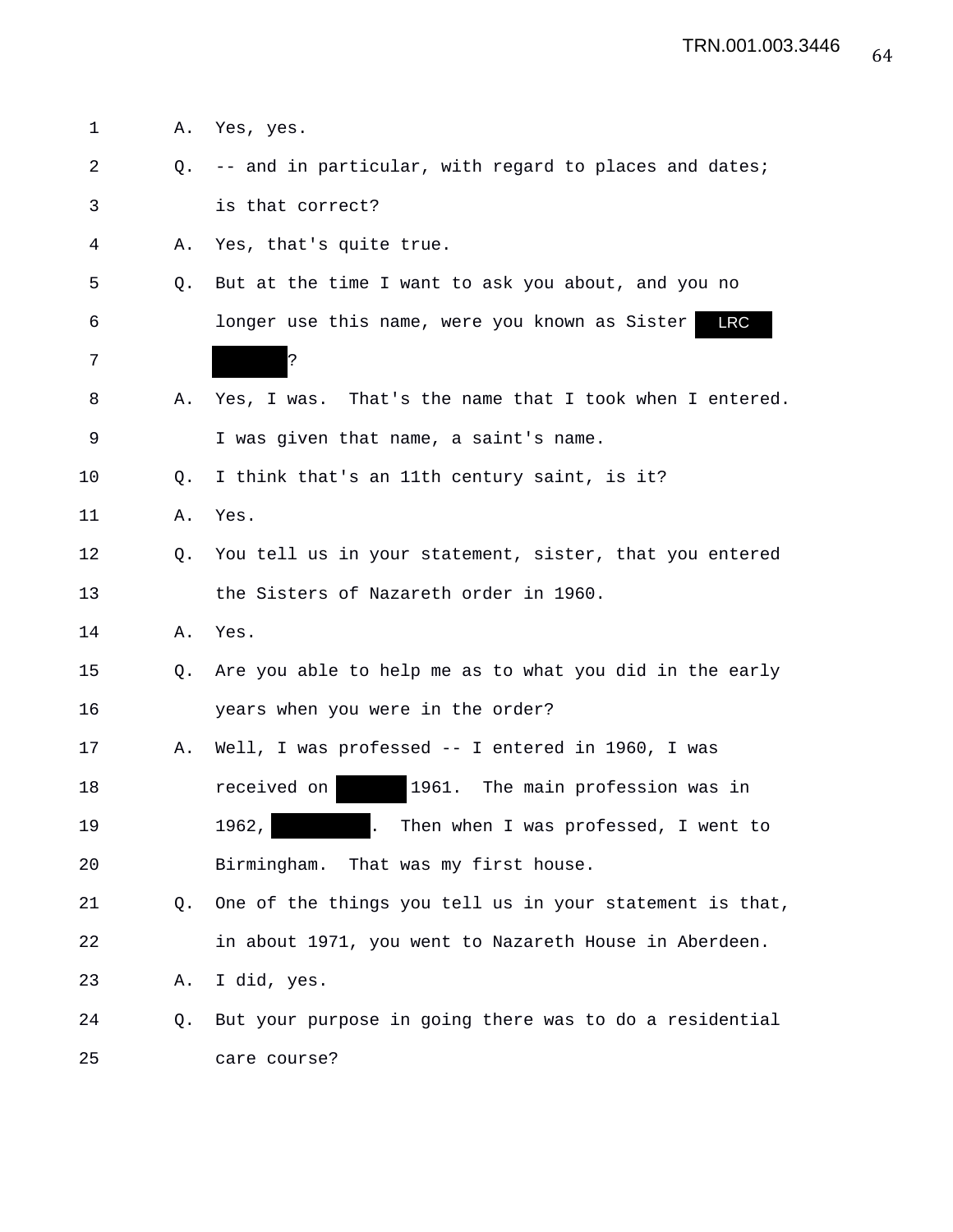1 A. Yes, yes. 2 Q. -- and in particular, with regard to places and dates; 3 is that correct? 4 A. Yes, that's quite true. 5 Q. But at the time I want to ask you about, and you no 6 longer use this name, were you known as Sister 7 ? 8 A. Yes, I was. That's the name that I took when I entered. 9 I was given that name, a saint's name. 10 Q. I think that's an 11th century saint, is it? 11 A. Yes. 12 Q. You tell us in your statement, sister, that you entered 13 the Sisters of Nazareth order in 1960. 14 A. Yes. 15 Q. Are you able to help me as to what you did in the early 16 years when you were in the order? 17 A. Well, I was professed -- I entered in 1960, I was 18 **18** received on 1961. The main profession was in 19 1962, . Then when I was professed, I went to 20 Birmingham. That was my first house. 21 Q. One of the things you tell us in your statement is that, 22 in about 1971, you went to Nazareth House in Aberdeen. 23 A. I did, yes. 24 Q. But your purpose in going there was to do a residential 25 care course? LRC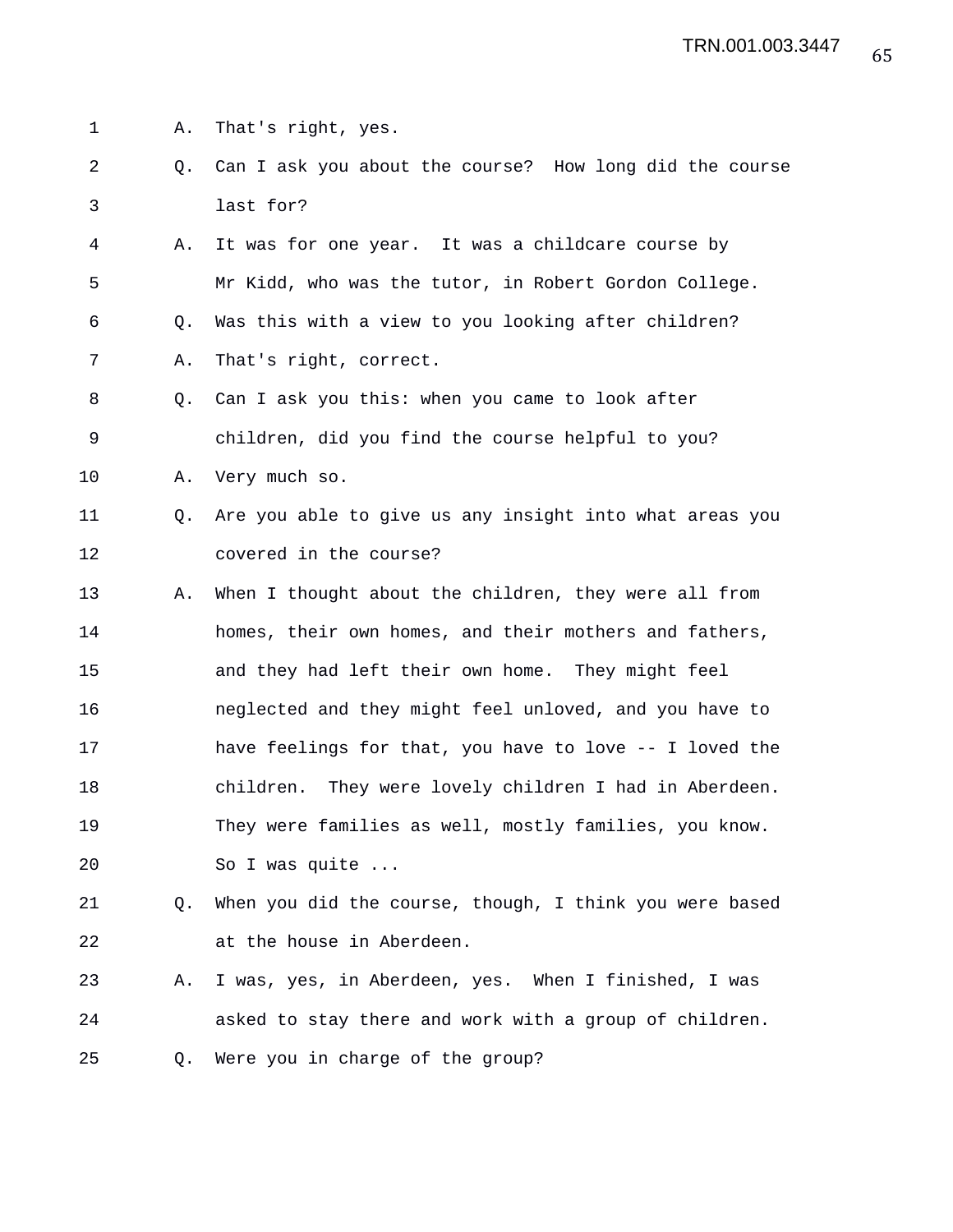1 A. That's right, yes.

- 2 Q. Can I ask you about the course? How long did the course 3 last for?
- 4 A. It was for one year. It was a childcare course by 5 Mr Kidd, who was the tutor, in Robert Gordon College. 6 Q. Was this with a view to you looking after children? 7 A. That's right, correct.
- 8 Q. Can I ask you this: when you came to look after 9 children, did you find the course helpful to you?
- 10 A. Very much so.
- 11 Q. Are you able to give us any insight into what areas you 12 covered in the course?
- 13 A. When I thought about the children, they were all from 14 homes, their own homes, and their mothers and fathers, 15 and they had left their own home. They might feel 16 neglected and they might feel unloved, and you have to 17 have feelings for that, you have to love -- I loved the 18 children. They were lovely children I had in Aberdeen. 19 They were families as well, mostly families, you know. 20 So I was quite ...
- 21 Q. When you did the course, though, I think you were based 22 at the house in Aberdeen.
- 23 A. I was, yes, in Aberdeen, yes. When I finished, I was 24 asked to stay there and work with a group of children. 25 Q. Were you in charge of the group?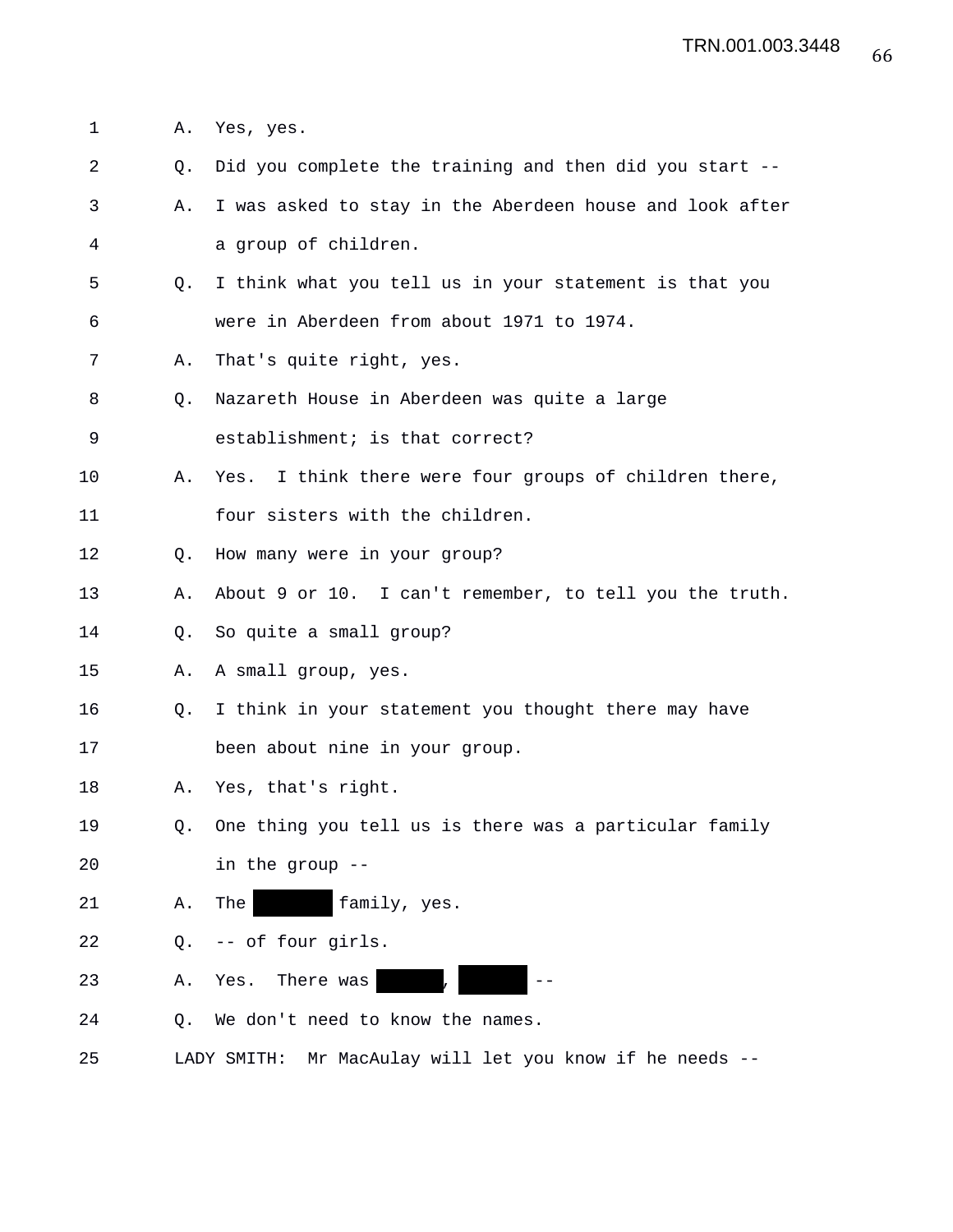1 A. Yes, yes.

- 2 Q. Did you complete the training and then did you start --
- 3 A. I was asked to stay in the Aberdeen house and look after 4 a group of children.
- 5 Q. I think what you tell us in your statement is that you 6 were in Aberdeen from about 1971 to 1974.
- 7 A. That's quite right, yes.
- 8 Q. Nazareth House in Aberdeen was quite a large
- 9 establishment; is that correct?
- 10 A. Yes. I think there were four groups of children there,
- 11 four sisters with the children.
- 12 Q. How many were in your group?
- 13 A. About 9 or 10. I can't remember, to tell you the truth.
- 14 Q. So quite a small group?
- 15 A. A small group, yes.
- 16 Q. I think in your statement you thought there may have
- 17 been about nine in your group.
- 18 A. Yes, that's right.
- 19 Q. One thing you tell us is there was a particular family 20 in the group --
- 21 A. The family, yes.
- 22 Q. -- of four girls.
- 23 A. Yes. There was ,
- 24 Q. We don't need to know the names.
- 25 LADY SMITH: Mr MacAulay will let you know if he needs --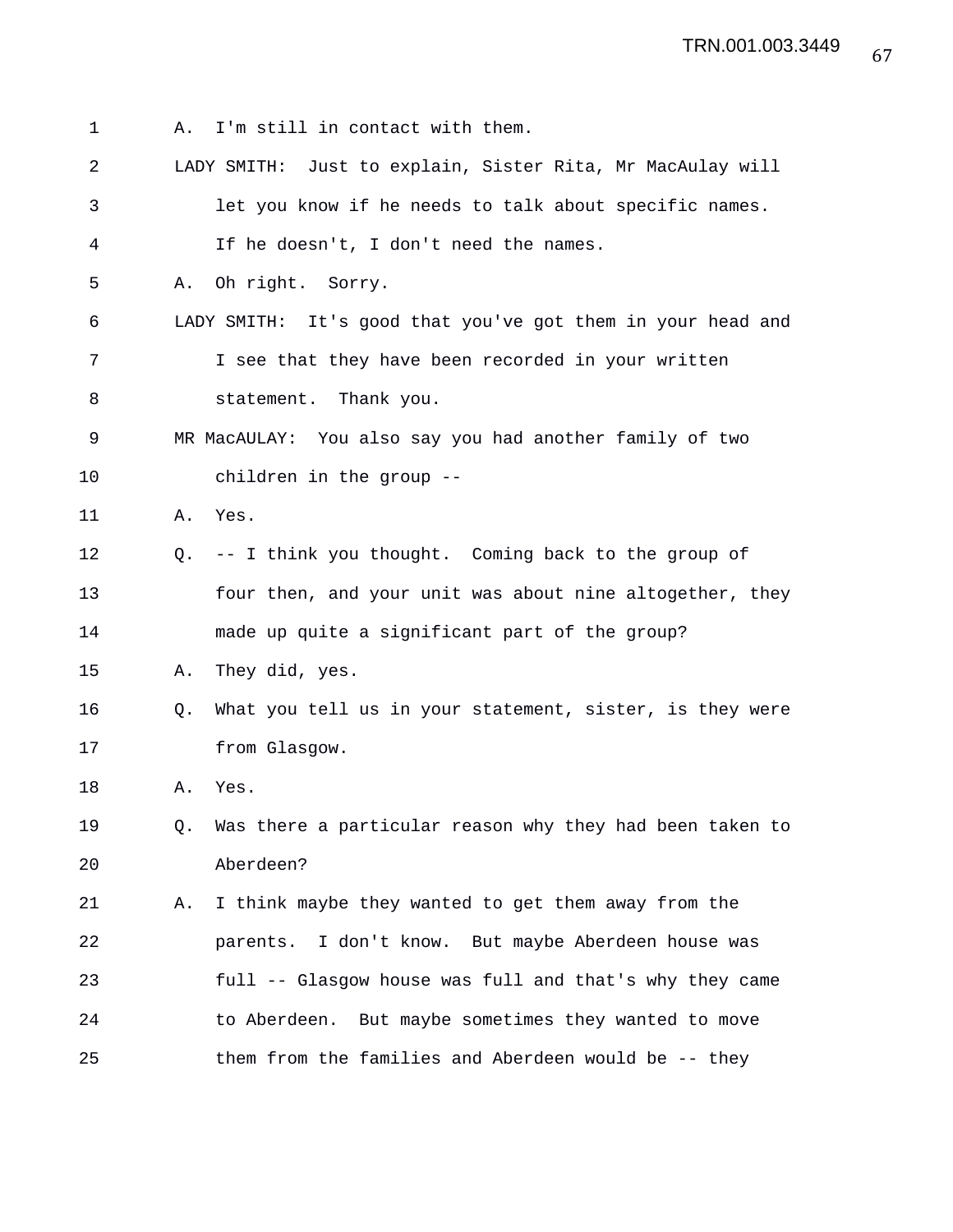1 A. I'm still in contact with them. 2 LADY SMITH: Just to explain, Sister Rita, Mr MacAulay will 3 let you know if he needs to talk about specific names. 4 If he doesn't, I don't need the names. 5 A. Oh right. Sorry. 6 LADY SMITH: It's good that you've got them in your head and 7 I see that they have been recorded in your written 8 statement. Thank you. 9 MR MacAULAY: You also say you had another family of two 10 children in the group -- 11 A. Yes. 12 Q. -- I think you thought. Coming back to the group of 13 four then, and your unit was about nine altogether, they 14 made up quite a significant part of the group? 15 A. They did, yes. 16 Q. What you tell us in your statement, sister, is they were 17 from Glasgow. 18 A. Yes. 19 Q. Was there a particular reason why they had been taken to 20 Aberdeen? 21 A. I think maybe they wanted to get them away from the 22 parents. I don't know. But maybe Aberdeen house was 23 full -- Glasgow house was full and that's why they came 24 to Aberdeen. But maybe sometimes they wanted to move 25 them from the families and Aberdeen would be -- they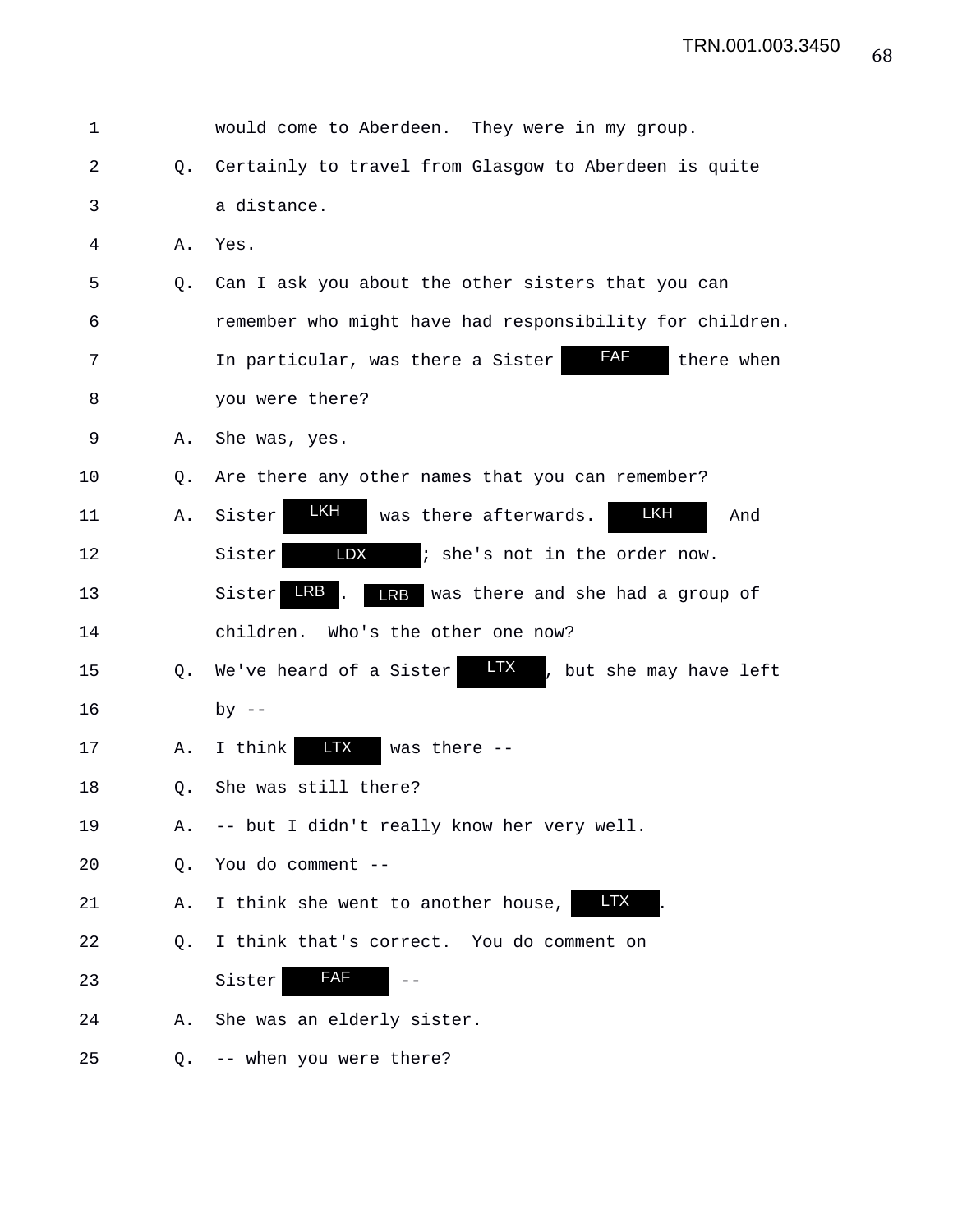| 1  |    | would come to Aberdeen. They were in my group.                   |
|----|----|------------------------------------------------------------------|
| 2  | O. | Certainly to travel from Glasgow to Aberdeen is quite            |
| 3  |    | a distance.                                                      |
| 4  | Α. | Yes.                                                             |
| 5  | Q. | Can I ask you about the other sisters that you can               |
| 6  |    | remember who might have had responsibility for children.         |
| 7  |    | FAF<br>there when<br>In particular, was there a Sister           |
| 8  |    | you were there?                                                  |
| 9  | Α. | She was, yes.                                                    |
| 10 | Q. | Are there any other names that you can remember?                 |
| 11 | Α. | LKH<br>LKH<br>Sister<br>was there afterwards.<br>And             |
| 12 |    | LDX<br>; she's not in the order now.<br>Sister                   |
| 13 |    | LRB<br><b>LRB</b><br>was there and she had a group of<br>Sister  |
| 14 |    | Who's the other one now?<br>children.                            |
| 15 | Q. | <b>LTX</b><br>We've heard of a Sister<br>, but she may have left |
| 16 |    | by $--$                                                          |
| 17 | Α. | <b>LTX</b><br>was there --<br>I think                            |
| 18 | Q. | She was still there?                                             |
| 19 | Α. | -- but I didn't really know her very well.                       |
| 20 | Q. | You do comment --                                                |
| 21 | Α. | LTX<br>I think she went to another house,                        |
| 22 | Q. | I think that's correct. You do comment on                        |
| 23 |    | <b>FAF</b><br>Sister                                             |
| 24 | Α. | She was an elderly sister.                                       |
| 25 | Q. | -- when you were there?                                          |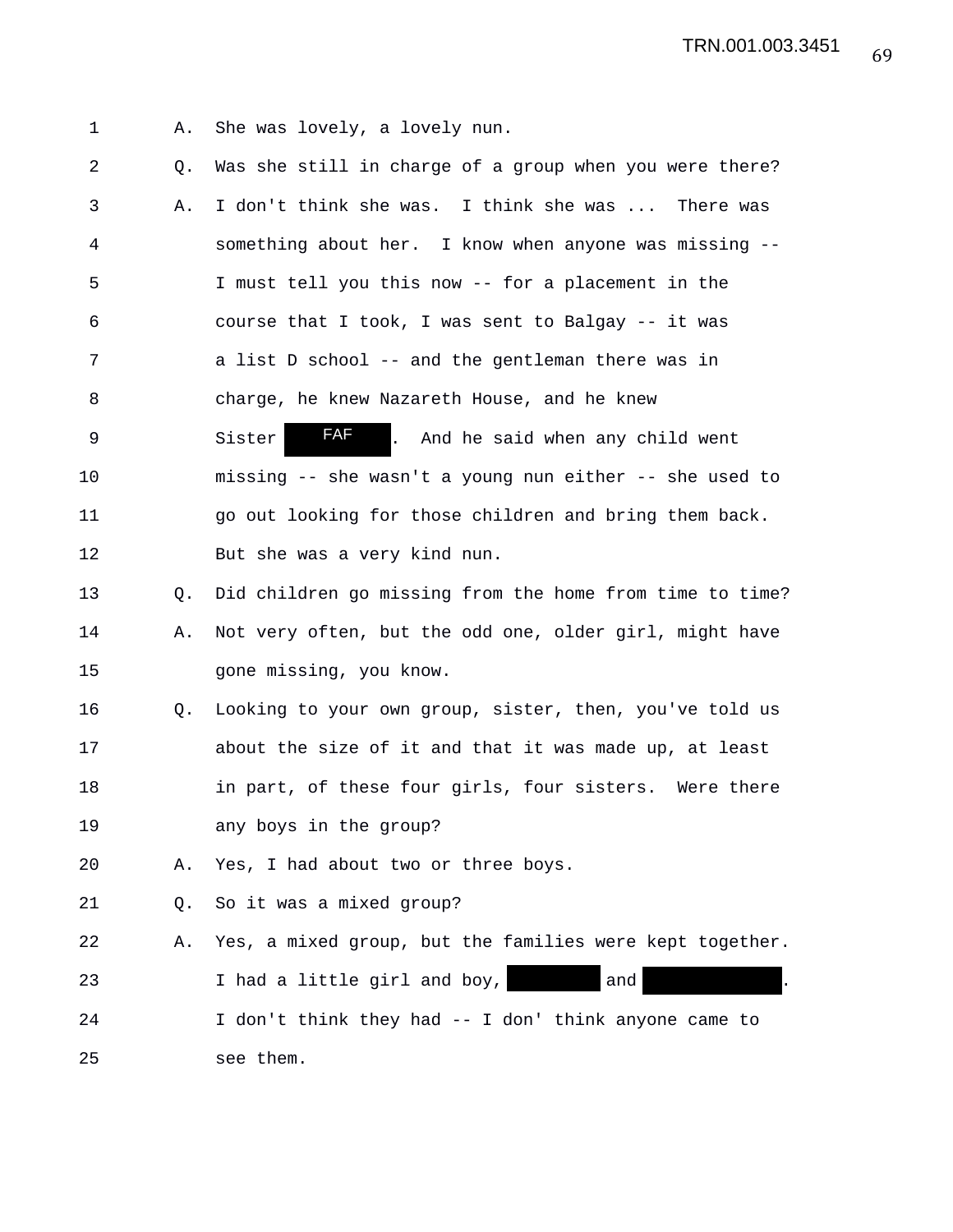1 A. She was lovely, a lovely nun.

2 Q. Was she still in charge of a group when you were there? 3 A. I don't think she was. I think she was ... There was 4 something about her. I know when anyone was missing -- 5 I must tell you this now -- for a placement in the 6 course that I took, I was sent to Balgay -- it was 7 a list D school -- and the gentleman there was in 8 charge, he knew Nazareth House, and he knew 9 Sister **FAF** . And he said when any child went 10 missing -- she wasn't a young nun either -- she used to 11 go out looking for those children and bring them back. 12 But she was a very kind nun. 13 Q. Did children go missing from the home from time to time? 14 A. Not very often, but the odd one, older girl, might have 15 gone missing, you know. 16 Q. Looking to your own group, sister, then, you've told us 17 about the size of it and that it was made up, at least 18 in part, of these four girls, four sisters. Were there 19 any boys in the group? 20 A. Yes, I had about two or three boys. 21 Q. So it was a mixed group? 22 A. Yes, a mixed group, but the families were kept together. 23 1 had a little girl and boy, and 24 I don't think they had -- I don' think anyone came to 25 see them. FAF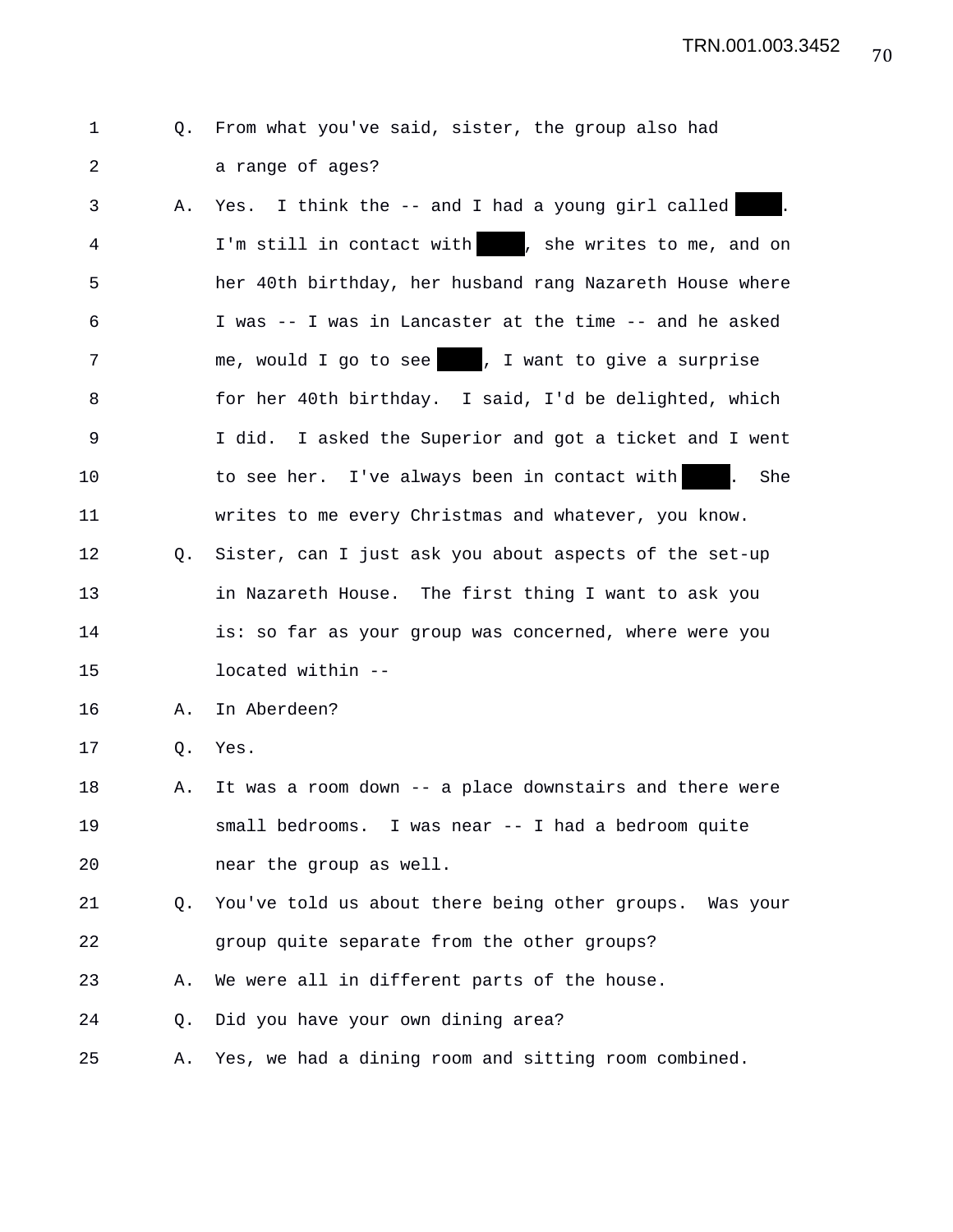## 1 Q. From what you've said, sister, the group also had 2 a range of ages?

3 A. Yes. I think the -- and I had a young girl called 4 I'm still in contact with , she writes to me, and on 5 her 40th birthday, her husband rang Nazareth House where 6 I was -- I was in Lancaster at the time -- and he asked 7 me, would I go to see , I want to give a surprise 8 for her 40th birthday. I said, I'd be delighted, which 9 I did. I asked the Superior and got a ticket and I went 10 to see her. I've always been in contact with . She 11 writes to me every Christmas and whatever, you know. 12 Q. Sister, can I just ask you about aspects of the set-up 13 in Nazareth House. The first thing I want to ask you 14 **is:** so far as your group was concerned, where were you 15 located within -- 16 A. In Aberdeen? 17 Q. Yes. 18 A. It was a room down -- a place downstairs and there were 19 small bedrooms. I was near -- I had a bedroom quite 20 near the group as well. 21 Q. You've told us about there being other groups. Was your 22 group quite separate from the other groups? 23 A. We were all in different parts of the house. 24 Q. Did you have your own dining area? 25 A. Yes, we had a dining room and sitting room combined.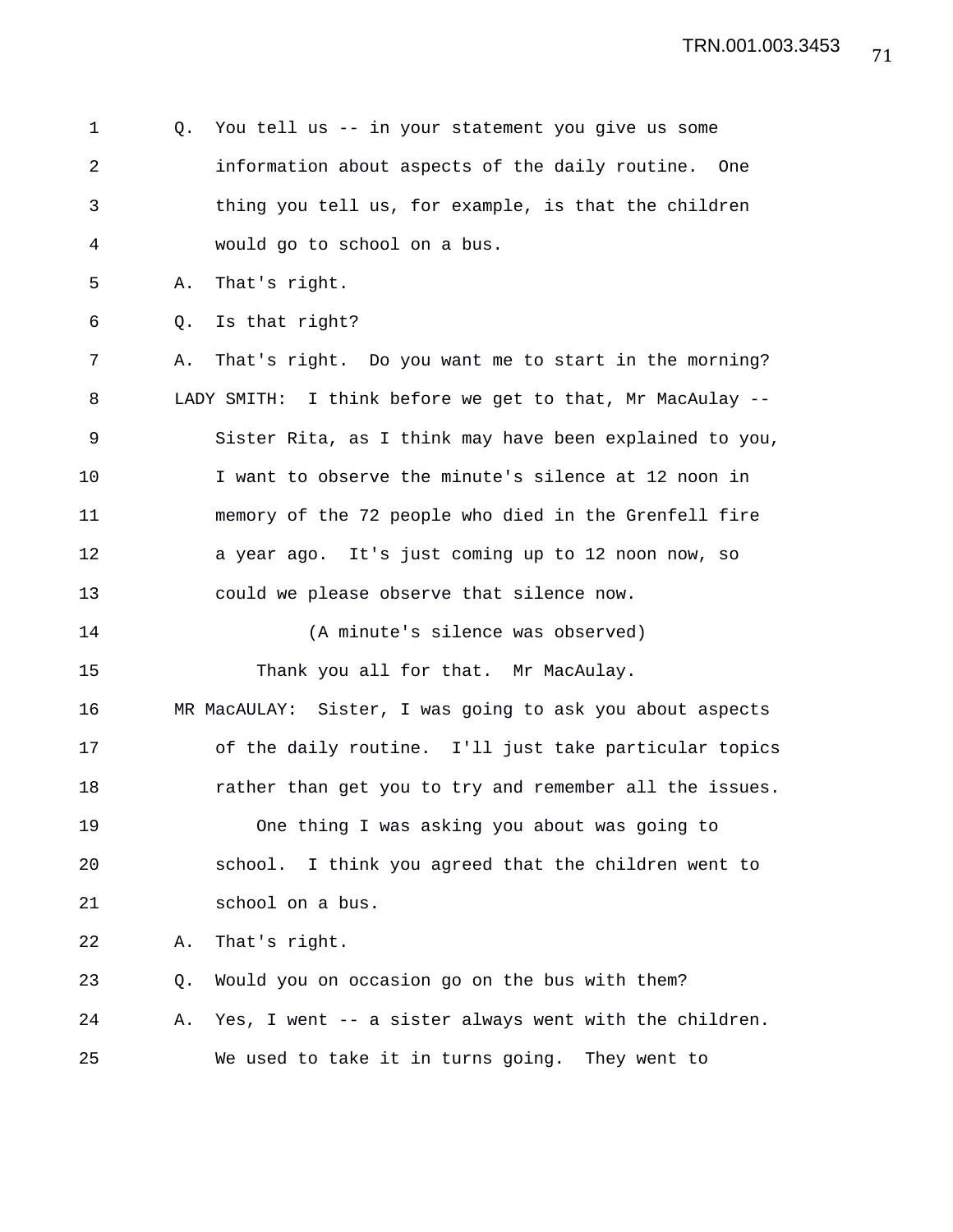1 Q. You tell us -- in your statement you give us some 2 information about aspects of the daily routine. One 3 thing you tell us, for example, is that the children 4 would go to school on a bus. 5 A. That's right. 6 Q. Is that right? 7 A. That's right. Do you want me to start in the morning? 8 LADY SMITH: I think before we get to that, Mr MacAulay -- 9 Sister Rita, as I think may have been explained to you, 10 I want to observe the minute's silence at 12 noon in 11 memory of the 72 people who died in the Grenfell fire 12 a year ago. It's just coming up to 12 noon now, so 13 could we please observe that silence now. 14 (A minute's silence was observed) 15 Thank you all for that. Mr MacAulay. 16 MR MacAULAY: Sister, I was going to ask you about aspects 17 of the daily routine. I'll just take particular topics 18 rather than get you to try and remember all the issues. 19 One thing I was asking you about was going to 20 school. I think you agreed that the children went to 21 school on a bus. 22 A. That's right. 23 Q. Would you on occasion go on the bus with them? 24 A. Yes, I went -- a sister always went with the children. 25 We used to take it in turns going. They went to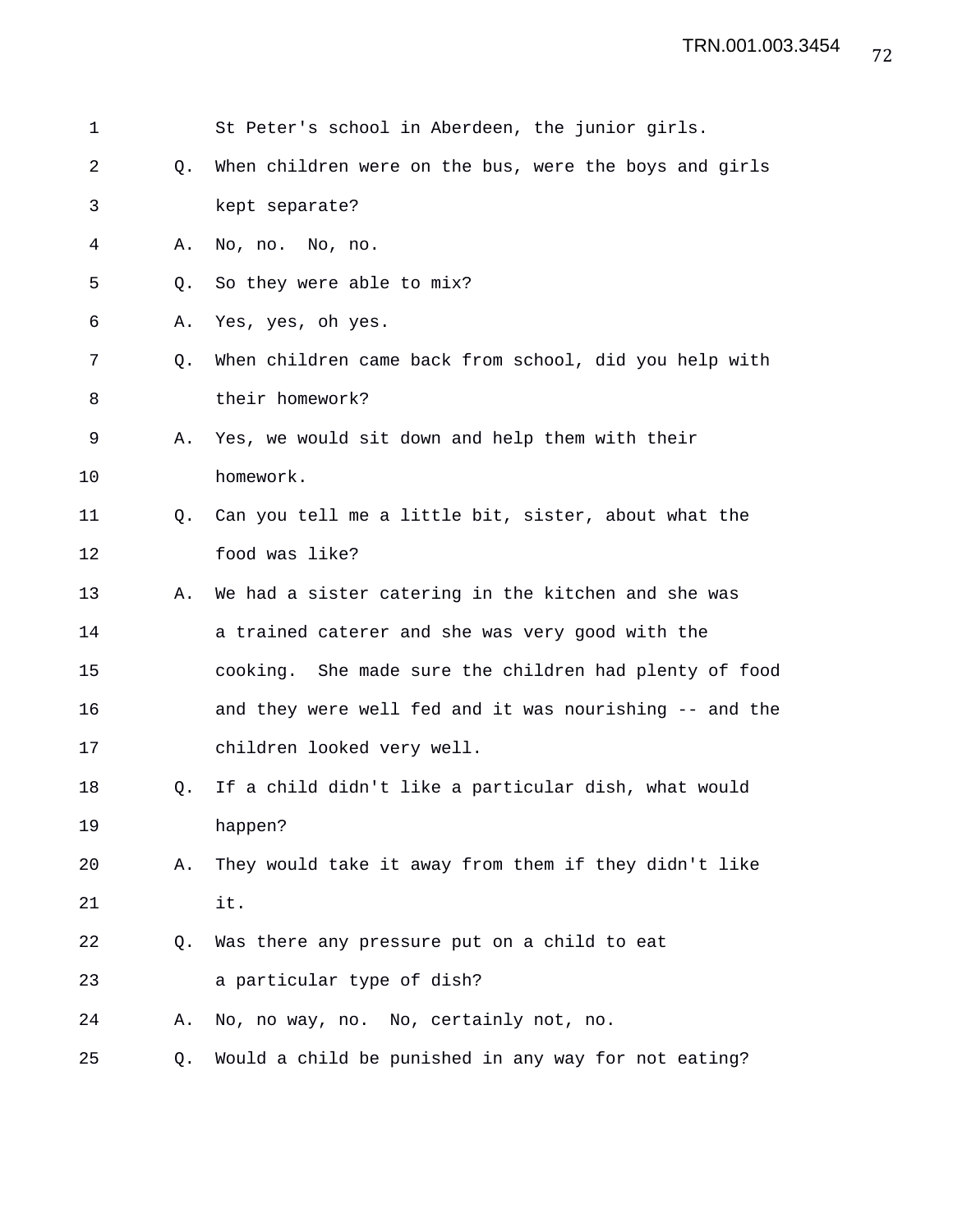| 1  |    | St Peter's school in Aberdeen, the junior girls.        |
|----|----|---------------------------------------------------------|
| 2  | Q. | When children were on the bus, were the boys and girls  |
| 3  |    | kept separate?                                          |
| 4  | Α. | No, no. No, no.                                         |
| 5  | O. | So they were able to mix?                               |
| 6  | Α. | Yes, yes, oh yes.                                       |
| 7  | Q. | When children came back from school, did you help with  |
| 8  |    | their homework?                                         |
| 9  | Α. | Yes, we would sit down and help them with their         |
| 10 |    | homework.                                               |
| 11 | O. | Can you tell me a little bit, sister, about what the    |
| 12 |    | food was like?                                          |
| 13 | Α. | We had a sister catering in the kitchen and she was     |
| 14 |    | a trained caterer and she was very good with the        |
| 15 |    | cooking. She made sure the children had plenty of food  |
| 16 |    | and they were well fed and it was nourishing -- and the |
| 17 |    | children looked very well.                              |
| 18 | Q. | If a child didn't like a particular dish, what would    |
| 19 |    | happen?                                                 |
| 20 | Α. | They would take it away from them if they didn't like   |
| 21 |    | it.                                                     |
| 22 | Q. | Was there any pressure put on a child to eat            |
| 23 |    | a particular type of dish?                              |
| 24 | Α. | No, no way, no. No, certainly not, no.                  |
| 25 | Q. | Would a child be punished in any way for not eating?    |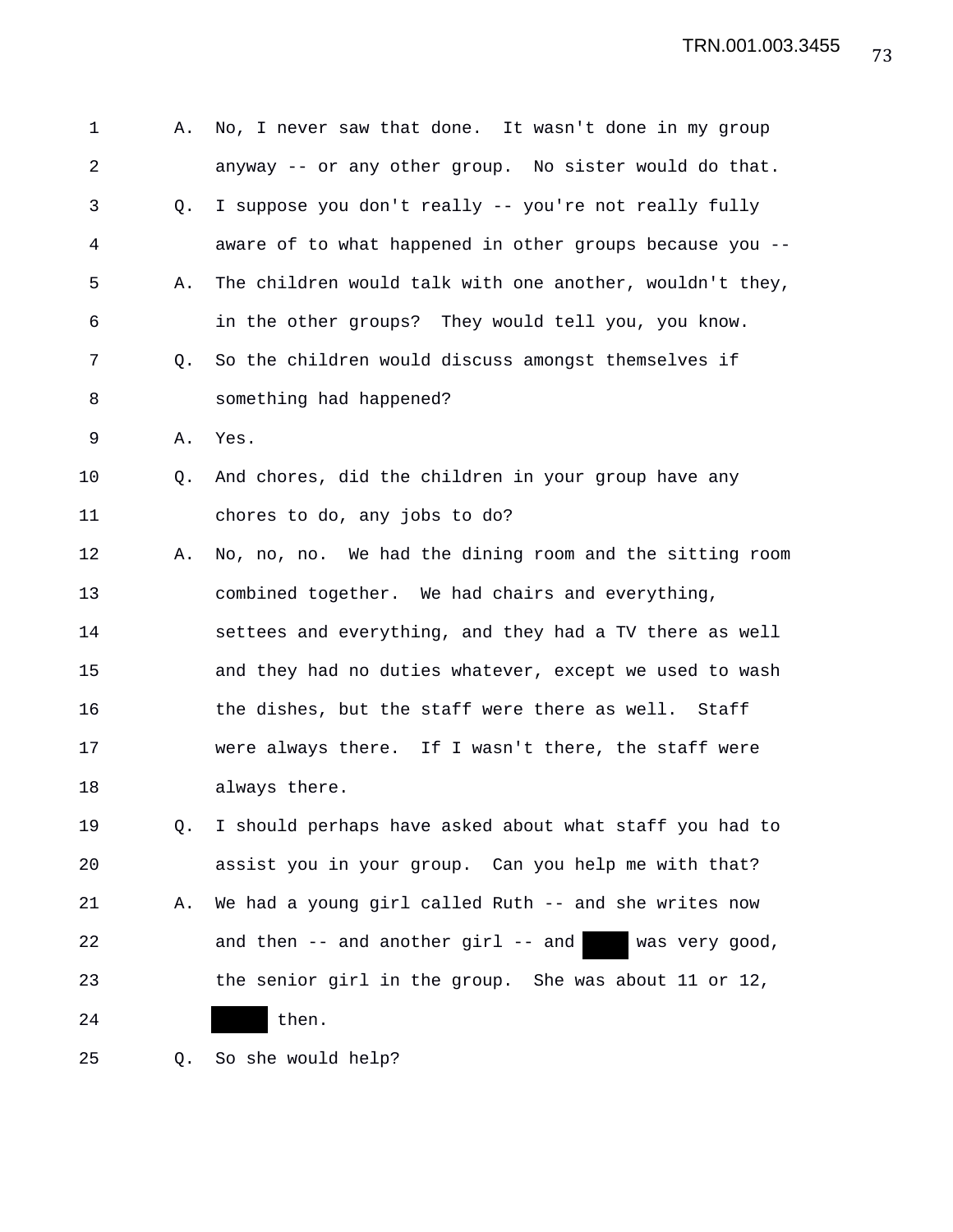| 1  | Α.             | No, I never saw that done. It wasn't done in my group     |
|----|----------------|-----------------------------------------------------------|
| 2  |                | anyway -- or any other group. No sister would do that.    |
| 3  | Q.             | I suppose you don't really -- you're not really fully     |
| 4  |                | aware of to what happened in other groups because you --  |
| 5  | Α.             | The children would talk with one another, wouldn't they,  |
| 6  |                | in the other groups? They would tell you, you know.       |
| 7  | O.             | So the children would discuss amongst themselves if       |
| 8  |                | something had happened?                                   |
| 9  | Α.             | Yes.                                                      |
| 10 | Q <sub>z</sub> | And chores, did the children in your group have any       |
| 11 |                | chores to do, any jobs to do?                             |
| 12 | Α.             | No, no, no. We had the dining room and the sitting room   |
| 13 |                | combined together. We had chairs and everything,          |
| 14 |                | settees and everything, and they had a TV there as well   |
| 15 |                | and they had no duties whatever, except we used to wash   |
| 16 |                | the dishes, but the staff were there as well. Staff       |
| 17 |                | were always there. If I wasn't there, the staff were      |
| 18 |                | always there.                                             |
| 19 | Q.             | I should perhaps have asked about what staff you had to   |
| 20 |                | assist you in your group. Can you help me with that?      |
| 21 | Α.             | We had a young girl called Ruth -- and she writes now     |
| 22 |                | and then $--$ and another girl $--$ and<br>was very good, |
| 23 |                | the senior girl in the group. She was about 11 or 12,     |
| 24 |                | then.                                                     |
|    |                |                                                           |

25 Q. So she would help?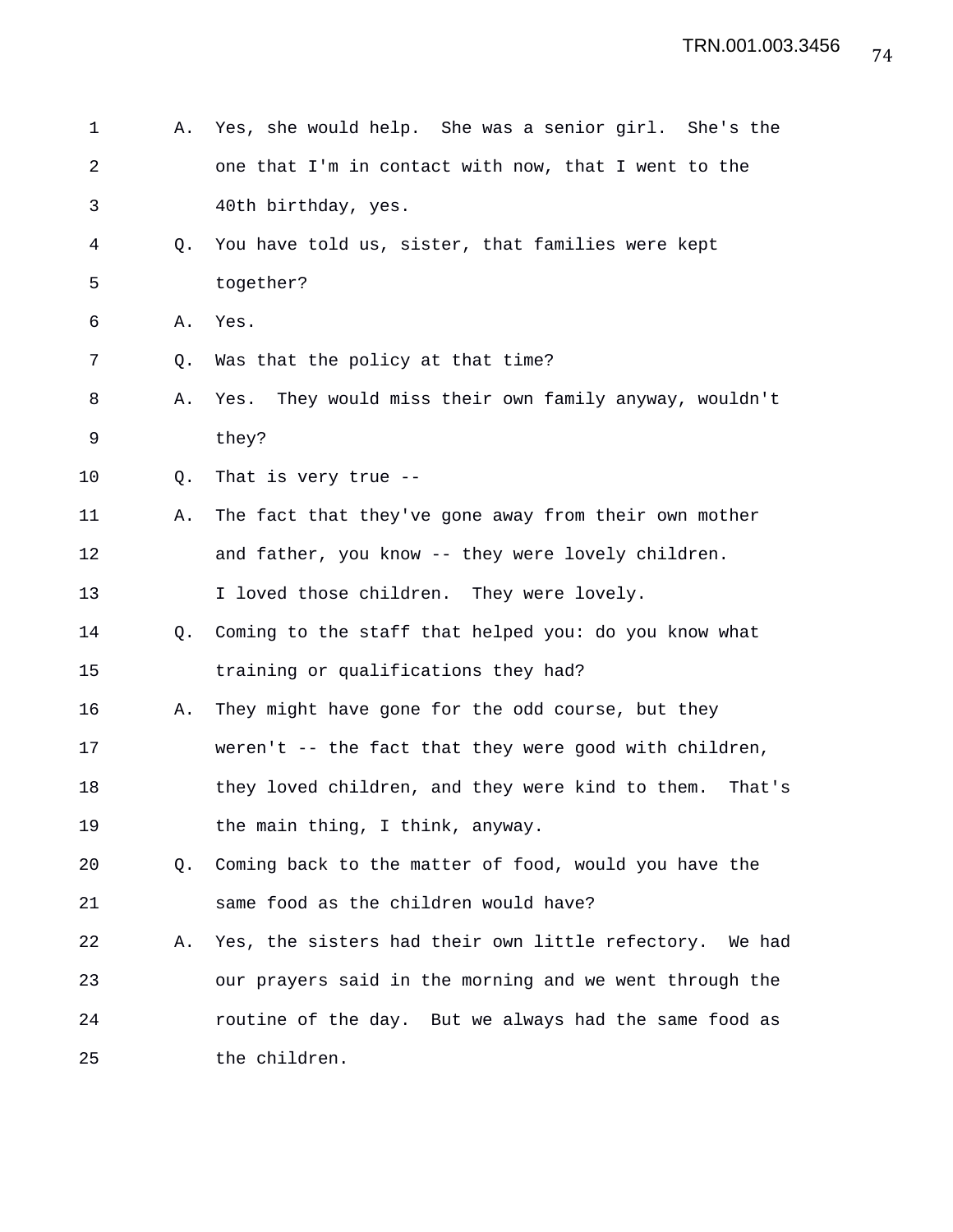| 1              | Α.             | Yes, she would help. She was a senior girl. She's the      |
|----------------|----------------|------------------------------------------------------------|
| $\overline{2}$ |                | one that I'm in contact with now, that I went to the       |
| 3              |                | 40th birthday, yes.                                        |
| 4              | Q.             | You have told us, sister, that families were kept          |
| 5              |                | together?                                                  |
| 6              | Α.             | Yes.                                                       |
| 7              | Q.             | Was that the policy at that time?                          |
| 8              | Α.             | Yes. They would miss their own family anyway, wouldn't     |
| 9              |                | they?                                                      |
| 10             | Q.             | That is very true $-$ -                                    |
| 11             | Α.             | The fact that they've gone away from their own mother      |
| 12             |                | and father, you know -- they were lovely children.         |
| 13             |                | I loved those children. They were lovely.                  |
| 14             | Q <sub>z</sub> | Coming to the staff that helped you: do you know what      |
| 15             |                | training or qualifications they had?                       |
| 16             | Α.             | They might have gone for the odd course, but they          |
| 17             |                | weren't -- the fact that they were good with children,     |
| 18             |                | they loved children, and they were kind to them.<br>That's |
| 19             |                | the main thing, I think, anyway.                           |
| 20             | Q.             | Coming back to the matter of food, would you have the      |
| 21             |                | same food as the children would have?                      |
| 22             | Α.             | Yes, the sisters had their own little refectory. We had    |
| 23             |                | our prayers said in the morning and we went through the    |
| 24             |                | routine of the day. But we always had the same food as     |
| 25             |                | the children.                                              |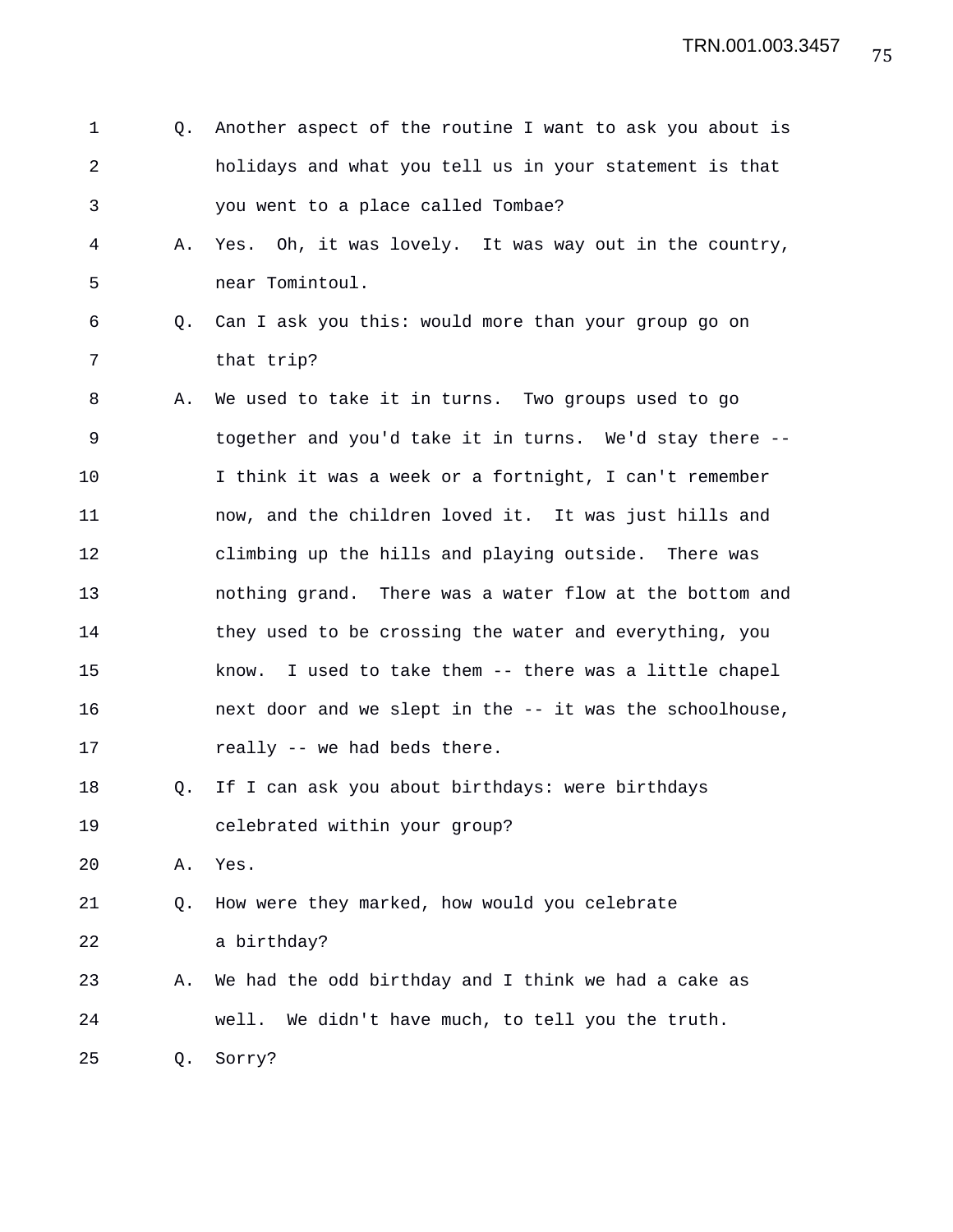| 1              | Q. | Another aspect of the routine I want to ask you about is  |
|----------------|----|-----------------------------------------------------------|
| $\overline{2}$ |    | holidays and what you tell us in your statement is that   |
| 3              |    | you went to a place called Tombae?                        |
| 4              | Α. | Yes. Oh, it was lovely. It was way out in the country,    |
| 5              |    | near Tomintoul.                                           |
| 6              |    | Q. Can I ask you this: would more than your group go on   |
| 7              |    | that trip?                                                |
| 8              | Α. | We used to take it in turns. Two groups used to go        |
| 9              |    | together and you'd take it in turns. We'd stay there --   |
| 10             |    | I think it was a week or a fortnight, I can't remember    |
| 11             |    | now, and the children loved it. It was just hills and     |
| 12             |    | climbing up the hills and playing outside. There was      |
| 13             |    | nothing grand. There was a water flow at the bottom and   |
| 14             |    | they used to be crossing the water and everything, you    |
| 15             |    | I used to take them -- there was a little chapel<br>know. |
| 16             |    | next door and we slept in the -- it was the schoolhouse,  |
| 17             |    | really -- we had beds there.                              |
| 18             | Q. | If I can ask you about birthdays: were birthdays          |
| 19             |    | celebrated within your group?                             |
| 20             | Α. | Yes.                                                      |
| 21             | Q. | How were they marked, how would you celebrate             |
| 22             |    | a birthday?                                               |
| 23             | Α. | We had the odd birthday and I think we had a cake as      |
| 24             |    | We didn't have much, to tell you the truth.<br>well.      |
| 25             | Q. | Sorry?                                                    |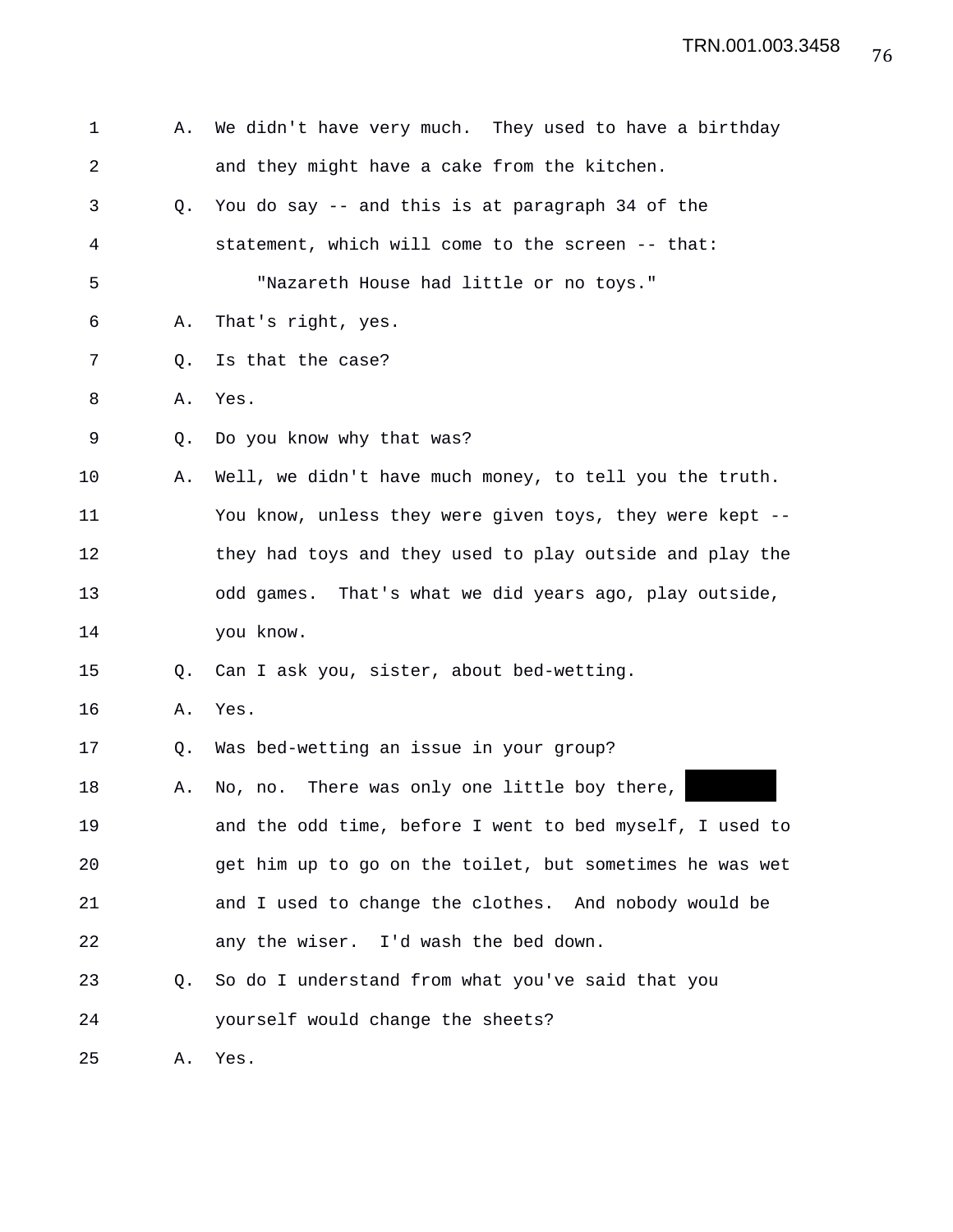| $\mathbf 1$    | Α. | We didn't have very much. They used to have a birthday   |
|----------------|----|----------------------------------------------------------|
| $\overline{2}$ |    | and they might have a cake from the kitchen.             |
| 3              | Q. | You do say -- and this is at paragraph 34 of the         |
| 4              |    | statement, which will come to the screen -- that:        |
| 5              |    | "Nazareth House had little or no toys."                  |
| 6              | Α. | That's right, yes.                                       |
| 7              | Q. | Is that the case?                                        |
| 8              | Α. | Yes.                                                     |
| 9              | Q. | Do you know why that was?                                |
| 10             | Α. | Well, we didn't have much money, to tell you the truth.  |
| 11             |    | You know, unless they were given toys, they were kept -- |
| 12             |    | they had toys and they used to play outside and play the |
| 13             |    | odd games. That's what we did years ago, play outside,   |
| 14             |    | you know.                                                |
| 15             | Q. | Can I ask you, sister, about bed-wetting.                |
| 16             | Α. | Yes.                                                     |
| 17             | Q. | Was bed-wetting an issue in your group?                  |
| 18             | Α. | No, no. There was only one little boy there,             |
| 19             |    | and the odd time, before I went to bed myself, I used to |
| 20             |    | get him up to go on the toilet, but sometimes he was wet |
| 21             |    | and I used to change the clothes. And nobody would be    |
| 22             |    | any the wiser. I'd wash the bed down.                    |
| 23             | O. | So do I understand from what you've said that you        |
| 24             |    | yourself would change the sheets?                        |
| 25             | Α. | Yes.                                                     |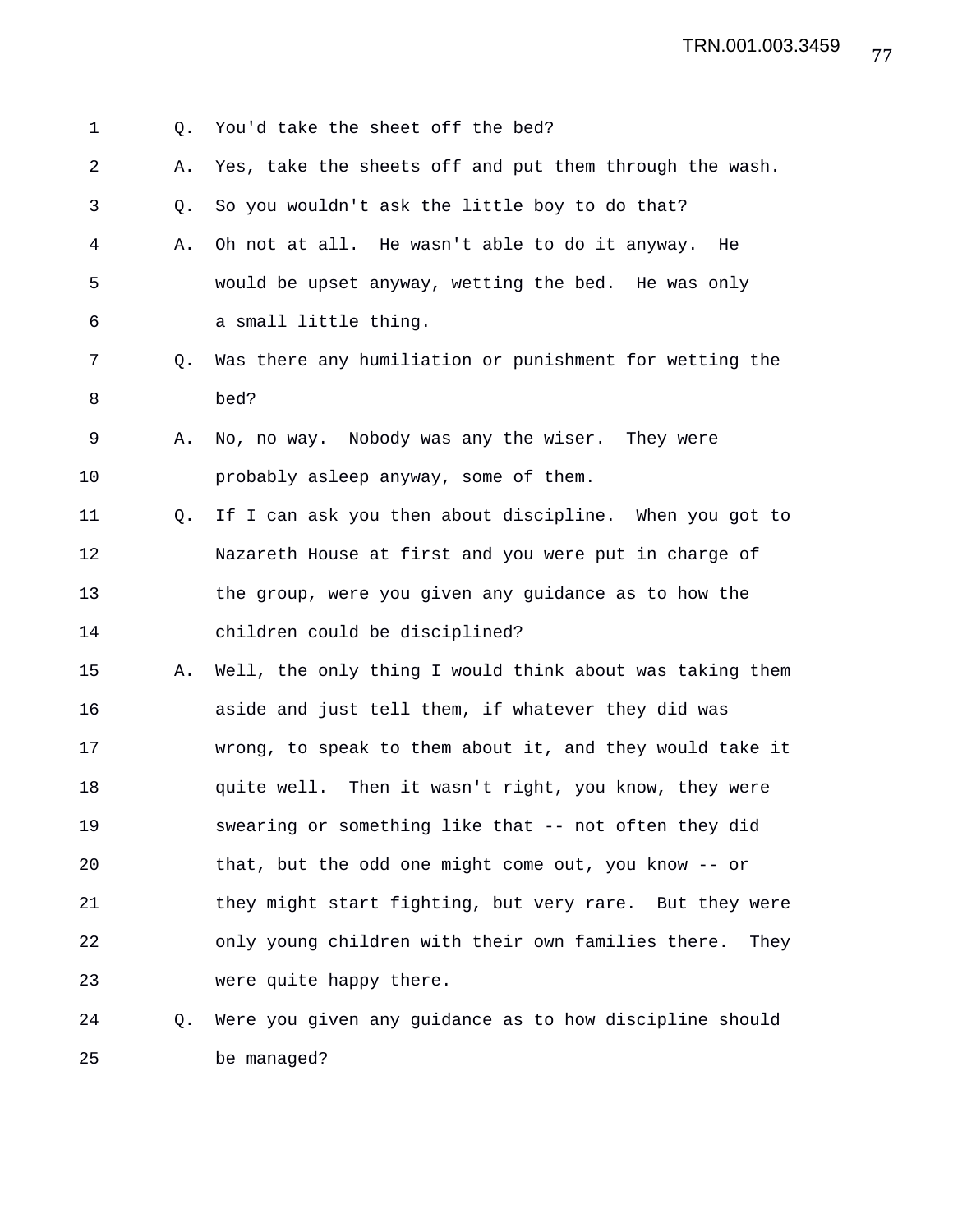77 TRN.001.003.3459

| 1  | Q. | You'd take the sheet off the bed?                          |
|----|----|------------------------------------------------------------|
| 2  | Α. | Yes, take the sheets off and put them through the wash.    |
| 3  | Q. | So you wouldn't ask the little boy to do that?             |
| 4  | Α. | Oh not at all. He wasn't able to do it anyway.<br>He       |
| 5  |    | would be upset anyway, wetting the bed. He was only        |
| 6  |    | a small little thing.                                      |
| 7  | Q. | Was there any humiliation or punishment for wetting the    |
| 8  |    | bed?                                                       |
| 9  | Α. | No, no way. Nobody was any the wiser. They were            |
| 10 |    | probably asleep anyway, some of them.                      |
| 11 | Q. | If I can ask you then about discipline. When you got to    |
| 12 |    | Nazareth House at first and you were put in charge of      |
| 13 |    | the group, were you given any guidance as to how the       |
| 14 |    | children could be disciplined?                             |
| 15 | Α. | Well, the only thing I would think about was taking them   |
| 16 |    | aside and just tell them, if whatever they did was         |
| 17 |    | wrong, to speak to them about it, and they would take it   |
| 18 |    | quite well. Then it wasn't right, you know, they were      |
| 19 |    | swearing or something like that -- not often they did      |
| 20 |    | that, but the odd one might come out, you know -- or       |
| 21 |    | they might start fighting, but very rare. But they were    |
| 22 |    | only young children with their own families there.<br>They |
| 23 |    | were quite happy there.                                    |
| 24 | Q. | Were you given any guidance as to how discipline should    |

25 be managed?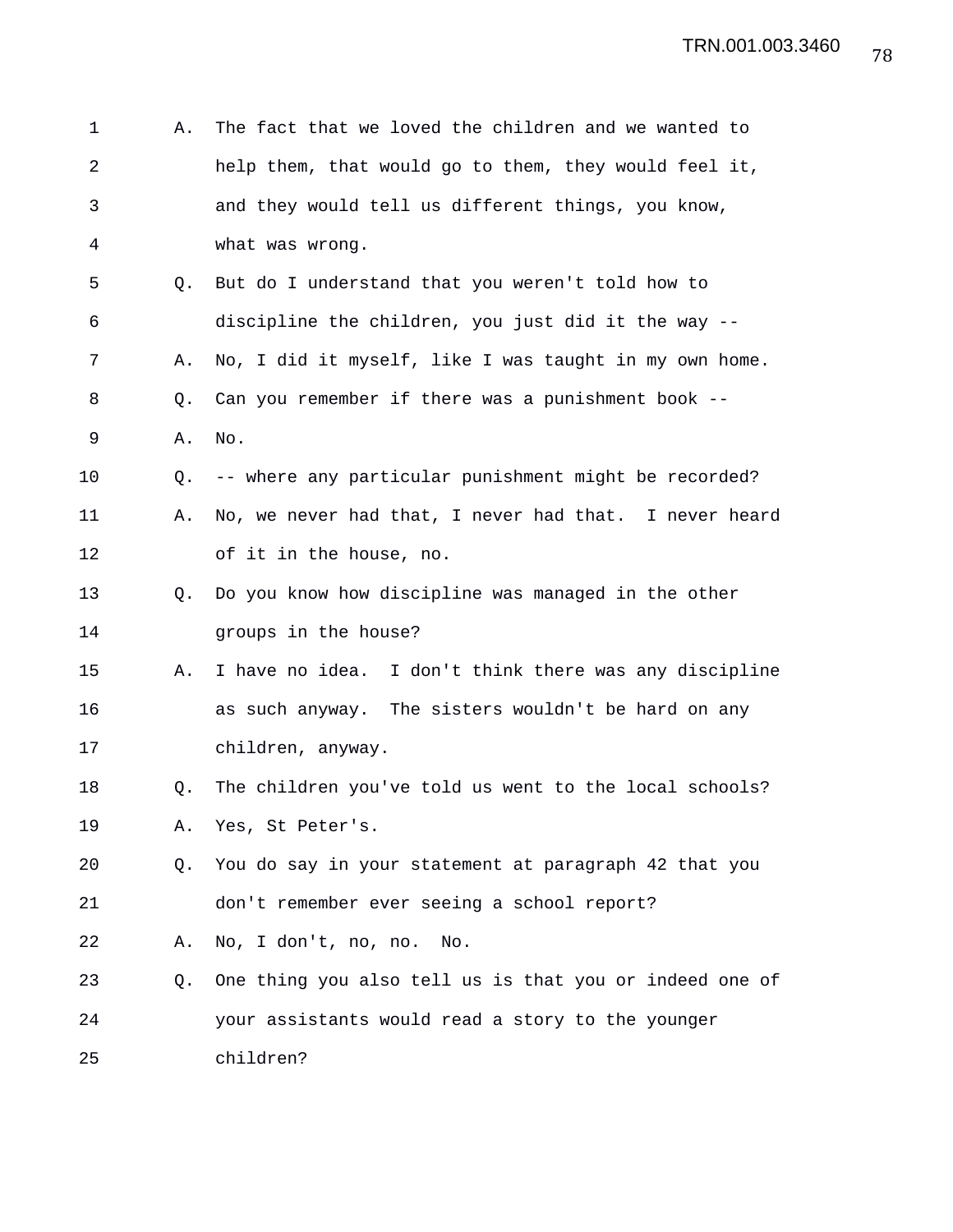| 1              | Α. | The fact that we loved the children and we wanted to    |
|----------------|----|---------------------------------------------------------|
| $\overline{2}$ |    | help them, that would go to them, they would feel it,   |
| 3              |    | and they would tell us different things, you know,      |
| 4              |    | what was wrong.                                         |
| 5              | Q. | But do I understand that you weren't told how to        |
| 6              |    | discipline the children, you just did it the way --     |
| 7              | Α. | No, I did it myself, like I was taught in my own home.  |
| 8              | Q. | Can you remember if there was a punishment book --      |
| 9              | Α. | No.                                                     |
| 10             | Q. | -- where any particular punishment might be recorded?   |
| 11             | Α. | No, we never had that, I never had that. I never heard  |
| 12             |    | of it in the house, no.                                 |
| 13             | O. | Do you know how discipline was managed in the other     |
| 14             |    | groups in the house?                                    |
| 15             | Α. | I have no idea. I don't think there was any discipline  |
| 16             |    | as such anyway. The sisters wouldn't be hard on any     |
| 17             |    | children, anyway.                                       |
| 18             | Q. | The children you've told us went to the local schools?  |
| 19             | А. | Yes, St Peter's.                                        |
| 20             | O. | You do say in your statement at paragraph 42 that you   |
| 21             |    | don't remember ever seeing a school report?             |
| 22             | А. | No, I don't, no, no.<br>No.                             |
| 23             | Q. | One thing you also tell us is that you or indeed one of |
| 24             |    | your assistants would read a story to the younger       |
| 25             |    | children?                                               |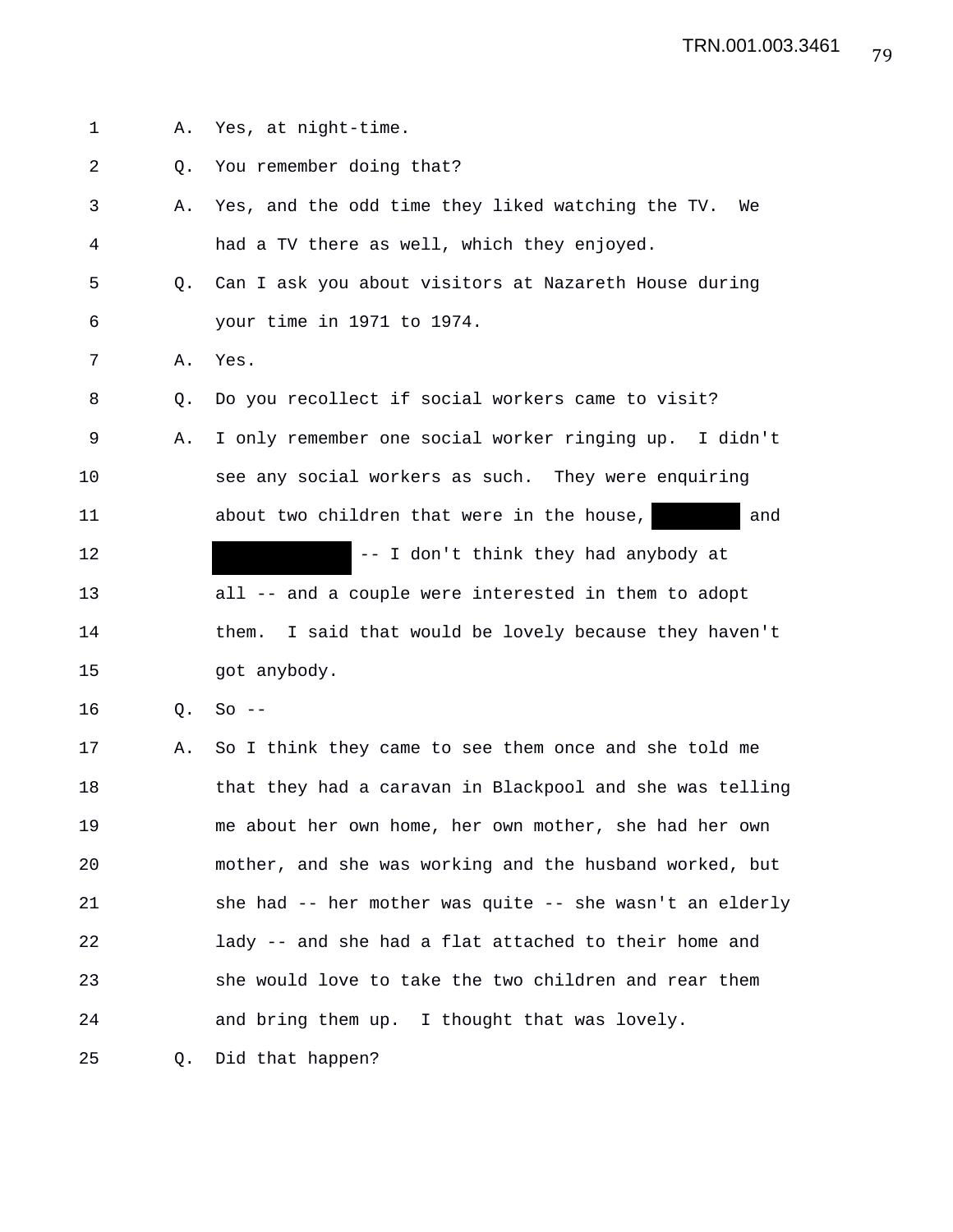1 A. Yes, at night-time. 2 Q. You remember doing that? 3 A. Yes, and the odd time they liked watching the TV. We 4 had a TV there as well, which they enjoyed. 5 Q. Can I ask you about visitors at Nazareth House during 6 your time in 1971 to 1974. 7 A. Yes. 8 Q. Do you recollect if social workers came to visit? 9 A. I only remember one social worker ringing up. I didn't 10 see any social workers as such. They were enquiring 11 **about two children that were in the house,** and 12 **12** -- I don't think they had anybody at 13 all -- and a couple were interested in them to adopt 14 them. I said that would be lovely because they haven't 15 got anybody. 16 Q. So -- 17 A. So I think they came to see them once and she told me 18 that they had a caravan in Blackpool and she was telling 19 me about her own home, her own mother, she had her own 20 mother, and she was working and the husband worked, but 21 she had -- her mother was quite -- she wasn't an elderly 22 lady -- and she had a flat attached to their home and 23 she would love to take the two children and rear them 24 and bring them up. I thought that was lovely.

25 Q. Did that happen?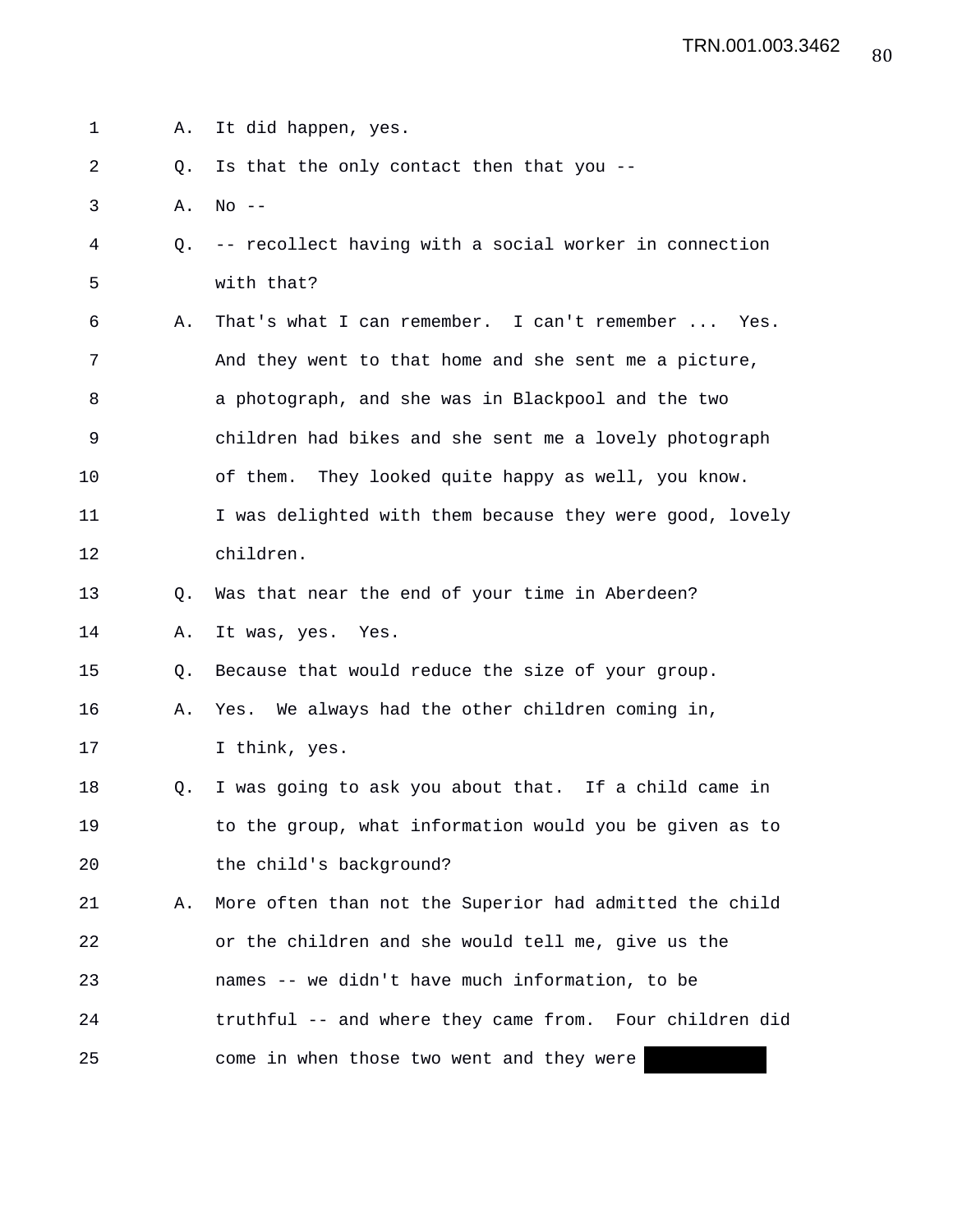1 A. It did happen, yes.

2 Q. Is that the only contact then that you --

3 A. No --

- 4 Q. -- recollect having with a social worker in connection 5 with that?
- 6 A. That's what I can remember. I can't remember ... Yes. 7 And they went to that home and she sent me a picture, 8 a photograph, and she was in Blackpool and the two 9 children had bikes and she sent me a lovely photograph 10 of them. They looked quite happy as well, you know. 11 I was delighted with them because they were good, lovely 12 children.
- 13 Q. Was that near the end of your time in Aberdeen?

14 A. It was, yes. Yes.

15 Q. Because that would reduce the size of your group.

16 A. Yes. We always had the other children coming in, 17 I think, yes.

18 Q. I was going to ask you about that. If a child came in 19 to the group, what information would you be given as to 20 the child's background?

21 A. More often than not the Superior had admitted the child 22 or the children and she would tell me, give us the 23 names -- we didn't have much information, to be 24 truthful -- and where they came from. Four children did 25 come in when those two went and they were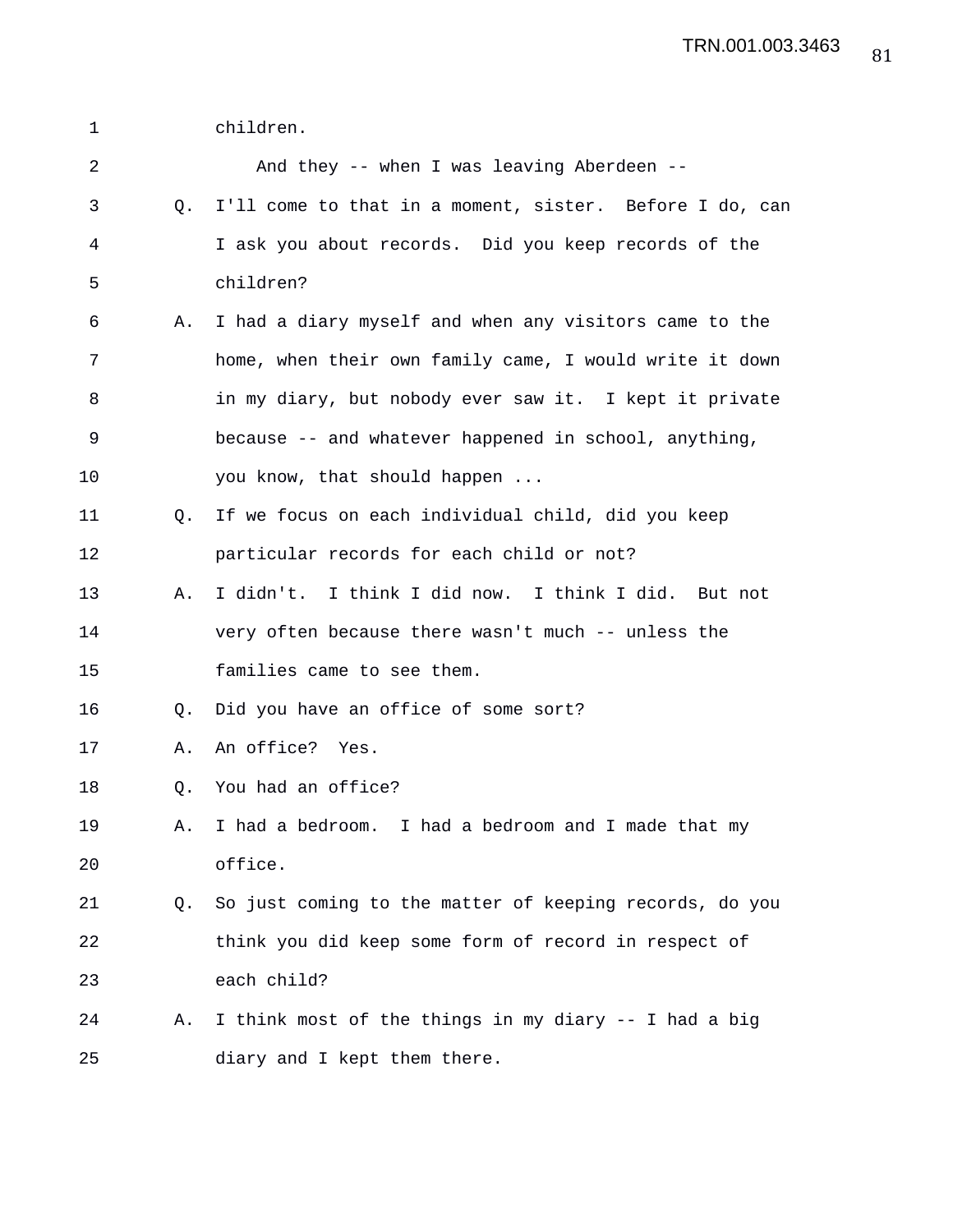1 children.

| 2           |    | And they -- when I was leaving Aberdeen --              |
|-------------|----|---------------------------------------------------------|
| 3           | Q. | I'll come to that in a moment, sister. Before I do, can |
| 4           |    | I ask you about records. Did you keep records of the    |
| 5           |    | children?                                               |
| 6           | Α. | I had a diary myself and when any visitors came to the  |
| 7           |    | home, when their own family came, I would write it down |
| 8           |    | in my diary, but nobody ever saw it. I kept it private  |
| $\mathsf 9$ |    | because -- and whatever happened in school, anything,   |
| 10          |    | you know, that should happen                            |
| 11          | Q. | If we focus on each individual child, did you keep      |
| 12          |    | particular records for each child or not?               |
| 13          | Α. | I didn't. I think I did now. I think I did. But not     |
| 14          |    | very often because there wasn't much -- unless the      |
| 15          |    | families came to see them.                              |
| 16          | Q. | Did you have an office of some sort?                    |
| 17          | Α. | An office? Yes.                                         |
| 18          | Q. | You had an office?                                      |
| 19          | Α. | I had a bedroom. I had a bedroom and I made that my     |
| 20          |    | office.                                                 |
| 21          | Q. | So just coming to the matter of keeping records, do you |
| 22          |    | think you did keep some form of record in respect of    |
| 23          |    | each child?                                             |
| 24          | Α. | I think most of the things in my diary -- I had a big   |
| 25          |    | diary and I kept them there.                            |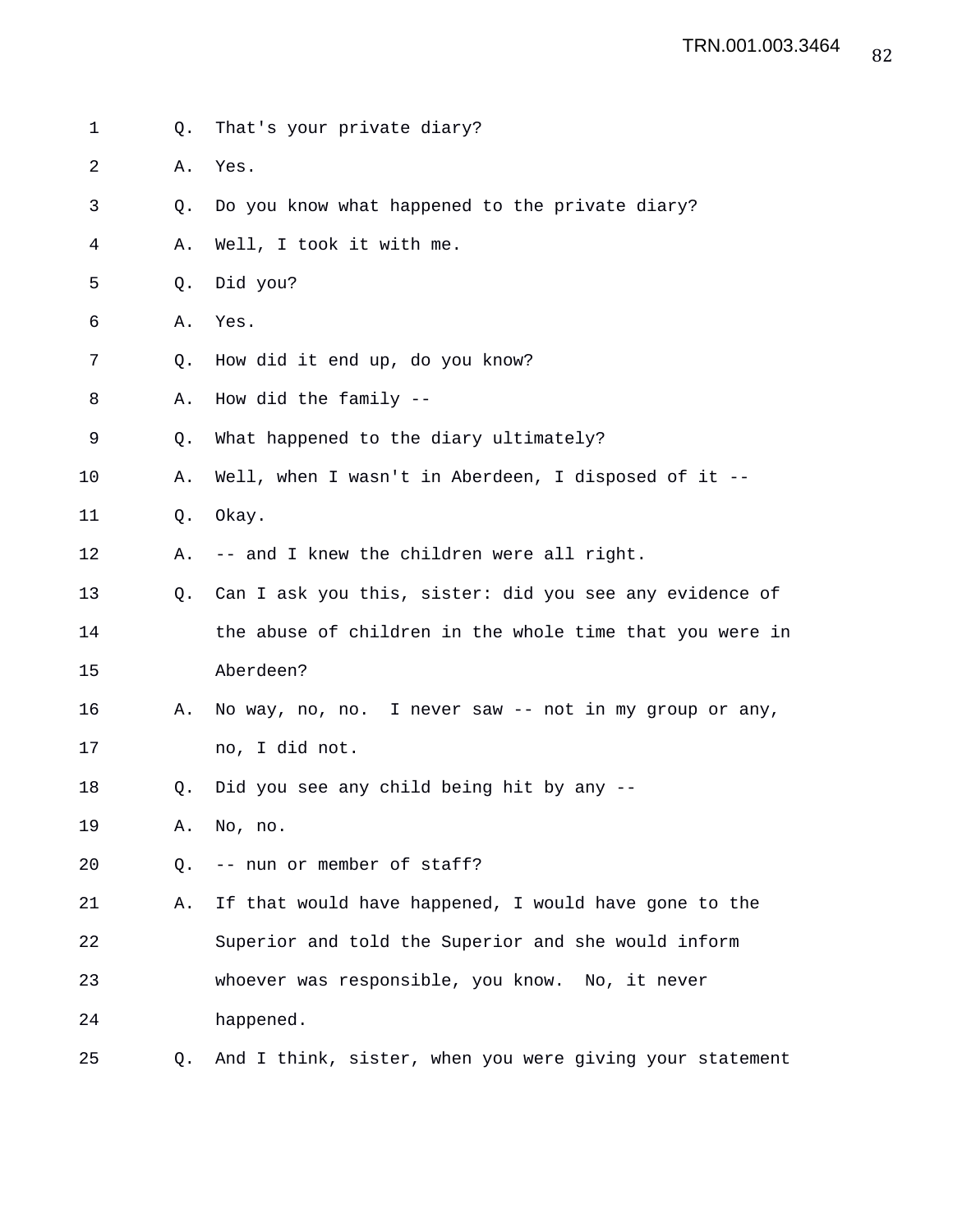1 Q. That's your private diary? 2 A. Yes. 3 Q. Do you know what happened to the private diary? 4 A. Well, I took it with me. 5 Q. Did you? 6 A. Yes. 7 Q. How did it end up, do you know? 8 A. How did the family -- 9 Q. What happened to the diary ultimately? 10 A. Well, when I wasn't in Aberdeen, I disposed of it -- 11 Q. Okay. 12 A. -- and I knew the children were all right. 13 Q. Can I ask you this, sister: did you see any evidence of 14 the abuse of children in the whole time that you were in 15 Aberdeen? 16 A. No way, no, no. I never saw -- not in my group or any, 17 no, I did not. 18 Q. Did you see any child being hit by any -- 19 A. No, no. 20 Q. -- nun or member of staff? 21 A. If that would have happened, I would have gone to the 22 Superior and told the Superior and she would inform 23 whoever was responsible, you know. No, it never 24 happened. 25 Q. And I think, sister, when you were giving your statement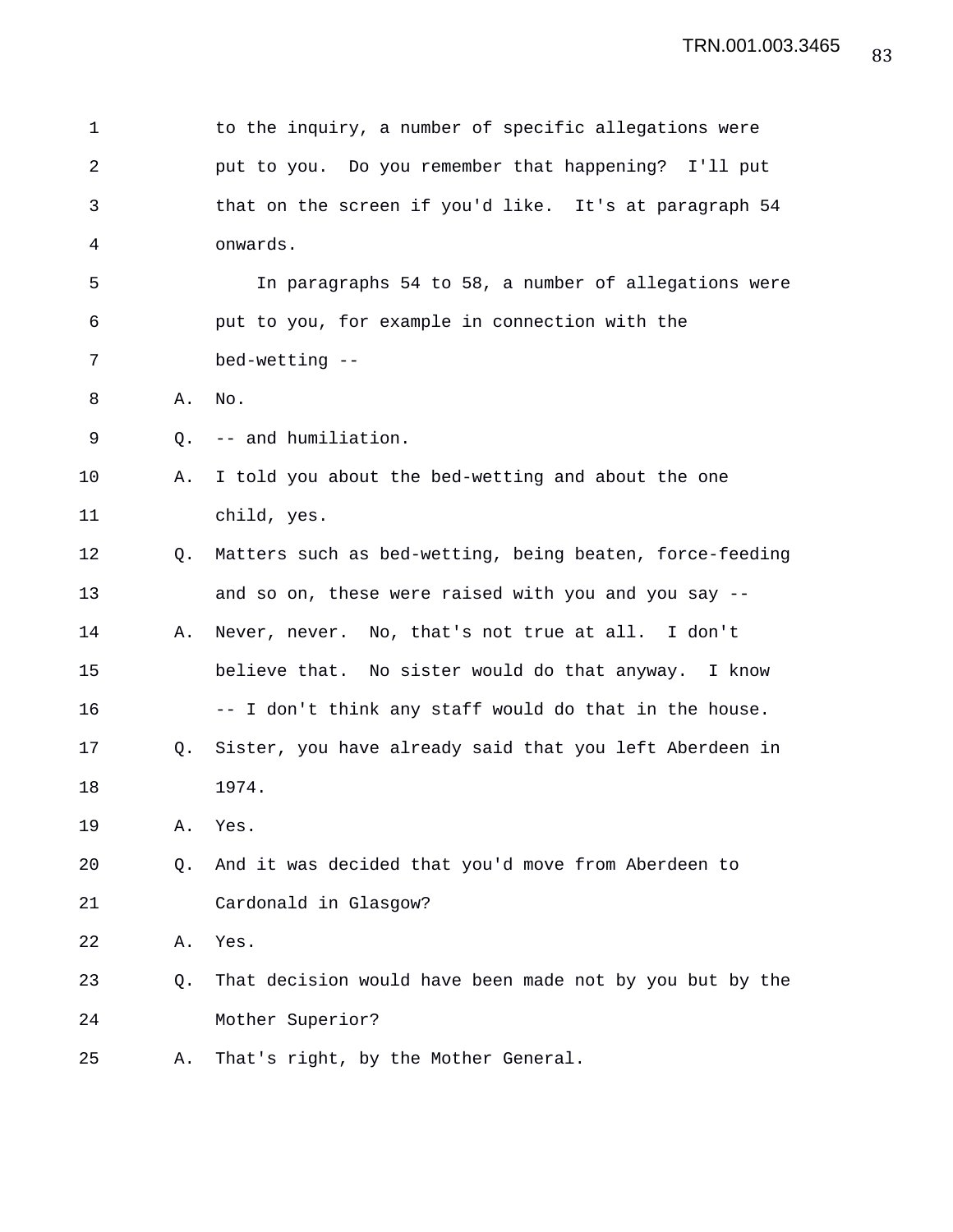| 1              |    | to the inquiry, a number of specific allegations were    |
|----------------|----|----------------------------------------------------------|
| $\overline{2}$ |    | put to you. Do you remember that happening? I'll put     |
| 3              |    | that on the screen if you'd like. It's at paragraph 54   |
| 4              |    | onwards.                                                 |
| 5              |    | In paragraphs 54 to 58, a number of allegations were     |
| 6              |    | put to you, for example in connection with the           |
| 7              |    | bed-wetting --                                           |
| 8              | Α. | No.                                                      |
| 9              | Q. | -- and humiliation.                                      |
| 10             | Α. | I told you about the bed-wetting and about the one       |
| 11             |    | child, yes.                                              |
| 12             | O. | Matters such as bed-wetting, being beaten, force-feeding |
| 13             |    | and so on, these were raised with you and you say --     |
| 14             | Α. | Never, never. No, that's not true at all. I don't        |
| 15             |    | believe that. No sister would do that anyway. I know     |
| 16             |    | -- I don't think any staff would do that in the house.   |
| 17             | Q. | Sister, you have already said that you left Aberdeen in  |
| 18             |    | 1974.                                                    |
| 19             | Α. | Yes.                                                     |
| 20             | Q. | And it was decided that you'd move from Aberdeen to      |
| 21             |    | Cardonald in Glasgow?                                    |
| 22             | Α. | Yes.                                                     |
| 23             | Q. | That decision would have been made not by you but by the |
| 24             |    | Mother Superior?                                         |
| 25             | Α. | That's right, by the Mother General.                     |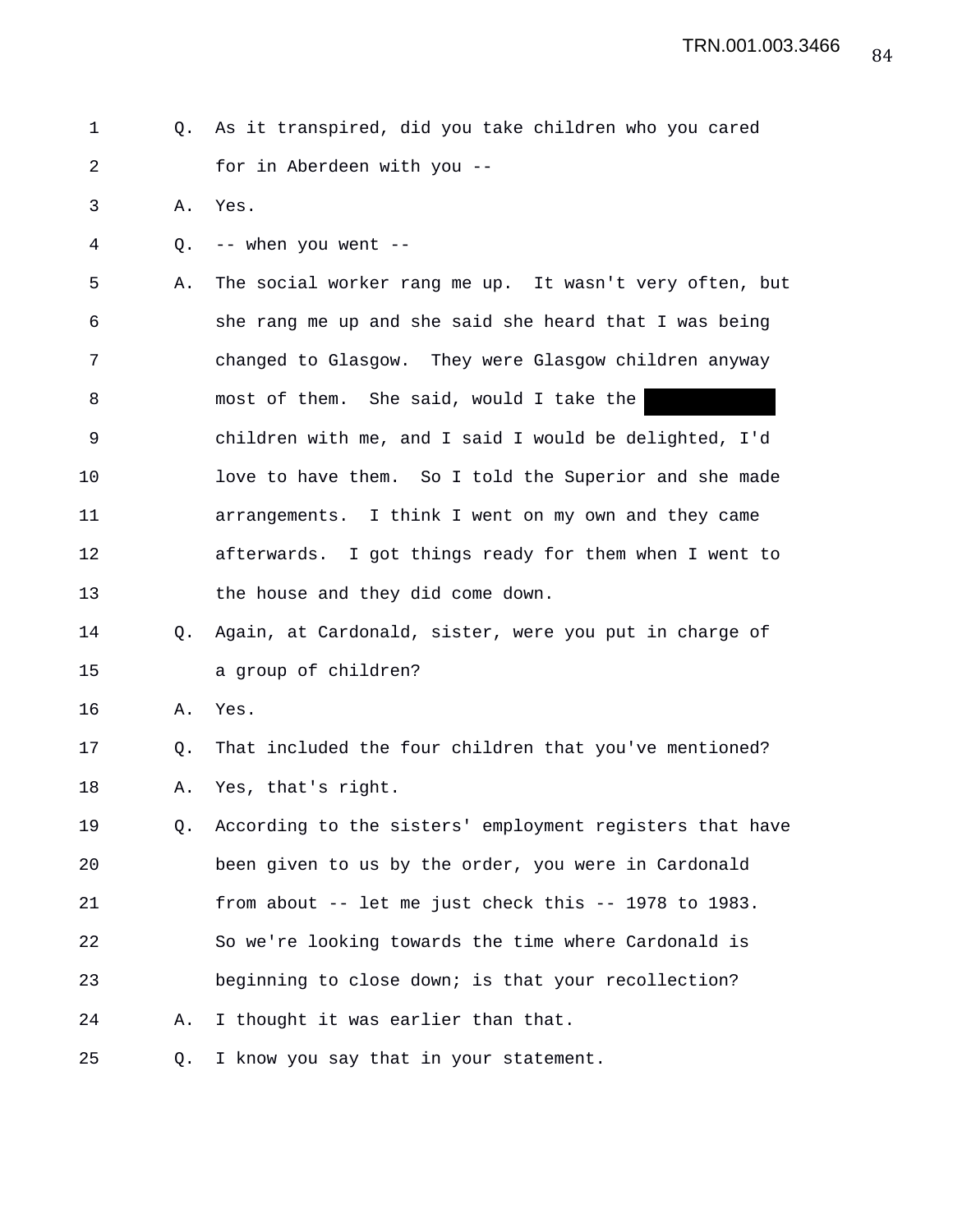1 Q. As it transpired, did you take children who you cared 2 for in Aberdeen with you --

3 A. Yes.

4 Q. -- when you went --

5 A. The social worker rang me up. It wasn't very often, but 6 she rang me up and she said she heard that I was being 7 changed to Glasgow. They were Glasgow children anyway 8 most of them. She said, would I take the 9 children with me, and I said I would be delighted, I'd 10 love to have them. So I told the Superior and she made 11 arrangements. I think I went on my own and they came 12 afterwards. I got things ready for them when I went to 13 the house and they did come down.

14 Q. Again, at Cardonald, sister, were you put in charge of 15 a group of children?

16 A. Yes.

17 Q. That included the four children that you've mentioned? 18 A. Yes, that's right.

19 Q. According to the sisters' employment registers that have 20 been given to us by the order, you were in Cardonald 21 from about -- let me just check this -- 1978 to 1983. 22 So we're looking towards the time where Cardonald is 23 beginning to close down; is that your recollection? 24 A. I thought it was earlier than that.

25 Q. I know you say that in your statement.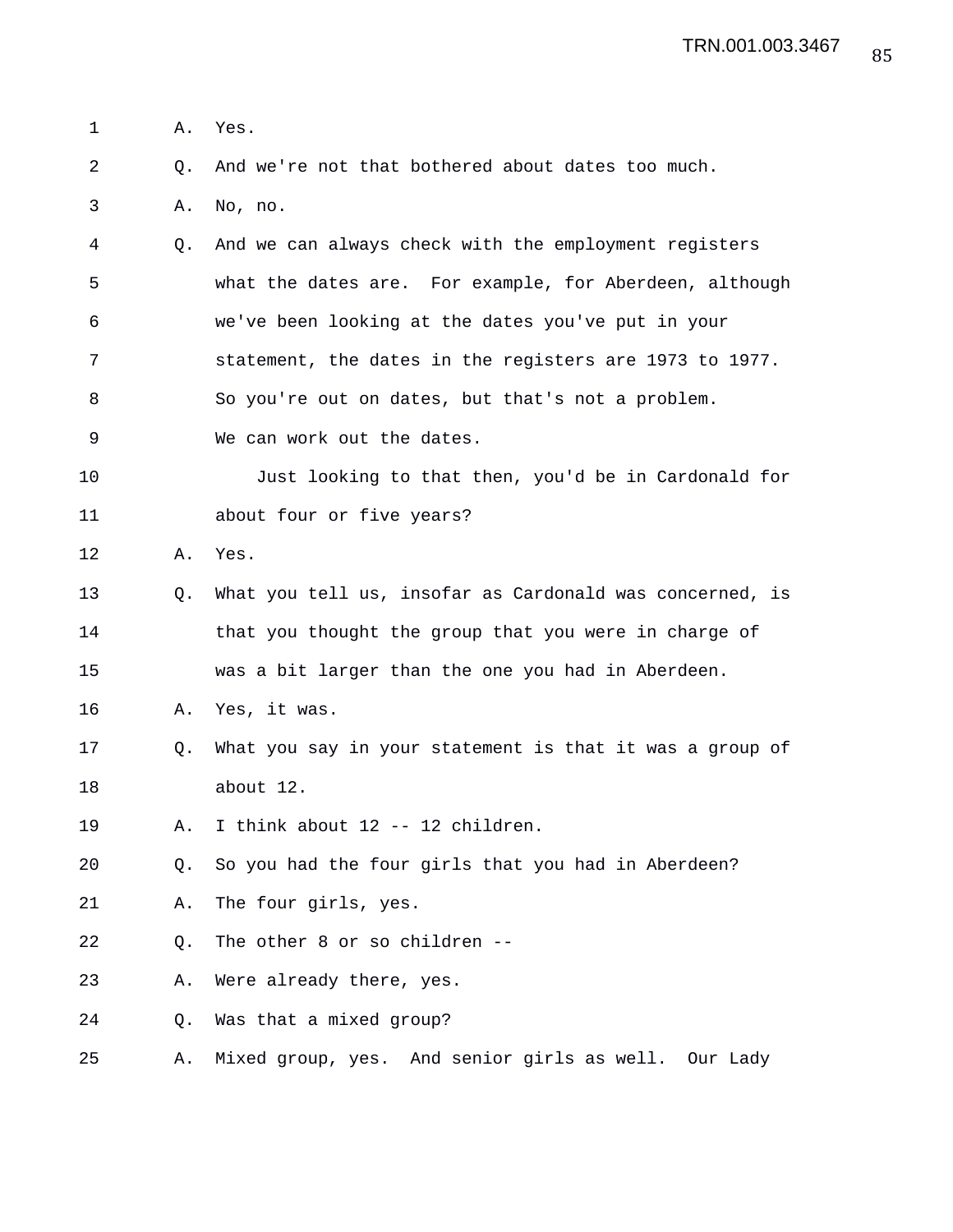1 A. Yes.

2 Q. And we're not that bothered about dates too much.

3 A. No, no.

4 Q. And we can always check with the employment registers 5 what the dates are. For example, for Aberdeen, although 6 we've been looking at the dates you've put in your 7 statement, the dates in the registers are 1973 to 1977. 8 So you're out on dates, but that's not a problem.

9 We can work out the dates.

10 Just looking to that then, you'd be in Cardonald for 11 about four or five years?

12 A. Yes.

13 Q. What you tell us, insofar as Cardonald was concerned, is 14 that you thought the group that you were in charge of 15 was a bit larger than the one you had in Aberdeen.

16 A. Yes, it was.

17 Q. What you say in your statement is that it was a group of 18 about 12.

19 A. I think about 12 -- 12 children.

20 Q. So you had the four girls that you had in Aberdeen?

21 A. The four girls, yes.

22 Q. The other 8 or so children --

23 A. Were already there, yes.

24 Q. Was that a mixed group?

25 A. Mixed group, yes. And senior girls as well. Our Lady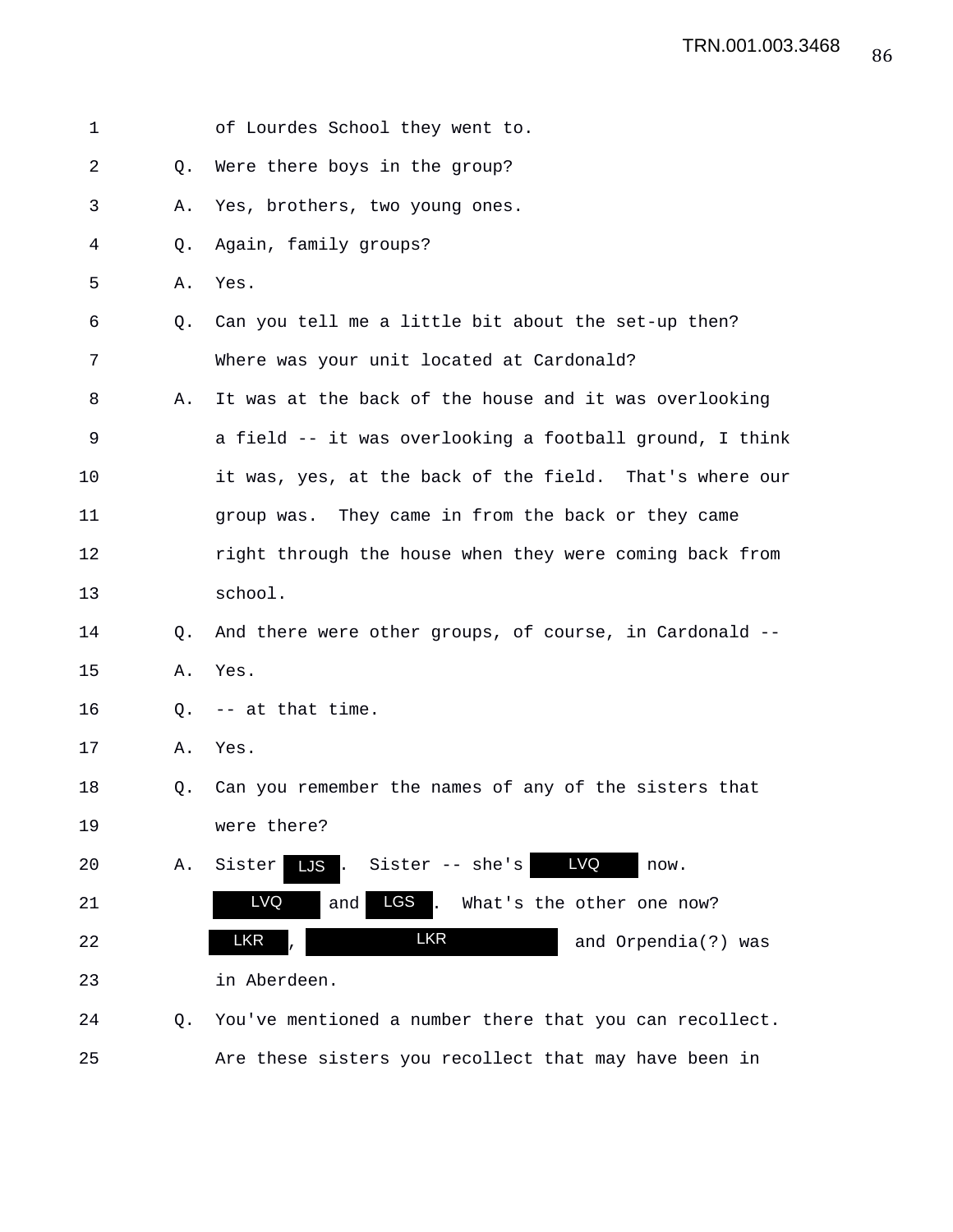| 1  |                | of Lourdes School they went to.                          |
|----|----------------|----------------------------------------------------------|
| 2  | Q.             | Were there boys in the group?                            |
| 3  | Α.             | Yes, brothers, two young ones.                           |
| 4  | Q.             | Again, family groups?                                    |
| 5  | Α.             | Yes.                                                     |
| 6  | Q <sub>z</sub> | Can you tell me a little bit about the set-up then?      |
| 7  |                | Where was your unit located at Cardonald?                |
| 8  | Α.             | It was at the back of the house and it was overlooking   |
| 9  |                | a field -- it was overlooking a football ground, I think |
| 10 |                | it was, yes, at the back of the field. That's where our  |
| 11 |                | group was. They came in from the back or they came       |
| 12 |                | right through the house when they were coming back from  |
| 13 |                | school.                                                  |
| 14 | O.             | And there were other groups, of course, in Cardonald --  |
| 15 | Α.             | Yes.                                                     |
| 16 | Q.             | -- at that time.                                         |
| 17 | Α.             | Yes.                                                     |
| 18 | Q.             | Can you remember the names of any of the sisters that    |
| 19 |                | were there?                                              |
| 20 | Α.             | <b>LVQ</b><br>Sister -- she's<br>Sister<br>LJS.<br>now.  |
| 21 |                | LVQ<br>LGS<br>What's the other one now?<br>and           |
| 22 |                | <b>LKR</b><br><b>LKR</b><br>and Orpendia(?) was          |
| 23 |                | in Aberdeen.                                             |
| 24 | Q.             | You've mentioned a number there that you can recollect.  |
| 25 |                | Are these sisters you recollect that may have been in    |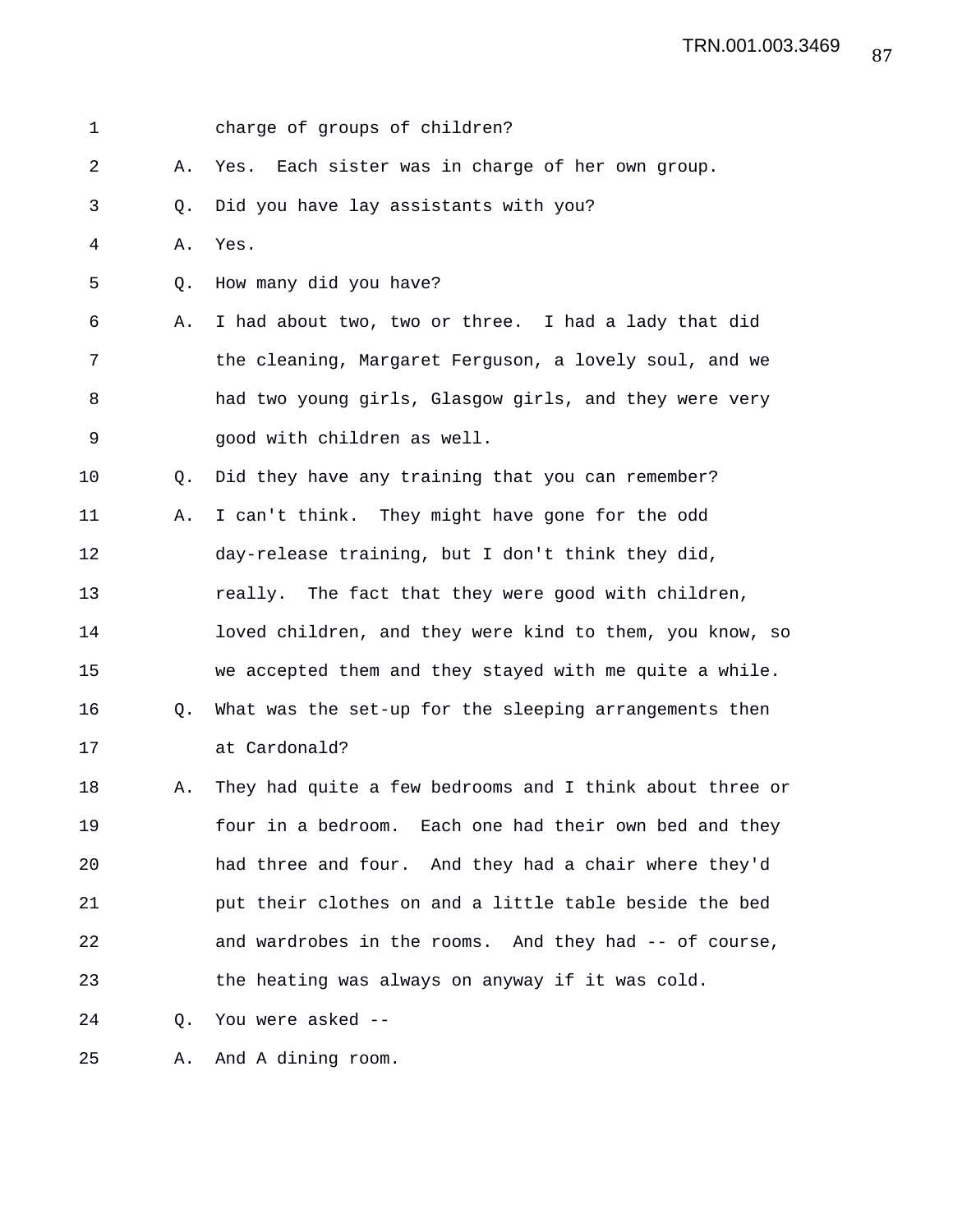| 1  |    | charge of groups of children?                            |
|----|----|----------------------------------------------------------|
| 2  | Α. | Each sister was in charge of her own group.<br>Yes.      |
| 3  | Q. | Did you have lay assistants with you?                    |
| 4  | Α. | Yes.                                                     |
| 5  | Q. | How many did you have?                                   |
| 6  | Α. | I had about two, two or three. I had a lady that did     |
| 7  |    | the cleaning, Margaret Ferguson, a lovely soul, and we   |
| 8  |    | had two young girls, Glasgow girls, and they were very   |
| 9  |    | good with children as well.                              |
| 10 | Q. | Did they have any training that you can remember?        |
| 11 | Α. | I can't think. They might have gone for the odd          |
| 12 |    | day-release training, but I don't think they did,        |
| 13 |    | really. The fact that they were good with children,      |
| 14 |    | loved children, and they were kind to them, you know, so |
| 15 |    | we accepted them and they stayed with me quite a while.  |
| 16 | Q. | What was the set-up for the sleeping arrangements then   |
| 17 |    | at Cardonald?                                            |
| 18 | Α. | They had quite a few bedrooms and I think about three or |
| 19 |    | four in a bedroom. Each one had their own bed and they   |
| 20 |    | had three and four. And they had a chair where they'd    |
| 21 |    | put their clothes on and a little table beside the bed   |
| 22 |    | and wardrobes in the rooms. And they had -- of course,   |
| 23 |    | the heating was always on anyway if it was cold.         |
| 24 | Q. | You were asked --                                        |
| 25 | Α. | And A dining room.                                       |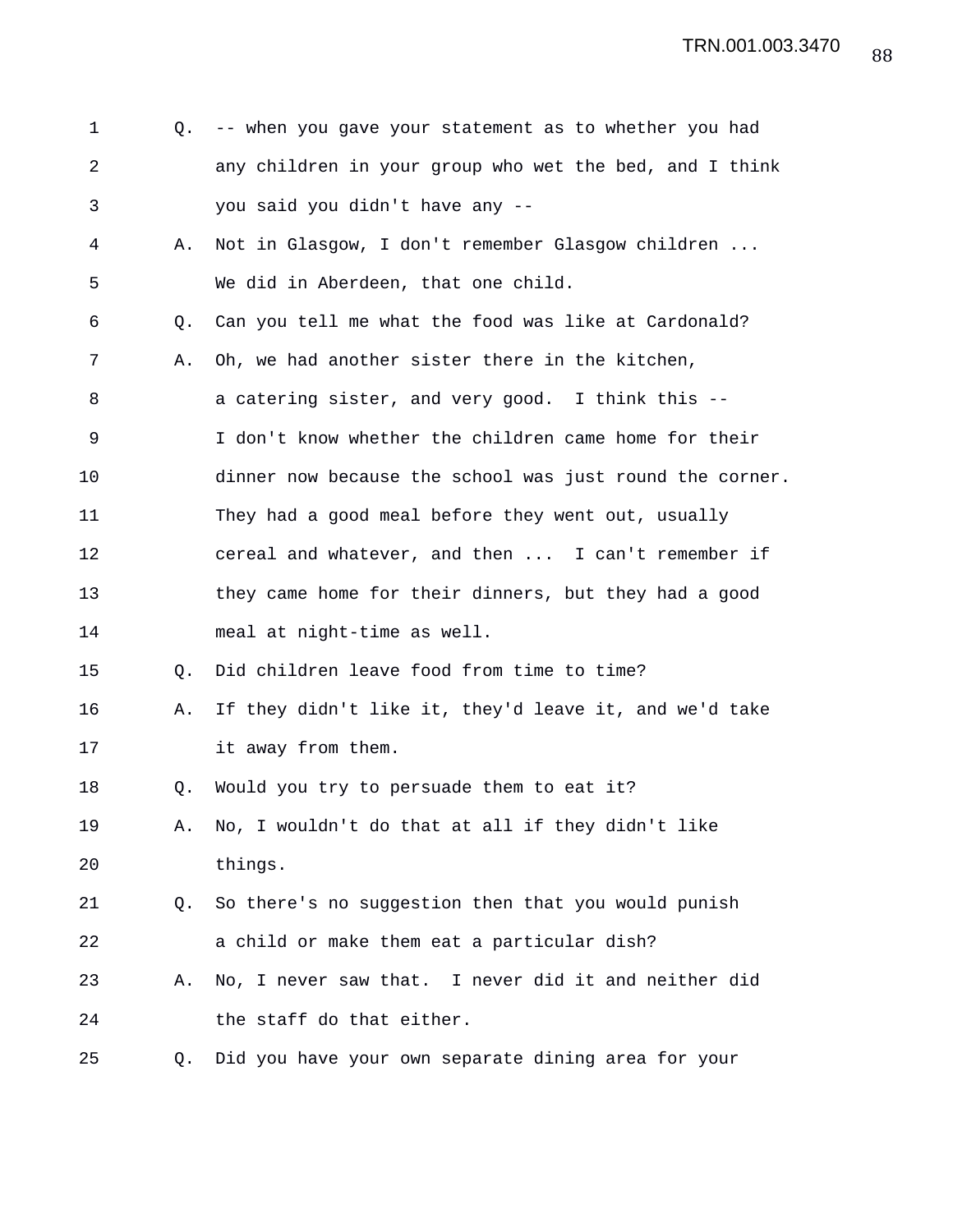| 1              | Q. | -- when you gave your statement as to whether you had    |
|----------------|----|----------------------------------------------------------|
| $\overline{a}$ |    | any children in your group who wet the bed, and I think  |
| 3              |    | you said you didn't have any --                          |
| 4              | Α. | Not in Glasgow, I don't remember Glasgow children        |
| 5              |    | We did in Aberdeen, that one child.                      |
| 6              | Q. | Can you tell me what the food was like at Cardonald?     |
| 7              | Α. | Oh, we had another sister there in the kitchen,          |
| 8              |    | a catering sister, and very good. I think this --        |
| 9              |    | I don't know whether the children came home for their    |
| 10             |    | dinner now because the school was just round the corner. |
| 11             |    | They had a good meal before they went out, usually       |
| 12             |    | cereal and whatever, and then  I can't remember if       |
| 13             |    | they came home for their dinners, but they had a good    |
| 14             |    | meal at night-time as well.                              |
| 15             | O. | Did children leave food from time to time?               |
| 16             | Α. | If they didn't like it, they'd leave it, and we'd take   |
| 17             |    | it away from them.                                       |
| 18             | Q. | Would you try to persuade them to eat it?                |
| 19             | Α. | No, I wouldn't do that at all if they didn't like        |
| 20             |    | things.                                                  |
| 21             | 0. | So there's no suggestion then that you would punish      |
| 22             |    | a child or make them eat a particular dish?              |
| 23             | Α. | No, I never saw that. I never did it and neither did     |
| 24             |    | the staff do that either.                                |
| 25             | Q. | Did you have your own separate dining area for your      |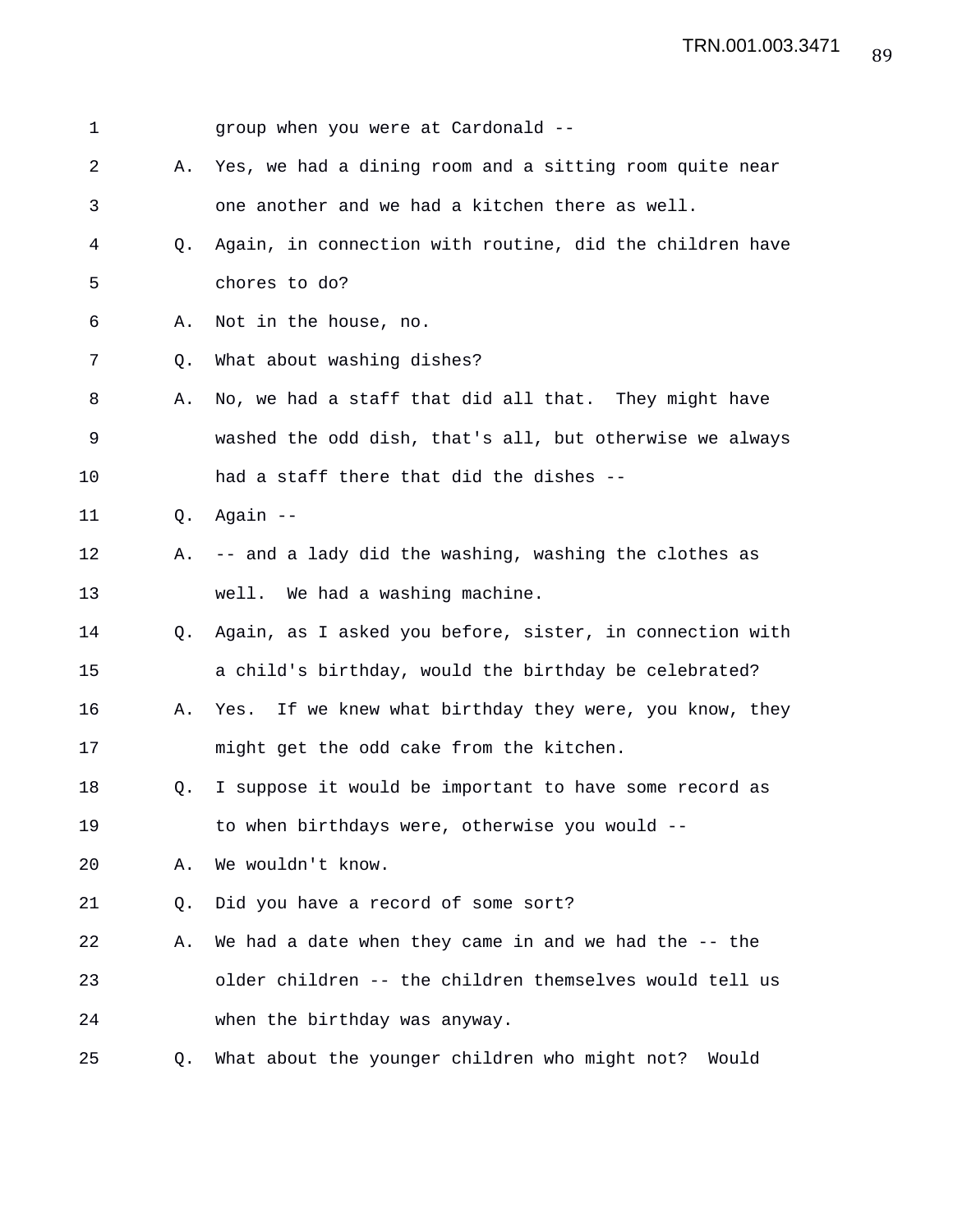| 1  |    | group when you were at Cardonald --                        |
|----|----|------------------------------------------------------------|
| 2  | Α. | Yes, we had a dining room and a sitting room quite near    |
| 3  |    | one another and we had a kitchen there as well.            |
| 4  | O. | Again, in connection with routine, did the children have   |
| 5  |    | chores to do?                                              |
| 6  | Α. | Not in the house, no.                                      |
| 7  | Q. | What about washing dishes?                                 |
| 8  | Α. | No, we had a staff that did all that. They might have      |
| 9  |    | washed the odd dish, that's all, but otherwise we always   |
| 10 |    | had a staff there that did the dishes --                   |
| 11 | Q. | Again --                                                   |
| 12 | Α. | -- and a lady did the washing, washing the clothes as      |
| 13 |    | well. We had a washing machine.                            |
| 14 | Q. | Again, as I asked you before, sister, in connection with   |
| 15 |    | a child's birthday, would the birthday be celebrated?      |
| 16 | Α. | If we knew what birthday they were, you know, they<br>Yes. |
| 17 |    | might get the odd cake from the kitchen.                   |
| 18 | Q. | I suppose it would be important to have some record as     |
| 19 |    | to when birthdays were, otherwise you would --             |
| 20 | Α. | We wouldn't know.                                          |
| 21 | Q. | Did you have a record of some sort?                        |
| 22 | Α. | We had a date when they came in and we had the -- the      |
| 23 |    | older children -- the children themselves would tell us    |
| 24 |    | when the birthday was anyway.                              |
| 25 | Q. | What about the younger children who might not? Would       |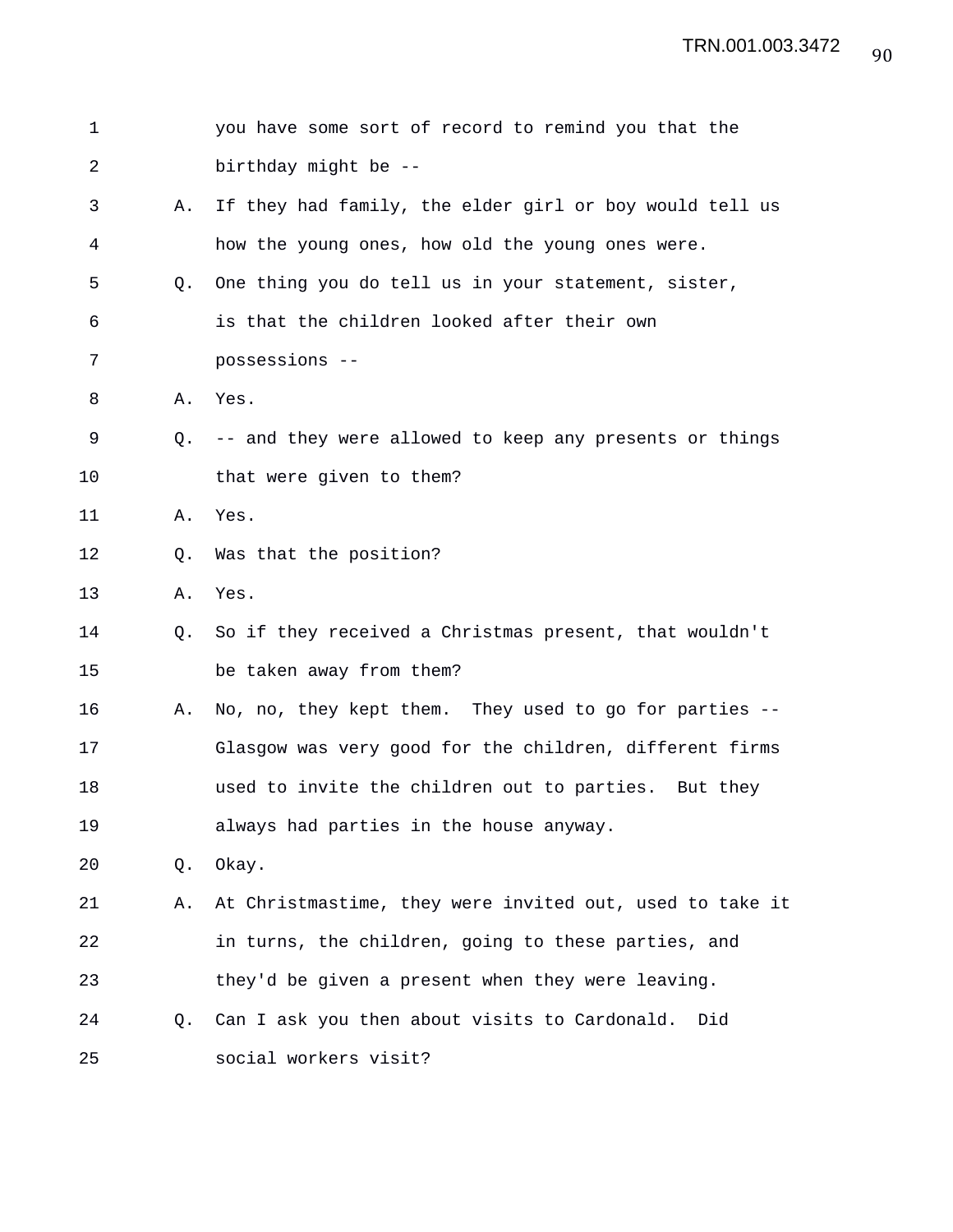| 1  |    | you have some sort of record to remind you that the      |
|----|----|----------------------------------------------------------|
| 2  |    | birthday might be --                                     |
| 3  | Α. | If they had family, the elder girl or boy would tell us  |
| 4  |    | how the young ones, how old the young ones were.         |
| 5  | 0. | One thing you do tell us in your statement, sister,      |
| 6  |    | is that the children looked after their own              |
| 7  |    | possessions --                                           |
| 8  | Α. | Yes.                                                     |
| 9  | O. | -- and they were allowed to keep any presents or things  |
| 10 |    | that were given to them?                                 |
| 11 | Α. | Yes.                                                     |
| 12 | Q. | Was that the position?                                   |
| 13 | Α. | Yes.                                                     |
| 14 | Q. | So if they received a Christmas present, that wouldn't   |
| 15 |    | be taken away from them?                                 |
| 16 | Α. | No, no, they kept them. They used to go for parties --   |
| 17 |    | Glasgow was very good for the children, different firms  |
| 18 |    | used to invite the children out to parties. But they     |
| 19 |    | always had parties in the house anyway.                  |
| 20 | Q. | Okay.                                                    |
| 21 | Α. | At Christmastime, they were invited out, used to take it |
| 22 |    | in turns, the children, going to these parties, and      |
| 23 |    | they'd be given a present when they were leaving.        |
| 24 | О. | Can I ask you then about visits to Cardonald.<br>Did     |
| 25 |    | social workers visit?                                    |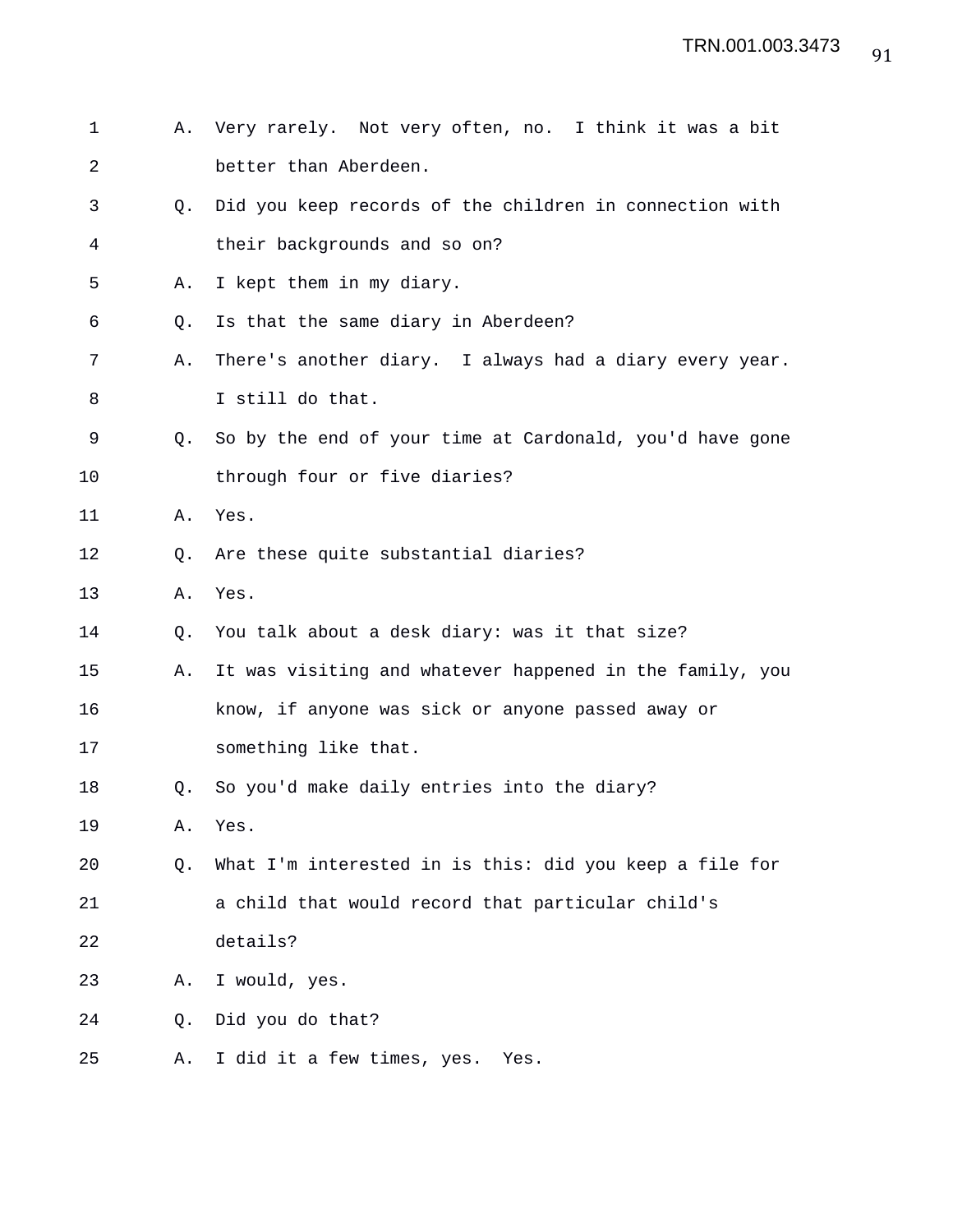- 1 A. Very rarely. Not very often, no. I think it was a bit 2 better than Aberdeen.
- 3 Q. Did you keep records of the children in connection with 4 their backgrounds and so on?
- 5 A. I kept them in my diary.
- 6 Q. Is that the same diary in Aberdeen?
- 7 A. There's another diary. I always had a diary every year. 8 I still do that.
- 9 Q. So by the end of your time at Cardonald, you'd have gone 10 through four or five diaries?
- 11 A. Yes.
- 12 Q. Are these quite substantial diaries?
- 13 A. Yes.
- 14 Q. You talk about a desk diary: was it that size?
- 15 A. It was visiting and whatever happened in the family, you 16 know, if anyone was sick or anyone passed away or
- 17 something like that.
- 18 Q. So you'd make daily entries into the diary?

19 A. Yes.

- 20 Q. What I'm interested in is this: did you keep a file for 21 a child that would record that particular child's 22 details?
- 23 A. I would, yes.
- 24 Q. Did you do that?
- 25 A. I did it a few times, yes. Yes.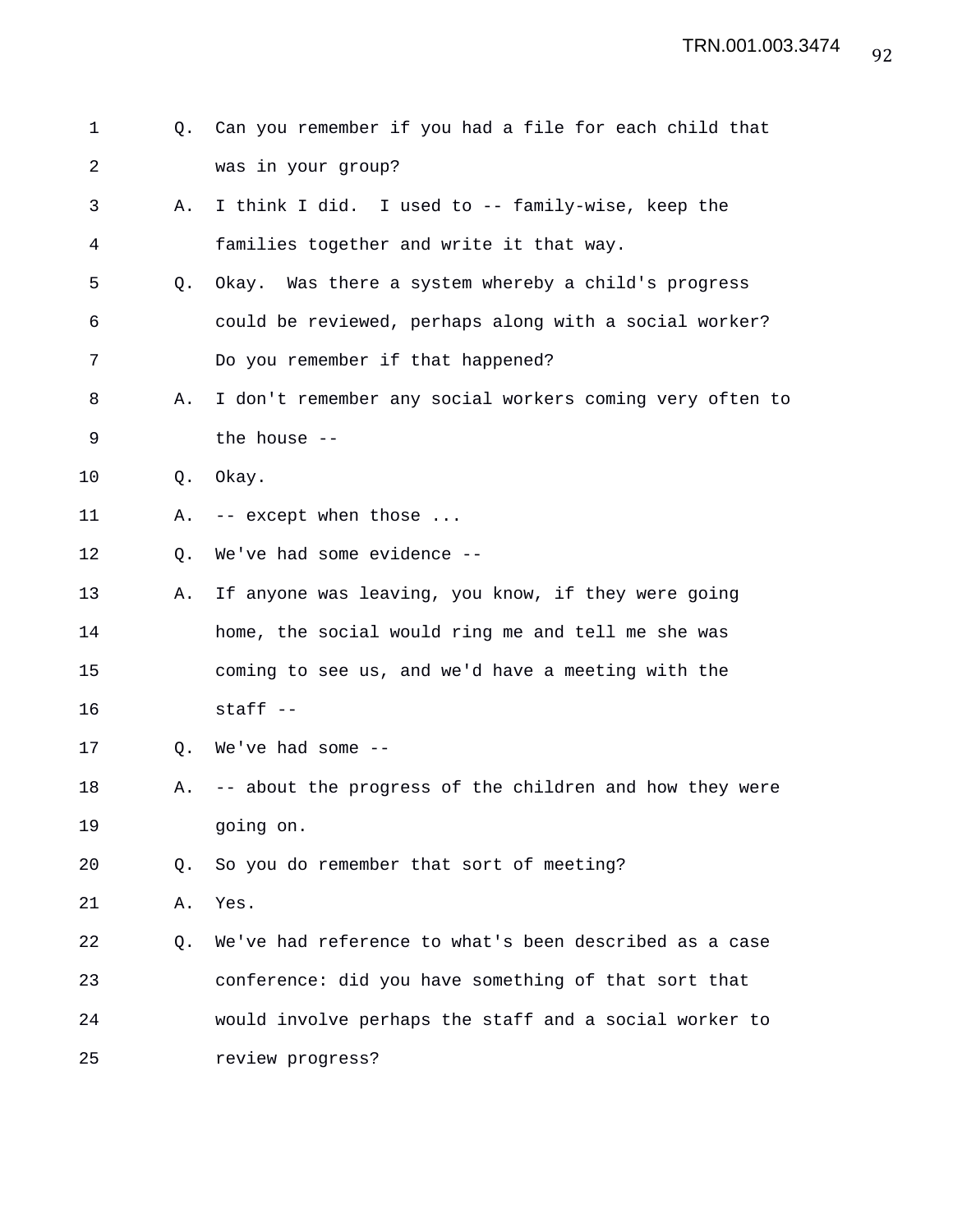| 1  | Q. | Can you remember if you had a file for each child that   |
|----|----|----------------------------------------------------------|
| 2  |    | was in your group?                                       |
| 3  | Α. | I think I did. I used to -- family-wise, keep the        |
| 4  |    | families together and write it that way.                 |
| 5  | Q. | Okay. Was there a system whereby a child's progress      |
| 6  |    | could be reviewed, perhaps along with a social worker?   |
| 7  |    | Do you remember if that happened?                        |
| 8  | Α. | I don't remember any social workers coming very often to |
| 9  |    | the house --                                             |
| 10 | Q. | Okay.                                                    |
| 11 | Α. | -- except when those                                     |
| 12 | Q. | We've had some evidence --                               |
| 13 | Α. | If anyone was leaving, you know, if they were going      |
| 14 |    | home, the social would ring me and tell me she was       |
| 15 |    | coming to see us, and we'd have a meeting with the       |
| 16 |    | staff --                                                 |
| 17 | O. | We've had some --                                        |
| 18 | Α. | -- about the progress of the children and how they were  |
| 19 |    | going on.                                                |
| 20 | O. | So you do remember that sort of meeting?                 |
| 21 | Α. | Yes.                                                     |
| 22 | Q. | We've had reference to what's been described as a case   |
| 23 |    | conference: did you have something of that sort that     |
| 24 |    | would involve perhaps the staff and a social worker to   |
| 25 |    | review progress?                                         |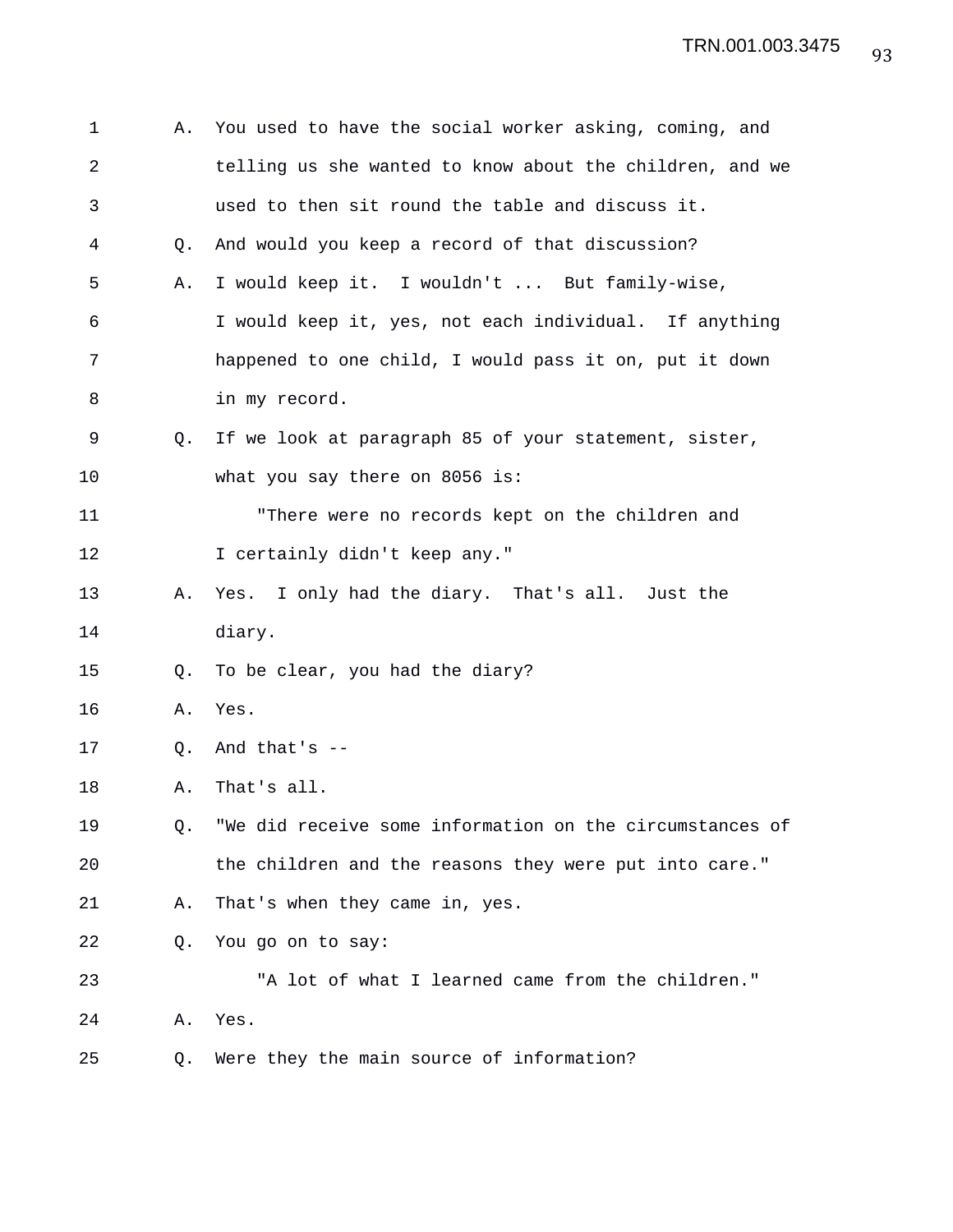| 1  | Α. | You used to have the social worker asking, coming, and   |
|----|----|----------------------------------------------------------|
| 2  |    | telling us she wanted to know about the children, and we |
| 3  |    | used to then sit round the table and discuss it.         |
| 4  | О. | And would you keep a record of that discussion?          |
| 5  | Α. | I would keep it. I wouldn't  But family-wise,            |
| 6  |    | I would keep it, yes, not each individual. If anything   |
| 7  |    | happened to one child, I would pass it on, put it down   |
| 8  |    | in my record.                                            |
| 9  | 0. | If we look at paragraph 85 of your statement, sister,    |
| 10 |    | what you say there on 8056 is:                           |
| 11 |    | "There were no records kept on the children and          |
| 12 |    | I certainly didn't keep any."                            |
| 13 | Α. | Yes. I only had the diary. That's all. Just the          |
| 14 |    | diary.                                                   |
| 15 | O. | To be clear, you had the diary?                          |
| 16 | Α. | Yes.                                                     |
| 17 | Q. | And that's $-$                                           |
| 18 | Α. | That's all.                                              |
| 19 | Q. | "We did receive some information on the circumstances of |
| 20 |    | the children and the reasons they were put into care."   |
| 21 | Α. | That's when they came in, yes.                           |
| 22 | O. | You go on to say:                                        |
| 23 |    | "A lot of what I learned came from the children."        |
| 24 | Α. | Yes.                                                     |
| 25 | Q. | Were they the main source of information?                |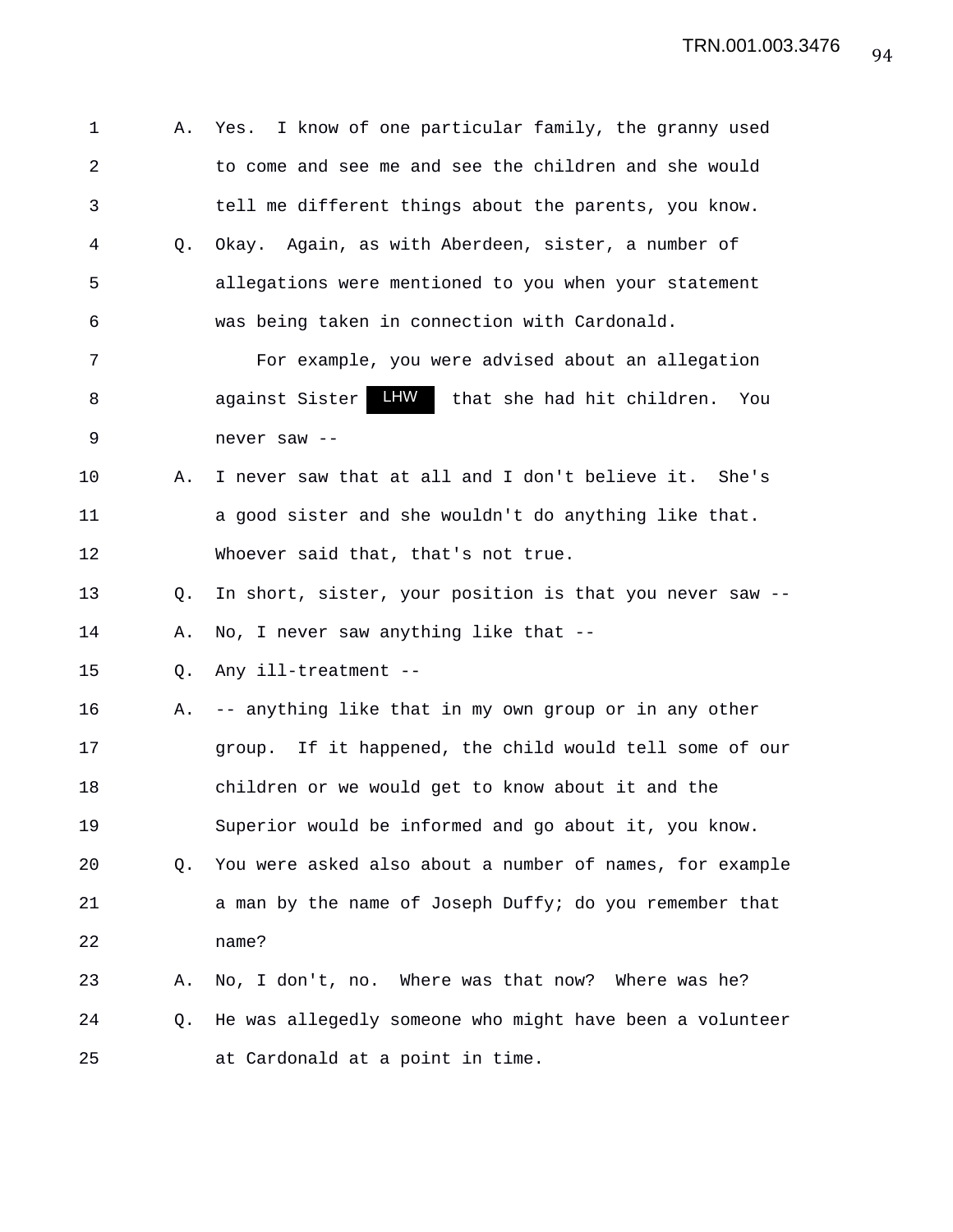1 A. Yes. I know of one particular family, the granny used 2 to come and see me and see the children and she would 3 tell me different things about the parents, you know. 4 Q. Okay. Again, as with Aberdeen, sister, a number of 5 allegations were mentioned to you when your statement 6 was being taken in connection with Cardonald. 7 For example, you were advised about an allegation 8 against Sister IIW that she had hit children. You 9 never saw -- 10 A. I never saw that at all and I don't believe it. She's 11 a good sister and she wouldn't do anything like that. 12 Whoever said that, that's not true. 13 Q. In short, sister, your position is that you never saw -- 14 A. No, I never saw anything like that -- 15 Q. Any ill-treatment -- 16 A. -- anything like that in my own group or in any other 17 group. If it happened, the child would tell some of our 18 children or we would get to know about it and the 19 Superior would be informed and go about it, you know. 20 Q. You were asked also about a number of names, for example 21 a man by the name of Joseph Duffy; do you remember that 22 name? 23 A. No, I don't, no. Where was that now? Where was he? 24 Q. He was allegedly someone who might have been a volunteer 25 at Cardonald at a point in time. against Sister LHW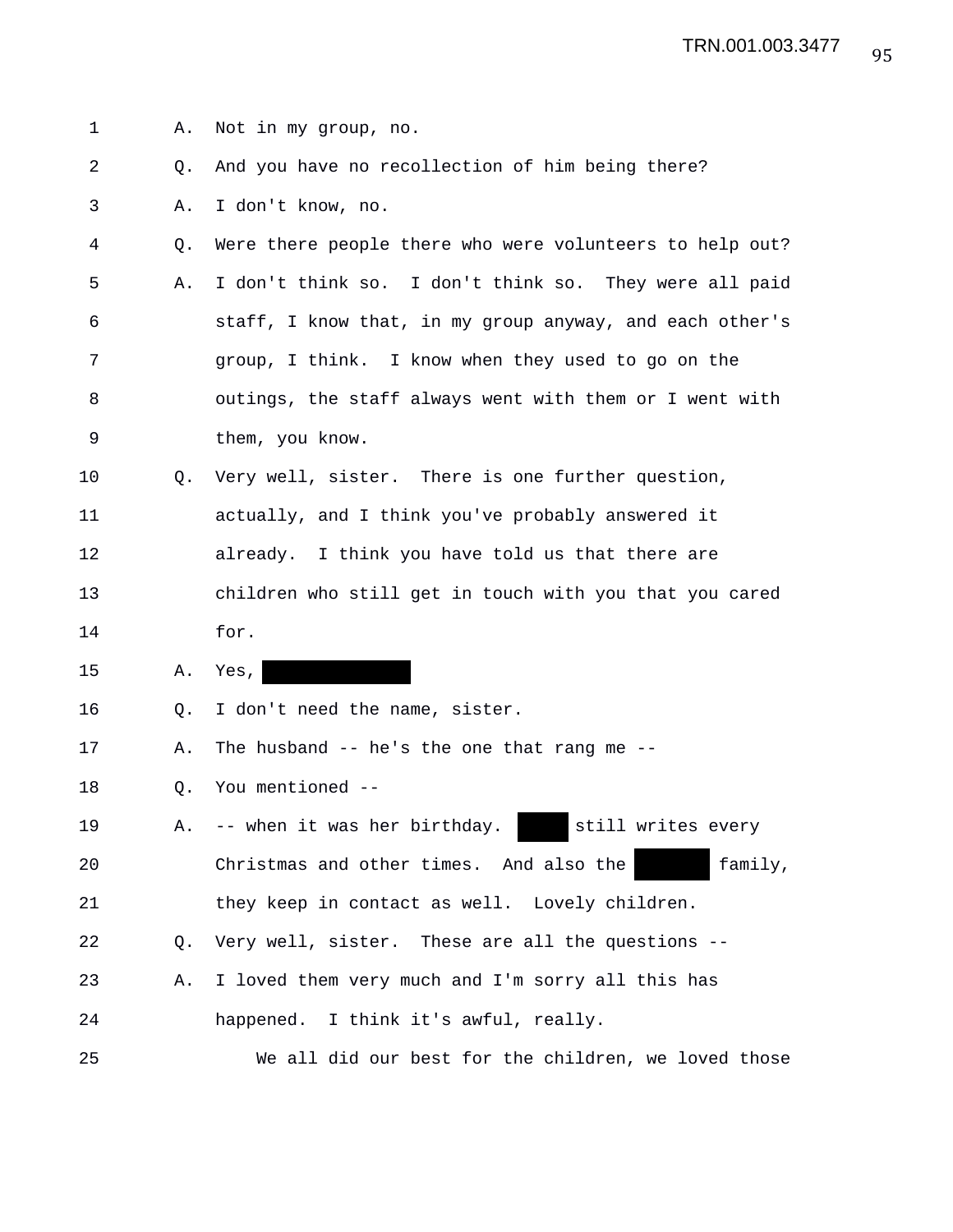| 1  | Α. | Not in my group, no.                                     |
|----|----|----------------------------------------------------------|
| 2  | O. | And you have no recollection of him being there?         |
| 3  | Α. | I don't know, no.                                        |
| 4  | Q. | Were there people there who were volunteers to help out? |
| 5  | Α. | I don't think so. I don't think so. They were all paid   |
| 6  |    | staff, I know that, in my group anyway, and each other's |
| 7  |    | group, I think. I know when they used to go on the       |
| 8  |    | outings, the staff always went with them or I went with  |
| 9  |    | them, you know.                                          |
| 10 | O. | Very well, sister. There is one further question,        |
| 11 |    | actually, and I think you've probably answered it        |
| 12 |    | already. I think you have told us that there are         |
| 13 |    | children who still get in touch with you that you cared  |
| 14 |    | for.                                                     |
| 15 | Α. | Yes,                                                     |
| 16 | Q. | I don't need the name, sister.                           |
| 17 | Α. | The husband $-$ he's the one that rang me $-$            |
| 18 | Q. | You mentioned --                                         |
| 19 | Α. | -- when it was her birthday.<br>still writes every       |
| 20 |    | Christmas and other times. And also the<br>family,       |
| 21 |    | they keep in contact as well. Lovely children.           |
| 22 | Q. | Very well, sister. These are all the questions --        |
| 23 | Α. | I loved them very much and I'm sorry all this has        |
| 24 |    | happened. I think it's awful, really.                    |
| 25 |    | We all did our best for the children, we loved those     |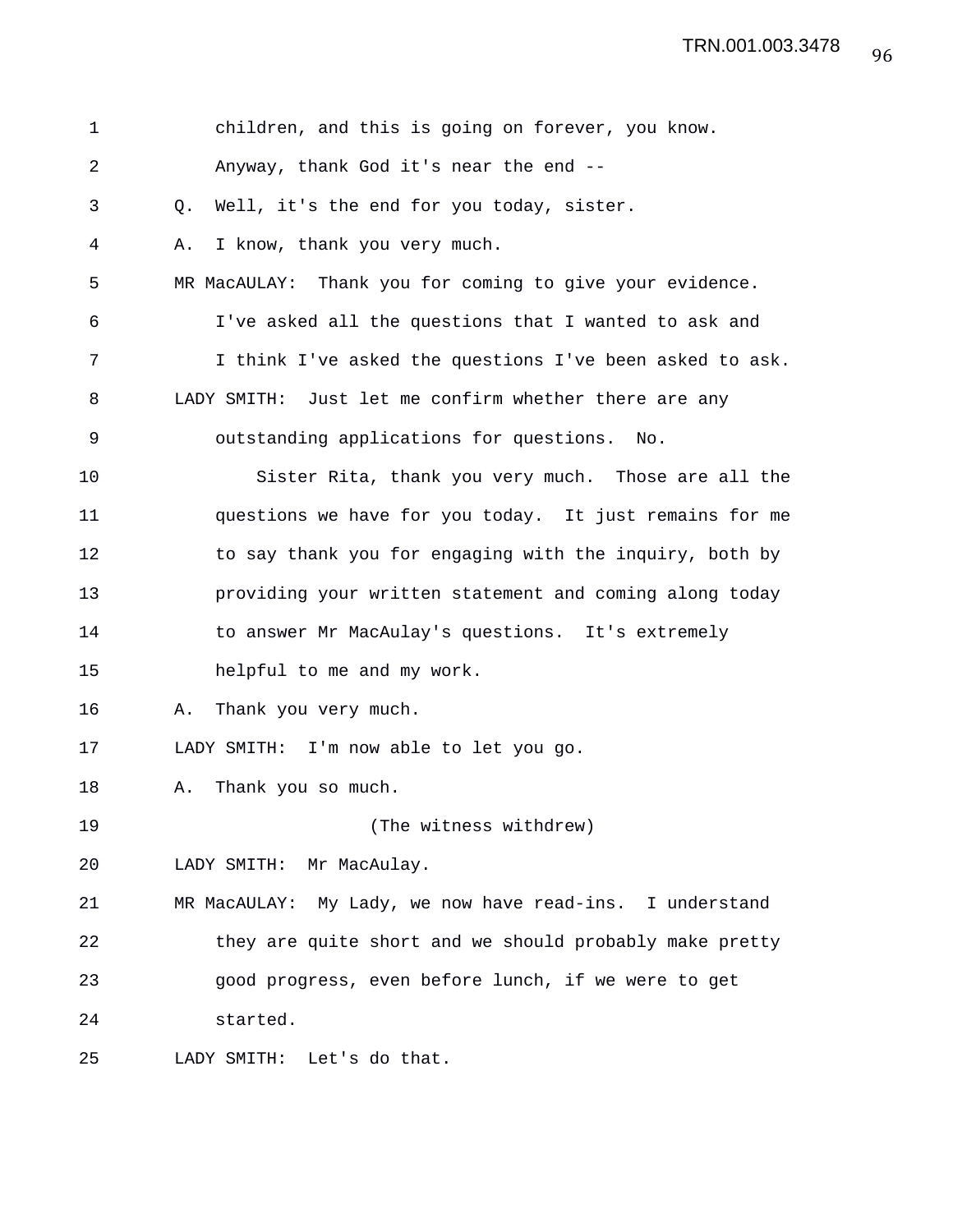| $\mathbf 1$ | children, and this is going on forever, you know.           |
|-------------|-------------------------------------------------------------|
| 2           | Anyway, thank God it's near the end --                      |
| 3           | Well, it's the end for you today, sister.<br>Q.             |
| 4           | I know, thank you very much.<br>Α.                          |
| 5           | Thank you for coming to give your evidence.<br>MR MacAULAY: |
| 6           | I've asked all the questions that I wanted to ask and       |
| 7           | I think I've asked the questions I've been asked to ask.    |
| 8           | LADY SMITH: Just let me confirm whether there are any       |
| 9           | outstanding applications for questions.<br>No.              |
| 10          | Sister Rita, thank you very much. Those are all the         |
| 11          | questions we have for you today. It just remains for me     |
| 12          | to say thank you for engaging with the inquiry, both by     |
| 13          | providing your written statement and coming along today     |
| 14          | to answer Mr MacAulay's questions. It's extremely           |
| 15          | helpful to me and my work.                                  |
| 16          | Thank you very much.<br>Α.                                  |
| 17          | LADY SMITH: I'm now able to let you go.                     |
| 18          | Thank you so much.<br>Α.                                    |
| 19          | (The witness withdrew)                                      |
| 20          | LADY SMITH: Mr MacAulay.                                    |
| 21          | MR MacAULAY: My Lady, we now have read-ins. I understand    |
| 22          | they are quite short and we should probably make pretty     |
| 23          | good progress, even before lunch, if we were to get         |
| 24          | started.                                                    |
| 25          | LADY SMITH:<br>Let's do that.                               |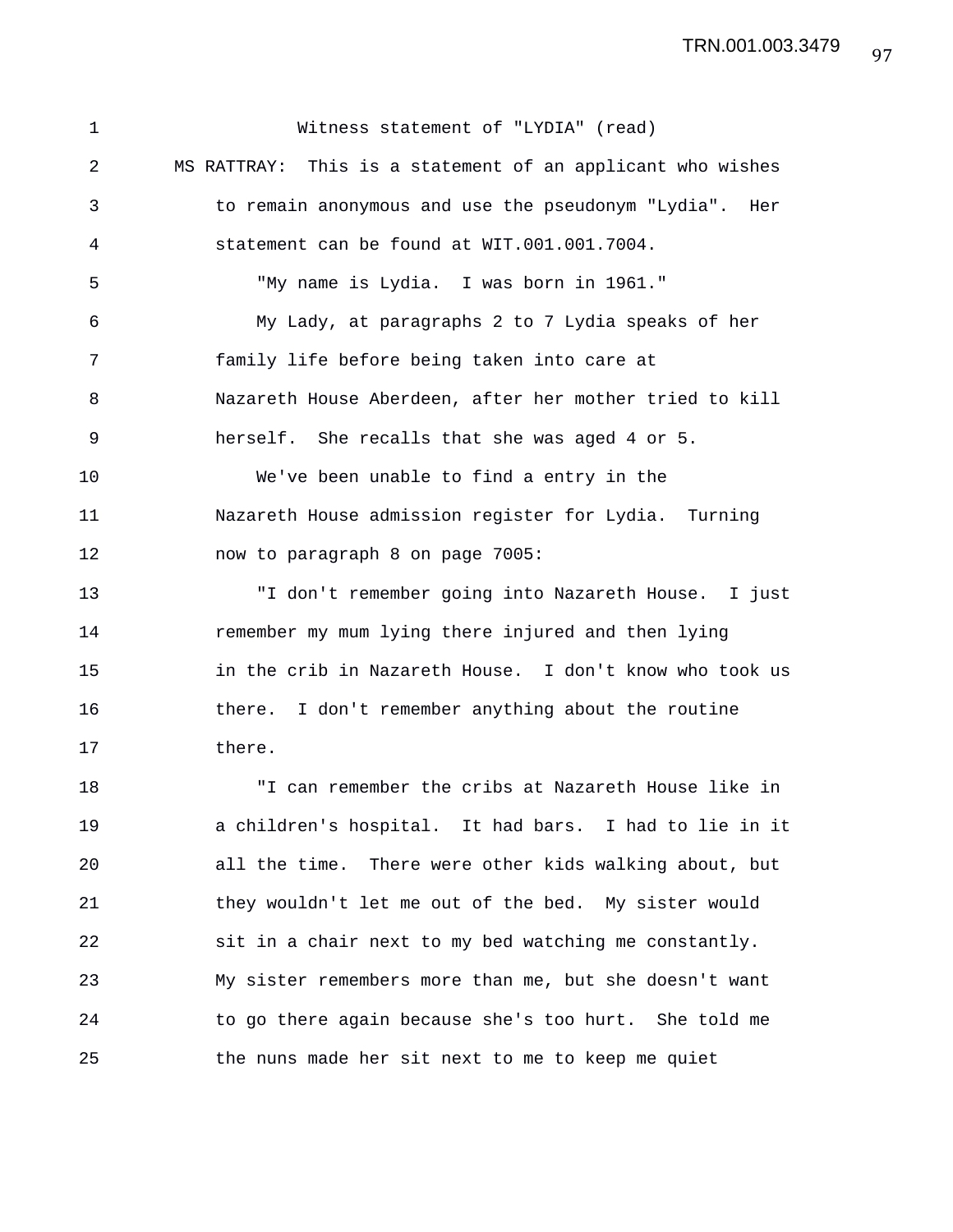1 Witness statement of "LYDIA" (read) 2 MS RATTRAY: This is a statement of an applicant who wishes 3 to remain anonymous and use the pseudonym "Lydia". Her 4 statement can be found at WIT.001.001.7004. 5 "My name is Lydia. I was born in 1961." 6 My Lady, at paragraphs 2 to 7 Lydia speaks of her 7 family life before being taken into care at 8 Nazareth House Aberdeen, after her mother tried to kill 9 herself. She recalls that she was aged 4 or 5. 10 We've been unable to find a entry in the 11 Nazareth House admission register for Lydia. Turning 12 now to paragraph 8 on page 7005: 13 "I don't remember going into Nazareth House. I just 14 remember my mum lying there injured and then lying 15 in the crib in Nazareth House. I don't know who took us 16 there. I don't remember anything about the routine 17 there. 18 "I can remember the cribs at Nazareth House like in 19 a children's hospital. It had bars. I had to lie in it 20 all the time. There were other kids walking about, but 21 they wouldn't let me out of the bed. My sister would 22 sit in a chair next to my bed watching me constantly. 23 My sister remembers more than me, but she doesn't want 24 to go there again because she's too hurt. She told me 25 the nuns made her sit next to me to keep me quiet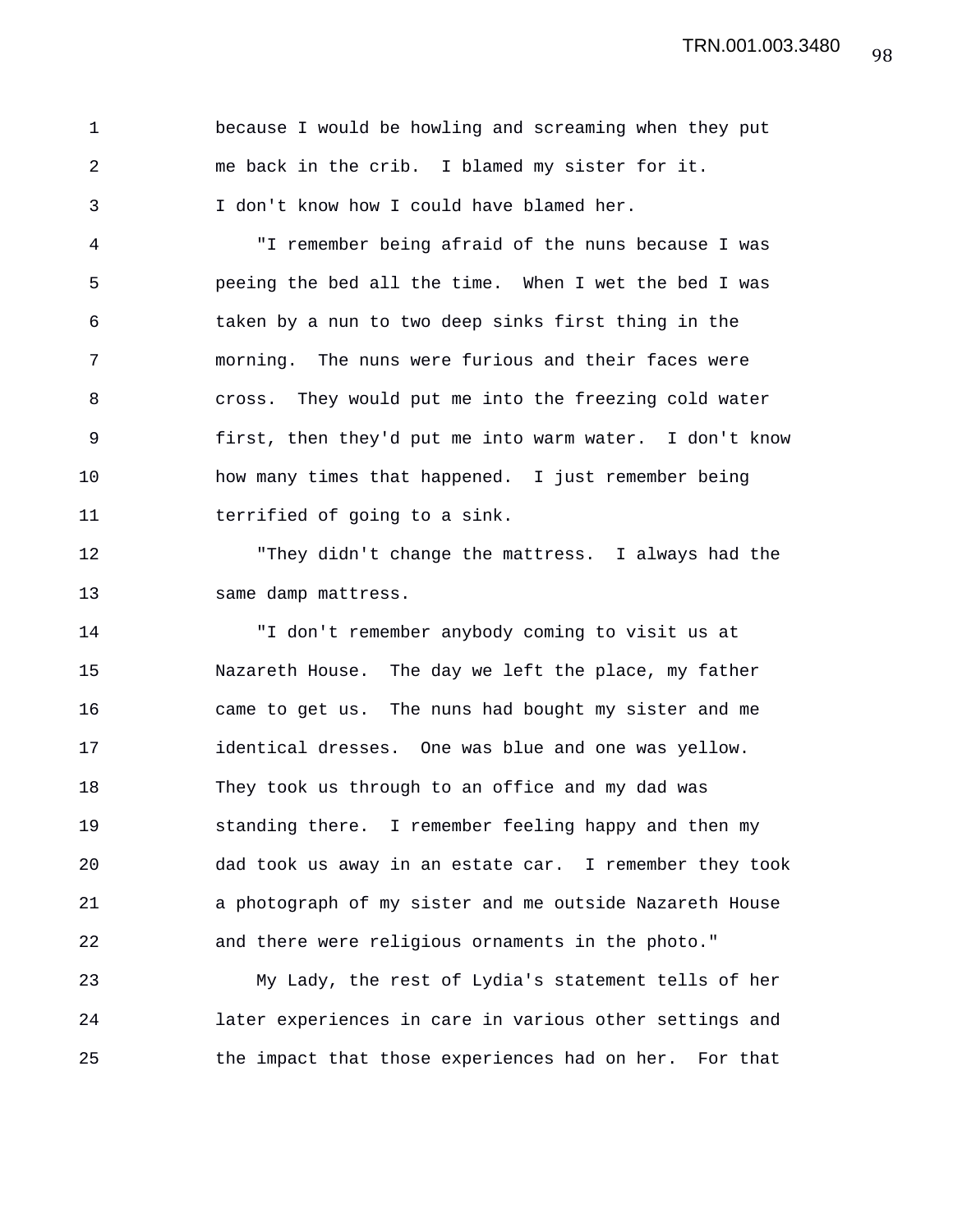| $\mathbf{1}$  | because I would be howling and screaming when they put |
|---------------|--------------------------------------------------------|
| 2             | me back in the crib. I blamed my sister for it.        |
| $\mathcal{R}$ | I don't know how I could have blamed her.              |

4 "I remember being afraid of the nuns because I was 5 peeing the bed all the time. When I wet the bed I was 6 taken by a nun to two deep sinks first thing in the 7 morning. The nuns were furious and their faces were 8 cross. They would put me into the freezing cold water 9 first, then they'd put me into warm water. I don't know 10 how many times that happened. I just remember being 11 terrified of going to a sink.

12 "They didn't change the mattress. I always had the 13 same damp mattress.

14 "I don't remember anybody coming to visit us at 15 Nazareth House. The day we left the place, my father 16 came to get us. The nuns had bought my sister and me 17 identical dresses. One was blue and one was yellow. 18 They took us through to an office and my dad was 19 standing there. I remember feeling happy and then my 20 dad took us away in an estate car. I remember they took 21 a photograph of my sister and me outside Nazareth House 22 and there were religious ornaments in the photo."

23 My Lady, the rest of Lydia's statement tells of her 24 later experiences in care in various other settings and 25 the impact that those experiences had on her. For that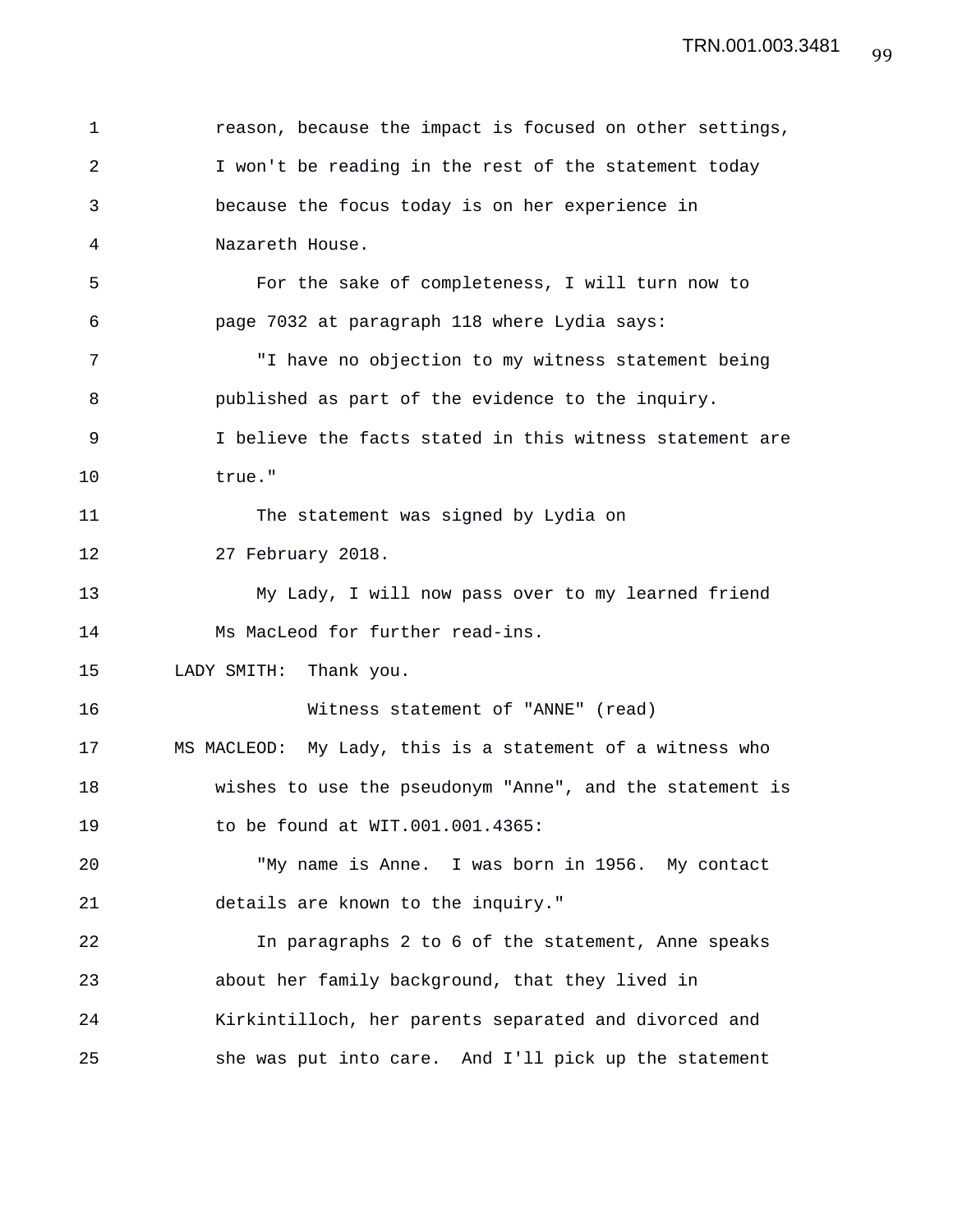| 1  | reason, because the impact is focused on other settings,  |
|----|-----------------------------------------------------------|
| 2  | I won't be reading in the rest of the statement today     |
| 3  | because the focus today is on her experience in           |
| 4  | Nazareth House.                                           |
| 5  | For the sake of completeness, I will turn now to          |
| 6  | page 7032 at paragraph 118 where Lydia says:              |
| 7  | "I have no objection to my witness statement being        |
| 8  | published as part of the evidence to the inquiry.         |
| 9  | I believe the facts stated in this witness statement are  |
| 10 | true."                                                    |
| 11 | The statement was signed by Lydia on                      |
| 12 | 27 February 2018.                                         |
| 13 | My Lady, I will now pass over to my learned friend        |
| 14 | Ms MacLeod for further read-ins.                          |
| 15 | LADY SMITH: Thank you.                                    |
| 16 | Witness statement of "ANNE" (read)                        |
| 17 | MS MACLEOD: My Lady, this is a statement of a witness who |
| 18 | wishes to use the pseudonym "Anne", and the statement is  |
| 19 | to be found at WIT.001.001.4365:                          |
| 20 | "My name is Anne. I was born in 1956. My contact          |
| 21 | details are known to the inquiry."                        |
| 22 | In paragraphs 2 to 6 of the statement, Anne speaks        |
| 23 | about her family background, that they lived in           |
| 24 | Kirkintilloch, her parents separated and divorced and     |
| 25 | she was put into care. And I'll pick up the statement     |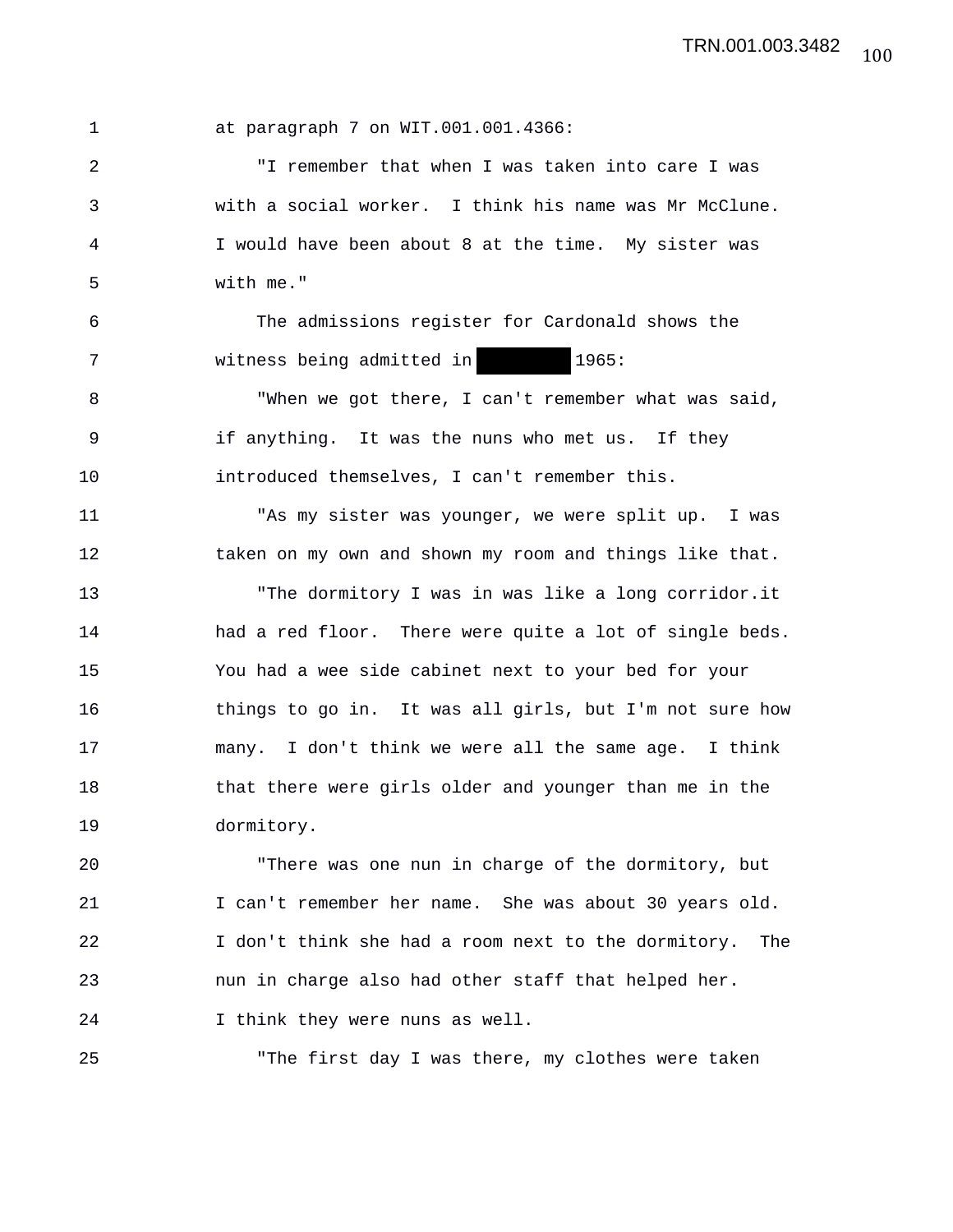1 at paragraph 7 on WIT.001.001.4366:

2 "I remember that when I was taken into care I was 3 with a social worker. I think his name was Mr McClune. 4 I would have been about 8 at the time. My sister was 5 with me."

6 The admissions register for Cardonald shows the 7 witness being admitted in 1965:

8 "When we got there, I can't remember what was said, 9 if anything. It was the nuns who met us. If they 10 introduced themselves, I can't remember this.

11 "As my sister was younger, we were split up. I was 12 taken on my own and shown my room and things like that. 13 "The dormitory I was in was like a long corridor.it 14 had a red floor. There were quite a lot of single beds. 15 You had a wee side cabinet next to your bed for your 16 things to go in. It was all girls, but I'm not sure how 17 many. I don't think we were all the same age. I think 18 that there were girls older and younger than me in the 19 dormitory.

20 "There was one nun in charge of the dormitory, but 21 I can't remember her name. She was about 30 years old. 22 I don't think she had a room next to the dormitory. The 23 nun in charge also had other staff that helped her. 24 I think they were nuns as well.

25 "The first day I was there, my clothes were taken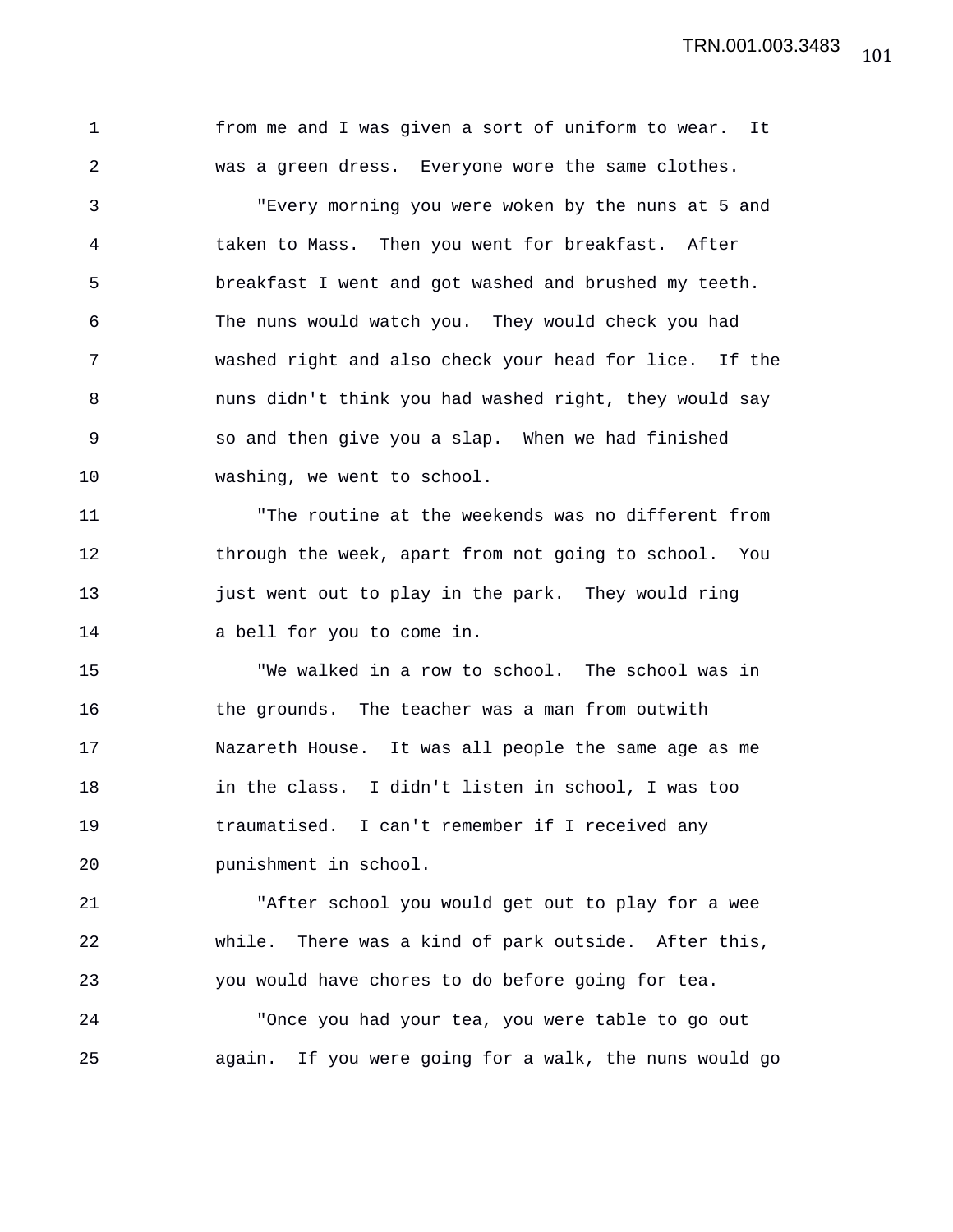1 from me and I was given a sort of uniform to wear. It 2 was a green dress. Everyone wore the same clothes. 3 "Every morning you were woken by the nuns at 5 and 4 taken to Mass. Then you went for breakfast. After 5 breakfast I went and got washed and brushed my teeth. 6 The nuns would watch you. They would check you had 7 washed right and also check your head for lice. If the 8 nuns didn't think you had washed right, they would say 9 so and then give you a slap. When we had finished 10 washing, we went to school. 11 "The routine at the weekends was no different from 12 through the week, apart from not going to school. You 13 just went out to play in the park. They would ring 14 a bell for you to come in. 15 "We walked in a row to school. The school was in 16 the grounds. The teacher was a man from outwith

17 Nazareth House. It was all people the same age as me 18 in the class. I didn't listen in school, I was too 19 traumatised. I can't remember if I received any 20 punishment in school.

21 "After school you would get out to play for a wee 22 while. There was a kind of park outside. After this, 23 you would have chores to do before going for tea.

24 "Once you had your tea, you were table to go out 25 again. If you were going for a walk, the nuns would go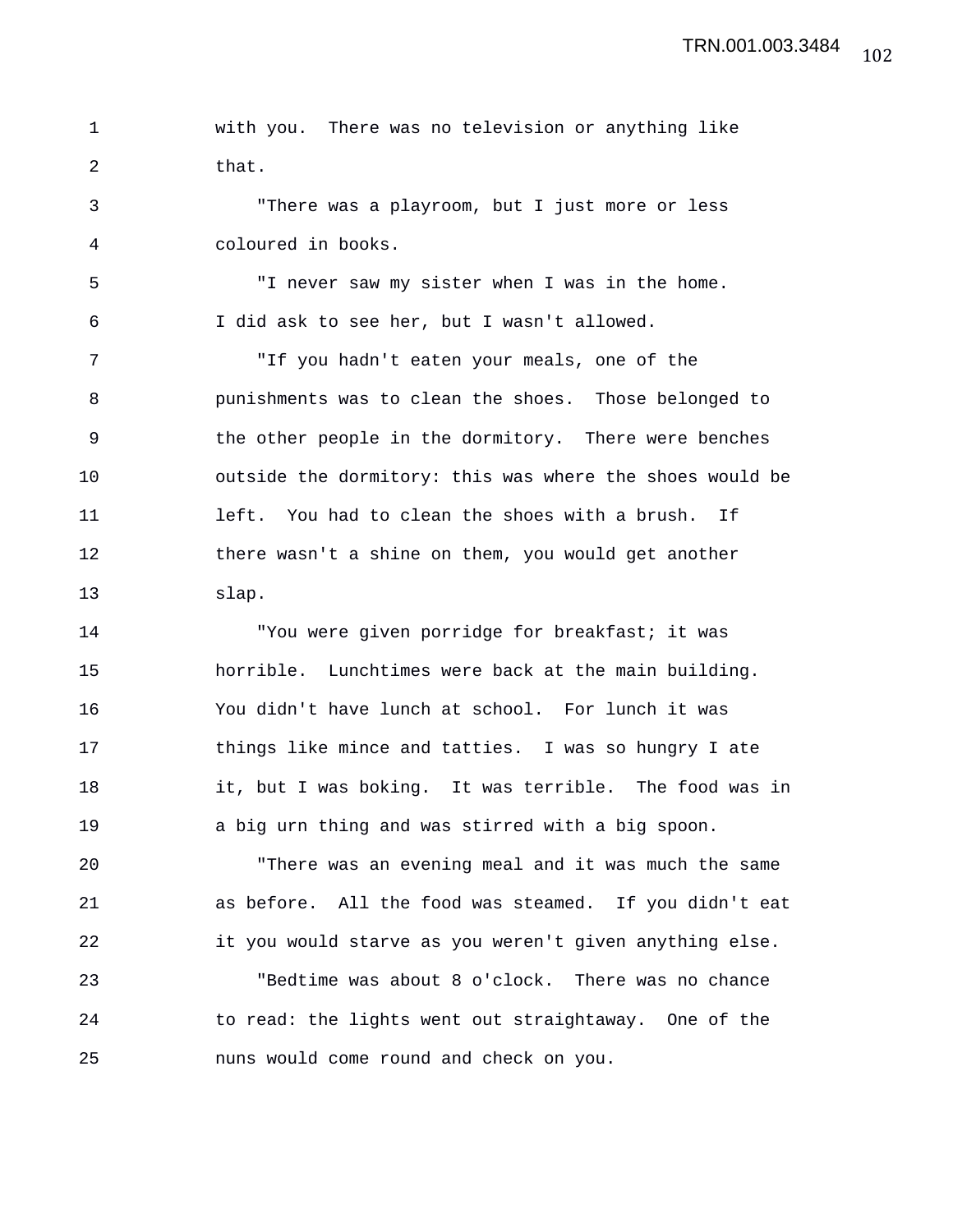1 with you. There was no television or anything like 2 that.

3 "There was a playroom, but I just more or less 4 coloured in books.

5 "I never saw my sister when I was in the home. 6 I did ask to see her, but I wasn't allowed.

7 "If you hadn't eaten your meals, one of the 8 punishments was to clean the shoes. Those belonged to 9 the other people in the dormitory. There were benches 10 outside the dormitory: this was where the shoes would be 11 left. You had to clean the shoes with a brush. If 12 there wasn't a shine on them, you would get another 13 slap.

14 "You were given porridge for breakfast; it was 15 horrible. Lunchtimes were back at the main building. 16 You didn't have lunch at school. For lunch it was 17 things like mince and tatties. I was so hungry I ate 18 it, but I was boking. It was terrible. The food was in 19 a big urn thing and was stirred with a big spoon.

20 "There was an evening meal and it was much the same 21 as before. All the food was steamed. If you didn't eat 22 it you would starve as you weren't given anything else.

23 "Bedtime was about 8 o'clock. There was no chance 24 to read: the lights went out straightaway. One of the 25 nuns would come round and check on you.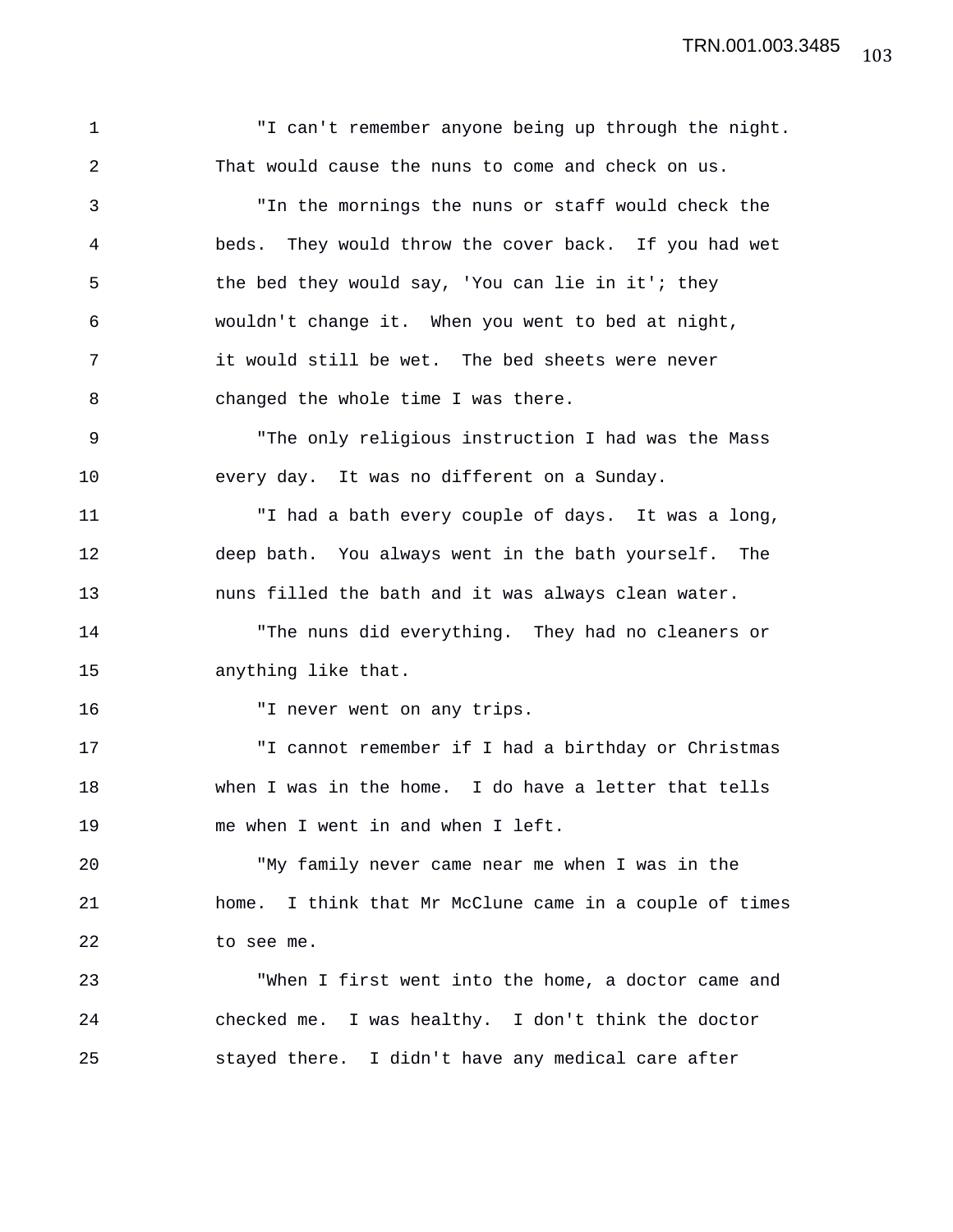1 "I can't remember anyone being up through the night. 2 That would cause the nuns to come and check on us. 3 "In the mornings the nuns or staff would check the 4 beds. They would throw the cover back. If you had wet 5 the bed they would say, 'You can lie in it'; they 6 wouldn't change it. When you went to bed at night, 7 it would still be wet. The bed sheets were never 8 changed the whole time I was there. 9 "The only religious instruction I had was the Mass 10 every day. It was no different on a Sunday. 11 "I had a bath every couple of days. It was a long, 12 deep bath. You always went in the bath yourself. The 13 nuns filled the bath and it was always clean water. 14 "The nuns did everything. They had no cleaners or 15 anything like that. 16 "I never went on any trips. 17 "I cannot remember if I had a birthday or Christmas 18 when I was in the home. I do have a letter that tells 19 me when I went in and when I left. 20 "My family never came near me when I was in the 21 home. I think that Mr McClune came in a couple of times 22 to see me. 23 "When I first went into the home, a doctor came and 24 checked me. I was healthy. I don't think the doctor 25 stayed there. I didn't have any medical care after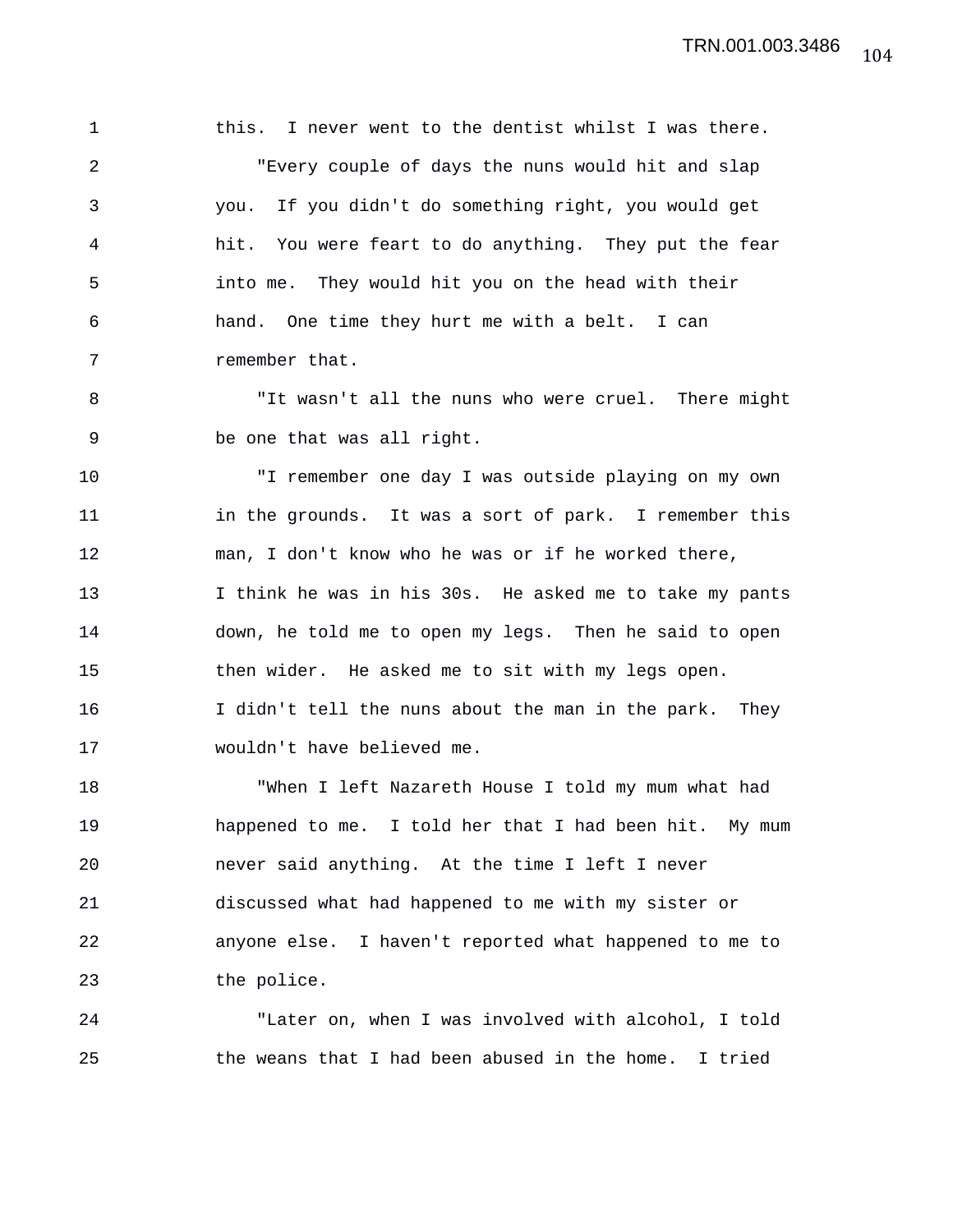1 this. I never went to the dentist whilst I was there. 2 "Every couple of days the nuns would hit and slap 3 you. If you didn't do something right, you would get 4 hit. You were feart to do anything. They put the fear 5 into me. They would hit you on the head with their 6 hand. One time they hurt me with a belt. I can 7 remember that.

8 "It wasn't all the nuns who were cruel. There might 9 be one that was all right.

10 "I remember one day I was outside playing on my own 11 in the grounds. It was a sort of park. I remember this 12 man, I don't know who he was or if he worked there, 13 I think he was in his 30s. He asked me to take my pants 14 down, he told me to open my legs. Then he said to open 15 then wider. He asked me to sit with my legs open. 16 I didn't tell the nuns about the man in the park. They 17 wouldn't have believed me.

18 "When I left Nazareth House I told my mum what had 19 happened to me. I told her that I had been hit. My mum 20 never said anything. At the time I left I never 21 discussed what had happened to me with my sister or 22 anyone else. I haven't reported what happened to me to 23 the police.

24 "Later on, when I was involved with alcohol, I told 25 the weans that I had been abused in the home. I tried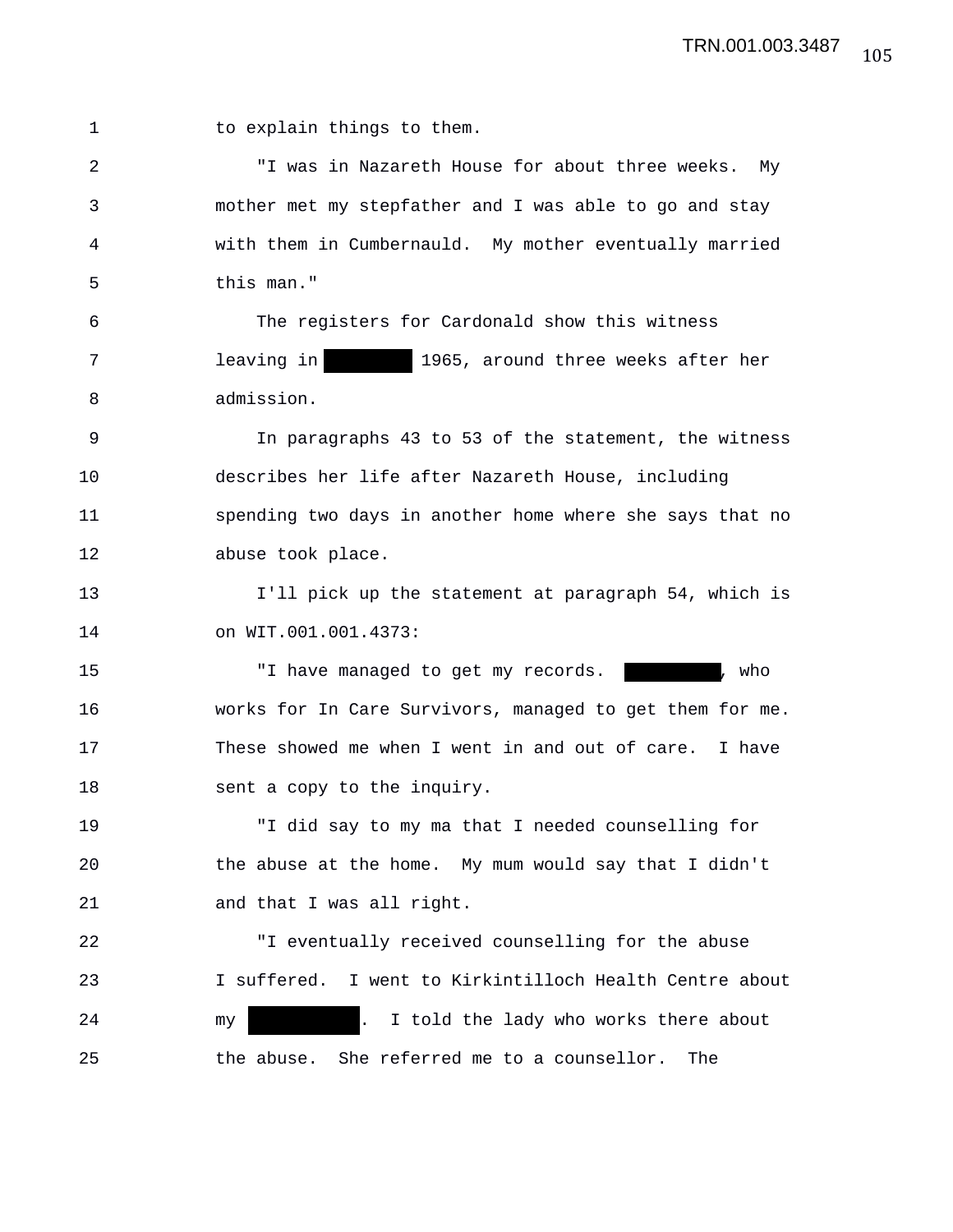1 to explain things to them.

2 "I was in Nazareth House for about three weeks. My 3 mother met my stepfather and I was able to go and stay 4 with them in Cumbernauld. My mother eventually married 5 this man."

6 The registers for Cardonald show this witness 7 leaving in 1965, around three weeks after her 8 admission.

9 In paragraphs 43 to 53 of the statement, the witness 10 describes her life after Nazareth House, including 11 spending two days in another home where she says that no 12 abuse took place.

13 I'll pick up the statement at paragraph 54, which is 14 on WIT.001.001.4373:

15 Thave managed to get my records. The state of the managed to get my records. 16 works for In Care Survivors, managed to get them for me. 17 These showed me when I went in and out of care. I have 18 sent a copy to the inquiry.

19 "I did say to my ma that I needed counselling for 20 the abuse at the home. My mum would say that I didn't 21 and that I was all right.

22 "I eventually received counselling for the abuse 23 I suffered. I went to Kirkintilloch Health Centre about 24 my . I told the lady who works there about 25 the abuse. She referred me to a counsellor. The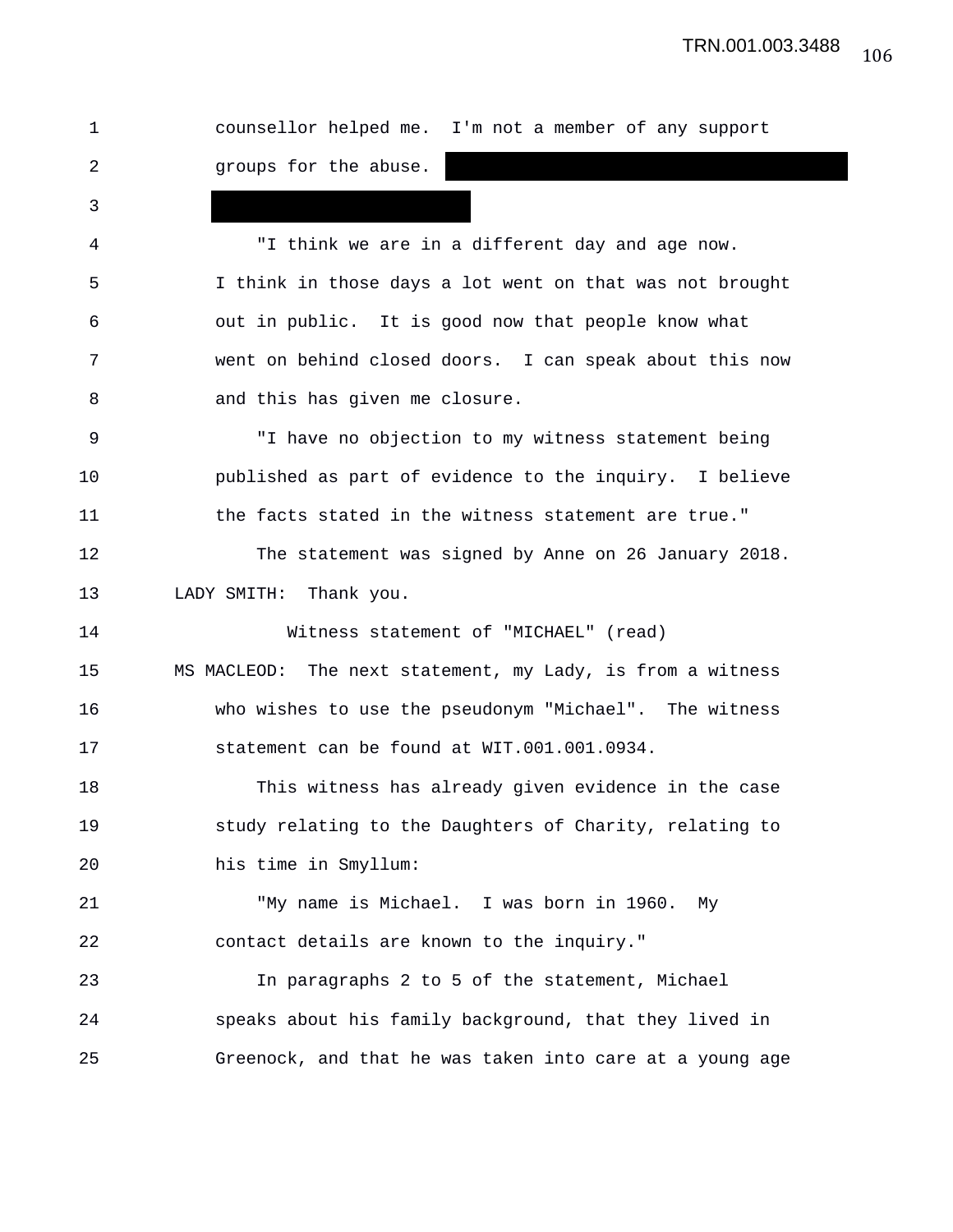| 1  | counsellor helped me. I'm not a member of any support      |
|----|------------------------------------------------------------|
| 2  | groups for the abuse.                                      |
| 3  |                                                            |
| 4  | "I think we are in a different day and age now.            |
| 5  | I think in those days a lot went on that was not brought   |
| 6  | out in public. It is good now that people know what        |
| 7  | went on behind closed doors. I can speak about this now    |
| 8  | and this has given me closure.                             |
| 9  | "I have no objection to my witness statement being         |
| 10 | published as part of evidence to the inquiry. I believe    |
| 11 | the facts stated in the witness statement are true."       |
| 12 | The statement was signed by Anne on 26 January 2018.       |
| 13 | LADY SMITH: Thank you.                                     |
| 14 | Witness statement of "MICHAEL" (read)                      |
| 15 | MS MACLEOD: The next statement, my Lady, is from a witness |
| 16 | who wishes to use the pseudonym "Michael". The witness     |
| 17 | statement can be found at WIT.001.001.0934.                |
| 18 | This witness has already given evidence in the case        |
| 19 | study relating to the Daughters of Charity, relating to    |
| 20 | his time in Smyllum:                                       |
| 21 | "My name is Michael. I was born in 1960. My                |
| 22 | contact details are known to the inquiry."                 |
| 23 | In paragraphs 2 to 5 of the statement, Michael             |
| 24 | speaks about his family background, that they lived in     |
| 25 | Greenock, and that he was taken into care at a young age   |
|    |                                                            |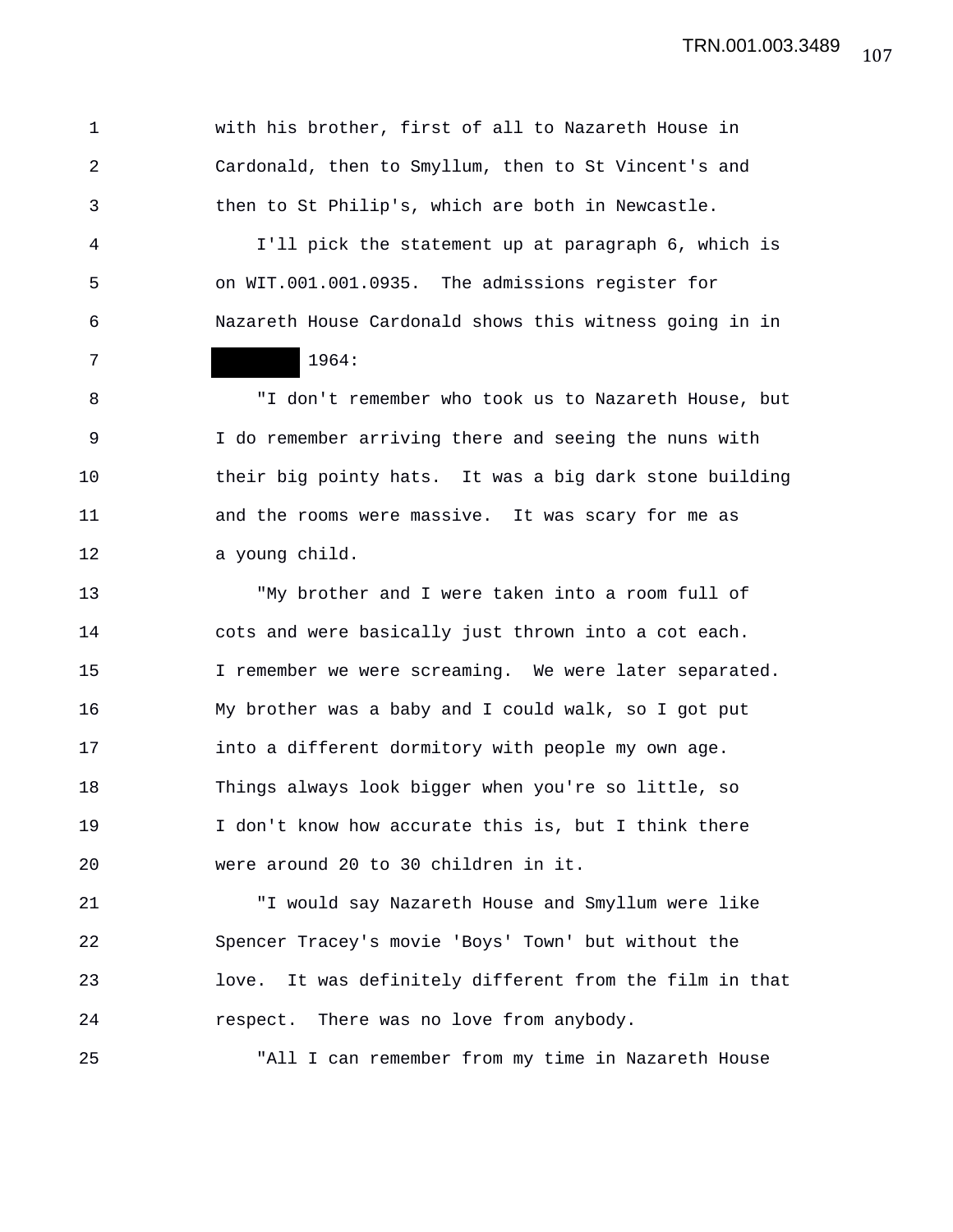1 with his brother, first of all to Nazareth House in 2 Cardonald, then to Smyllum, then to St Vincent's and 3 then to St Philip's, which are both in Newcastle. 4 I'll pick the statement up at paragraph 6, which is 5 on WIT.001.001.0935. The admissions register for 6 Nazareth House Cardonald shows this witness going in in 7 1964: 8 "I don't remember who took us to Nazareth House, but 9 I do remember arriving there and seeing the nuns with 10 their big pointy hats. It was a big dark stone building 11 and the rooms were massive. It was scary for me as 12 a young child. 13 "My brother and I were taken into a room full of 14 cots and were basically just thrown into a cot each. 15 I remember we were screaming. We were later separated. 16 My brother was a baby and I could walk, so I got put 17 into a different dormitory with people my own age. 18 Things always look bigger when you're so little, so 19 I don't know how accurate this is, but I think there 20 were around 20 to 30 children in it. 21 "I would say Nazareth House and Smyllum were like 22 Spencer Tracey's movie 'Boys' Town' but without the

23 love. It was definitely different from the film in that 24 respect. There was no love from anybody.

25 "All I can remember from my time in Nazareth House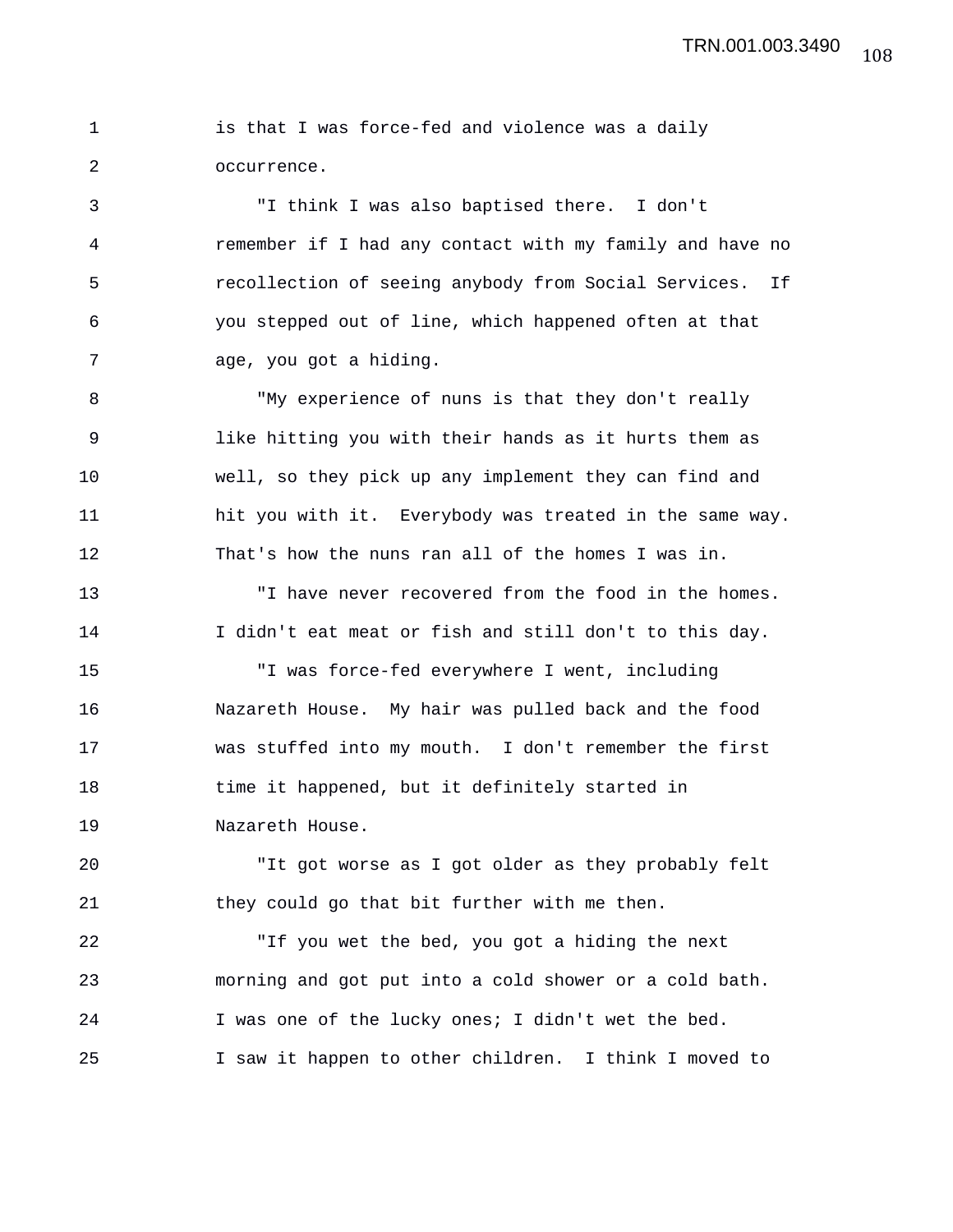|  |             |  | is that I was force-fed and violence was a daily |  |  |  |
|--|-------------|--|--------------------------------------------------|--|--|--|
|  | occurrence. |  |                                                  |  |  |  |

3 "I think I was also baptised there. I don't 4 remember if I had any contact with my family and have no 5 recollection of seeing anybody from Social Services. If 6 you stepped out of line, which happened often at that 7 age, you got a hiding.

8 "My experience of nuns is that they don't really 9 like hitting you with their hands as it hurts them as 10 well, so they pick up any implement they can find and 11 hit you with it. Everybody was treated in the same way. 12 That's how the nuns ran all of the homes I was in.

13 "I have never recovered from the food in the homes. 14 I didn't eat meat or fish and still don't to this day.

15 "I was force-fed everywhere I went, including 16 Nazareth House. My hair was pulled back and the food 17 was stuffed into my mouth. I don't remember the first 18 time it happened, but it definitely started in 19 Nazareth House.

20 "It got worse as I got older as they probably felt 21 they could go that bit further with me then.

22 "If you wet the bed, you got a hiding the next 23 morning and got put into a cold shower or a cold bath. 24 I was one of the lucky ones; I didn't wet the bed. 25 I saw it happen to other children. I think I moved to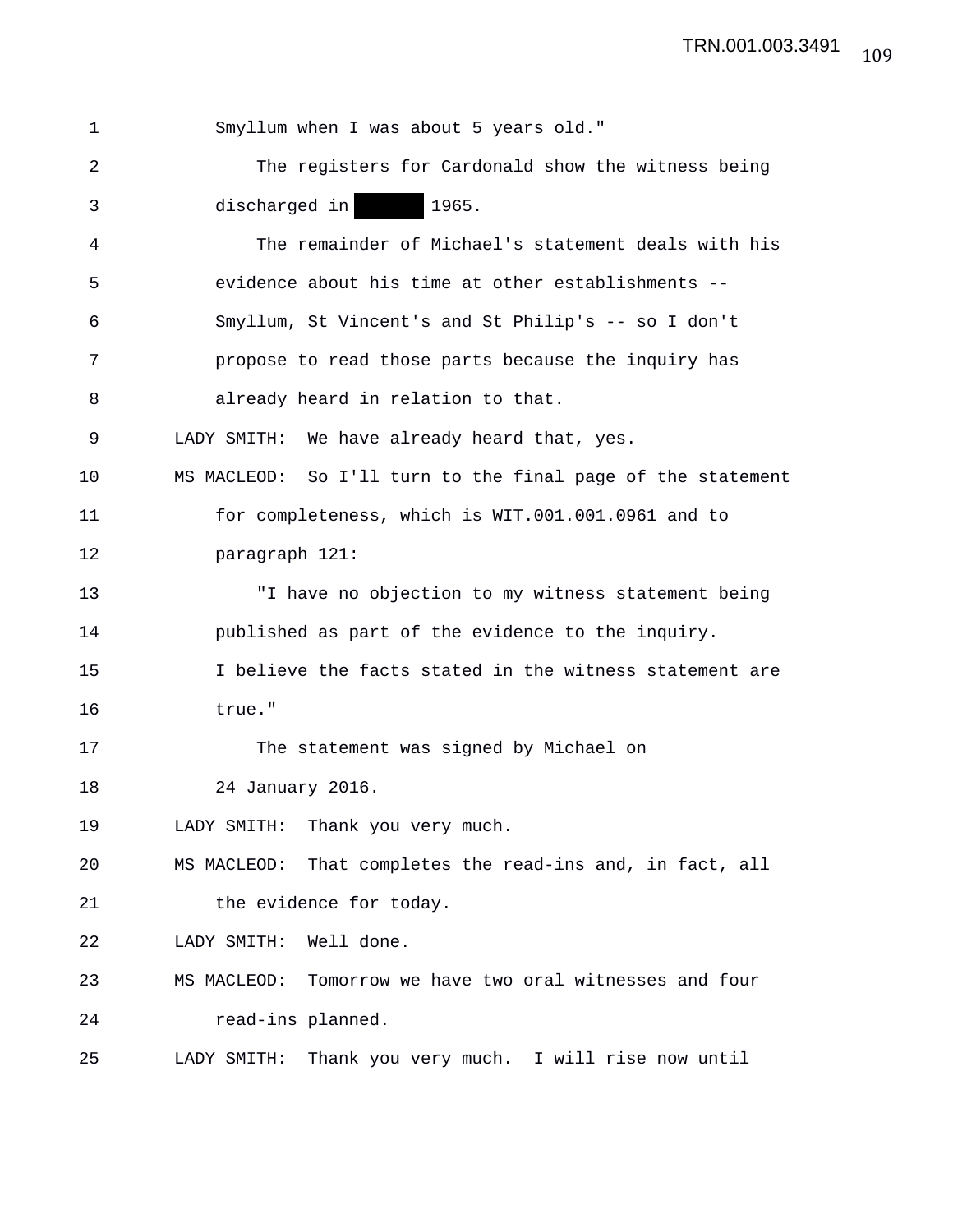| 1  | Smyllum when I was about 5 years old."                       |
|----|--------------------------------------------------------------|
| 2  | The registers for Cardonald show the witness being           |
| 3  | discharged in<br>1965.                                       |
| 4  | The remainder of Michael's statement deals with his          |
| 5  | evidence about his time at other establishments --           |
| 6  | Smyllum, St Vincent's and St Philip's -- so I don't          |
| 7  | propose to read those parts because the inquiry has          |
| 8  | already heard in relation to that.                           |
| 9  | LADY SMITH: We have already heard that, yes.                 |
| 10 | MS MACLEOD: So I'll turn to the final page of the statement  |
| 11 | for completeness, which is WIT.001.001.0961 and to           |
| 12 | paragraph 121:                                               |
| 13 | "I have no objection to my witness statement being           |
| 14 | published as part of the evidence to the inquiry.            |
| 15 | I believe the facts stated in the witness statement are      |
| 16 | true."                                                       |
| 17 | The statement was signed by Michael on                       |
| 18 | 24 January 2016.                                             |
| 19 | Thank you very much.<br>LADY SMITH:                          |
| 20 | That completes the read-ins and, in fact, all<br>MS MACLEOD: |
| 21 | the evidence for today.                                      |
| 22 | Well done.<br>LADY SMITH:                                    |
| 23 | Tomorrow we have two oral witnesses and four<br>MS MACLEOD:  |
| 24 | read-ins planned.                                            |
| 25 | Thank you very much. I will rise now until<br>LADY SMITH:    |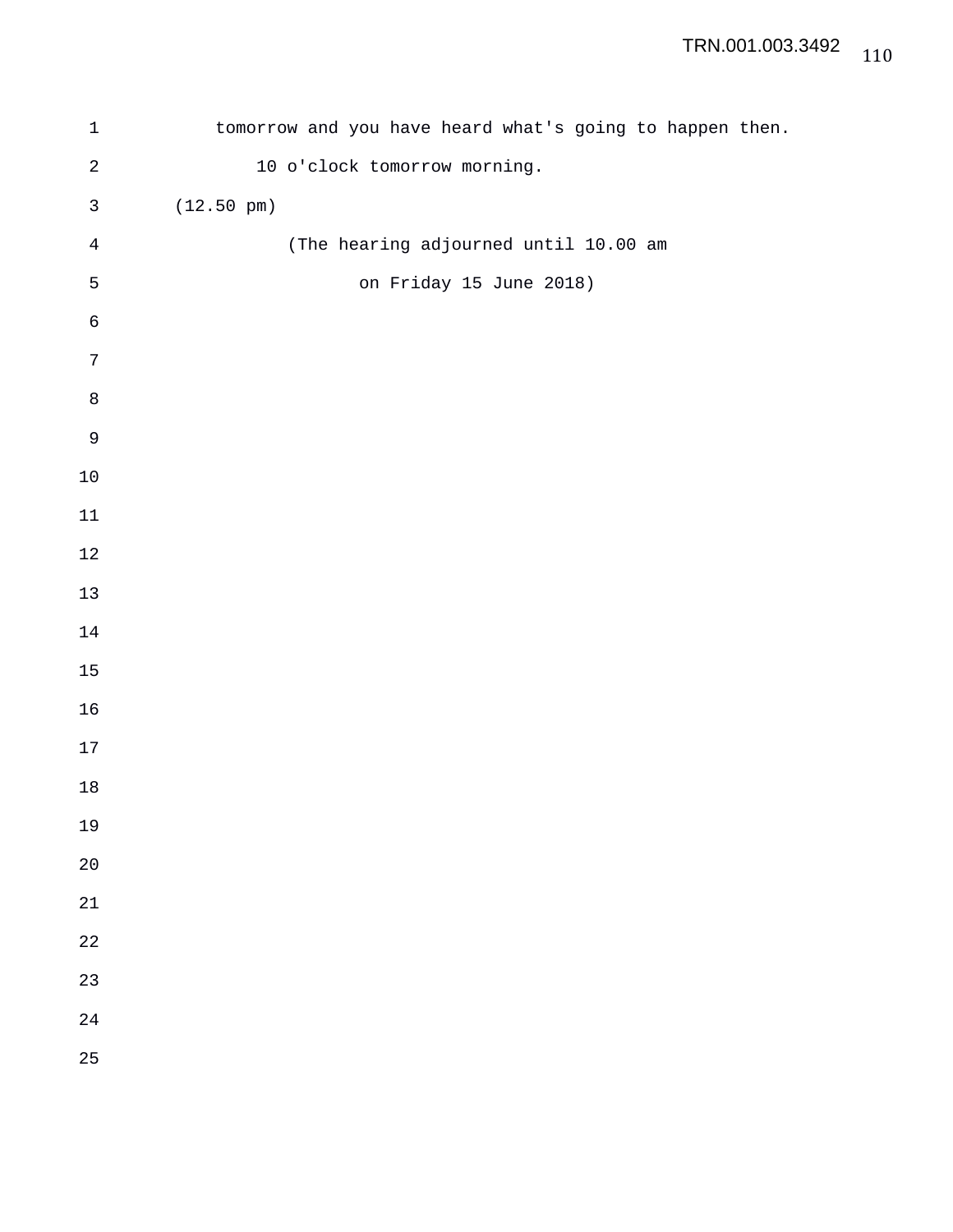| $\mathbf 1$    | tomorrow and you have heard what's going to happen then. |
|----------------|----------------------------------------------------------|
| $\sqrt{2}$     | 10 o'clock tomorrow morning.                             |
| $\mathfrak{Z}$ | $(12.50 \text{ pm})$                                     |
| $\sqrt{4}$     | (The hearing adjourned until 10.00 am                    |
| $\mathsf S$    | on Friday 15 June 2018)                                  |
| $\sqrt{6}$     |                                                          |
| $\sqrt{ }$     |                                                          |
| $\,8\,$        |                                                          |
| $\mathsf 9$    |                                                          |
| $10$           |                                                          |
| $11\,$         |                                                          |
| $12\,$         |                                                          |
| $13\,$         |                                                          |
| 14             |                                                          |
| $15\,$         |                                                          |
| 16             |                                                          |
| $17\,$         |                                                          |
| $18\,$         |                                                          |
| 19             |                                                          |
| $20$           |                                                          |
| 21             |                                                          |
| 22             |                                                          |
| 23             |                                                          |
| 24             |                                                          |
| 25             |                                                          |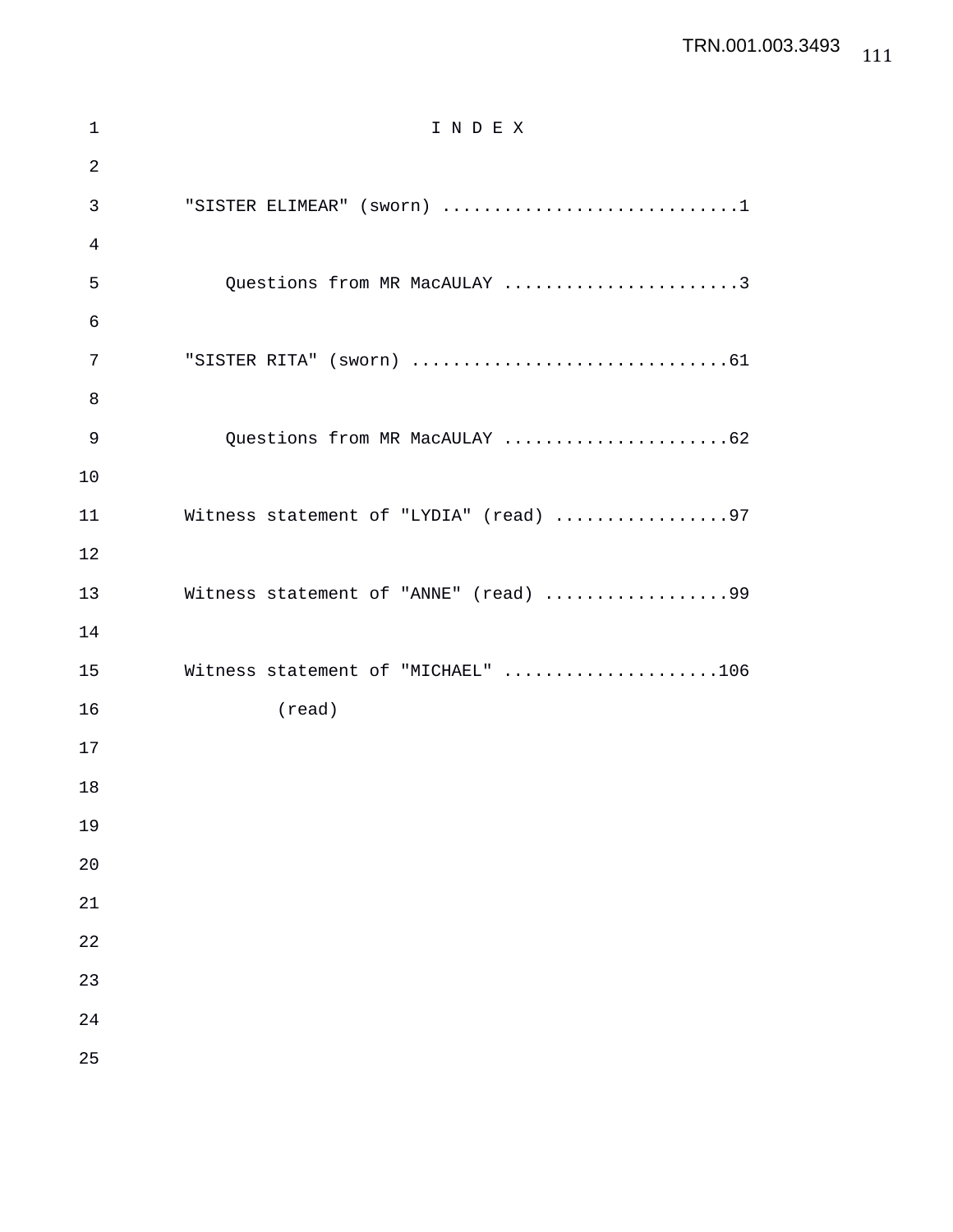## TRN.001.003.3493

| $\mathbf 1$    | INDEX                                  |
|----------------|----------------------------------------|
| $\overline{2}$ |                                        |
| 3              | "SISTER ELIMEAR" (sworn) 1             |
| 4              |                                        |
| 5              | Questions from MR MacAULAY 3           |
| 6              |                                        |
| 7              |                                        |
| 8              |                                        |
| 9              | Questions from MR MacAULAY 62          |
| 10             |                                        |
| 11             | Witness statement of "LYDIA" (read) 97 |
| 12             |                                        |
| 13             | Witness statement of "ANNE" (read) 99  |
| 14             |                                        |
| 15             | Witness statement of "MICHAEL" 106     |
| 16             | $(\text{read})$                        |
| 17             |                                        |
| 18             |                                        |
| 19             |                                        |
| 20             |                                        |
| 21             |                                        |
| 22             |                                        |
| 23             |                                        |
| 24             |                                        |
| 25             |                                        |